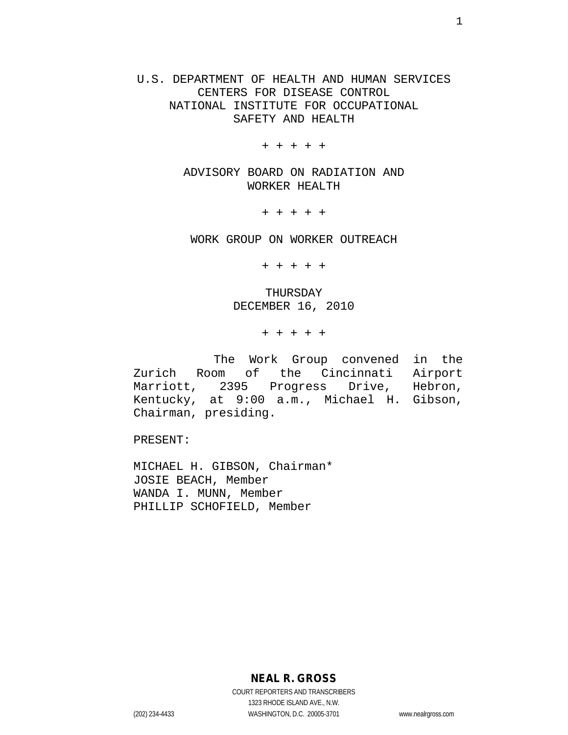U.S. DEPARTMENT OF HEALTH AND HUMAN SERVICES CENTERS FOR DISEASE CONTROL NATIONAL INSTITUTE FOR OCCUPATIONAL SAFETY AND HEALTH

+ + + + +

ADVISORY BOARD ON RADIATION AND WORKER HEALTH

+ + + + +

WORK GROUP ON WORKER OUTREACH

+ + + + +

THURSDAY DECEMBER 16, 2010

+ + + + +

 The Work Group convened in the Zurich Room of the Cincinnati Airport<br>Marriott, 2395 Progress Drive, Hebron, Marriott, 2395 Progress Kentucky, at 9:00 a.m., Michael H. Gibson, Chairman, presiding.

PRESENT:

MICHAEL H. GIBSON, Chairman\* JOSIE BEACH, Member WANDA I. MUNN, Member PHILLIP SCHOFIELD, Member

**NEAL R. GROSS**

COURT REPORTERS AND TRANSCRIBERS 1323 RHODE ISLAND AVE., N.W. (202) 234-4433 WASHINGTON, D.C. 20005-3701 www.nealrgross.com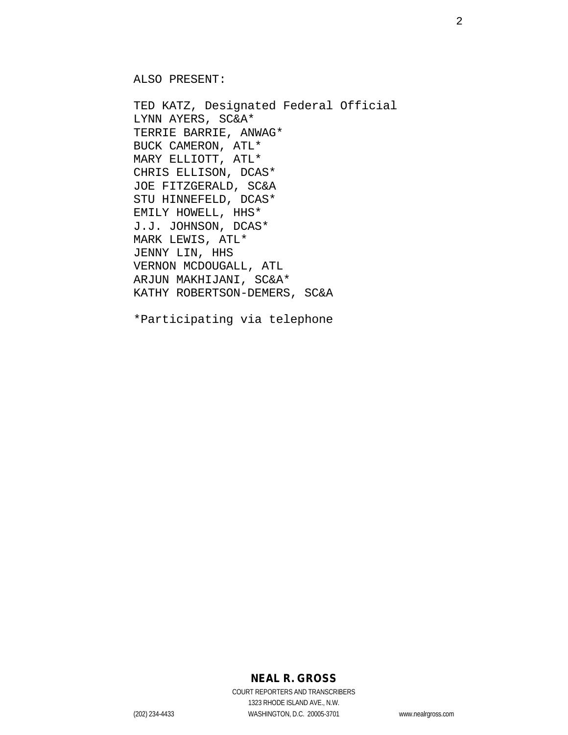ALSO PRESENT:

TED KATZ, Designated Federal Official LYNN AYERS, SC&A\* TERRIE BARRIE, ANWAG\* BUCK CAMERON, ATL\* MARY ELLIOTT, ATL\* CHRIS ELLISON, DCAS\* JOE FITZGERALD, SC&A STU HINNEFELD, DCAS\* EMILY HOWELL, HHS\* J.J. JOHNSON, DCAS\* MARK LEWIS, ATL\* JENNY LIN, HHS VERNON MCDOUGALL, ATL ARJUN MAKHIJANI, SC&A\* KATHY ROBERTSON-DEMERS, SC&A

\*Participating via telephone

## **NEAL R. GROSS**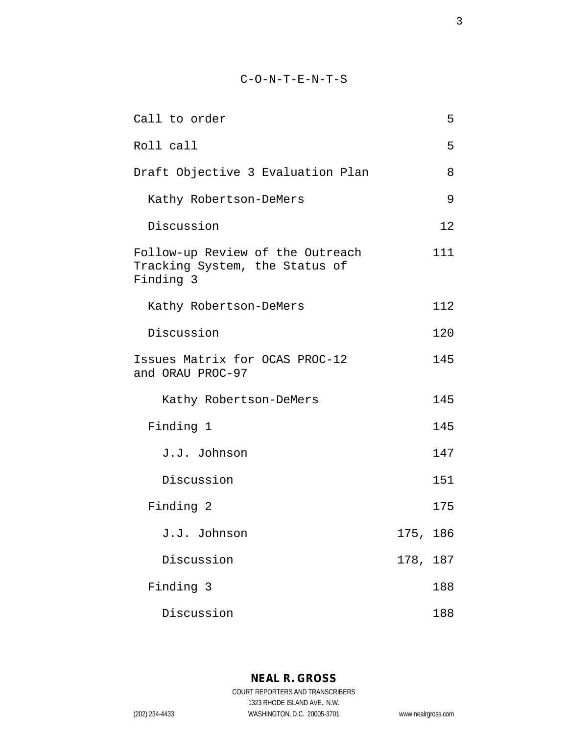C-O-N-T-E-N-T-S

| Call to order                                                                   |          | 5   |
|---------------------------------------------------------------------------------|----------|-----|
| Roll call                                                                       |          | 5   |
| Draft Objective 3 Evaluation Plan                                               |          | 8   |
| Kathy Robertson-DeMers                                                          |          | 9   |
| Discussion                                                                      |          | 12  |
| Follow-up Review of the Outreach<br>Tracking System, the Status of<br>Finding 3 |          | 111 |
| Kathy Robertson-DeMers                                                          |          | 112 |
| Discussion                                                                      |          | 120 |
| Issues Matrix for OCAS PROC-12<br>and ORAU PROC-97                              |          | 145 |
| Kathy Robertson-DeMers                                                          |          | 145 |
| Finding 1                                                                       |          | 145 |
| J.J. Johnson                                                                    |          | 147 |
| Discussion                                                                      |          | 151 |
| Finding 2                                                                       |          | 175 |
| J.J. Johnson                                                                    | 175, 186 |     |
| Discussion                                                                      | 178, 187 |     |
| Finding 3                                                                       |          | 188 |
| Discussion                                                                      |          | 188 |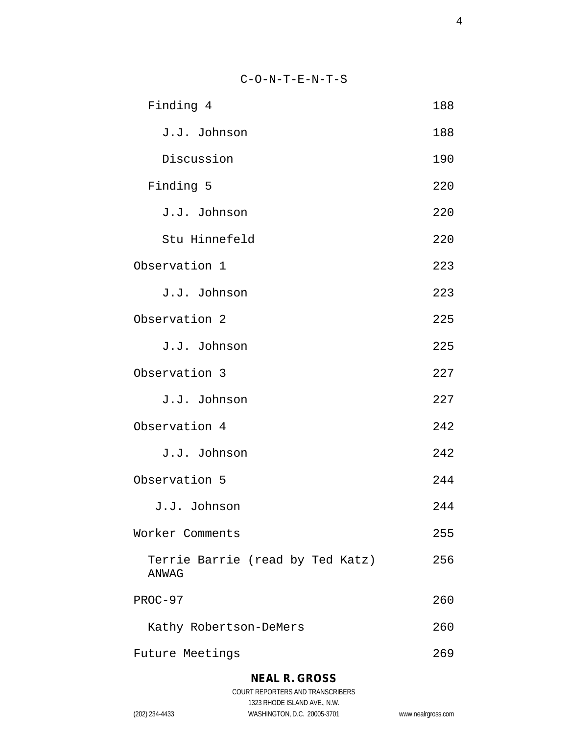C-O-N-T-E-N-T-S

| Finding 4                                        | 188 |
|--------------------------------------------------|-----|
| J.J. Johnson                                     | 188 |
| Discussion                                       | 190 |
| Finding 5                                        | 220 |
| J.J. Johnson                                     | 220 |
| Stu Hinnefeld                                    | 220 |
| Observation 1                                    | 223 |
| J.J. Johnson                                     | 223 |
| Observation 2                                    | 225 |
| J.J. Johnson                                     | 225 |
| Observation 3                                    | 227 |
| J.J. Johnson                                     | 227 |
| Observation 4                                    | 242 |
| J.J. Johnson                                     | 242 |
| Observation 5                                    | 244 |
| J.J. Johnson                                     | 244 |
| Worker Comments                                  | 255 |
| Terrie Barrie (read by Ted Katz)<br><b>ANWAG</b> | 256 |
| PROC-97                                          | 260 |
| Kathy Robertson-DeMers                           | 260 |
| Future Meetings                                  | 269 |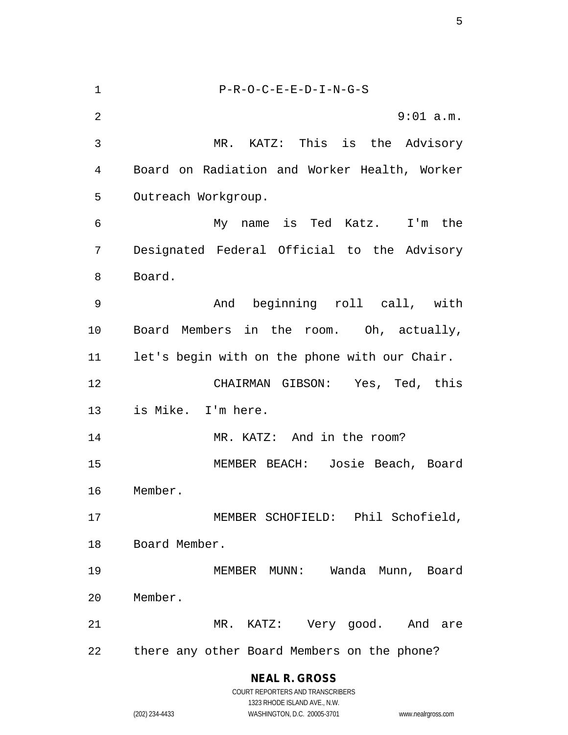1 P-R-O-C-E-E-D-I-N-G-S 2 9:01 a.m. 3 MR. KATZ: This is the Advisory 4 Board on Radiation and Worker Health, Worker 5 Outreach Workgroup. 6 My name is Ted Katz. I'm the 7 Designated Federal Official to the Advisory 8 Board. 9 And beginning roll call, with 10 Board Members in the room. Oh, actually, 11 let's begin with on the phone with our Chair. 12 CHAIRMAN GIBSON: Yes, Ted, this 13 is Mike. I'm here. 14 MR. KATZ: And in the room? 15 MEMBER BEACH: Josie Beach, Board 16 Member. 17 MEMBER SCHOFIELD: Phil Schofield, 18 Board Member. 19 MEMBER MUNN: Wanda Munn, Board 20 Member. 21 MR. KATZ: Very good. And are 22 there any other Board Members on the phone?

> **NEAL R. GROSS** COURT REPORTERS AND TRANSCRIBERS

1323 RHODE ISLAND AVE., N.W. (202) 234-4433 WASHINGTON, D.C. 20005-3701 www.nealrgross.com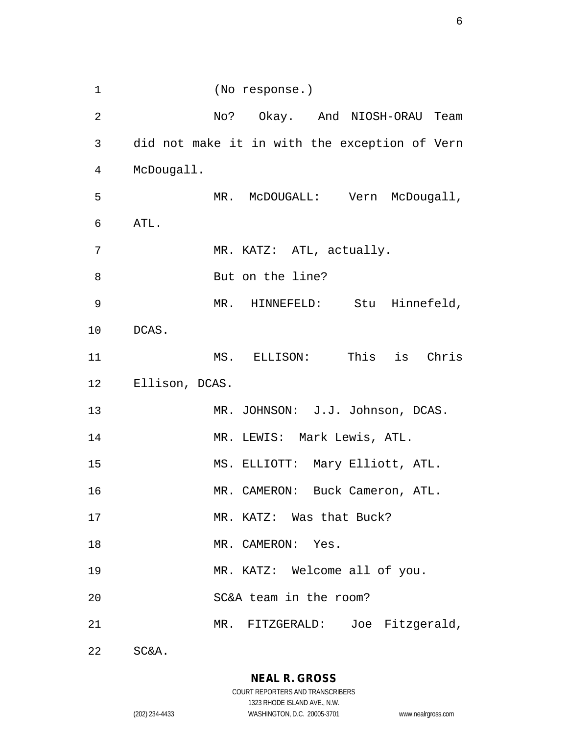1 (No response.) 2 No? Okay. And NIOSH-ORAU Team 3 did not make it in with the exception of Vern 4 McDougall. 5 MR. McDOUGALL: Vern McDougall, 6 ATL. 7 MR. KATZ: ATL, actually. 8 But on the line? 9 MR. HINNEFELD: Stu Hinnefeld, 10 DCAS. 11 MS. ELLISON: This is Chris 12 Ellison, DCAS. 13 MR. JOHNSON: J.J. Johnson, DCAS. 14 MR. LEWIS: Mark Lewis, ATL. 15 MS. ELLIOTT: Mary Elliott, ATL. 16 MR. CAMERON: Buck Cameron, ATL. 17 MR. KATZ: Was that Buck? 18 MR. CAMERON: Yes. 19 MR. KATZ: Welcome all of you. 20 SC&A team in the room? 21 MR. FITZGERALD: Joe Fitzgerald,

22 SC&A.

**NEAL R. GROSS** COURT REPORTERS AND TRANSCRIBERS

1323 RHODE ISLAND AVE., N.W. (202) 234-4433 WASHINGTON, D.C. 20005-3701 www.nealrgross.com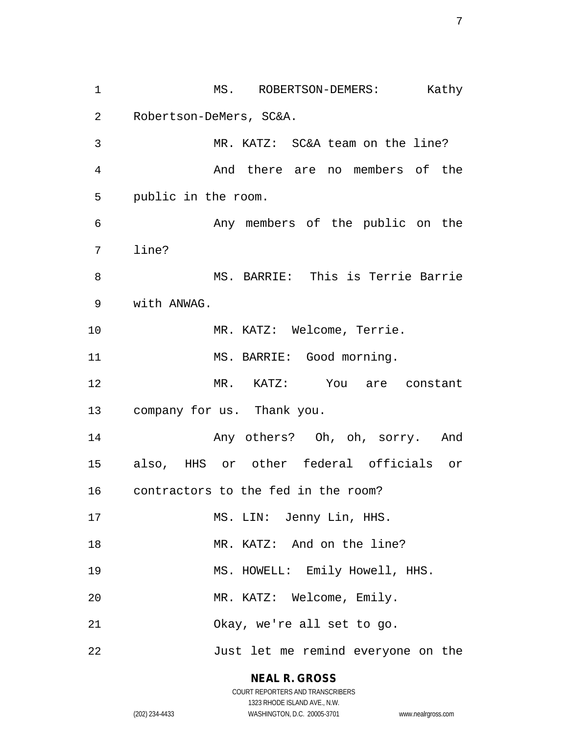1 MS. ROBERTSON-DEMERS: Kathy 2 Robertson-DeMers, SC&A. 3 MR. KATZ: SC&A team on the line? 4 And there are no members of the 5 public in the room. 6 Any members of the public on the 7 line? 8 MS. BARRIE: This is Terrie Barrie 9 with ANWAG. 10 MR. KATZ: Welcome, Terrie. 11 MS. BARRIE: Good morning. 12 MR. KATZ: You are constant 13 company for us. Thank you. 14 Any others? Oh, oh, sorry. And 15 also, HHS or other federal officials or 16 contractors to the fed in the room? 17 MS. LIN: Jenny Lin, HHS. 18 MR. KATZ: And on the line? 19 MS. HOWELL: Emily Howell, HHS. 20 MR. KATZ: Welcome, Emily. 21 Okay, we're all set to go. 22 Just let me remind everyone on the

#### **NEAL R. GROSS** COURT REPORTERS AND TRANSCRIBERS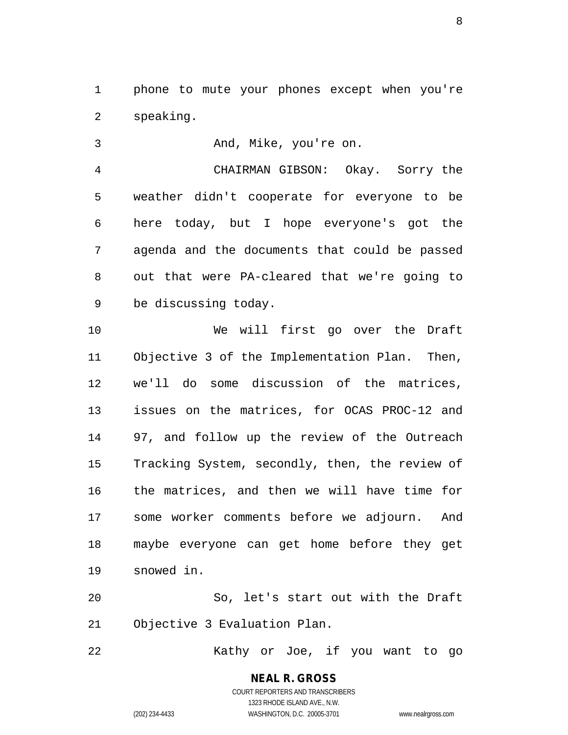1 phone to mute your phones except when you're 2 speaking.

3 And, Mike, you're on.

4 CHAIRMAN GIBSON: Okay. Sorry the 5 weather didn't cooperate for everyone to be 6 here today, but I hope everyone's got the 7 agenda and the documents that could be passed 8 out that were PA-cleared that we're going to 9 be discussing today.

10 We will first go over the Draft 11 Objective 3 of the Implementation Plan. Then, 12 we'll do some discussion of the matrices, 13 issues on the matrices, for OCAS PROC-12 and 14 97, and follow up the review of the Outreach 15 Tracking System, secondly, then, the review of 16 the matrices, and then we will have time for 17 some worker comments before we adjourn. And 18 maybe everyone can get home before they get 19 snowed in.

20 So, let's start out with the Draft 21 Objective 3 Evaluation Plan.

22 Kathy or Joe, if you want to go

**NEAL R. GROSS** COURT REPORTERS AND TRANSCRIBERS 1323 RHODE ISLAND AVE., N.W.

(202) 234-4433 WASHINGTON, D.C. 20005-3701 www.nealrgross.com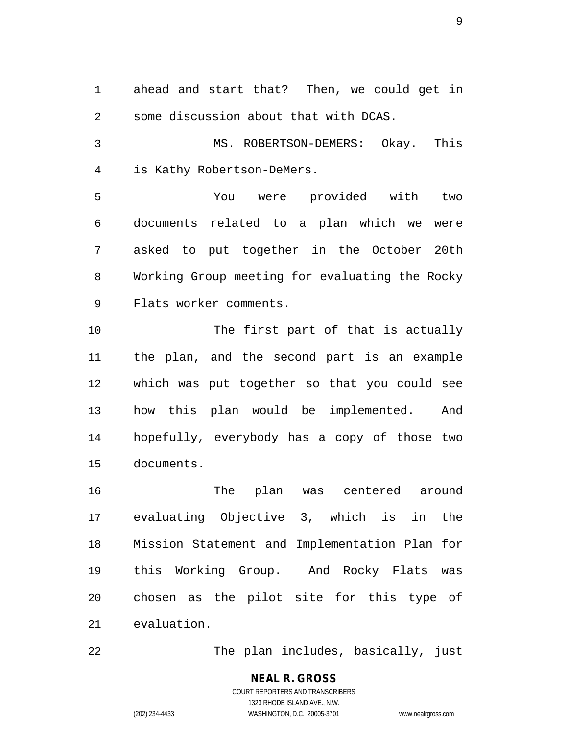1 ahead and start that? Then, we could get in 2 some discussion about that with DCAS.

3 MS. ROBERTSON-DEMERS: Okay. This 4 is Kathy Robertson-DeMers.

5 You were provided with two 6 documents related to a plan which we were 7 asked to put together in the October 20th 8 Working Group meeting for evaluating the Rocky 9 Flats worker comments.

10 The first part of that is actually 11 the plan, and the second part is an example 12 which was put together so that you could see 13 how this plan would be implemented. And 14 hopefully, everybody has a copy of those two 15 documents.

16 The plan was centered around 17 evaluating Objective 3, which is in the 18 Mission Statement and Implementation Plan for 19 this Working Group. And Rocky Flats was 20 chosen as the pilot site for this type of 21 evaluation.

22 The plan includes, basically, just

**NEAL R. GROSS** COURT REPORTERS AND TRANSCRIBERS 1323 RHODE ISLAND AVE., N.W. (202) 234-4433 WASHINGTON, D.C. 20005-3701 www.nealrgross.com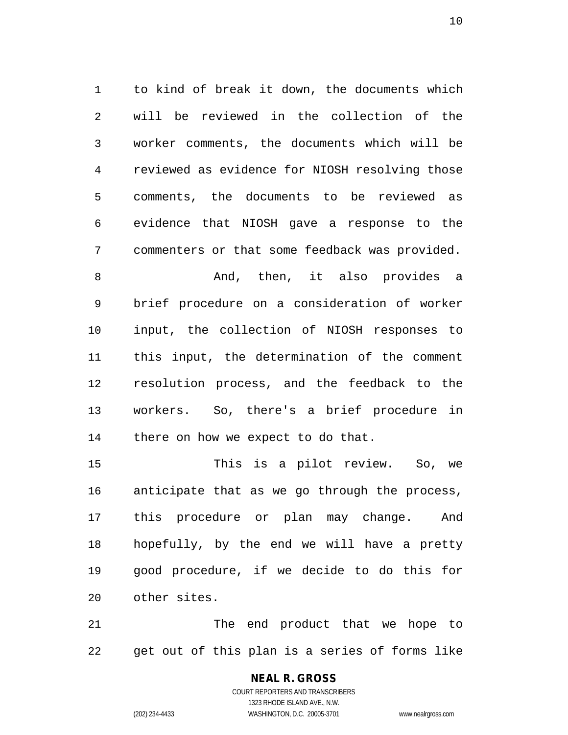1 to kind of break it down, the documents which 2 will be reviewed in the collection of the 3 worker comments, the documents which will be 4 reviewed as evidence for NIOSH resolving those 5 comments, the documents to be reviewed as 6 evidence that NIOSH gave a response to the 7 commenters or that some feedback was provided.

8 And, then, it also provides a 9 brief procedure on a consideration of worker 10 input, the collection of NIOSH responses to 11 this input, the determination of the comment 12 resolution process, and the feedback to the 13 workers. So, there's a brief procedure in 14 there on how we expect to do that.

15 This is a pilot review. So, we 16 anticipate that as we go through the process, 17 this procedure or plan may change. And 18 hopefully, by the end we will have a pretty 19 good procedure, if we decide to do this for 20 other sites.

21 The end product that we hope to 22 get out of this plan is a series of forms like

#### **NEAL R. GROSS** COURT REPORTERS AND TRANSCRIBERS

1323 RHODE ISLAND AVE., N.W. (202) 234-4433 WASHINGTON, D.C. 20005-3701 www.nealrgross.com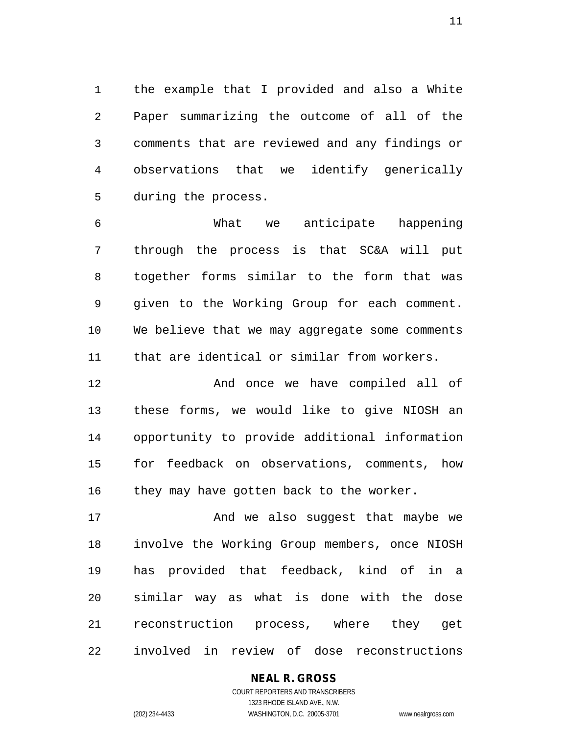1 the example that I provided and also a White 2 Paper summarizing the outcome of all of the 3 comments that are reviewed and any findings or 4 observations that we identify generically 5 during the process.

6 What we anticipate happening 7 through the process is that SC&A will put 8 together forms similar to the form that was 9 given to the Working Group for each comment. 10 We believe that we may aggregate some comments 11 that are identical or similar from workers.

12 And once we have compiled all of 13 these forms, we would like to give NIOSH an 14 opportunity to provide additional information 15 for feedback on observations, comments, how 16 they may have gotten back to the worker.

17 And we also suggest that maybe we 18 involve the Working Group members, once NIOSH 19 has provided that feedback, kind of in a 20 similar way as what is done with the dose 21 reconstruction process, where they get 22 involved in review of dose reconstructions

> COURT REPORTERS AND TRANSCRIBERS 1323 RHODE ISLAND AVE., N.W. (202) 234-4433 WASHINGTON, D.C. 20005-3701 www.nealrgross.com

**NEAL R. GROSS**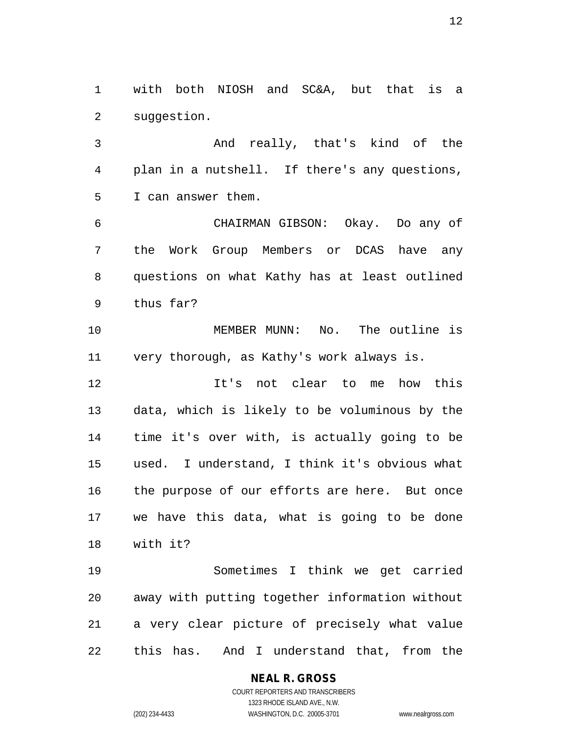1 with both NIOSH and SC&A, but that is a 2 suggestion.

3 And really, that's kind of the 4 plan in a nutshell. If there's any questions, 5 I can answer them.

6 CHAIRMAN GIBSON: Okay. Do any of 7 the Work Group Members or DCAS have any 8 questions on what Kathy has at least outlined 9 thus far?

10 MEMBER MUNN: No. The outline is 11 very thorough, as Kathy's work always is.

12 It's not clear to me how this 13 data, which is likely to be voluminous by the 14 time it's over with, is actually going to be 15 used. I understand, I think it's obvious what 16 the purpose of our efforts are here. But once 17 we have this data, what is going to be done 18 with it?

19 Sometimes I think we get carried 20 away with putting together information without 21 a very clear picture of precisely what value 22 this has. And I understand that, from the

**NEAL R. GROSS**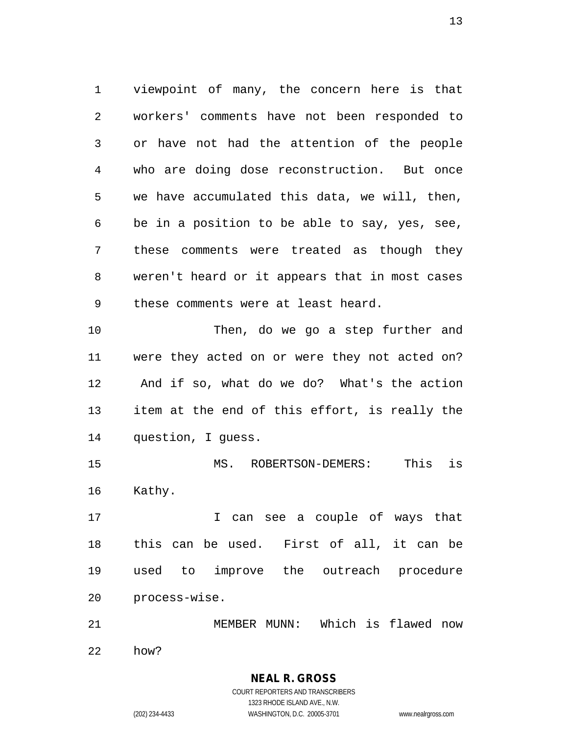1 viewpoint of many, the concern here is that 2 workers' comments have not been responded to 3 or have not had the attention of the people 4 who are doing dose reconstruction. But once 5 we have accumulated this data, we will, then, 6 be in a position to be able to say, yes, see, 7 these comments were treated as though they 8 weren't heard or it appears that in most cases 9 these comments were at least heard. 10 Then, do we go a step further and 11 were they acted on or were they not acted on? 12 And if so, what do we do? What's the action 13 item at the end of this effort, is really the 14 question, I guess. 15 MS. ROBERTSON-DEMERS: This is 16 Kathy. 17 17 I can see a couple of ways that 18 this can be used. First of all, it can be 19 used to improve the outreach procedure 20 process-wise.

21 MEMBER MUNN: Which is flawed now 22 how?

> COURT REPORTERS AND TRANSCRIBERS 1323 RHODE ISLAND AVE., N.W. (202) 234-4433 WASHINGTON, D.C. 20005-3701 www.nealrgross.com

**NEAL R. GROSS**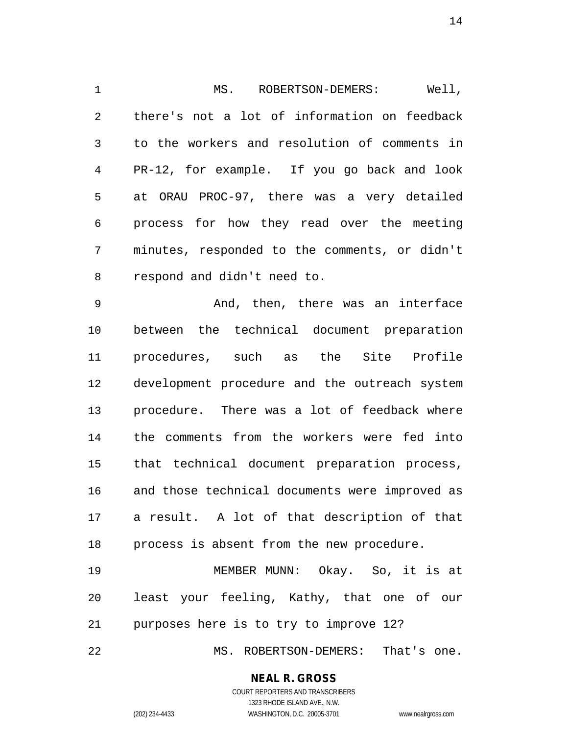1 MS. ROBERTSON-DEMERS: Well, 2 there's not a lot of information on feedback 3 to the workers and resolution of comments in 4 PR-12, for example. If you go back and look 5 at ORAU PROC-97, there was a very detailed 6 process for how they read over the meeting 7 minutes, responded to the comments, or didn't 8 respond and didn't need to.

9 And, then, there was an interface 10 between the technical document preparation 11 procedures, such as the Site Profile 12 development procedure and the outreach system 13 procedure. There was a lot of feedback where 14 the comments from the workers were fed into 15 that technical document preparation process, 16 and those technical documents were improved as 17 a result. A lot of that description of that 18 process is absent from the new procedure.

19 MEMBER MUNN: Okay. So, it is at 20 least your feeling, Kathy, that one of our 21 purposes here is to try to improve 12?

22 MS. ROBERTSON-DEMERS: That's one.

#### **NEAL R. GROSS**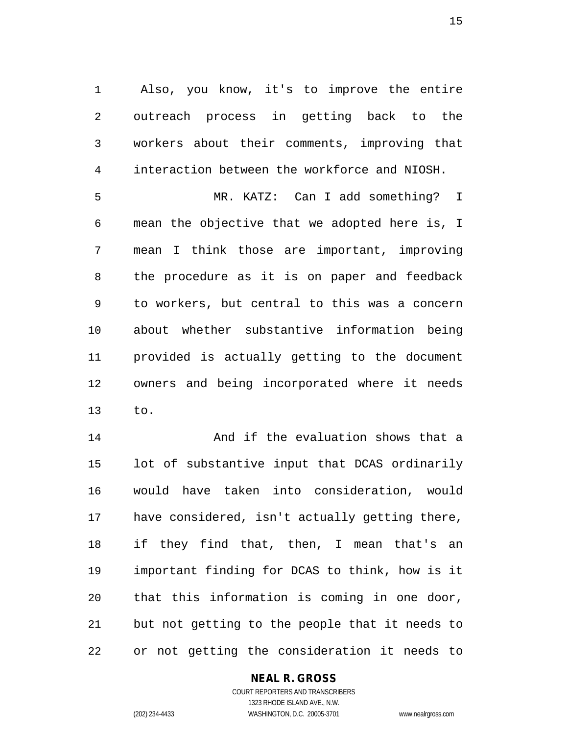1 Also, you know, it's to improve the entire 2 outreach process in getting back to the 3 workers about their comments, improving that 4 interaction between the workforce and NIOSH.

5 MR. KATZ: Can I add something? I 6 mean the objective that we adopted here is, I 7 mean I think those are important, improving 8 the procedure as it is on paper and feedback 9 to workers, but central to this was a concern 10 about whether substantive information being 11 provided is actually getting to the document 12 owners and being incorporated where it needs 13 to.

14 And if the evaluation shows that a 15 lot of substantive input that DCAS ordinarily 16 would have taken into consideration, would 17 have considered, isn't actually getting there, 18 if they find that, then, I mean that's an 19 important finding for DCAS to think, how is it 20 that this information is coming in one door, 21 but not getting to the people that it needs to 22 or not getting the consideration it needs to

#### **NEAL R. GROSS**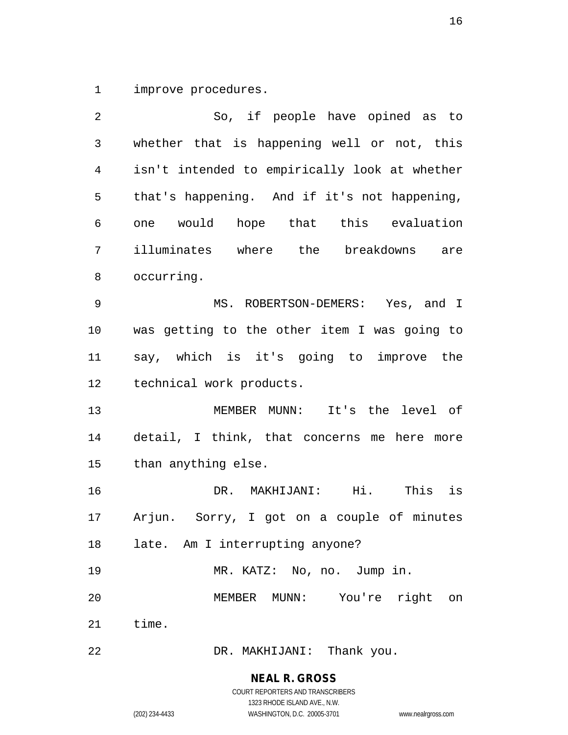1 improve procedures.

| 2              | So, if people have opined as to               |
|----------------|-----------------------------------------------|
| $\mathfrak{Z}$ | whether that is happening well or not, this   |
| $\overline{4}$ | isn't intended to empirically look at whether |
| 5              | that's happening. And if it's not happening,  |
| $\epsilon$     | one would hope that this evaluation           |
| 7              | illuminates where the breakdowns<br>are       |
| 8              | occurring.                                    |
| 9              | MS. ROBERTSON-DEMERS: Yes, and I              |
| 10             | was getting to the other item I was going to  |
| 11             | say, which is it's going to improve the       |
| 12             | technical work products.                      |
| 13             | MEMBER MUNN: It's the level of                |
| 14             | detail, I think, that concerns me here more   |
| 15             | than anything else.                           |
| 16             | DR. MAKHIJANI: Hi. This is                    |
| 17             | Arjun. Sorry, I got on a couple of minutes    |
| 18             | late. Am I interrupting anyone?               |
| 19             | MR. KATZ: No, no. Jump in.                    |
| 20             | MEMBER MUNN: You're right<br>on               |
| 21             | time.                                         |
| 22             | DR. MAKHIJANI: Thank you.                     |

## **NEAL R. GROSS**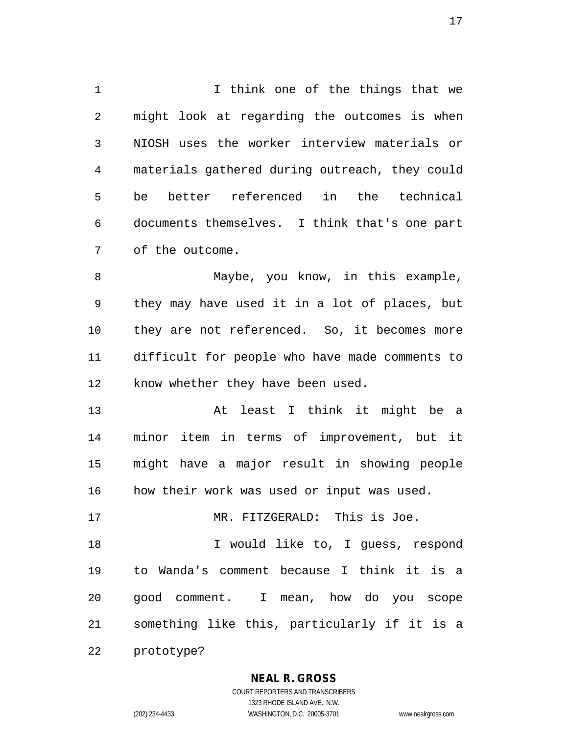1 I think one of the things that we 2 might look at regarding the outcomes is when 3 NIOSH uses the worker interview materials or 4 materials gathered during outreach, they could 5 be better referenced in the technical 6 documents themselves. I think that's one part 7 of the outcome.

8 Maybe, you know, in this example, 9 they may have used it in a lot of places, but 10 they are not referenced. So, it becomes more 11 difficult for people who have made comments to 12 know whether they have been used.

13 At least I think it might be a 14 minor item in terms of improvement, but it 15 might have a major result in showing people 16 how their work was used or input was used.

17 MR. FITZGERALD: This is Joe.

18 I would like to, I guess, respond 19 to Wanda's comment because I think it is a 20 good comment. I mean, how do you scope 21 something like this, particularly if it is a

22 prototype?

**NEAL R. GROSS** COURT REPORTERS AND TRANSCRIBERS

1323 RHODE ISLAND AVE., N.W. (202) 234-4433 WASHINGTON, D.C. 20005-3701 www.nealrgross.com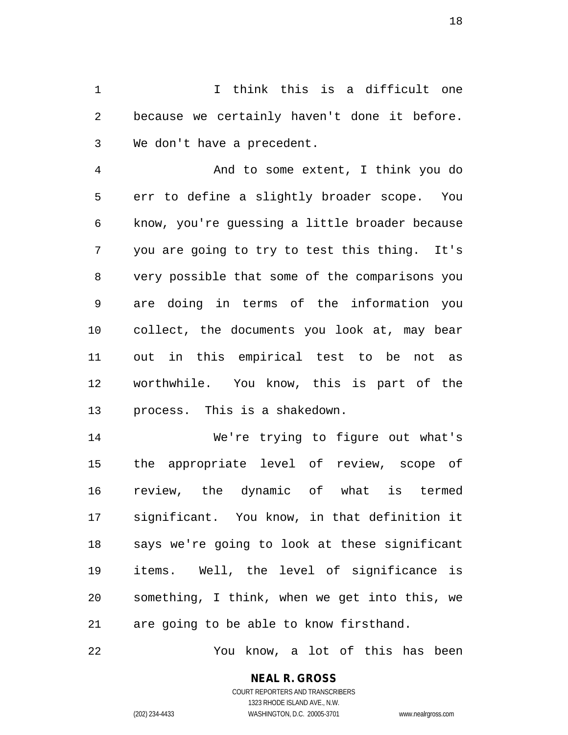1 I think this is a difficult one 2 because we certainly haven't done it before. 3 We don't have a precedent.

4 And to some extent, I think you do 5 err to define a slightly broader scope. You 6 know, you're guessing a little broader because 7 you are going to try to test this thing. It's 8 very possible that some of the comparisons you 9 are doing in terms of the information you 10 collect, the documents you look at, may bear 11 out in this empirical test to be not as 12 worthwhile. You know, this is part of the 13 process. This is a shakedown.

14 We're trying to figure out what's 15 the appropriate level of review, scope of 16 review, the dynamic of what is termed 17 significant. You know, in that definition it 18 says we're going to look at these significant 19 items. Well, the level of significance is 20 something, I think, when we get into this, we 21 are going to be able to know firsthand.

22 You know, a lot of this has been

**NEAL R. GROSS** COURT REPORTERS AND TRANSCRIBERS

1323 RHODE ISLAND AVE., N.W.

(202) 234-4433 WASHINGTON, D.C. 20005-3701 www.nealrgross.com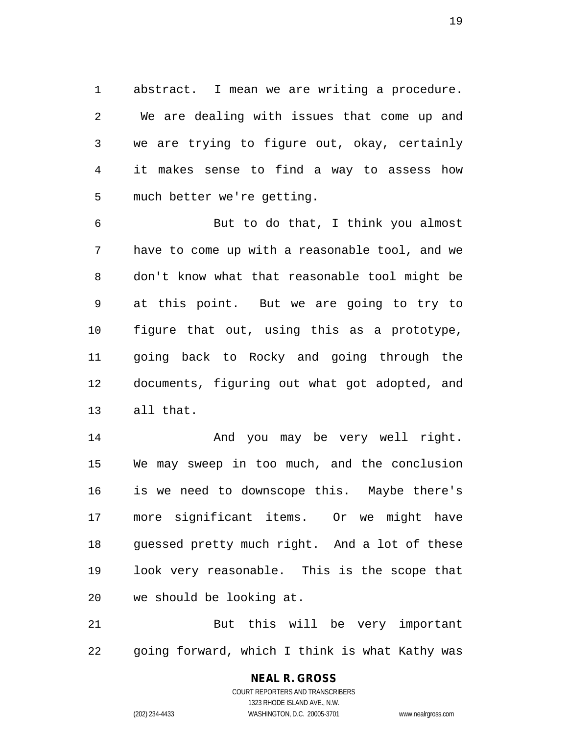1 abstract. I mean we are writing a procedure. 2 We are dealing with issues that come up and 3 we are trying to figure out, okay, certainly 4 it makes sense to find a way to assess how 5 much better we're getting.

6 But to do that, I think you almost 7 have to come up with a reasonable tool, and we 8 don't know what that reasonable tool might be 9 at this point. But we are going to try to 10 figure that out, using this as a prototype, 11 going back to Rocky and going through the 12 documents, figuring out what got adopted, and 13 all that.

14 And you may be very well right. 15 We may sweep in too much, and the conclusion 16 is we need to downscope this. Maybe there's 17 more significant items. Or we might have 18 guessed pretty much right. And a lot of these 19 look very reasonable. This is the scope that 20 we should be looking at.

21 But this will be very important 22 going forward, which I think is what Kathy was

## **NEAL R. GROSS**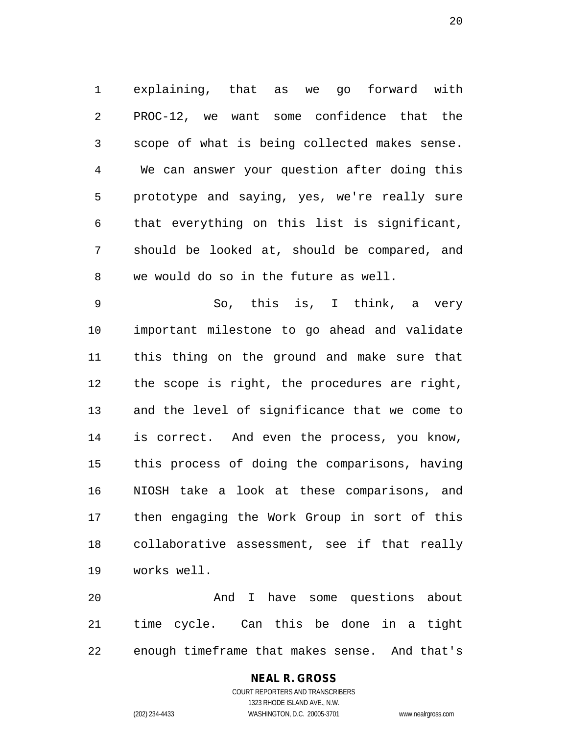1 explaining, that as we go forward with 2 PROC-12, we want some confidence that the 3 scope of what is being collected makes sense. 4 We can answer your question after doing this 5 prototype and saying, yes, we're really sure 6 that everything on this list is significant, 7 should be looked at, should be compared, and 8 we would do so in the future as well.

9 So, this is, I think, a very 10 important milestone to go ahead and validate 11 this thing on the ground and make sure that 12 the scope is right, the procedures are right, 13 and the level of significance that we come to 14 is correct. And even the process, you know, 15 this process of doing the comparisons, having 16 NIOSH take a look at these comparisons, and 17 then engaging the Work Group in sort of this 18 collaborative assessment, see if that really 19 works well.

20 And I have some questions about 21 time cycle. Can this be done in a tight 22 enough timeframe that makes sense. And that's

## **NEAL R. GROSS**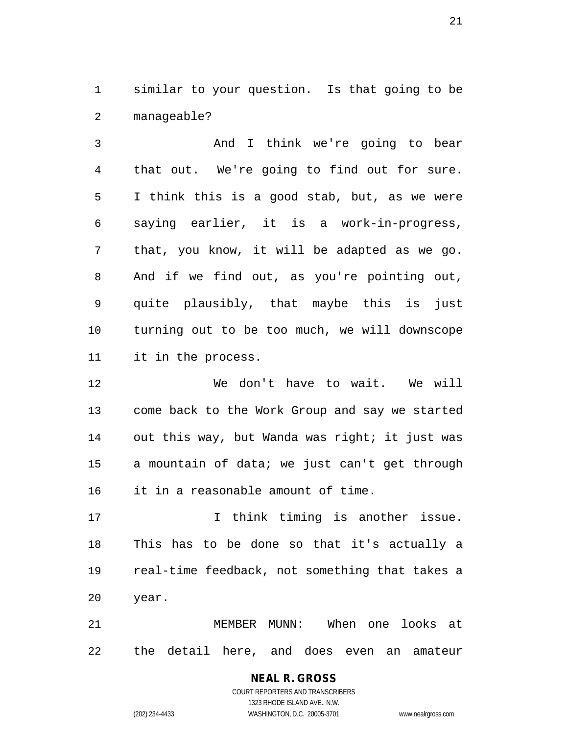1 similar to your question. Is that going to be 2 manageable?

3 And I think we're going to bear 4 that out. We're going to find out for sure. 5 I think this is a good stab, but, as we were 6 saying earlier, it is a work-in-progress, 7 that, you know, it will be adapted as we go. 8 And if we find out, as you're pointing out, 9 quite plausibly, that maybe this is just 10 turning out to be too much, we will downscope 11 it in the process.

12 We don't have to wait. We will 13 come back to the Work Group and say we started 14 out this way, but Wanda was right; it just was 15 a mountain of data; we just can't get through 16 it in a reasonable amount of time.

17 I think timing is another issue. 18 This has to be done so that it's actually a 19 real-time feedback, not something that takes a 20 year.

21 MEMBER MUNN: When one looks at 22 the detail here, and does even an amateur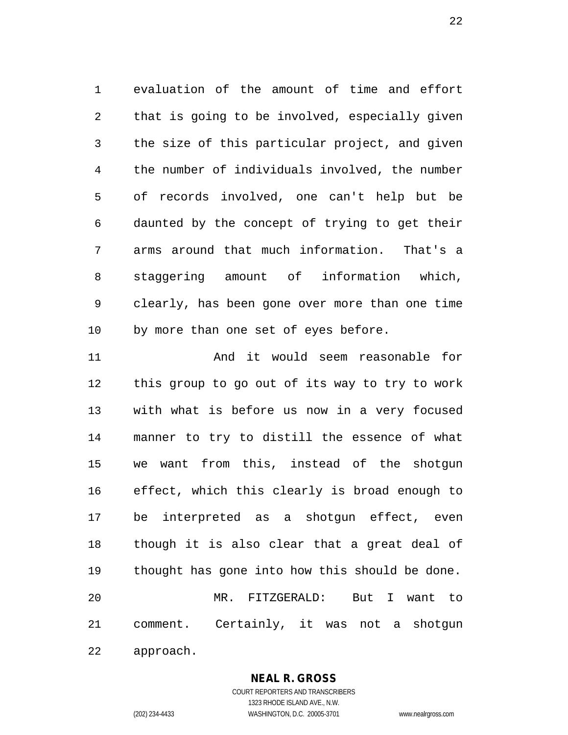1 evaluation of the amount of time and effort 2 that is going to be involved, especially given 3 the size of this particular project, and given 4 the number of individuals involved, the number 5 of records involved, one can't help but be 6 daunted by the concept of trying to get their 7 arms around that much information. That's a 8 staggering amount of information which, 9 clearly, has been gone over more than one time 10 by more than one set of eyes before.

11 And it would seem reasonable for 12 this group to go out of its way to try to work 13 with what is before us now in a very focused 14 manner to try to distill the essence of what 15 we want from this, instead of the shotgun 16 effect, which this clearly is broad enough to 17 be interpreted as a shotgun effect, even 18 though it is also clear that a great deal of 19 thought has gone into how this should be done. 20 MR. FITZGERALD: But I want to 21 comment. Certainly, it was not a shotgun 22 approach.

#### **NEAL R. GROSS**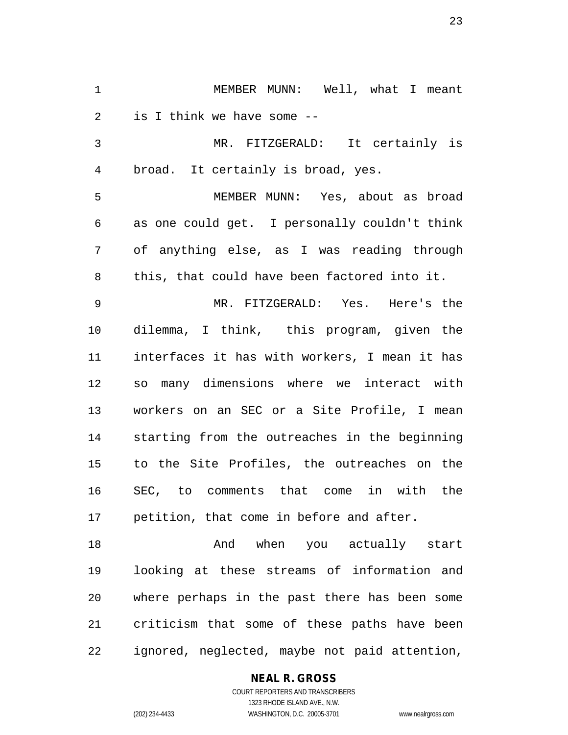1 MEMBER MUNN: Well, what I meant 2 is I think we have some --

3 MR. FITZGERALD: It certainly is 4 broad. It certainly is broad, yes.

5 MEMBER MUNN: Yes, about as broad 6 as one could get. I personally couldn't think 7 of anything else, as I was reading through 8 this, that could have been factored into it.

9 MR. FITZGERALD: Yes. Here's the 10 dilemma, I think, this program, given the 11 interfaces it has with workers, I mean it has 12 so many dimensions where we interact with 13 workers on an SEC or a Site Profile, I mean 14 starting from the outreaches in the beginning 15 to the Site Profiles, the outreaches on the 16 SEC, to comments that come in with the 17 petition, that come in before and after.

18 And when you actually start 19 looking at these streams of information and 20 where perhaps in the past there has been some 21 criticism that some of these paths have been 22 ignored, neglected, maybe not paid attention,

#### **NEAL R. GROSS**

COURT REPORTERS AND TRANSCRIBERS 1323 RHODE ISLAND AVE., N.W. (202) 234-4433 WASHINGTON, D.C. 20005-3701 www.nealrgross.com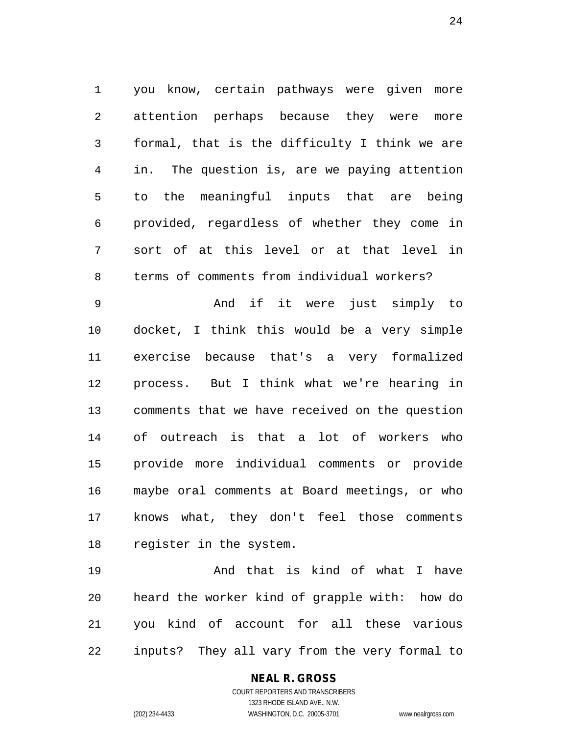1 you know, certain pathways were given more 2 attention perhaps because they were more 3 formal, that is the difficulty I think we are 4 in. The question is, are we paying attention 5 to the meaningful inputs that are being 6 provided, regardless of whether they come in 7 sort of at this level or at that level in 8 terms of comments from individual workers?

9 And if it were just simply to 10 docket, I think this would be a very simple 11 exercise because that's a very formalized 12 process. But I think what we're hearing in 13 comments that we have received on the question 14 of outreach is that a lot of workers who 15 provide more individual comments or provide 16 maybe oral comments at Board meetings, or who 17 knows what, they don't feel those comments 18 register in the system.

19 And that is kind of what I have 20 heard the worker kind of grapple with: how do 21 you kind of account for all these various 22 inputs? They all vary from the very formal to

## **NEAL R. GROSS**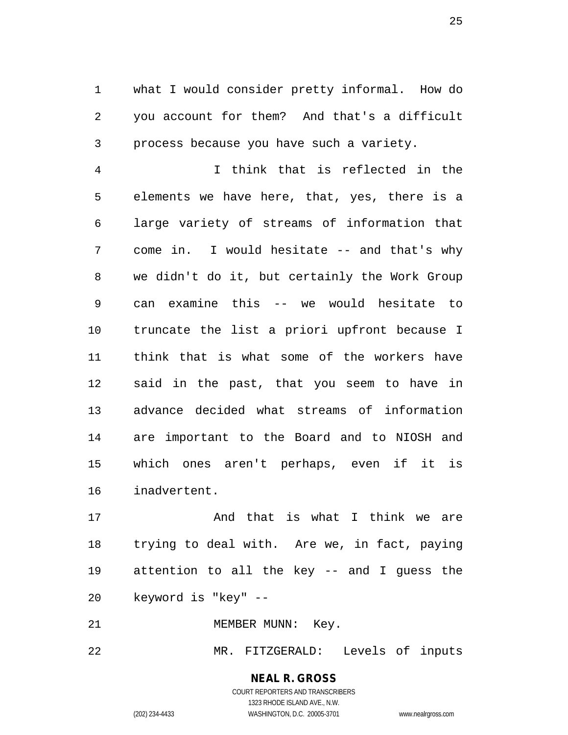1 what I would consider pretty informal. How do 2 you account for them? And that's a difficult 3 process because you have such a variety.

4 I think that is reflected in the 5 elements we have here, that, yes, there is a 6 large variety of streams of information that 7 come in. I would hesitate -- and that's why 8 we didn't do it, but certainly the Work Group 9 can examine this -- we would hesitate to 10 truncate the list a priori upfront because I 11 think that is what some of the workers have 12 said in the past, that you seem to have in 13 advance decided what streams of information 14 are important to the Board and to NIOSH and 15 which ones aren't perhaps, even if it is 16 inadvertent.

17 And that is what I think we are 18 trying to deal with. Are we, in fact, paying 19 attention to all the key -- and I guess the 20 keyword is "key" --

21 MEMBER MUNN: Key.

22 MR. FITZGERALD: Levels of inputs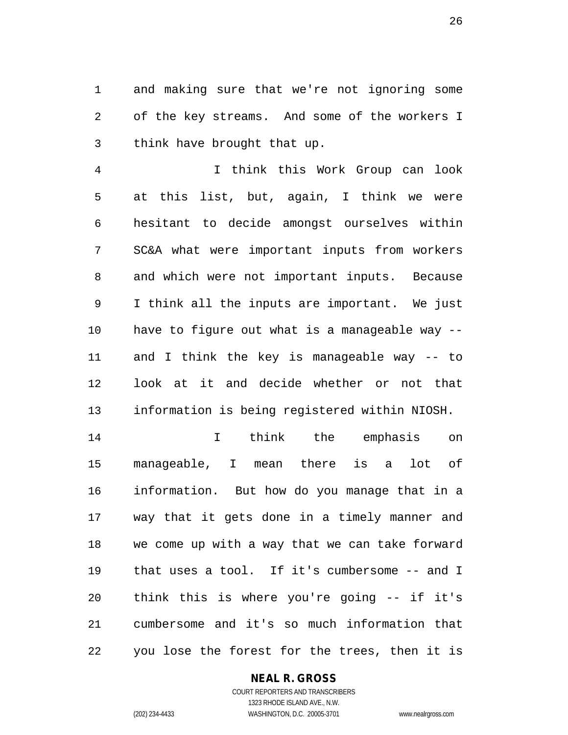1 and making sure that we're not ignoring some 2 of the key streams. And some of the workers I 3 think have brought that up.

4 I think this Work Group can look 5 at this list, but, again, I think we were 6 hesitant to decide amongst ourselves within 7 SC&A what were important inputs from workers 8 and which were not important inputs. Because 9 I think all the inputs are important. We just 10 have to figure out what is a manageable way -- 11 and I think the key is manageable way -- to 12 look at it and decide whether or not that 13 information is being registered within NIOSH.

14 I think the emphasis on 15 manageable, I mean there is a lot of 16 information. But how do you manage that in a 17 way that it gets done in a timely manner and 18 we come up with a way that we can take forward 19 that uses a tool. If it's cumbersome -- and I 20 think this is where you're going -- if it's 21 cumbersome and it's so much information that 22 you lose the forest for the trees, then it is

#### **NEAL R. GROSS**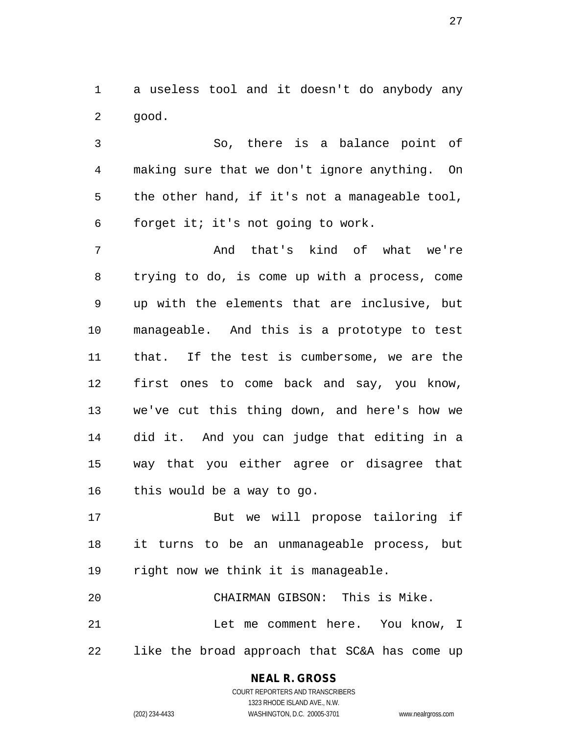1 a useless tool and it doesn't do anybody any 2 good.

3 So, there is a balance point of 4 making sure that we don't ignore anything. On 5 the other hand, if it's not a manageable tool, 6 forget it; it's not going to work.

7 And that's kind of what we're 8 trying to do, is come up with a process, come 9 up with the elements that are inclusive, but 10 manageable. And this is a prototype to test 11 that. If the test is cumbersome, we are the 12 first ones to come back and say, you know, 13 we've cut this thing down, and here's how we 14 did it. And you can judge that editing in a 15 way that you either agree or disagree that 16 this would be a way to go.

17 But we will propose tailoring if 18 it turns to be an unmanageable process, but 19 right now we think it is manageable.

20 CHAIRMAN GIBSON: This is Mike. 21 Let me comment here. You know, I 22 like the broad approach that SC&A has come up

# **NEAL R. GROSS**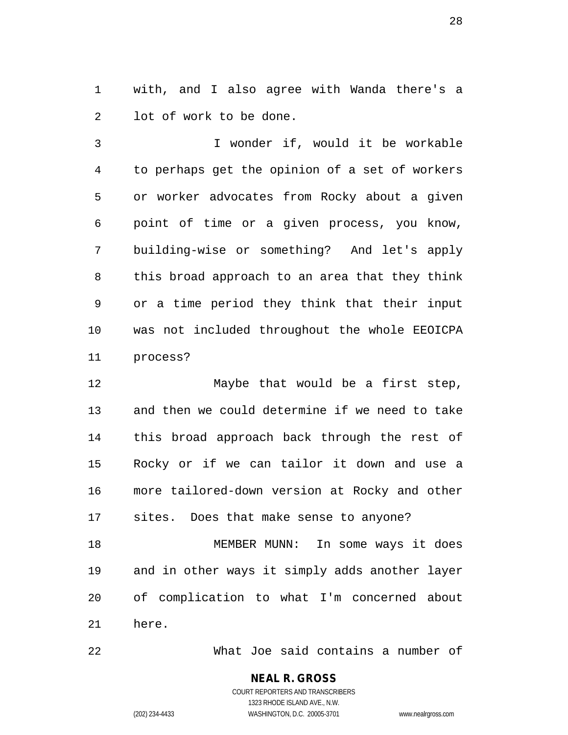1 with, and I also agree with Wanda there's a 2 lot of work to be done.

3 I wonder if, would it be workable 4 to perhaps get the opinion of a set of workers 5 or worker advocates from Rocky about a given 6 point of time or a given process, you know, 7 building-wise or something? And let's apply 8 this broad approach to an area that they think 9 or a time period they think that their input 10 was not included throughout the whole EEOICPA 11 process?

12 Maybe that would be a first step, 13 and then we could determine if we need to take 14 this broad approach back through the rest of 15 Rocky or if we can tailor it down and use a 16 more tailored-down version at Rocky and other 17 sites. Does that make sense to anyone? 18 MEMBER MUNN: In some ways it does

19 and in other ways it simply adds another layer 20 of complication to what I'm concerned about 21 here.

22 What Joe said contains a number of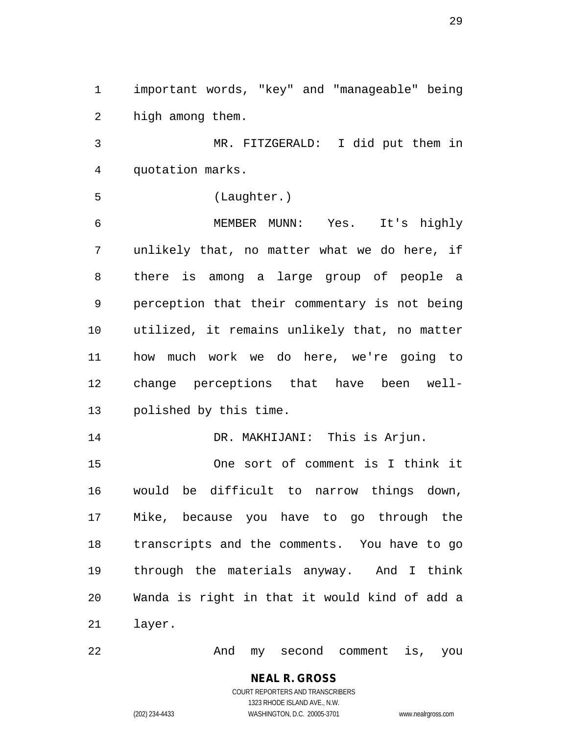1 important words, "key" and "manageable" being 2 high among them.

3 MR. FITZGERALD: I did put them in 4 quotation marks.

5 (Laughter.)

6 MEMBER MUNN: Yes. It's highly 7 unlikely that, no matter what we do here, if 8 there is among a large group of people a 9 perception that their commentary is not being 10 utilized, it remains unlikely that, no matter 11 how much work we do here, we're going to 12 change perceptions that have been well-13 polished by this time.

14 DR. MAKHIJANI: This is Arjun.

15 One sort of comment is I think it 16 would be difficult to narrow things down, 17 Mike, because you have to go through the 18 transcripts and the comments. You have to go 19 through the materials anyway. And I think 20 Wanda is right in that it would kind of add a 21 layer.

22 And my second comment is, you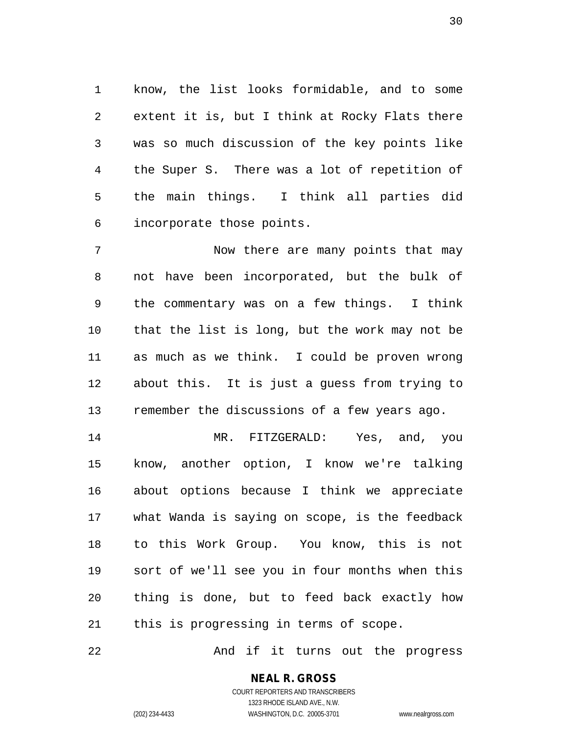1 know, the list looks formidable, and to some 2 extent it is, but I think at Rocky Flats there 3 was so much discussion of the key points like 4 the Super S. There was a lot of repetition of 5 the main things. I think all parties did 6 incorporate those points.

7 Now there are many points that may 8 not have been incorporated, but the bulk of 9 the commentary was on a few things. I think 10 that the list is long, but the work may not be 11 as much as we think. I could be proven wrong 12 about this. It is just a guess from trying to 13 remember the discussions of a few years ago.

14 MR. FITZGERALD: Yes, and, you 15 know, another option, I know we're talking 16 about options because I think we appreciate 17 what Wanda is saying on scope, is the feedback 18 to this Work Group. You know, this is not 19 sort of we'll see you in four months when this 20 thing is done, but to feed back exactly how 21 this is progressing in terms of scope.

22 And if it turns out the progress

# **NEAL R. GROSS**

COURT REPORTERS AND TRANSCRIBERS 1323 RHODE ISLAND AVE., N.W. (202) 234-4433 WASHINGTON, D.C. 20005-3701 www.nealrgross.com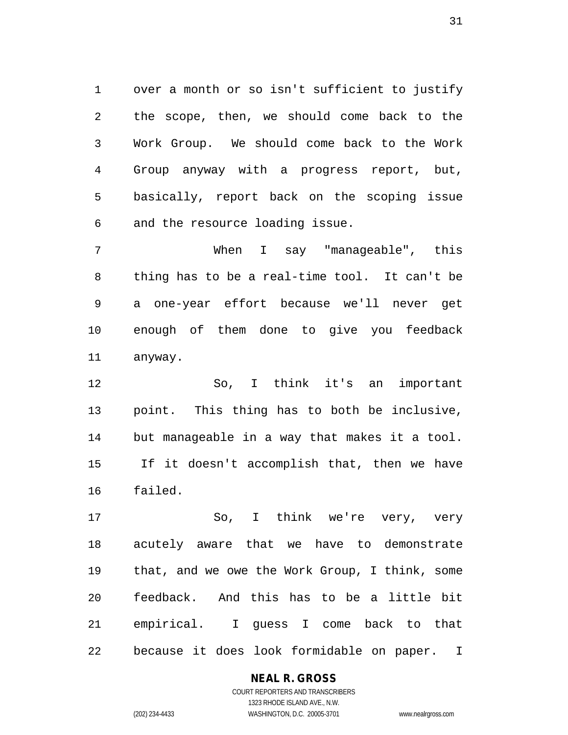1 over a month or so isn't sufficient to justify 2 the scope, then, we should come back to the 3 Work Group. We should come back to the Work 4 Group anyway with a progress report, but, 5 basically, report back on the scoping issue 6 and the resource loading issue.

7 When I say "manageable", this 8 thing has to be a real-time tool. It can't be 9 a one-year effort because we'll never get 10 enough of them done to give you feedback 11 anyway.

12 So, I think it's an important 13 point. This thing has to both be inclusive, 14 but manageable in a way that makes it a tool. 15 If it doesn't accomplish that, then we have 16 failed.

17 So, I think we're very, very 18 acutely aware that we have to demonstrate 19 that, and we owe the Work Group, I think, some 20 feedback. And this has to be a little bit 21 empirical. I guess I come back to that 22 because it does look formidable on paper. I

#### **NEAL R. GROSS**

COURT REPORTERS AND TRANSCRIBERS 1323 RHODE ISLAND AVE., N.W. (202) 234-4433 WASHINGTON, D.C. 20005-3701 www.nealrgross.com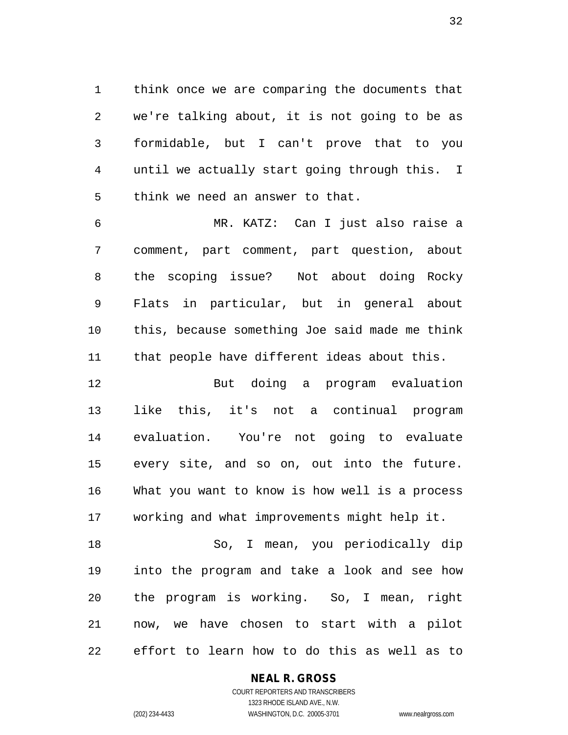1 think once we are comparing the documents that 2 we're talking about, it is not going to be as 3 formidable, but I can't prove that to you 4 until we actually start going through this. I 5 think we need an answer to that.

6 MR. KATZ: Can I just also raise a 7 comment, part comment, part question, about 8 the scoping issue? Not about doing Rocky 9 Flats in particular, but in general about 10 this, because something Joe said made me think 11 that people have different ideas about this.

12 But doing a program evaluation 13 like this, it's not a continual program 14 evaluation. You're not going to evaluate 15 every site, and so on, out into the future. 16 What you want to know is how well is a process 17 working and what improvements might help it.

18 So, I mean, you periodically dip 19 into the program and take a look and see how 20 the program is working. So, I mean, right 21 now, we have chosen to start with a pilot 22 effort to learn how to do this as well as to

#### **NEAL R. GROSS**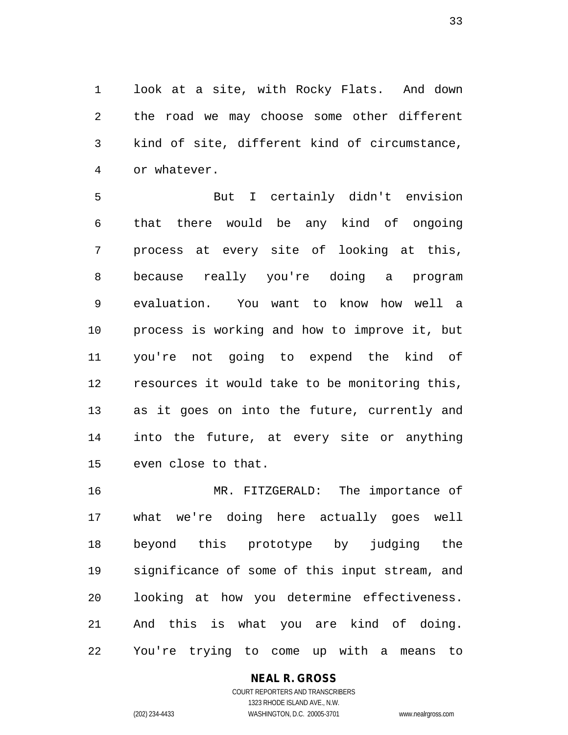1 look at a site, with Rocky Flats. And down 2 the road we may choose some other different 3 kind of site, different kind of circumstance, 4 or whatever.

5 But I certainly didn't envision 6 that there would be any kind of ongoing 7 process at every site of looking at this, 8 because really you're doing a program 9 evaluation. You want to know how well a 10 process is working and how to improve it, but 11 you're not going to expend the kind of 12 resources it would take to be monitoring this, 13 as it goes on into the future, currently and 14 into the future, at every site or anything 15 even close to that.

16 MR. FITZGERALD: The importance of 17 what we're doing here actually goes well 18 beyond this prototype by judging the 19 significance of some of this input stream, and 20 looking at how you determine effectiveness. 21 And this is what you are kind of doing. 22 You're trying to come up with a means to

#### **NEAL R. GROSS**

COURT REPORTERS AND TRANSCRIBERS 1323 RHODE ISLAND AVE., N.W. (202) 234-4433 WASHINGTON, D.C. 20005-3701 www.nealrgross.com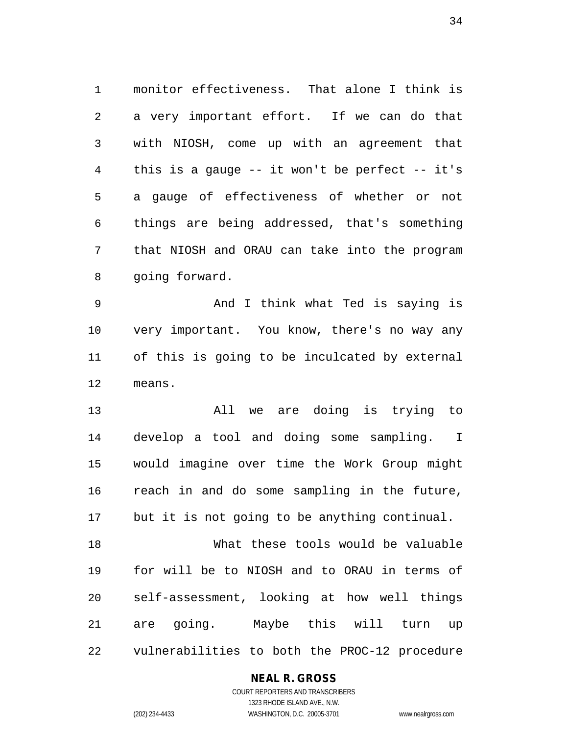1 monitor effectiveness. That alone I think is 2 a very important effort. If we can do that 3 with NIOSH, come up with an agreement that 4 this is a gauge -- it won't be perfect -- it's 5 a gauge of effectiveness of whether or not 6 things are being addressed, that's something 7 that NIOSH and ORAU can take into the program 8 going forward.

9 And I think what Ted is saying is 10 very important. You know, there's no way any 11 of this is going to be inculcated by external 12 means.

13 All we are doing is trying to 14 develop a tool and doing some sampling. I 15 would imagine over time the Work Group might 16 reach in and do some sampling in the future, 17 but it is not going to be anything continual. 18 What these tools would be valuable 19 for will be to NIOSH and to ORAU in terms of

20 self-assessment, looking at how well things 21 are going. Maybe this will turn up 22 vulnerabilities to both the PROC-12 procedure

#### **NEAL R. GROSS**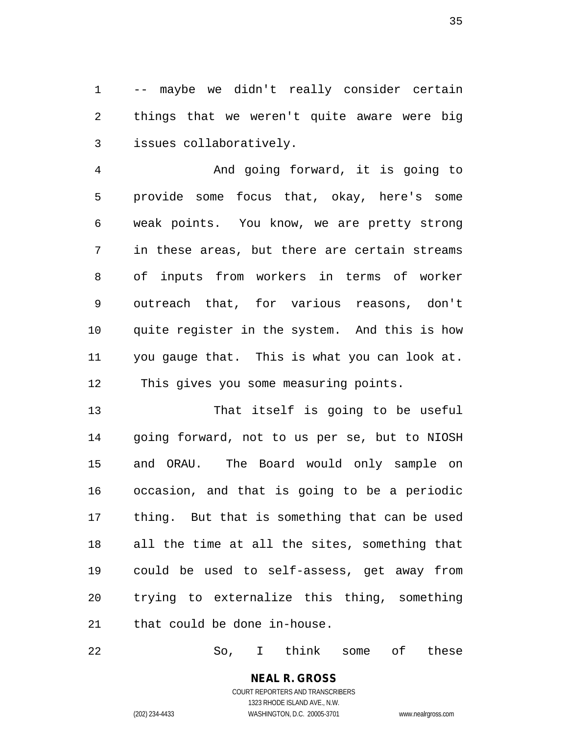1 -- maybe we didn't really consider certain 2 things that we weren't quite aware were big 3 issues collaboratively.

4 And going forward, it is going to 5 provide some focus that, okay, here's some 6 weak points. You know, we are pretty strong 7 in these areas, but there are certain streams 8 of inputs from workers in terms of worker 9 outreach that, for various reasons, don't 10 quite register in the system. And this is how 11 you gauge that. This is what you can look at. 12 This gives you some measuring points.

13 That itself is going to be useful 14 going forward, not to us per se, but to NIOSH 15 and ORAU. The Board would only sample on 16 occasion, and that is going to be a periodic 17 thing. But that is something that can be used 18 all the time at all the sites, something that 19 could be used to self-assess, get away from 20 trying to externalize this thing, something 21 that could be done in-house.

22 So, I think some of these

**NEAL R. GROSS** COURT REPORTERS AND TRANSCRIBERS 1323 RHODE ISLAND AVE., N.W.

(202) 234-4433 WASHINGTON, D.C. 20005-3701 www.nealrgross.com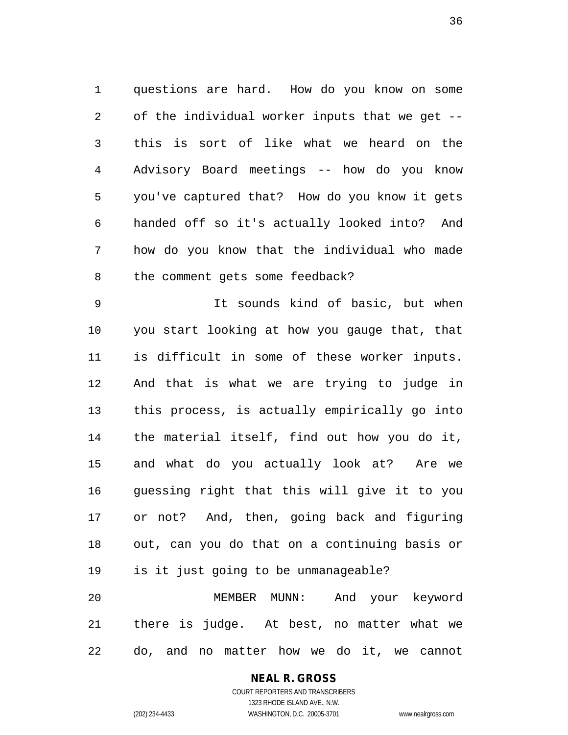1 questions are hard. How do you know on some 2 of the individual worker inputs that we get -- 3 this is sort of like what we heard on the 4 Advisory Board meetings -- how do you know 5 you've captured that? How do you know it gets 6 handed off so it's actually looked into? And 7 how do you know that the individual who made 8 the comment gets some feedback?

9 It sounds kind of basic, but when 10 you start looking at how you gauge that, that 11 is difficult in some of these worker inputs. 12 And that is what we are trying to judge in 13 this process, is actually empirically go into 14 the material itself, find out how you do it, 15 and what do you actually look at? Are we 16 guessing right that this will give it to you 17 or not? And, then, going back and figuring 18 out, can you do that on a continuing basis or 19 is it just going to be unmanageable? 20 MEMBER MUNN: And your keyword 21 there is judge. At best, no matter what we

22 do, and no matter how we do it, we cannot

## **NEAL R. GROSS**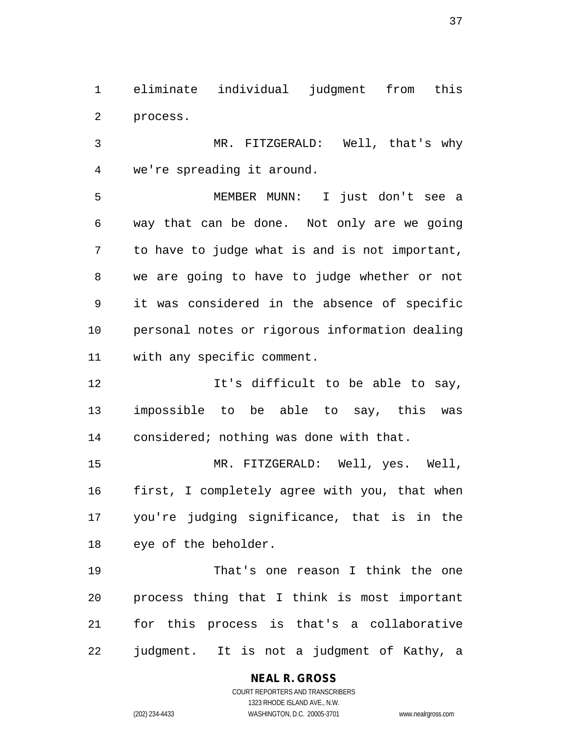1 eliminate individual judgment from this 2 process.

3 MR. FITZGERALD: Well, that's why 4 we're spreading it around.

5 MEMBER MUNN: I just don't see a 6 way that can be done. Not only are we going 7 to have to judge what is and is not important, 8 we are going to have to judge whether or not 9 it was considered in the absence of specific 10 personal notes or rigorous information dealing 11 with any specific comment.

12 It's difficult to be able to say, 13 impossible to be able to say, this was 14 considered; nothing was done with that.

15 MR. FITZGERALD: Well, yes. Well, 16 first, I completely agree with you, that when 17 you're judging significance, that is in the 18 eye of the beholder.

19 That's one reason I think the one 20 process thing that I think is most important 21 for this process is that's a collaborative 22 judgment. It is not a judgment of Kathy, a

# **NEAL R. GROSS**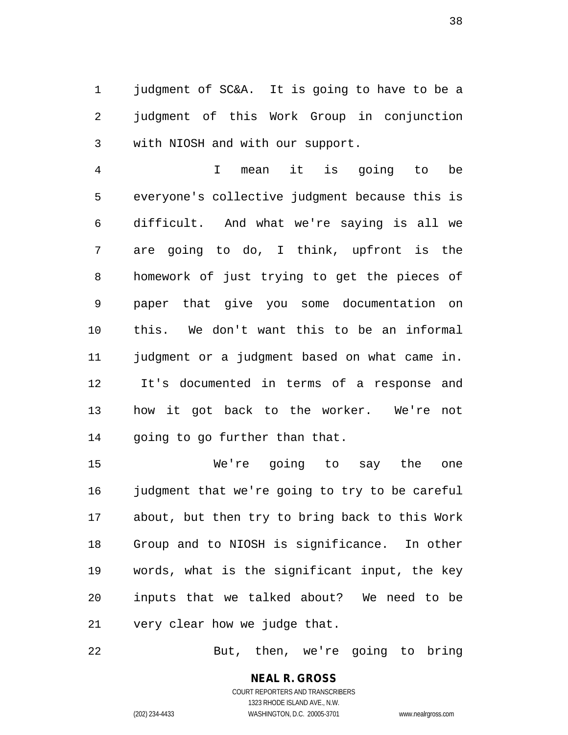1 judgment of SC&A. It is going to have to be a 2 judgment of this Work Group in conjunction 3 with NIOSH and with our support.

4 I mean it is going to be 5 everyone's collective judgment because this is 6 difficult. And what we're saying is all we 7 are going to do, I think, upfront is the 8 homework of just trying to get the pieces of 9 paper that give you some documentation on 10 this. We don't want this to be an informal 11 judgment or a judgment based on what came in. 12 It's documented in terms of a response and 13 how it got back to the worker. We're not 14 going to go further than that.

15 We're going to say the one 16 judgment that we're going to try to be careful 17 about, but then try to bring back to this Work 18 Group and to NIOSH is significance. In other 19 words, what is the significant input, the key 20 inputs that we talked about? We need to be 21 very clear how we judge that.

22 But, then, we're going to bring

**NEAL R. GROSS** COURT REPORTERS AND TRANSCRIBERS 1323 RHODE ISLAND AVE., N.W.

(202) 234-4433 WASHINGTON, D.C. 20005-3701 www.nealrgross.com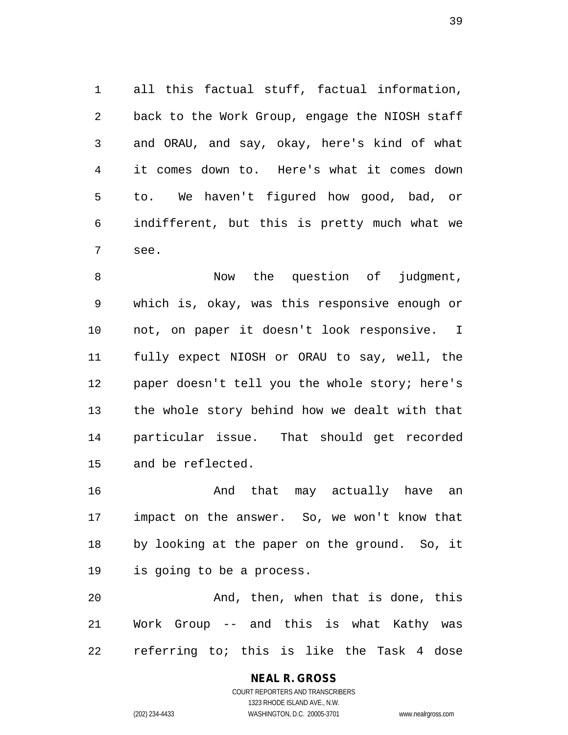1 all this factual stuff, factual information, 2 back to the Work Group, engage the NIOSH staff 3 and ORAU, and say, okay, here's kind of what 4 it comes down to. Here's what it comes down 5 to. We haven't figured how good, bad, or 6 indifferent, but this is pretty much what we 7 see.

8 Now the question of judgment, 9 which is, okay, was this responsive enough or 10 not, on paper it doesn't look responsive. I 11 fully expect NIOSH or ORAU to say, well, the 12 paper doesn't tell you the whole story; here's 13 the whole story behind how we dealt with that 14 particular issue. That should get recorded 15 and be reflected.

16 And that may actually have an 17 impact on the answer. So, we won't know that 18 by looking at the paper on the ground. So, it 19 is going to be a process.

20 And, then, when that is done, this 21 Work Group -- and this is what Kathy was 22 referring to; this is like the Task 4 dose

# **NEAL R. GROSS**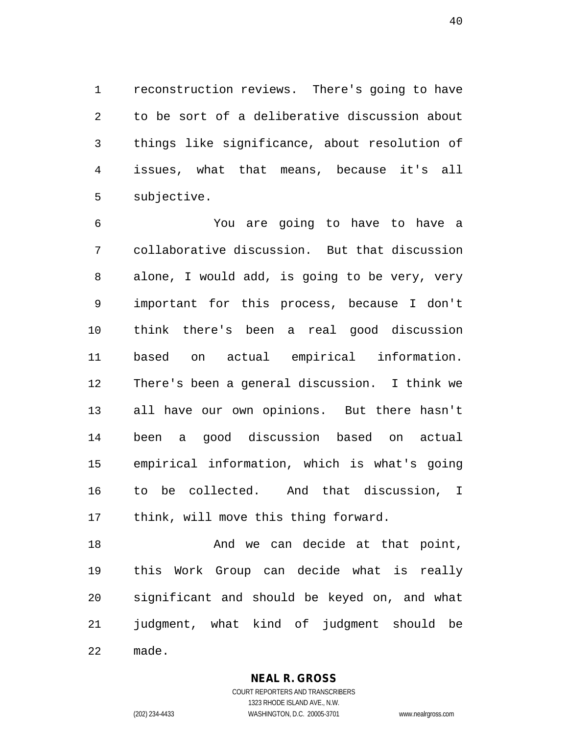1 reconstruction reviews. There's going to have 2 to be sort of a deliberative discussion about 3 things like significance, about resolution of 4 issues, what that means, because it's all 5 subjective.

6 You are going to have to have a 7 collaborative discussion. But that discussion 8 alone, I would add, is going to be very, very 9 important for this process, because I don't 10 think there's been a real good discussion 11 based on actual empirical information. 12 There's been a general discussion. I think we 13 all have our own opinions. But there hasn't 14 been a good discussion based on actual 15 empirical information, which is what's going 16 to be collected. And that discussion, I 17 think, will move this thing forward.

18 And we can decide at that point, 19 this Work Group can decide what is really 20 significant and should be keyed on, and what 21 judgment, what kind of judgment should be 22 made.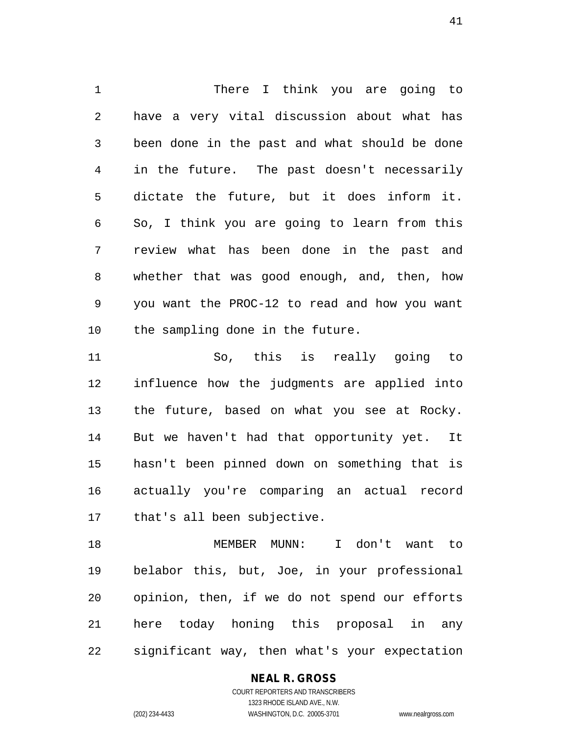1 There I think you are going to 2 have a very vital discussion about what has 3 been done in the past and what should be done 4 in the future. The past doesn't necessarily 5 dictate the future, but it does inform it. 6 So, I think you are going to learn from this 7 review what has been done in the past and 8 whether that was good enough, and, then, how 9 you want the PROC-12 to read and how you want 10 the sampling done in the future.

11 So, this is really going to 12 influence how the judgments are applied into 13 the future, based on what you see at Rocky. 14 But we haven't had that opportunity yet. It 15 hasn't been pinned down on something that is 16 actually you're comparing an actual record 17 that's all been subjective.

18 MEMBER MUNN: I don't want to 19 belabor this, but, Joe, in your professional 20 opinion, then, if we do not spend our efforts 21 here today honing this proposal in any 22 significant way, then what's your expectation

### **NEAL R. GROSS**

COURT REPORTERS AND TRANSCRIBERS 1323 RHODE ISLAND AVE., N.W. (202) 234-4433 WASHINGTON, D.C. 20005-3701 www.nealrgross.com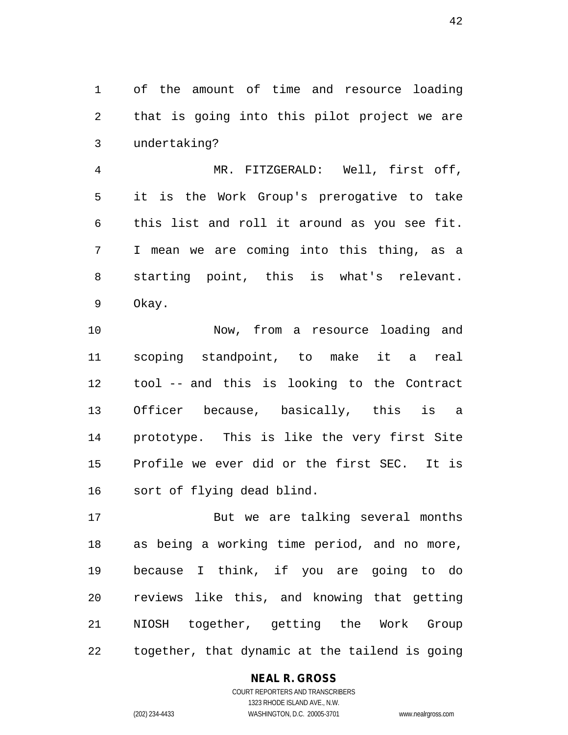1 of the amount of time and resource loading 2 that is going into this pilot project we are 3 undertaking?

4 MR. FITZGERALD: Well, first off, 5 it is the Work Group's prerogative to take 6 this list and roll it around as you see fit. 7 I mean we are coming into this thing, as a 8 starting point, this is what's relevant. 9 Okay.

10 Now, from a resource loading and 11 scoping standpoint, to make it a real 12 tool -- and this is looking to the Contract 13 Officer because, basically, this is a 14 prototype. This is like the very first Site 15 Profile we ever did or the first SEC. It is 16 sort of flying dead blind.

17 But we are talking several months 18 as being a working time period, and no more, 19 because I think, if you are going to do 20 reviews like this, and knowing that getting 21 NIOSH together, getting the Work Group 22 together, that dynamic at the tailend is going

### **NEAL R. GROSS**

COURT REPORTERS AND TRANSCRIBERS 1323 RHODE ISLAND AVE., N.W. (202) 234-4433 WASHINGTON, D.C. 20005-3701 www.nealrgross.com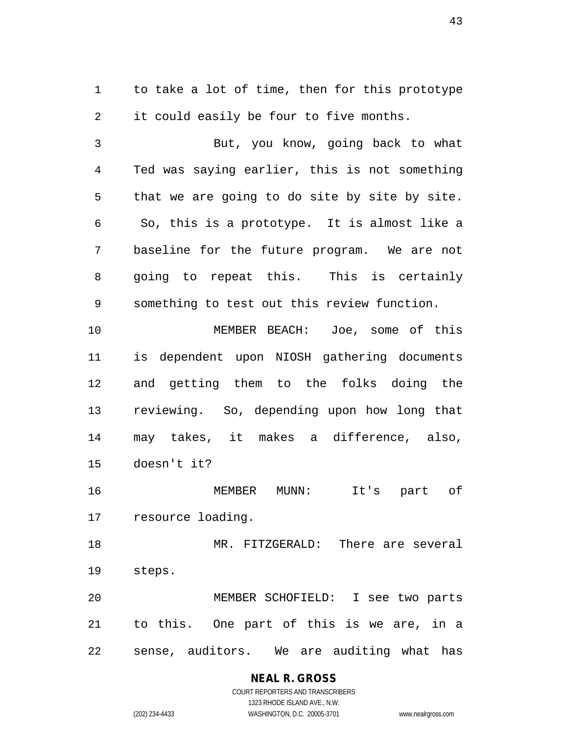1 to take a lot of time, then for this prototype 2 it could easily be four to five months.

3 But, you know, going back to what 4 Ted was saying earlier, this is not something 5 that we are going to do site by site by site. 6 So, this is a prototype. It is almost like a 7 baseline for the future program. We are not 8 going to repeat this. This is certainly 9 something to test out this review function.

10 MEMBER BEACH: Joe, some of this 11 is dependent upon NIOSH gathering documents 12 and getting them to the folks doing the 13 reviewing. So, depending upon how long that 14 may takes, it makes a difference, also, 15 doesn't it?

16 MEMBER MUNN: It's part of 17 resource loading.

18 MR. FITZGERALD: There are several 19 steps.

20 MEMBER SCHOFIELD: I see two parts 21 to this. One part of this is we are, in a 22 sense, auditors. We are auditing what has

### **NEAL R. GROSS**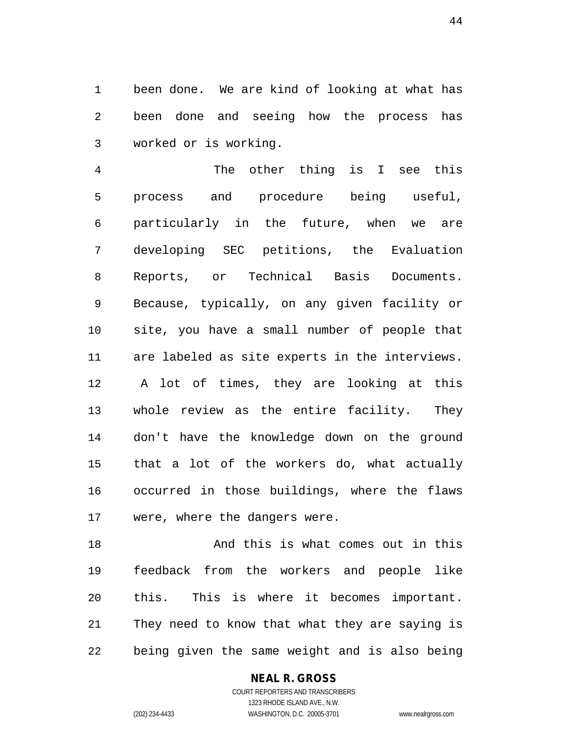1 been done. We are kind of looking at what has 2 been done and seeing how the process has 3 worked or is working.

4 The other thing is I see this 5 process and procedure being useful, 6 particularly in the future, when we are 7 developing SEC petitions, the Evaluation 8 Reports, or Technical Basis Documents. 9 Because, typically, on any given facility or 10 site, you have a small number of people that 11 are labeled as site experts in the interviews. 12 A lot of times, they are looking at this 13 whole review as the entire facility. They 14 don't have the knowledge down on the ground 15 that a lot of the workers do, what actually 16 occurred in those buildings, where the flaws 17 were, where the dangers were.

18 And this is what comes out in this 19 feedback from the workers and people like 20 this. This is where it becomes important. 21 They need to know that what they are saying is 22 being given the same weight and is also being

### **NEAL R. GROSS**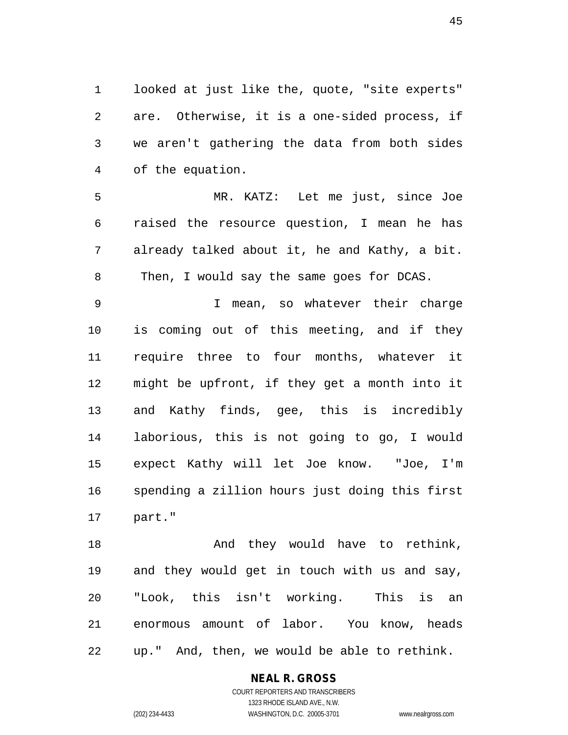1 looked at just like the, quote, "site experts" 2 are. Otherwise, it is a one-sided process, if 3 we aren't gathering the data from both sides 4 of the equation.

5 MR. KATZ: Let me just, since Joe 6 raised the resource question, I mean he has 7 already talked about it, he and Kathy, a bit. 8 Then, I would say the same goes for DCAS.

9 I mean, so whatever their charge 10 is coming out of this meeting, and if they 11 require three to four months, whatever it 12 might be upfront, if they get a month into it 13 and Kathy finds, gee, this is incredibly 14 laborious, this is not going to go, I would 15 expect Kathy will let Joe know. "Joe, I'm 16 spending a zillion hours just doing this first 17 part."

18 And they would have to rethink, 19 and they would get in touch with us and say, 20 "Look, this isn't working. This is an 21 enormous amount of labor. You know, heads 22 up." And, then, we would be able to rethink.

**NEAL R. GROSS**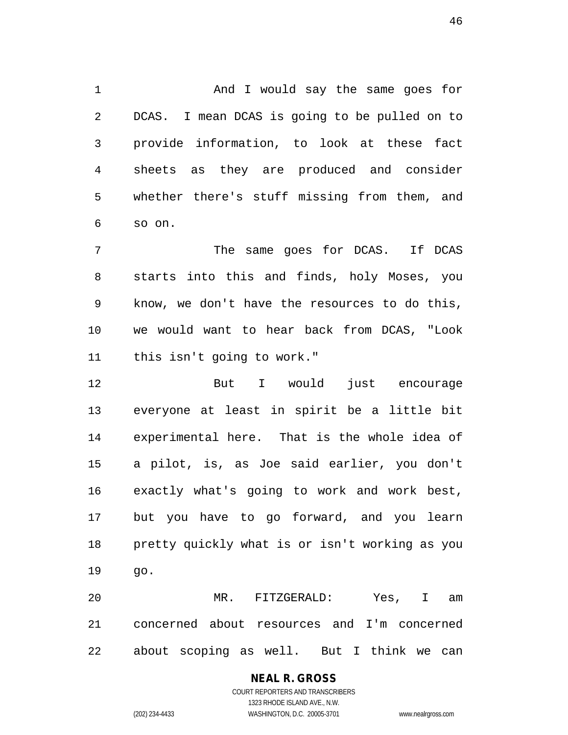1 And I would say the same goes for 2 DCAS. I mean DCAS is going to be pulled on to 3 provide information, to look at these fact 4 sheets as they are produced and consider 5 whether there's stuff missing from them, and 6 so on.

7 The same goes for DCAS. If DCAS 8 starts into this and finds, holy Moses, you 9 know, we don't have the resources to do this, 10 we would want to hear back from DCAS, "Look 11 this isn't going to work."

12 But I would just encourage 13 everyone at least in spirit be a little bit 14 experimental here. That is the whole idea of 15 a pilot, is, as Joe said earlier, you don't 16 exactly what's going to work and work best, 17 but you have to go forward, and you learn 18 pretty quickly what is or isn't working as you 19 go.

20 MR. FITZGERALD: Yes, I am 21 concerned about resources and I'm concerned 22 about scoping as well. But I think we can

### **NEAL R. GROSS** COURT REPORTERS AND TRANSCRIBERS

1323 RHODE ISLAND AVE., N.W.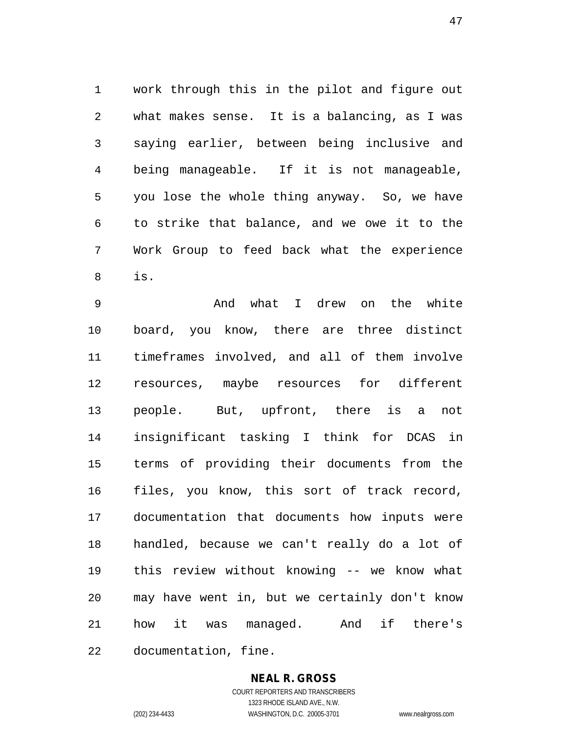1 work through this in the pilot and figure out 2 what makes sense. It is a balancing, as I was 3 saying earlier, between being inclusive and 4 being manageable. If it is not manageable, 5 you lose the whole thing anyway. So, we have 6 to strike that balance, and we owe it to the 7 Work Group to feed back what the experience 8 is.

9 And what I drew on the white 10 board, you know, there are three distinct 11 timeframes involved, and all of them involve 12 resources, maybe resources for different 13 people. But, upfront, there is a not 14 insignificant tasking I think for DCAS in 15 terms of providing their documents from the 16 files, you know, this sort of track record, 17 documentation that documents how inputs were 18 handled, because we can't really do a lot of 19 this review without knowing -- we know what 20 may have went in, but we certainly don't know 21 how it was managed. And if there's 22 documentation, fine.

### **NEAL R. GROSS**

COURT REPORTERS AND TRANSCRIBERS 1323 RHODE ISLAND AVE., N.W. (202) 234-4433 WASHINGTON, D.C. 20005-3701 www.nealrgross.com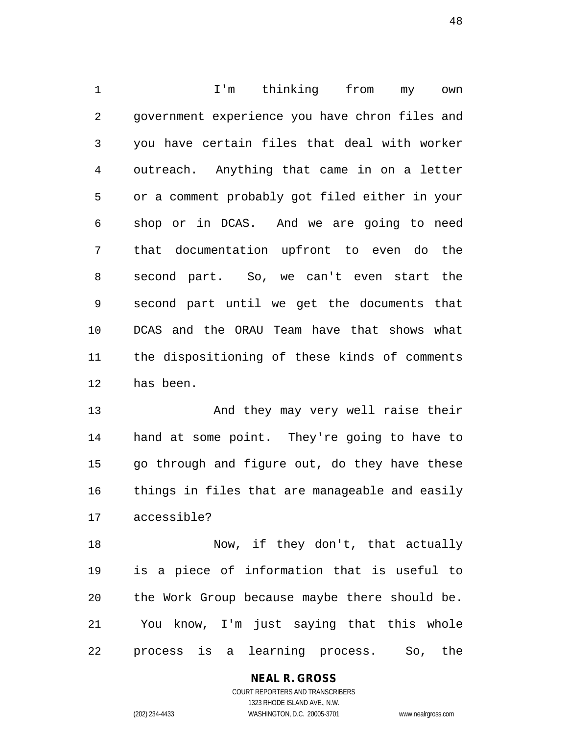1 I'm thinking from my own 2 government experience you have chron files and 3 you have certain files that deal with worker 4 outreach. Anything that came in on a letter 5 or a comment probably got filed either in your 6 shop or in DCAS. And we are going to need 7 that documentation upfront to even do the 8 second part. So, we can't even start the 9 second part until we get the documents that 10 DCAS and the ORAU Team have that shows what 11 the dispositioning of these kinds of comments 12 has been.

13 And they may very well raise their 14 hand at some point. They're going to have to 15 go through and figure out, do they have these 16 things in files that are manageable and easily 17 accessible?

18 Now, if they don't, that actually 19 is a piece of information that is useful to 20 the Work Group because maybe there should be. 21 You know, I'm just saying that this whole 22 process is a learning process. So, the

### **NEAL R. GROSS**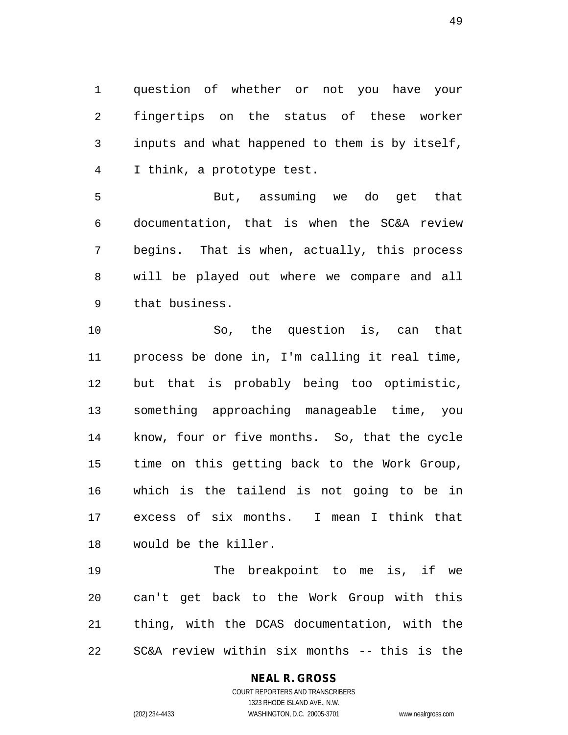1 question of whether or not you have your 2 fingertips on the status of these worker 3 inputs and what happened to them is by itself, 4 I think, a prototype test.

5 But, assuming we do get that 6 documentation, that is when the SC&A review 7 begins. That is when, actually, this process 8 will be played out where we compare and all 9 that business.

10 So, the question is, can that 11 process be done in, I'm calling it real time, 12 but that is probably being too optimistic, 13 something approaching manageable time, you 14 know, four or five months. So, that the cycle 15 time on this getting back to the Work Group, 16 which is the tailend is not going to be in 17 excess of six months. I mean I think that 18 would be the killer.

19 The breakpoint to me is, if we 20 can't get back to the Work Group with this 21 thing, with the DCAS documentation, with the 22 SC&A review within six months -- this is the

### **NEAL R. GROSS**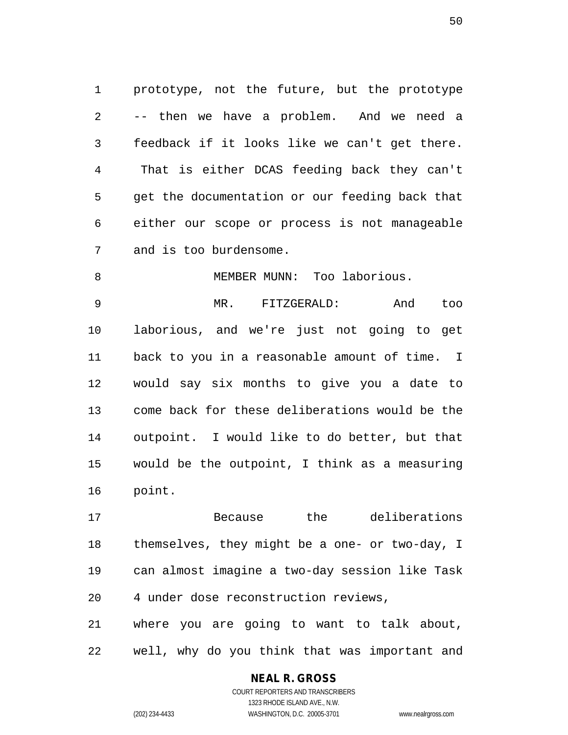1 prototype, not the future, but the prototype 2 -- then we have a problem. And we need a 3 feedback if it looks like we can't get there. 4 That is either DCAS feeding back they can't 5 get the documentation or our feeding back that 6 either our scope or process is not manageable 7 and is too burdensome.

8 MEMBER MUNN: Too laborious.

9 MR. FITZGERALD: And too 10 laborious, and we're just not going to get 11 back to you in a reasonable amount of time. I 12 would say six months to give you a date to 13 come back for these deliberations would be the 14 outpoint. I would like to do better, but that 15 would be the outpoint, I think as a measuring 16 point.

17 Because the deliberations 18 themselves, they might be a one- or two-day, I 19 can almost imagine a two-day session like Task 20 4 under dose reconstruction reviews,

21 where you are going to want to talk about, 22 well, why do you think that was important and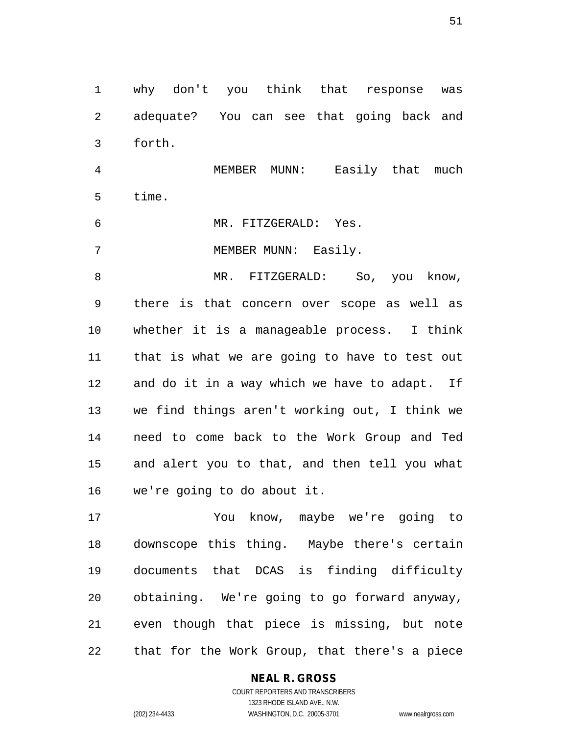1 why don't you think that response was 2 adequate? You can see that going back and 3 forth.

4 MEMBER MUNN: Easily that much 5 time.

6 MR. FITZGERALD: Yes.

7 MEMBER MUNN: Easily.

8 MR. FITZGERALD: So, you know, 9 there is that concern over scope as well as 10 whether it is a manageable process. I think 11 that is what we are going to have to test out 12 and do it in a way which we have to adapt. If 13 we find things aren't working out, I think we 14 need to come back to the Work Group and Ted 15 and alert you to that, and then tell you what 16 we're going to do about it.

17 You know, maybe we're going to 18 downscope this thing. Maybe there's certain 19 documents that DCAS is finding difficulty 20 obtaining. We're going to go forward anyway, 21 even though that piece is missing, but note 22 that for the Work Group, that there's a piece

### **NEAL R. GROSS**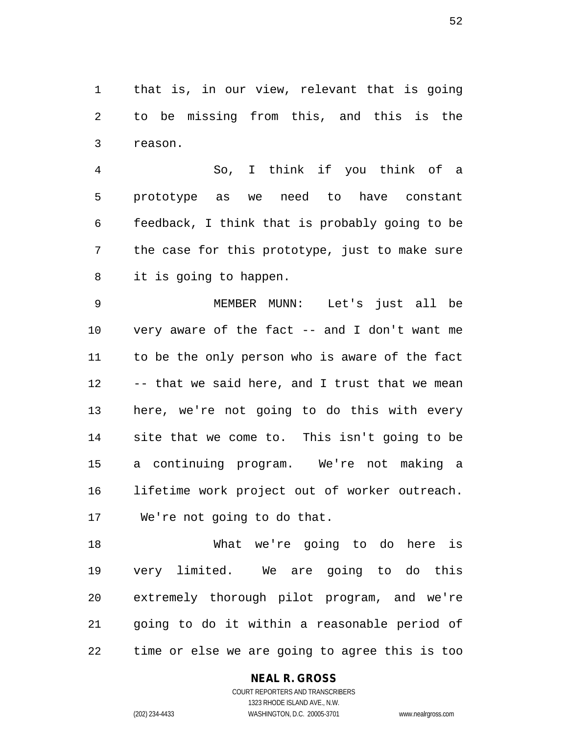1 that is, in our view, relevant that is going 2 to be missing from this, and this is the 3 reason.

4 So, I think if you think of a 5 prototype as we need to have constant 6 feedback, I think that is probably going to be 7 the case for this prototype, just to make sure 8 it is going to happen.

9 MEMBER MUNN: Let's just all be 10 very aware of the fact -- and I don't want me 11 to be the only person who is aware of the fact 12 -- that we said here, and I trust that we mean 13 here, we're not going to do this with every 14 site that we come to. This isn't going to be 15 a continuing program. We're not making a 16 lifetime work project out of worker outreach. 17 We're not going to do that.

18 What we're going to do here is 19 very limited. We are going to do this 20 extremely thorough pilot program, and we're 21 going to do it within a reasonable period of 22 time or else we are going to agree this is too

### **NEAL R. GROSS**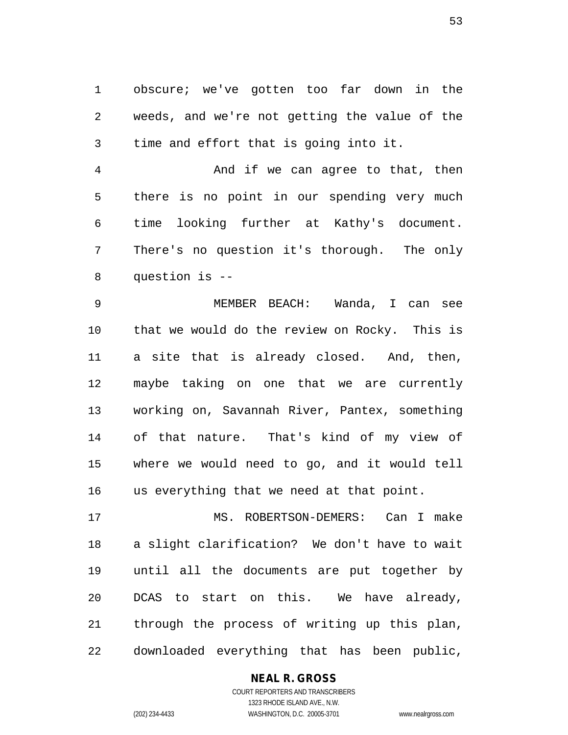1 obscure; we've gotten too far down in the 2 weeds, and we're not getting the value of the 3 time and effort that is going into it.

4 And if we can agree to that, then 5 there is no point in our spending very much 6 time looking further at Kathy's document. 7 There's no question it's thorough. The only 8 question is --

9 MEMBER BEACH: Wanda, I can see 10 that we would do the review on Rocky. This is 11 a site that is already closed. And, then, 12 maybe taking on one that we are currently 13 working on, Savannah River, Pantex, something 14 of that nature. That's kind of my view of 15 where we would need to go, and it would tell 16 us everything that we need at that point.

17 MS. ROBERTSON-DEMERS: Can I make 18 a slight clarification? We don't have to wait 19 until all the documents are put together by 20 DCAS to start on this. We have already, 21 through the process of writing up this plan, 22 downloaded everything that has been public,

**NEAL R. GROSS**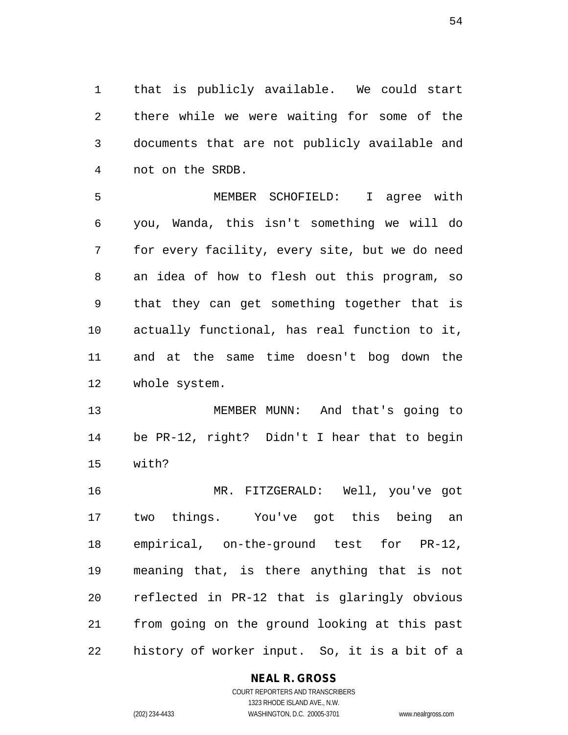1 that is publicly available. We could start 2 there while we were waiting for some of the 3 documents that are not publicly available and 4 not on the SRDB.

5 MEMBER SCHOFIELD: I agree with 6 you, Wanda, this isn't something we will do 7 for every facility, every site, but we do need 8 an idea of how to flesh out this program, so 9 that they can get something together that is 10 actually functional, has real function to it, 11 and at the same time doesn't bog down the 12 whole system.

13 MEMBER MUNN: And that's going to 14 be PR-12, right? Didn't I hear that to begin 15 with?

16 MR. FITZGERALD: Well, you've got 17 two things. You've got this being an 18 empirical, on-the-ground test for PR-12, 19 meaning that, is there anything that is not 20 reflected in PR-12 that is glaringly obvious 21 from going on the ground looking at this past 22 history of worker input. So, it is a bit of a

### **NEAL R. GROSS**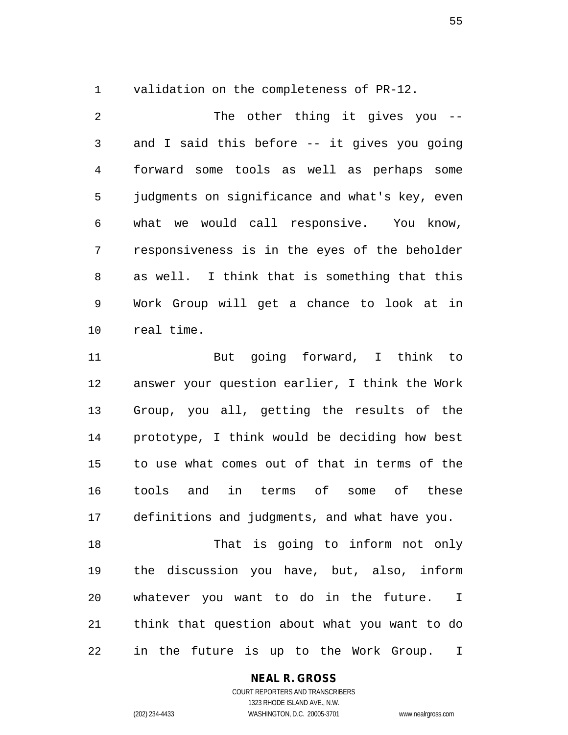1 validation on the completeness of PR-12.

2 The other thing it gives you -- 3 and I said this before -- it gives you going 4 forward some tools as well as perhaps some 5 judgments on significance and what's key, even 6 what we would call responsive. You know, 7 responsiveness is in the eyes of the beholder 8 as well. I think that is something that this 9 Work Group will get a chance to look at in 10 real time.

11 But going forward, I think to 12 answer your question earlier, I think the Work 13 Group, you all, getting the results of the 14 prototype, I think would be deciding how best 15 to use what comes out of that in terms of the 16 tools and in terms of some of these 17 definitions and judgments, and what have you.

18 That is going to inform not only 19 the discussion you have, but, also, inform 20 whatever you want to do in the future. I 21 think that question about what you want to do 22 in the future is up to the Work Group. I

### **NEAL R. GROSS**

COURT REPORTERS AND TRANSCRIBERS 1323 RHODE ISLAND AVE., N.W. (202) 234-4433 WASHINGTON, D.C. 20005-3701 www.nealrgross.com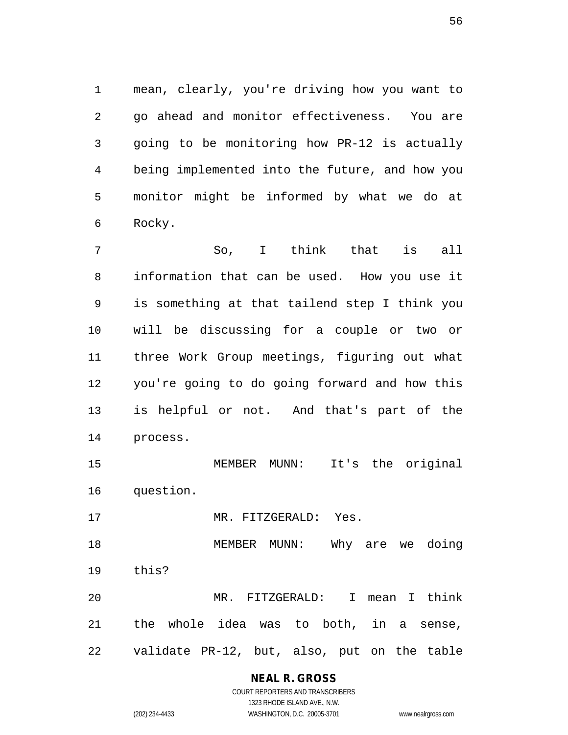1 mean, clearly, you're driving how you want to 2 go ahead and monitor effectiveness. You are 3 going to be monitoring how PR-12 is actually 4 being implemented into the future, and how you 5 monitor might be informed by what we do at 6 Rocky.

7 So, I think that is all 8 information that can be used. How you use it 9 is something at that tailend step I think you 10 will be discussing for a couple or two or 11 three Work Group meetings, figuring out what 12 you're going to do going forward and how this 13 is helpful or not. And that's part of the 14 process.

15 MEMBER MUNN: It's the original 16 question.

17 MR. FITZGERALD: Yes.

18 MEMBER MUNN: Why are we doing 19 this?

20 MR. FITZGERALD: I mean I think 21 the whole idea was to both, in a sense, 22 validate PR-12, but, also, put on the table

# **NEAL R. GROSS**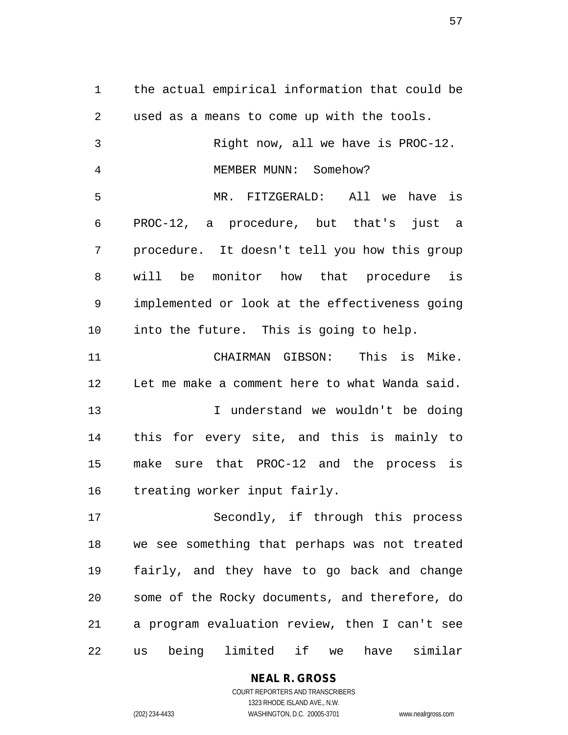1 the actual empirical information that could be 2 used as a means to come up with the tools. 3 Right now, all we have is PROC-12. 4 MEMBER MUNN: Somehow? 5 MR. FITZGERALD: All we have is 6 PROC-12, a procedure, but that's just a 7 procedure. It doesn't tell you how this group 8 will be monitor how that procedure is 9 implemented or look at the effectiveness going 10 into the future. This is going to help. 11 CHAIRMAN GIBSON: This is Mike. 12 Let me make a comment here to what Wanda said. 13 I understand we wouldn't be doing 14 this for every site, and this is mainly to 15 make sure that PROC-12 and the process is 16 treating worker input fairly. 17 Secondly, if through this process 18 we see something that perhaps was not treated 19 fairly, and they have to go back and change 20 some of the Rocky documents, and therefore, do 21 a program evaluation review, then I can't see 22 us being limited if we have similar

**NEAL R. GROSS**

COURT REPORTERS AND TRANSCRIBERS 1323 RHODE ISLAND AVE., N.W. (202) 234-4433 WASHINGTON, D.C. 20005-3701 www.nealrgross.com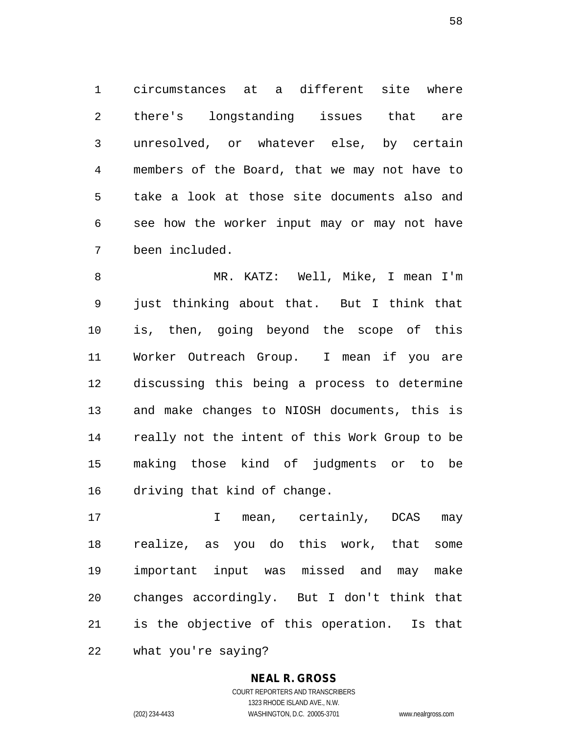1 circumstances at a different site where 2 there's longstanding issues that are 3 unresolved, or whatever else, by certain 4 members of the Board, that we may not have to 5 take a look at those site documents also and 6 see how the worker input may or may not have 7 been included.

8 MR. KATZ: Well, Mike, I mean I'm 9 just thinking about that. But I think that 10 is, then, going beyond the scope of this 11 Worker Outreach Group. I mean if you are 12 discussing this being a process to determine 13 and make changes to NIOSH documents, this is 14 really not the intent of this Work Group to be 15 making those kind of judgments or to be 16 driving that kind of change.

17 **I** mean, certainly, DCAS may 18 realize, as you do this work, that some 19 important input was missed and may make 20 changes accordingly. But I don't think that 21 is the objective of this operation. Is that 22 what you're saying?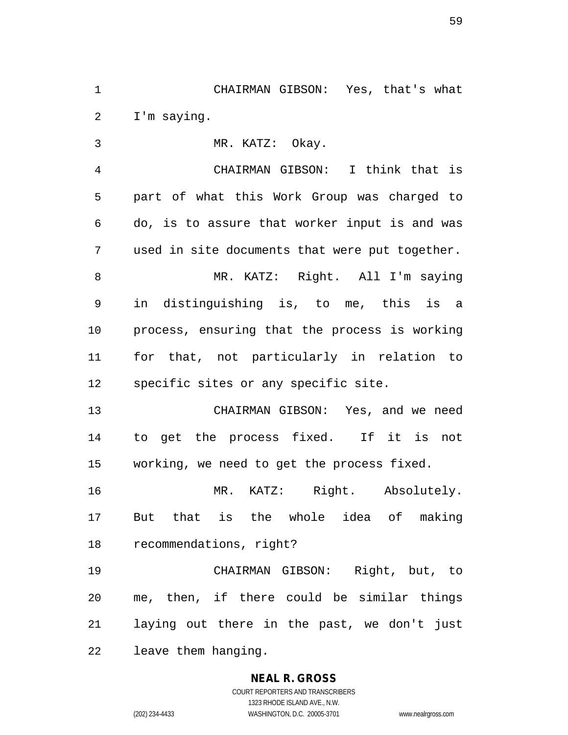1 CHAIRMAN GIBSON: Yes, that's what 2 I'm saying.

3 MR. KATZ: Okay. 4 CHAIRMAN GIBSON: I think that is 5 part of what this Work Group was charged to 6 do, is to assure that worker input is and was 7 used in site documents that were put together. 8 MR. KATZ: Right. All I'm saying 9 in distinguishing is, to me, this is a 10 process, ensuring that the process is working 11 for that, not particularly in relation to 12 specific sites or any specific site. 13 CHAIRMAN GIBSON: Yes, and we need 14 to get the process fixed. If it is not 15 working, we need to get the process fixed. 16 MR. KATZ: Right. Absolutely. 17 But that is the whole idea of making

18 recommendations, right?

19 CHAIRMAN GIBSON: Right, but, to 20 me, then, if there could be similar things 21 laying out there in the past, we don't just 22 leave them hanging.

### **NEAL R. GROSS**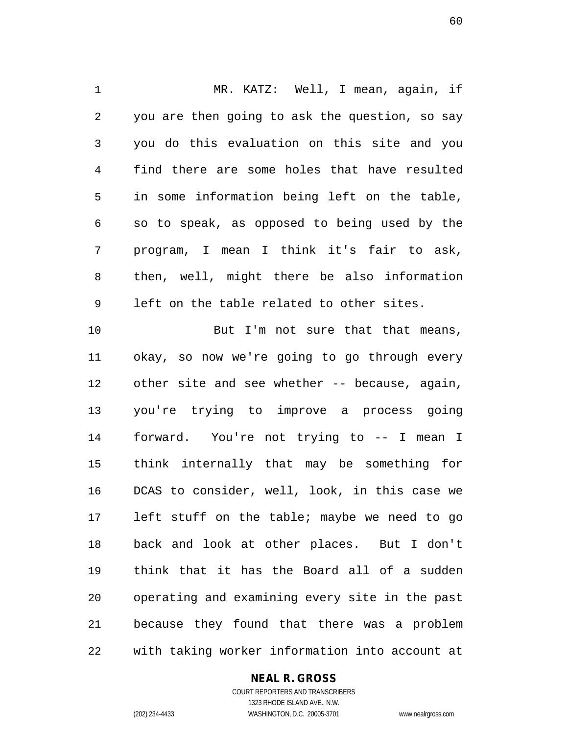1 MR. KATZ: Well, I mean, again, if 2 you are then going to ask the question, so say 3 you do this evaluation on this site and you 4 find there are some holes that have resulted 5 in some information being left on the table, 6 so to speak, as opposed to being used by the 7 program, I mean I think it's fair to ask, 8 then, well, might there be also information 9 left on the table related to other sites. 10 But I'm not sure that that means, 11 okay, so now we're going to go through every 12 other site and see whether -- because, again, 13 you're trying to improve a process going 14 forward. You're not trying to -- I mean I 15 think internally that may be something for 16 DCAS to consider, well, look, in this case we 17 left stuff on the table; maybe we need to go 18 back and look at other places. But I don't 19 think that it has the Board all of a sudden 20 operating and examining every site in the past 21 because they found that there was a problem 22 with taking worker information into account at

### **NEAL R. GROSS**

COURT REPORTERS AND TRANSCRIBERS 1323 RHODE ISLAND AVE., N.W. (202) 234-4433 WASHINGTON, D.C. 20005-3701 www.nealrgross.com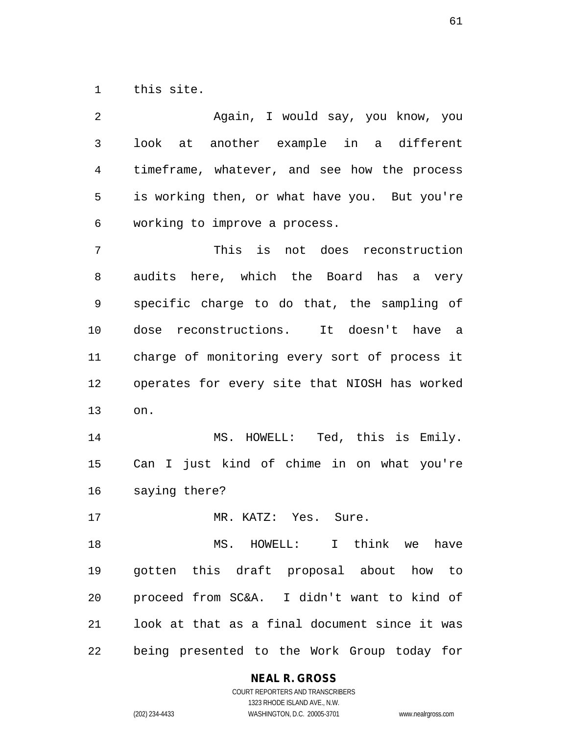1 this site.

| 2  | Again, I would say, you know, you             |
|----|-----------------------------------------------|
| 3  | look at another example in a different        |
| 4  | timeframe, whatever, and see how the process  |
| 5  | is working then, or what have you. But you're |
| 6  | working to improve a process.                 |
| 7  | This is not does reconstruction               |
| 8  | audits here, which the Board has a very       |
| 9  | specific charge to do that, the sampling of   |
| 10 | dose reconstructions. It doesn't have a       |
| 11 | charge of monitoring every sort of process it |
| 12 | operates for every site that NIOSH has worked |
| 13 | on.                                           |
| 14 | MS. HOWELL: Ted, this is Emily.               |
| 15 | Can I just kind of chime in on what you're    |
| 16 | saying there?                                 |
| 17 | MR. KATZ: Yes. Sure.                          |
| 18 | MS. HOWELL: I think we<br>have                |
| 19 | gotten this draft proposal about how to       |
| 20 | proceed from SC&A. I didn't want to kind of   |
| 21 | look at that as a final document since it was |
| 22 | being presented to the Work Group today for   |

**NEAL R. GROSS**

COURT REPORTERS AND TRANSCRIBERS 1323 RHODE ISLAND AVE., N.W. (202) 234-4433 WASHINGTON, D.C. 20005-3701 www.nealrgross.com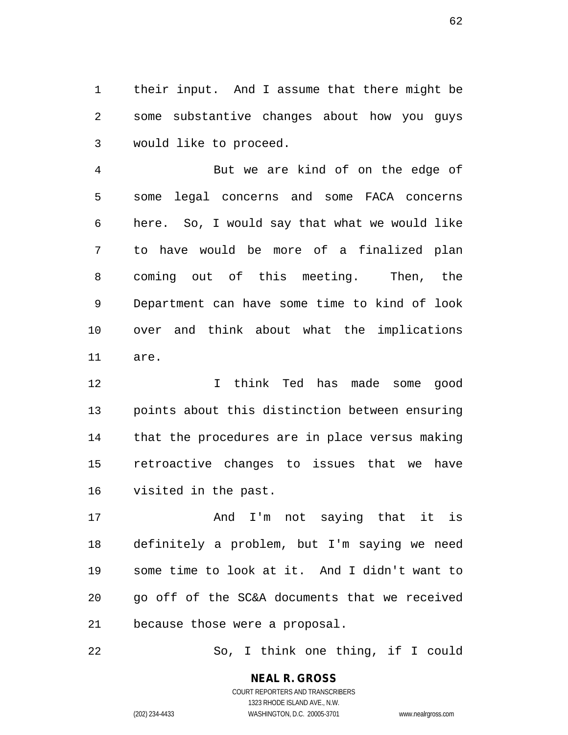1 their input. And I assume that there might be 2 some substantive changes about how you guys 3 would like to proceed.

4 But we are kind of on the edge of 5 some legal concerns and some FACA concerns 6 here. So, I would say that what we would like 7 to have would be more of a finalized plan 8 coming out of this meeting. Then, the 9 Department can have some time to kind of look 10 over and think about what the implications 11 are.

12 I think Ted has made some good 13 points about this distinction between ensuring 14 that the procedures are in place versus making 15 retroactive changes to issues that we have 16 visited in the past.

17 And I'm not saying that it is 18 definitely a problem, but I'm saying we need 19 some time to look at it. And I didn't want to 20 go off of the SC&A documents that we received 21 because those were a proposal.

22 So, I think one thing, if I could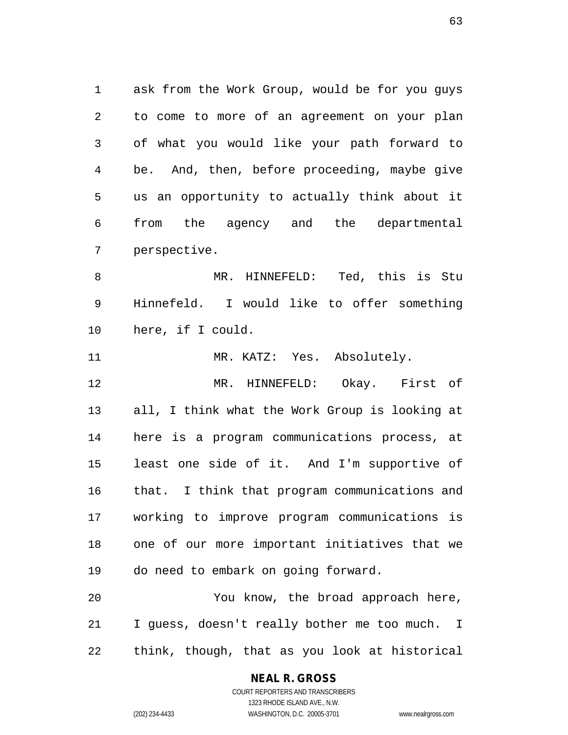1 ask from the Work Group, would be for you guys 2 to come to more of an agreement on your plan 3 of what you would like your path forward to 4 be. And, then, before proceeding, maybe give 5 us an opportunity to actually think about it 6 from the agency and the departmental 7 perspective.

8 MR. HINNEFELD: Ted, this is Stu 9 Hinnefeld. I would like to offer something 10 here, if I could.

11 MR. KATZ: Yes. Absolutely.

12 MR. HINNEFELD: Okay. First of 13 all, I think what the Work Group is looking at 14 here is a program communications process, at 15 least one side of it. And I'm supportive of 16 that. I think that program communications and 17 working to improve program communications is 18 one of our more important initiatives that we 19 do need to embark on going forward.

20 You know, the broad approach here, 21 I guess, doesn't really bother me too much. I 22 think, though, that as you look at historical

### **NEAL R. GROSS**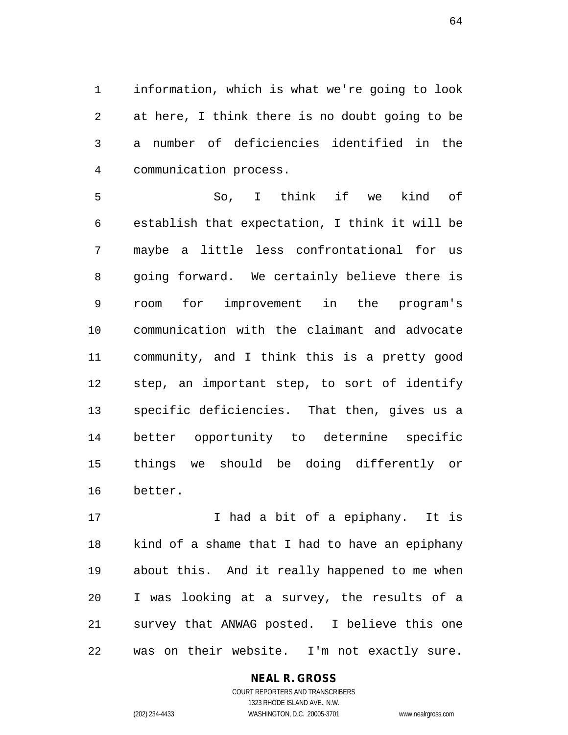1 information, which is what we're going to look 2 at here, I think there is no doubt going to be 3 a number of deficiencies identified in the 4 communication process.

5 So, I think if we kind of 6 establish that expectation, I think it will be 7 maybe a little less confrontational for us 8 going forward. We certainly believe there is 9 room for improvement in the program's 10 communication with the claimant and advocate 11 community, and I think this is a pretty good 12 step, an important step, to sort of identify 13 specific deficiencies. That then, gives us a 14 better opportunity to determine specific 15 things we should be doing differently or 16 better.

17 17 I had a bit of a epiphany. It is 18 kind of a shame that I had to have an epiphany 19 about this. And it really happened to me when 20 I was looking at a survey, the results of a 21 survey that ANWAG posted. I believe this one 22 was on their website. I'm not exactly sure.

### **NEAL R. GROSS**

COURT REPORTERS AND TRANSCRIBERS 1323 RHODE ISLAND AVE., N.W. (202) 234-4433 WASHINGTON, D.C. 20005-3701 www.nealrgross.com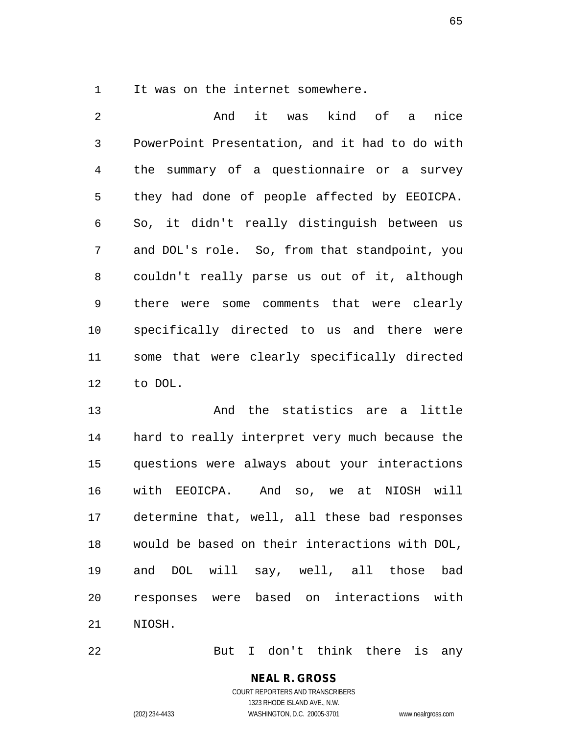1 It was on the internet somewhere.

2 And it was kind of a nice 3 PowerPoint Presentation, and it had to do with 4 the summary of a questionnaire or a survey 5 they had done of people affected by EEOICPA. 6 So, it didn't really distinguish between us 7 and DOL's role. So, from that standpoint, you 8 couldn't really parse us out of it, although 9 there were some comments that were clearly 10 specifically directed to us and there were 11 some that were clearly specifically directed 12 to DOL.

13 And the statistics are a little 14 hard to really interpret very much because the 15 questions were always about your interactions 16 with EEOICPA. And so, we at NIOSH will 17 determine that, well, all these bad responses 18 would be based on their interactions with DOL, 19 and DOL will say, well, all those bad 20 responses were based on interactions with 21 NIOSH.

22 But I don't think there is any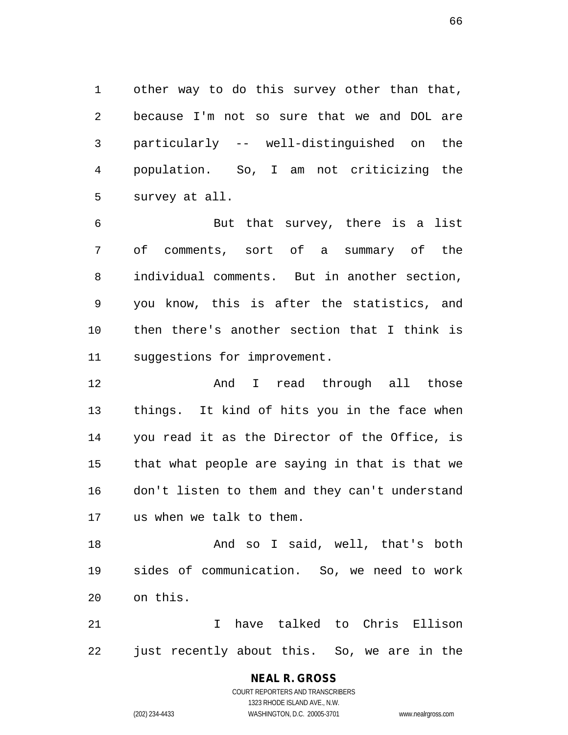1 other way to do this survey other than that, 2 because I'm not so sure that we and DOL are 3 particularly -- well-distinguished on the 4 population. So, I am not criticizing the 5 survey at all.

6 But that survey, there is a list 7 of comments, sort of a summary of the 8 individual comments. But in another section, 9 you know, this is after the statistics, and 10 then there's another section that I think is 11 suggestions for improvement.

12 And I read through all those 13 things. It kind of hits you in the face when 14 you read it as the Director of the Office, is 15 that what people are saying in that is that we 16 don't listen to them and they can't understand 17 us when we talk to them.

18 And so I said, well, that's both 19 sides of communication. So, we need to work 20 on this.

21 I have talked to Chris Ellison 22 just recently about this. So, we are in the

# **NEAL R. GROSS**

COURT REPORTERS AND TRANSCRIBERS 1323 RHODE ISLAND AVE., N.W. (202) 234-4433 WASHINGTON, D.C. 20005-3701 www.nealrgross.com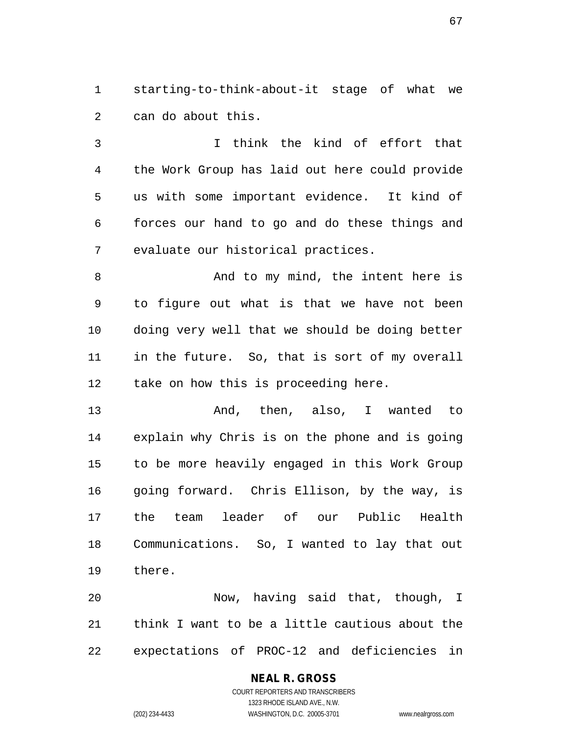1 starting-to-think-about-it stage of what we 2 can do about this.

3 I think the kind of effort that 4 the Work Group has laid out here could provide 5 us with some important evidence. It kind of 6 forces our hand to go and do these things and 7 evaluate our historical practices.

8 And to my mind, the intent here is 9 to figure out what is that we have not been 10 doing very well that we should be doing better 11 in the future. So, that is sort of my overall 12 take on how this is proceeding here.

13 And, then, also, I wanted to 14 explain why Chris is on the phone and is going 15 to be more heavily engaged in this Work Group 16 going forward. Chris Ellison, by the way, is 17 the team leader of our Public Health 18 Communications. So, I wanted to lay that out 19 there.

20 Now, having said that, though, I 21 think I want to be a little cautious about the 22 expectations of PROC-12 and deficiencies in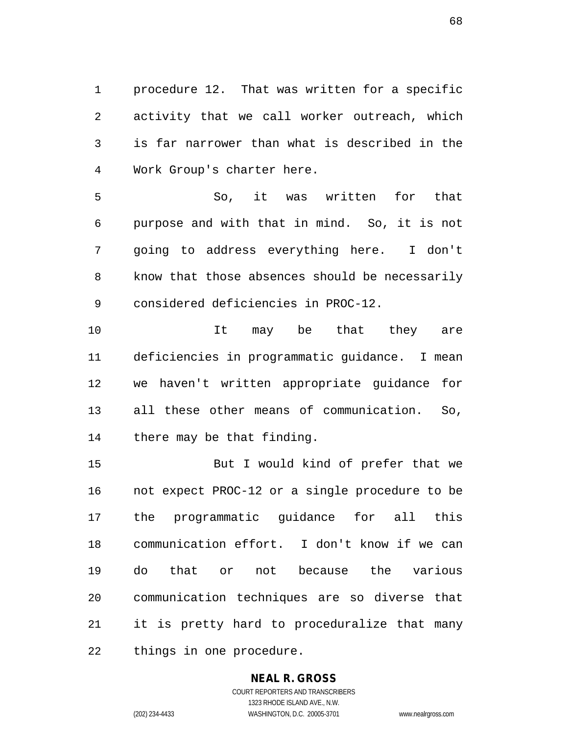1 procedure 12. That was written for a specific 2 activity that we call worker outreach, which 3 is far narrower than what is described in the 4 Work Group's charter here.

5 So, it was written for that 6 purpose and with that in mind. So, it is not 7 going to address everything here. I don't 8 know that those absences should be necessarily 9 considered deficiencies in PROC-12.

10 It may be that they are 11 deficiencies in programmatic guidance. I mean 12 we haven't written appropriate guidance for 13 all these other means of communication. So, 14 there may be that finding.

15 But I would kind of prefer that we 16 not expect PROC-12 or a single procedure to be 17 the programmatic guidance for all this 18 communication effort. I don't know if we can 19 do that or not because the various 20 communication techniques are so diverse that 21 it is pretty hard to proceduralize that many 22 things in one procedure.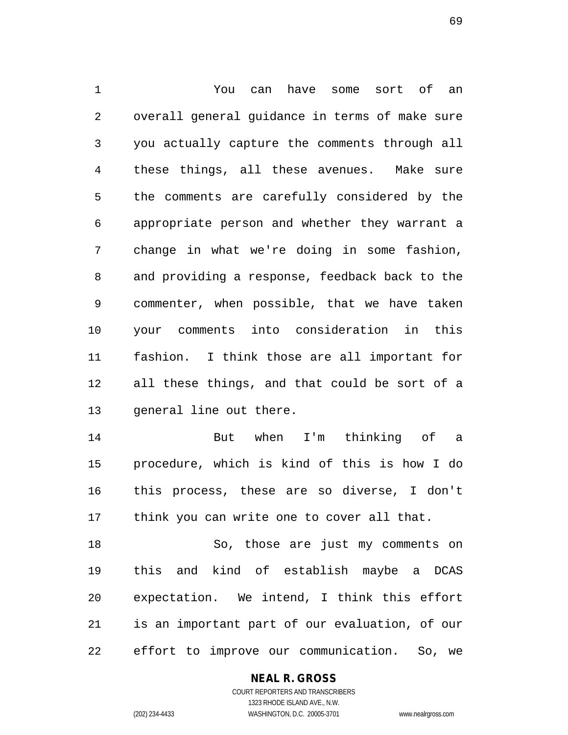1 You can have some sort of an 2 overall general guidance in terms of make sure 3 you actually capture the comments through all 4 these things, all these avenues. Make sure 5 the comments are carefully considered by the 6 appropriate person and whether they warrant a 7 change in what we're doing in some fashion, 8 and providing a response, feedback back to the 9 commenter, when possible, that we have taken 10 your comments into consideration in this 11 fashion. I think those are all important for 12 all these things, and that could be sort of a 13 general line out there.

14 But when I'm thinking of a 15 procedure, which is kind of this is how I do 16 this process, these are so diverse, I don't 17 think you can write one to cover all that.

18 So, those are just my comments on 19 this and kind of establish maybe a DCAS 20 expectation. We intend, I think this effort 21 is an important part of our evaluation, of our 22 effort to improve our communication. So, we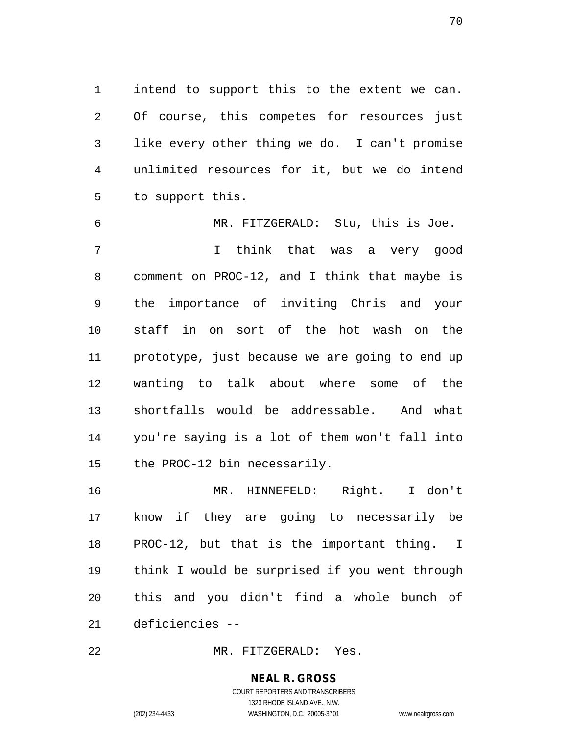1 intend to support this to the extent we can. 2 Of course, this competes for resources just 3 like every other thing we do. I can't promise 4 unlimited resources for it, but we do intend 5 to support this.

6 MR. FITZGERALD: Stu, this is Joe. 7 I think that was a very good 8 comment on PROC-12, and I think that maybe is 9 the importance of inviting Chris and your 10 staff in on sort of the hot wash on the 11 prototype, just because we are going to end up 12 wanting to talk about where some of the 13 shortfalls would be addressable. And what 14 you're saying is a lot of them won't fall into 15 the PROC-12 bin necessarily.

16 MR. HINNEFELD: Right. I don't 17 know if they are going to necessarily be 18 PROC-12, but that is the important thing. I 19 think I would be surprised if you went through 20 this and you didn't find a whole bunch of 21 deficiencies --

22 MR. FITZGERALD: Yes.

# **NEAL R. GROSS**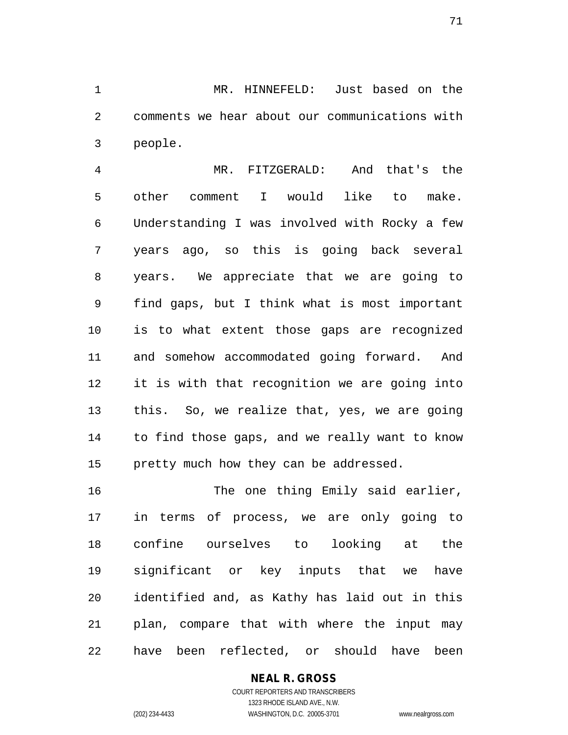1 MR. HINNEFELD: Just based on the 2 comments we hear about our communications with 3 people.

4 MR. FITZGERALD: And that's the 5 other comment I would like to make. 6 Understanding I was involved with Rocky a few 7 years ago, so this is going back several 8 years. We appreciate that we are going to 9 find gaps, but I think what is most important 10 is to what extent those gaps are recognized 11 and somehow accommodated going forward. And 12 it is with that recognition we are going into 13 this. So, we realize that, yes, we are going 14 to find those gaps, and we really want to know 15 pretty much how they can be addressed.

16 The one thing Emily said earlier, 17 in terms of process, we are only going to 18 confine ourselves to looking at the 19 significant or key inputs that we have 20 identified and, as Kathy has laid out in this 21 plan, compare that with where the input may 22 have been reflected, or should have been

### **NEAL R. GROSS**

COURT REPORTERS AND TRANSCRIBERS 1323 RHODE ISLAND AVE., N.W. (202) 234-4433 WASHINGTON, D.C. 20005-3701 www.nealrgross.com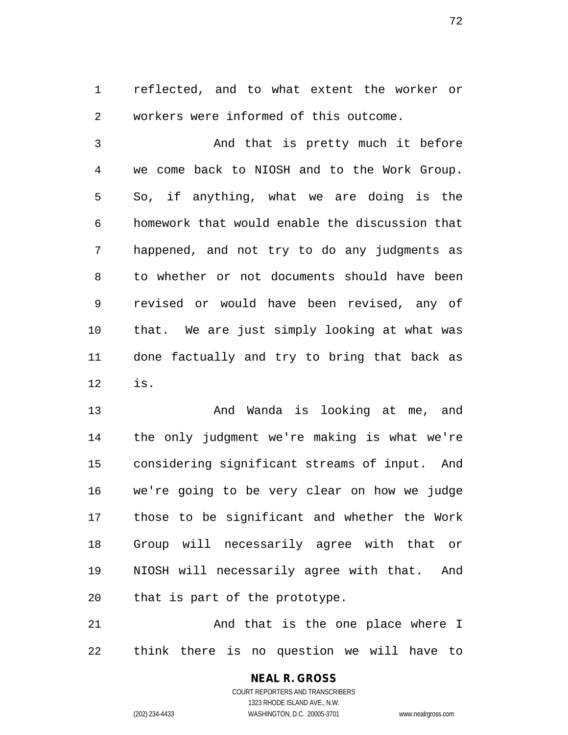1 reflected, and to what extent the worker or 2 workers were informed of this outcome.

3 And that is pretty much it before 4 we come back to NIOSH and to the Work Group. 5 So, if anything, what we are doing is the 6 homework that would enable the discussion that 7 happened, and not try to do any judgments as 8 to whether or not documents should have been 9 revised or would have been revised, any of 10 that. We are just simply looking at what was 11 done factually and try to bring that back as 12 is.

13 And Wanda is looking at me, and 14 the only judgment we're making is what we're 15 considering significant streams of input. And 16 we're going to be very clear on how we judge 17 those to be significant and whether the Work 18 Group will necessarily agree with that or 19 NIOSH will necessarily agree with that. And 20 that is part of the prototype.

21 And that is the one place where I 22 think there is no question we will have to

# **NEAL R. GROSS**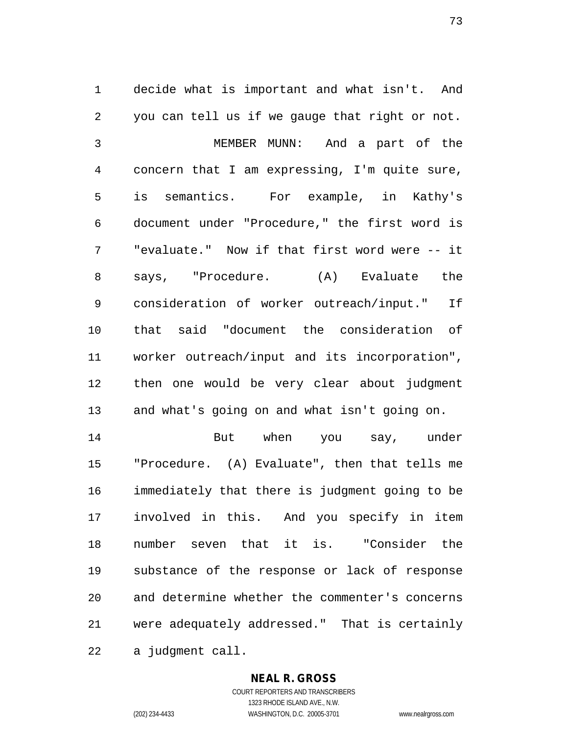1 decide what is important and what isn't. And 2 you can tell us if we gauge that right or not. 3 MEMBER MUNN: And a part of the 4 concern that I am expressing, I'm quite sure, 5 is semantics. For example, in Kathy's 6 document under "Procedure," the first word is 7 "evaluate." Now if that first word were -- it 8 says, "Procedure. (A) Evaluate the 9 consideration of worker outreach/input." If 10 that said "document the consideration of 11 worker outreach/input and its incorporation", 12 then one would be very clear about judgment 13 and what's going on and what isn't going on.

14 But when you say, under 15 "Procedure. (A) Evaluate", then that tells me 16 immediately that there is judgment going to be 17 involved in this. And you specify in item 18 number seven that it is. "Consider the 19 substance of the response or lack of response 20 and determine whether the commenter's concerns 21 were adequately addressed." That is certainly 22 a judgment call.

### **NEAL R. GROSS**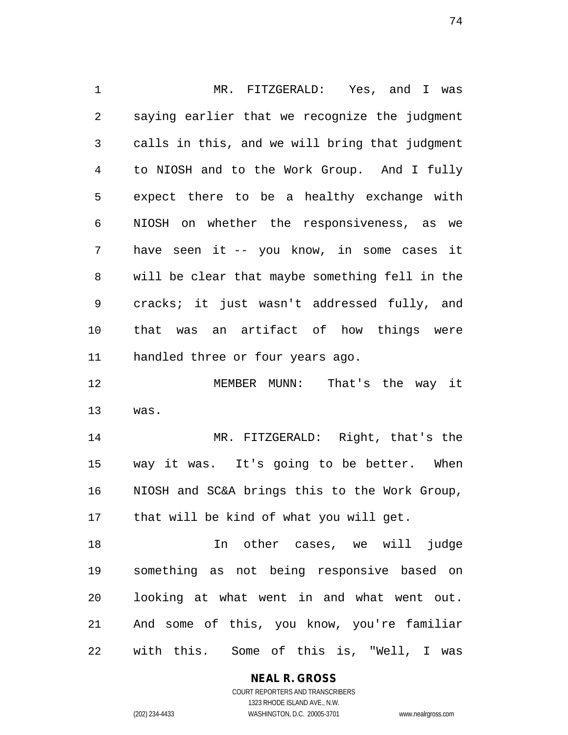1 MR. FITZGERALD: Yes, and I was 2 saying earlier that we recognize the judgment 3 calls in this, and we will bring that judgment 4 to NIOSH and to the Work Group. And I fully 5 expect there to be a healthy exchange with 6 NIOSH on whether the responsiveness, as we 7 have seen it -- you know, in some cases it 8 will be clear that maybe something fell in the 9 cracks; it just wasn't addressed fully, and 10 that was an artifact of how things were 11 handled three or four years ago. 12 MEMBER MUNN: That's the way it 13 was. 14 MR. FITZGERALD: Right, that's the 15 way it was. It's going to be better. When 16 NIOSH and SC&A brings this to the Work Group, 17 that will be kind of what you will get. 18 In other cases, we will judge 19 something as not being responsive based on 20 looking at what went in and what went out. 21 And some of this, you know, you're familiar 22 with this. Some of this is, "Well, I was

**NEAL R. GROSS**

COURT REPORTERS AND TRANSCRIBERS 1323 RHODE ISLAND AVE., N.W. (202) 234-4433 WASHINGTON, D.C. 20005-3701 www.nealrgross.com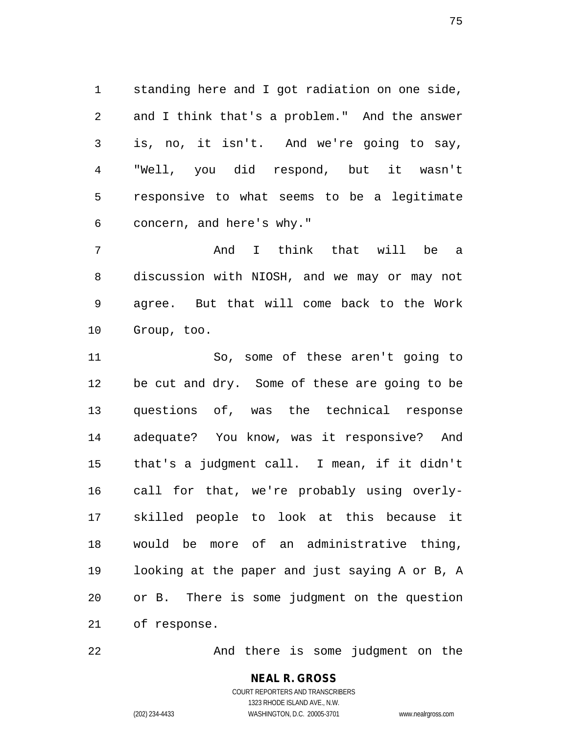1 standing here and I got radiation on one side, 2 and I think that's a problem." And the answer 3 is, no, it isn't. And we're going to say, 4 "Well, you did respond, but it wasn't 5 responsive to what seems to be a legitimate 6 concern, and here's why."

7 And I think that will be a 8 discussion with NIOSH, and we may or may not 9 agree. But that will come back to the Work 10 Group, too.

11 So, some of these aren't going to 12 be cut and dry. Some of these are going to be 13 questions of, was the technical response 14 adequate? You know, was it responsive? And 15 that's a judgment call. I mean, if it didn't 16 call for that, we're probably using overly-17 skilled people to look at this because it 18 would be more of an administrative thing, 19 looking at the paper and just saying A or B, A 20 or B. There is some judgment on the question 21 of response.

22 And there is some judgment on the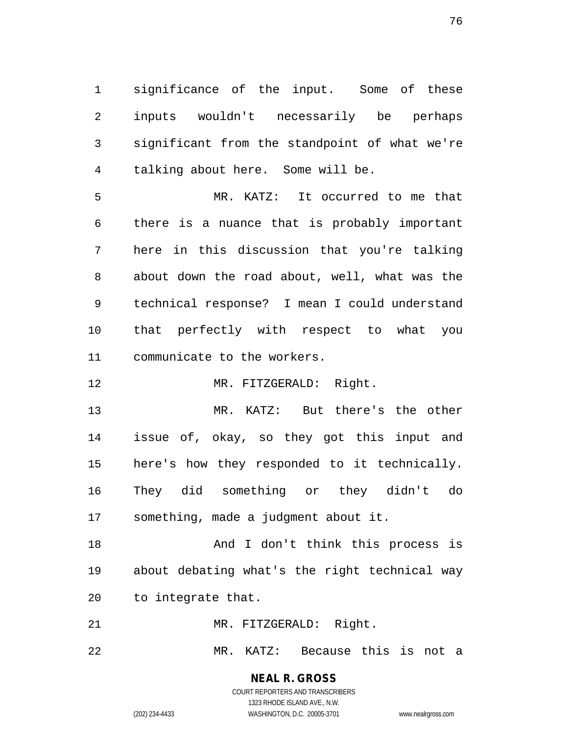1 significance of the input. Some of these 2 inputs wouldn't necessarily be perhaps 3 significant from the standpoint of what we're 4 talking about here. Some will be.

5 MR. KATZ: It occurred to me that 6 there is a nuance that is probably important 7 here in this discussion that you're talking 8 about down the road about, well, what was the 9 technical response? I mean I could understand 10 that perfectly with respect to what you 11 communicate to the workers.

12 MR. FITZGERALD: Right.

13 MR. KATZ: But there's the other 14 issue of, okay, so they got this input and 15 here's how they responded to it technically. 16 They did something or they didn't do 17 something, made a judgment about it.

18 And I don't think this process is 19 about debating what's the right technical way 20 to integrate that.

21 MR. FITZGERALD: Right.

22 MR. KATZ: Because this is not a

# **NEAL R. GROSS**

COURT REPORTERS AND TRANSCRIBERS 1323 RHODE ISLAND AVE., N.W. (202) 234-4433 WASHINGTON, D.C. 20005-3701 www.nealrgross.com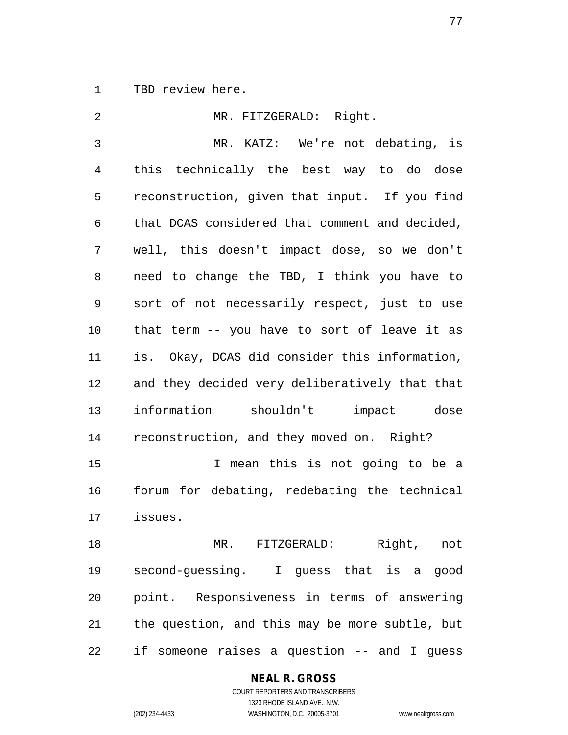1 TBD review here.

| 2  | MR. FITZGERALD: Right.                         |
|----|------------------------------------------------|
| 3  | MR. KATZ: We're not debating, is               |
| 4  | this technically the best way to do dose       |
| 5  | reconstruction, given that input. If you find  |
| 6  | that DCAS considered that comment and decided, |
| 7  | well, this doesn't impact dose, so we don't    |
| 8  | need to change the TBD, I think you have to    |
| 9  | sort of not necessarily respect, just to use   |
| 10 | that term -- you have to sort of leave it as   |
| 11 | is. Okay, DCAS did consider this information,  |
| 12 | and they decided very deliberatively that that |
| 13 | information shouldn't impact dose              |
| 14 | reconstruction, and they moved on. Right?      |
| 15 | I mean this is not going to be a               |
| 16 | forum for debating, redebating the technical   |
| 17 | issues.                                        |
| 18 | MR. FITZGERALD: Right, not                     |
| 19 | second-guessing. I guess that is a good        |
| 20 | point. Responsiveness in terms of answering    |
| 21 | the question, and this may be more subtle, but |
| 22 | if someone raises a question -- and I guess    |

**NEAL R. GROSS**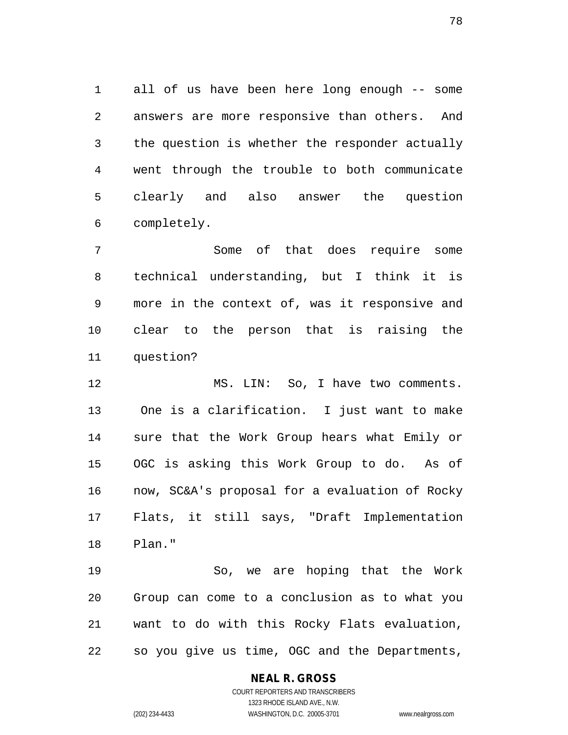1 all of us have been here long enough -- some 2 answers are more responsive than others. And 3 the question is whether the responder actually 4 went through the trouble to both communicate 5 clearly and also answer the question 6 completely.

7 Some of that does require some 8 technical understanding, but I think it is 9 more in the context of, was it responsive and 10 clear to the person that is raising the 11 question?

12 MS. LIN: So, I have two comments. 13 One is a clarification. I just want to make 14 sure that the Work Group hears what Emily or 15 OGC is asking this Work Group to do. As of 16 now, SC&A's proposal for a evaluation of Rocky 17 Flats, it still says, "Draft Implementation 18 Plan."

19 So, we are hoping that the Work 20 Group can come to a conclusion as to what you 21 want to do with this Rocky Flats evaluation, 22 so you give us time, OGC and the Departments,

### **NEAL R. GROSS**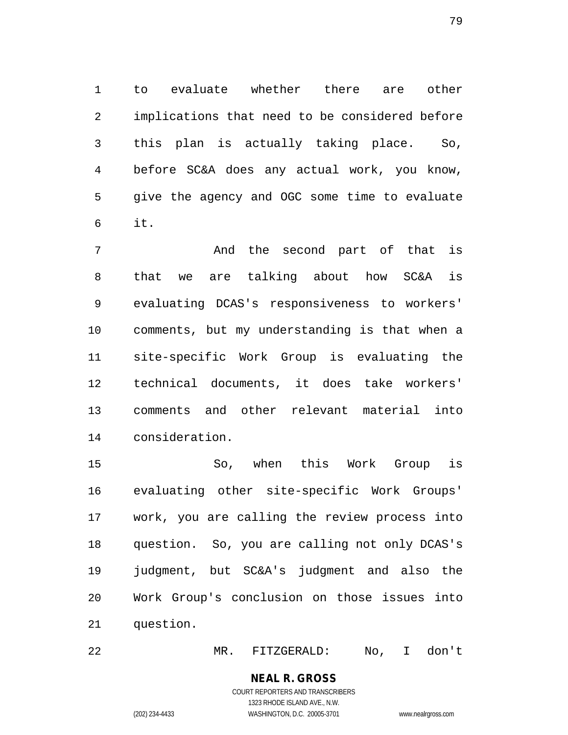1 to evaluate whether there are other 2 implications that need to be considered before 3 this plan is actually taking place. So, 4 before SC&A does any actual work, you know, 5 give the agency and OGC some time to evaluate 6 it.

7 and the second part of that is 8 that we are talking about how SC&A is 9 evaluating DCAS's responsiveness to workers' 10 comments, but my understanding is that when a 11 site-specific Work Group is evaluating the 12 technical documents, it does take workers' 13 comments and other relevant material into 14 consideration.

15 So, when this Work Group is 16 evaluating other site-specific Work Groups' 17 work, you are calling the review process into 18 question. So, you are calling not only DCAS's 19 judgment, but SC&A's judgment and also the 20 Work Group's conclusion on those issues into 21 question.

22 MR. FITZGERALD: No, I don't

**NEAL R. GROSS** COURT REPORTERS AND TRANSCRIBERS 1323 RHODE ISLAND AVE., N.W.

(202) 234-4433 WASHINGTON, D.C. 20005-3701 www.nealrgross.com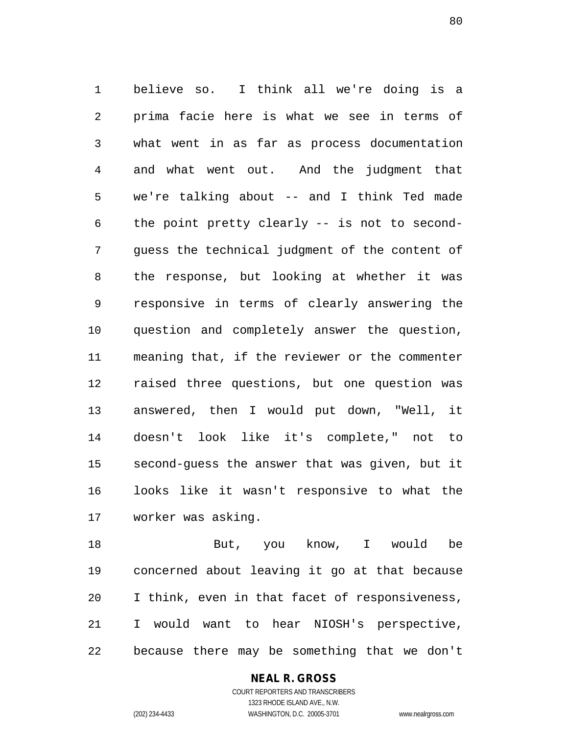1 believe so. I think all we're doing is a 2 prima facie here is what we see in terms of 3 what went in as far as process documentation 4 and what went out. And the judgment that 5 we're talking about -- and I think Ted made 6 the point pretty clearly -- is not to second-7 guess the technical judgment of the content of 8 the response, but looking at whether it was 9 responsive in terms of clearly answering the 10 question and completely answer the question, 11 meaning that, if the reviewer or the commenter 12 raised three questions, but one question was 13 answered, then I would put down, "Well, it 14 doesn't look like it's complete," not to 15 second-guess the answer that was given, but it 16 looks like it wasn't responsive to what the 17 worker was asking.

18 But, you know, I would be 19 concerned about leaving it go at that because 20 I think, even in that facet of responsiveness, 21 I would want to hear NIOSH's perspective, 22 because there may be something that we don't

### **NEAL R. GROSS**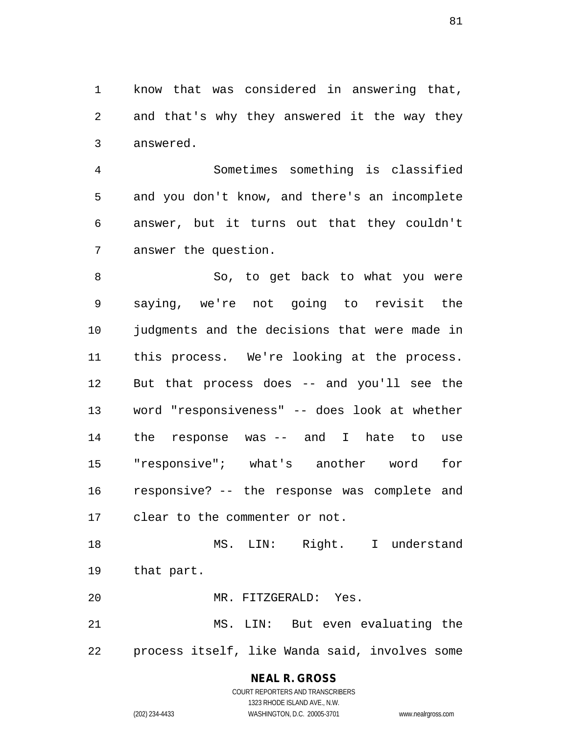1 know that was considered in answering that, 2 and that's why they answered it the way they 3 answered.

4 Sometimes something is classified 5 and you don't know, and there's an incomplete 6 answer, but it turns out that they couldn't 7 answer the question.

8 So, to get back to what you were 9 saying, we're not going to revisit the 10 judgments and the decisions that were made in 11 this process. We're looking at the process. 12 But that process does -- and you'll see the 13 word "responsiveness" -- does look at whether 14 the response was -- and I hate to use 15 "responsive"; what's another word for 16 responsive? -- the response was complete and 17 clear to the commenter or not.

18 MS. LIN: Right. I understand 19 that part.

20 MR. FITZGERALD: Yes.

21 MS. LIN: But even evaluating the 22 process itself, like Wanda said, involves some

## **NEAL R. GROSS**

COURT REPORTERS AND TRANSCRIBERS 1323 RHODE ISLAND AVE., N.W. (202) 234-4433 WASHINGTON, D.C. 20005-3701 www.nealrgross.com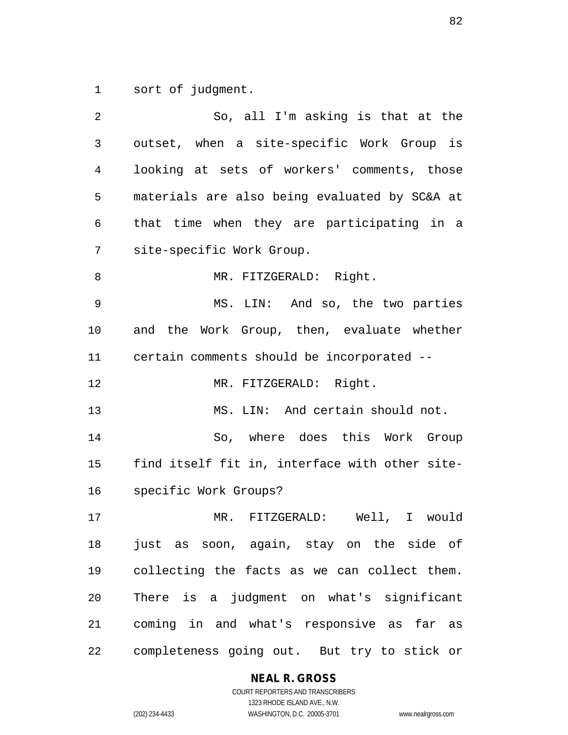1 sort of judgment.

| $\overline{2}$ | So, all I'm asking is that at the              |
|----------------|------------------------------------------------|
| 3              | outset, when a site-specific Work Group is     |
| 4              | looking at sets of workers' comments, those    |
| 5              | materials are also being evaluated by SC&A at  |
| $\epsilon$     | that time when they are participating in a     |
| 7              | site-specific Work Group.                      |
| 8              | MR. FITZGERALD: Right.                         |
| $\mathsf 9$    | MS. LIN: And so, the two parties               |
| 10             | and the Work Group, then, evaluate whether     |
| 11             | certain comments should be incorporated --     |
| 12             | MR. FITZGERALD: Right.                         |
| 13             | MS. LIN: And certain should not.               |
| 14             | So, where does this Work Group                 |
| 15             | find itself fit in, interface with other site- |
| 16             | specific Work Groups?                          |
| 17             | MR. FITZGERALD: Well, I would                  |
| 18             | just as soon, again, stay on the side of       |
| 19             | collecting the facts as we can collect them.   |
| 20             | There is a judgment on what's significant      |
| 21             | coming in and what's responsive as far as      |
| 22             | completeness going out. But try to stick or    |

**NEAL R. GROSS**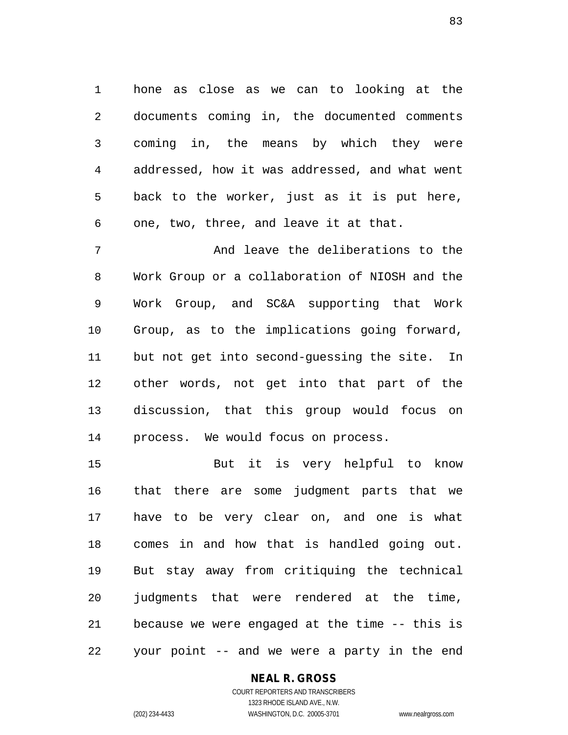1 hone as close as we can to looking at the 2 documents coming in, the documented comments 3 coming in, the means by which they were 4 addressed, how it was addressed, and what went 5 back to the worker, just as it is put here, 6 one, two, three, and leave it at that.

7 And leave the deliberations to the 8 Work Group or a collaboration of NIOSH and the 9 Work Group, and SC&A supporting that Work 10 Group, as to the implications going forward, 11 but not get into second-guessing the site. In 12 other words, not get into that part of the 13 discussion, that this group would focus on 14 process. We would focus on process.

15 But it is very helpful to know 16 that there are some judgment parts that we 17 have to be very clear on, and one is what 18 comes in and how that is handled going out. 19 But stay away from critiquing the technical 20 judgments that were rendered at the time, 21 because we were engaged at the time -- this is 22 your point -- and we were a party in the end

#### **NEAL R. GROSS**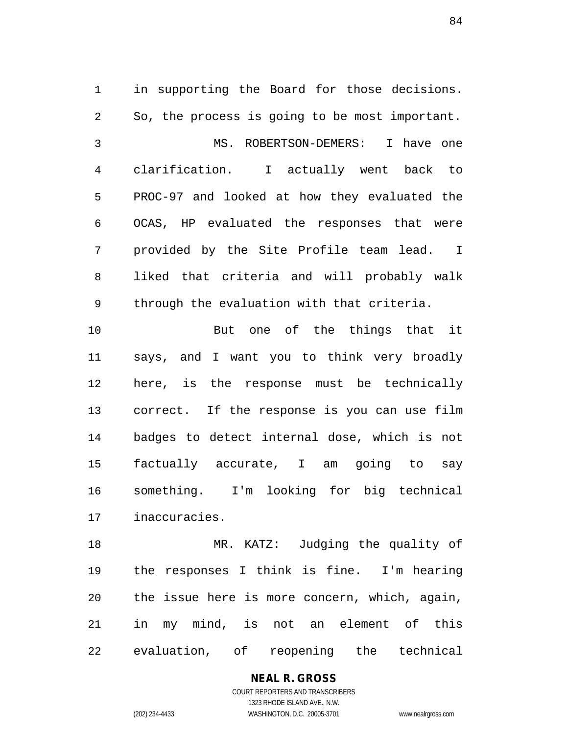1 in supporting the Board for those decisions. 2 So, the process is going to be most important. 3 MS. ROBERTSON-DEMERS: I have one 4 clarification. I actually went back to 5 PROC-97 and looked at how they evaluated the 6 OCAS, HP evaluated the responses that were 7 provided by the Site Profile team lead. I 8 liked that criteria and will probably walk 9 through the evaluation with that criteria.

10 But one of the things that it 11 says, and I want you to think very broadly 12 here, is the response must be technically 13 correct. If the response is you can use film 14 badges to detect internal dose, which is not 15 factually accurate, I am going to say 16 something. I'm looking for big technical 17 inaccuracies.

18 MR. KATZ: Judging the quality of 19 the responses I think is fine. I'm hearing 20 the issue here is more concern, which, again, 21 in my mind, is not an element of this 22 evaluation, of reopening the technical

> COURT REPORTERS AND TRANSCRIBERS 1323 RHODE ISLAND AVE., N.W. (202) 234-4433 WASHINGTON, D.C. 20005-3701 www.nealrgross.com

**NEAL R. GROSS**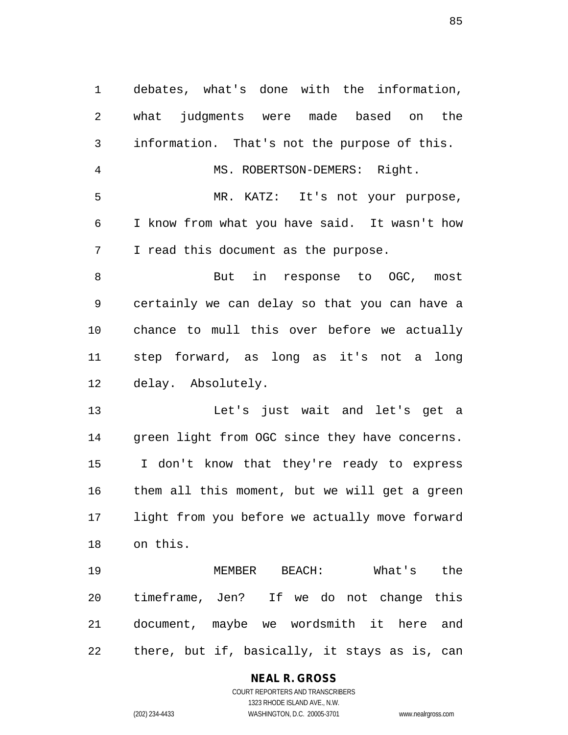1 debates, what's done with the information, 2 what judgments were made based on the 3 information. That's not the purpose of this. 4 MS. ROBERTSON-DEMERS: Right. 5 MR. KATZ: It's not your purpose, 6 I know from what you have said. It wasn't how 7 I read this document as the purpose. 8 But in response to OGC, most 9 certainly we can delay so that you can have a 10 chance to mull this over before we actually 11 step forward, as long as it's not a long 12 delay. Absolutely. 13 Let's just wait and let's get a 14 green light from OGC since they have concerns. 15 I don't know that they're ready to express 16 them all this moment, but we will get a green 17 light from you before we actually move forward 18 on this. 19 MEMBER BEACH: What's the 20 timeframe, Jen? If we do not change this 21 document, maybe we wordsmith it here and 22 there, but if, basically, it stays as is, can

### **NEAL R. GROSS**

COURT REPORTERS AND TRANSCRIBERS 1323 RHODE ISLAND AVE., N.W. (202) 234-4433 WASHINGTON, D.C. 20005-3701 www.nealrgross.com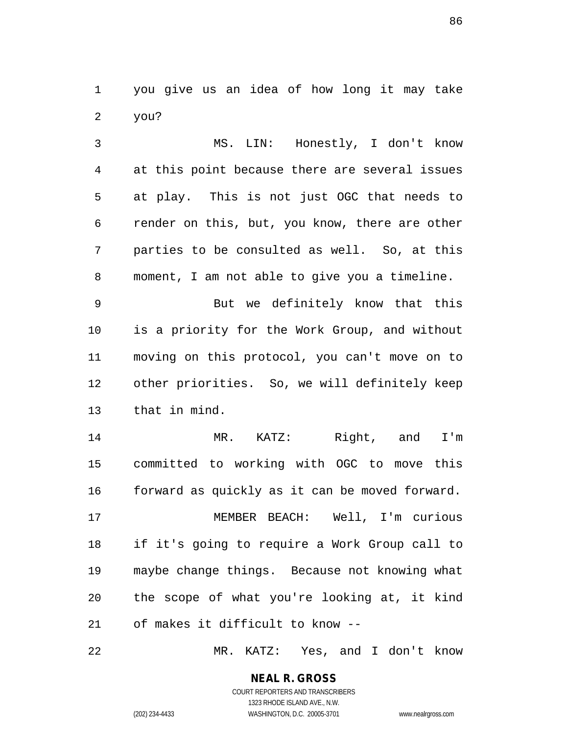1 you give us an idea of how long it may take 2 you?

3 MS. LIN: Honestly, I don't know 4 at this point because there are several issues 5 at play. This is not just OGC that needs to 6 render on this, but, you know, there are other 7 parties to be consulted as well. So, at this 8 moment, I am not able to give you a timeline.

9 But we definitely know that this 10 is a priority for the Work Group, and without 11 moving on this protocol, you can't move on to 12 other priorities. So, we will definitely keep 13 that in mind.

14 MR. KATZ: Right, and I'm 15 committed to working with OGC to move this 16 forward as quickly as it can be moved forward. 17 MEMBER BEACH: Well, I'm curious

18 if it's going to require a Work Group call to 19 maybe change things. Because not knowing what 20 the scope of what you're looking at, it kind 21 of makes it difficult to know --

22 MR. KATZ: Yes, and I don't know

**NEAL R. GROSS** COURT REPORTERS AND TRANSCRIBERS

1323 RHODE ISLAND AVE., N.W. (202) 234-4433 WASHINGTON, D.C. 20005-3701 www.nealrgross.com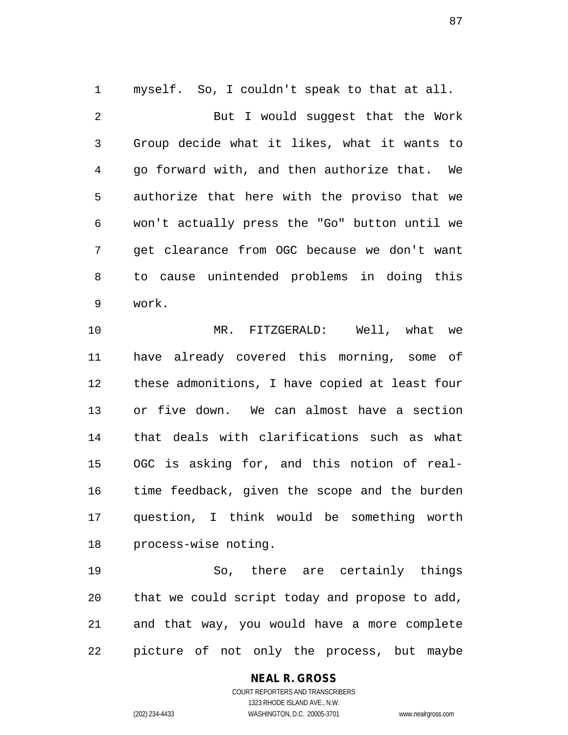1 myself. So, I couldn't speak to that at all. 2 But I would suggest that the Work 3 Group decide what it likes, what it wants to 4 go forward with, and then authorize that. We 5 authorize that here with the proviso that we 6 won't actually press the "Go" button until we 7 get clearance from OGC because we don't want 8 to cause unintended problems in doing this 9 work.

10 MR. FITZGERALD: Well, what we 11 have already covered this morning, some of 12 these admonitions, I have copied at least four 13 or five down. We can almost have a section 14 that deals with clarifications such as what 15 OGC is asking for, and this notion of real-16 time feedback, given the scope and the burden 17 question, I think would be something worth 18 process-wise noting.

19 So, there are certainly things 20 that we could script today and propose to add, 21 and that way, you would have a more complete 22 picture of not only the process, but maybe

## **NEAL R. GROSS**

COURT REPORTERS AND TRANSCRIBERS 1323 RHODE ISLAND AVE., N.W. (202) 234-4433 WASHINGTON, D.C. 20005-3701 www.nealrgross.com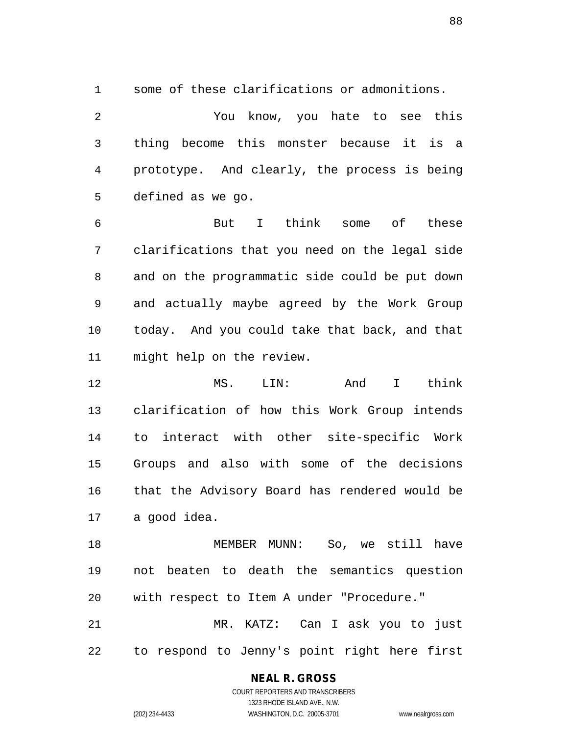1 some of these clarifications or admonitions.

2 You know, you hate to see this 3 thing become this monster because it is a 4 prototype. And clearly, the process is being 5 defined as we go.

6 But I think some of these 7 clarifications that you need on the legal side 8 and on the programmatic side could be put down 9 and actually maybe agreed by the Work Group 10 today. And you could take that back, and that 11 might help on the review.

12 MS. LIN: And I think 13 clarification of how this Work Group intends 14 to interact with other site-specific Work 15 Groups and also with some of the decisions 16 that the Advisory Board has rendered would be 17 a good idea.

18 MEMBER MUNN: So, we still have 19 not beaten to death the semantics question 20 with respect to Item A under "Procedure." 21 MR. KATZ: Can I ask you to just

22 to respond to Jenny's point right here first

### **NEAL R. GROSS**

COURT REPORTERS AND TRANSCRIBERS 1323 RHODE ISLAND AVE., N.W. (202) 234-4433 WASHINGTON, D.C. 20005-3701 www.nealrgross.com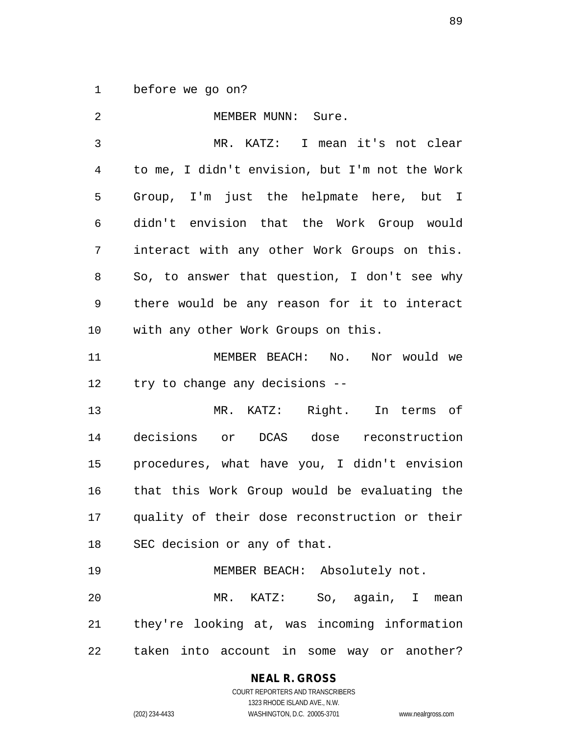1 before we go on?

| 2              | MEMBER MUNN: Sure.                             |
|----------------|------------------------------------------------|
| 3              | MR. KATZ: I mean it's not clear                |
| $\overline{4}$ | to me, I didn't envision, but I'm not the Work |
| 5              | Group, I'm just the helpmate here, but I       |
| 6              | didn't envision that the Work Group would      |
| 7              | interact with any other Work Groups on this.   |
| 8              | So, to answer that question, I don't see why   |
| 9              | there would be any reason for it to interact   |
| 10             | with any other Work Groups on this.            |
| 11             | MEMBER BEACH: No. Nor would we                 |
| 12             | try to change any decisions --                 |
| 13             | MR. KATZ: Right. In terms of                   |
| 14             | decisions or DCAS dose reconstruction          |
| 15             | procedures, what have you, I didn't envision   |
| 16             | that this Work Group would be evaluating the   |
| 17             | quality of their dose reconstruction or their  |
|                | 18 SEC decision or any of that.                |
| 19             | MEMBER BEACH: Absolutely not.                  |
| 20             | MR. KATZ: So, again, I mean                    |
| 21             | they're looking at, was incoming information   |
| 22             | taken into account in some way or another?     |

**NEAL R. GROSS** COURT REPORTERS AND TRANSCRIBERS 1323 RHODE ISLAND AVE., N.W.

(202) 234-4433 WASHINGTON, D.C. 20005-3701 www.nealrgross.com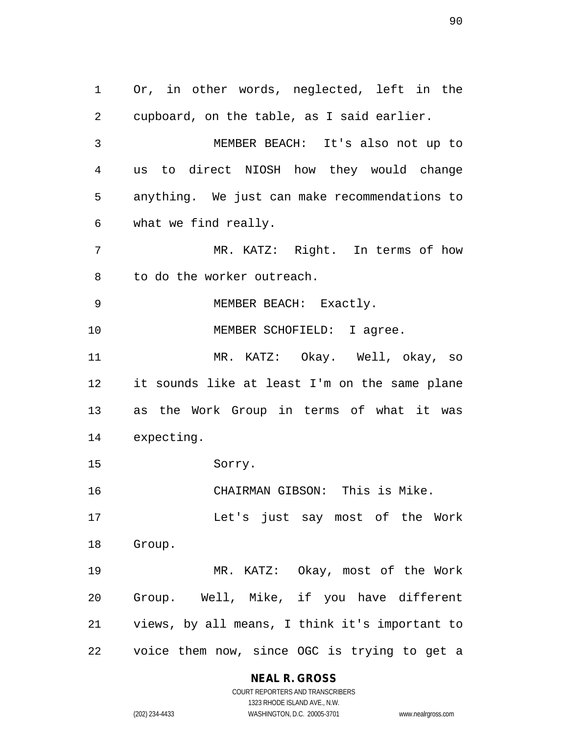1 Or, in other words, neglected, left in the 2 cupboard, on the table, as I said earlier. 3 MEMBER BEACH: It's also not up to 4 us to direct NIOSH how they would change 5 anything. We just can make recommendations to 6 what we find really. 7 MR. KATZ: Right. In terms of how 8 to do the worker outreach. 9 MEMBER BEACH: Exactly. 10 MEMBER SCHOFIELD: I agree. 11 MR. KATZ: Okay. Well, okay, so 12 it sounds like at least I'm on the same plane 13 as the Work Group in terms of what it was 14 expecting. 15 Sorry. 16 CHAIRMAN GIBSON: This is Mike. 17 Let's just say most of the Work 18 Group. 19 MR. KATZ: Okay, most of the Work 20 Group. Well, Mike, if you have different 21 views, by all means, I think it's important to 22 voice them now, since OGC is trying to get a

### **NEAL R. GROSS**

COURT REPORTERS AND TRANSCRIBERS 1323 RHODE ISLAND AVE., N.W. (202) 234-4433 WASHINGTON, D.C. 20005-3701 www.nealrgross.com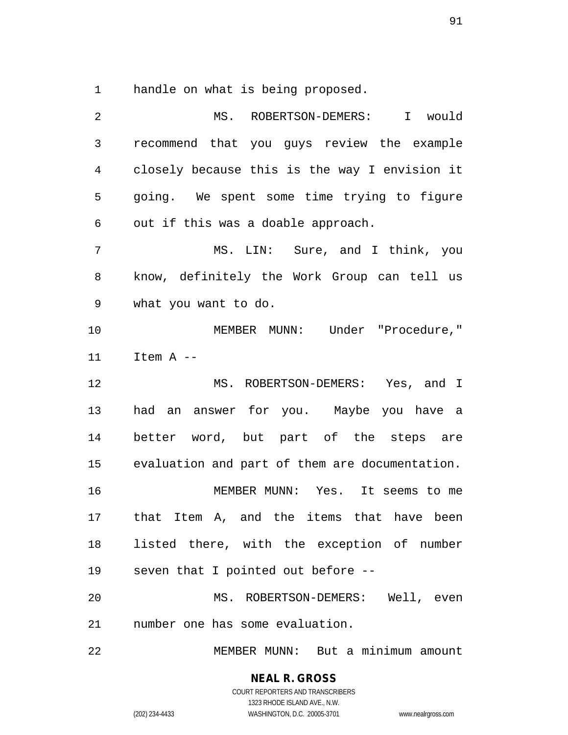1 handle on what is being proposed.

| $\overline{2}$ | MS. ROBERTSON-DEMERS: I would                  |
|----------------|------------------------------------------------|
| $\mathfrak{Z}$ | recommend that you guys review the example     |
| 4              | closely because this is the way I envision it  |
| 5              | going. We spent some time trying to figure     |
| 6              | out if this was a doable approach.             |
| 7              | MS. LIN: Sure, and I think, you                |
| 8              | know, definitely the Work Group can tell us    |
| 9              | what you want to do.                           |
| 10             | MEMBER MUNN: Under "Procedure,"                |
| 11             | Item A --                                      |
| 12             | MS. ROBERTSON-DEMERS: Yes, and I               |
| 13             | had an answer for you. Maybe you have a        |
| 14             | better word, but part of the steps are         |
| 15             | evaluation and part of them are documentation. |
| 16             | MEMBER MUNN: Yes. It seems to me               |
| 17             | that Item A, and the items that have been      |
| 18             | listed there, with the exception of number     |
| 19             | seven that I pointed out before --             |
| 20             | MS. ROBERTSON-DEMERS: Well, even               |
| 21             | number one has some evaluation.                |
| 22             | MEMBER MUNN: But a minimum amount              |

**NEAL R. GROSS** COURT REPORTERS AND TRANSCRIBERS

1323 RHODE ISLAND AVE., N.W.

(202) 234-4433 WASHINGTON, D.C. 20005-3701 www.nealrgross.com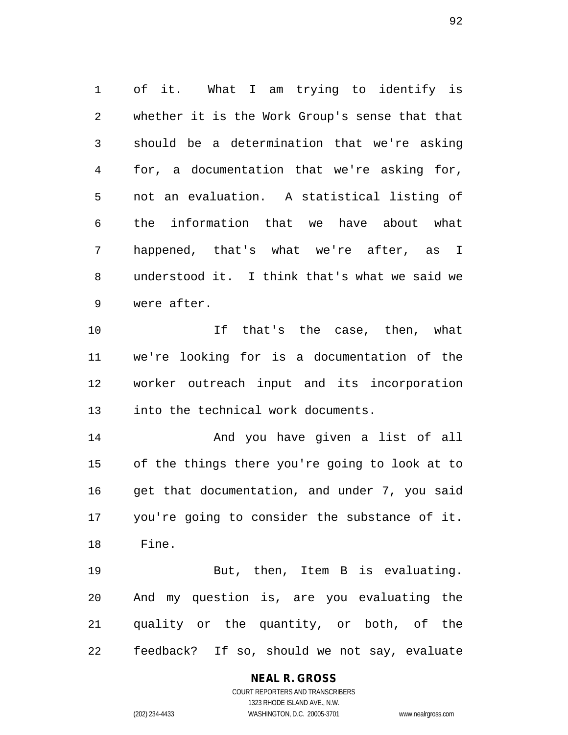1 of it. What I am trying to identify is 2 whether it is the Work Group's sense that that 3 should be a determination that we're asking 4 for, a documentation that we're asking for, 5 not an evaluation. A statistical listing of 6 the information that we have about what 7 happened, that's what we're after, as I 8 understood it. I think that's what we said we 9 were after.

10 10 If that's the case, then, what 11 we're looking for is a documentation of the 12 worker outreach input and its incorporation 13 into the technical work documents.

14 And you have given a list of all 15 of the things there you're going to look at to 16 get that documentation, and under 7, you said 17 you're going to consider the substance of it. 18 Fine.

19 But, then, Item B is evaluating. 20 And my question is, are you evaluating the 21 quality or the quantity, or both, of the 22 feedback? If so, should we not say, evaluate

### **NEAL R. GROSS**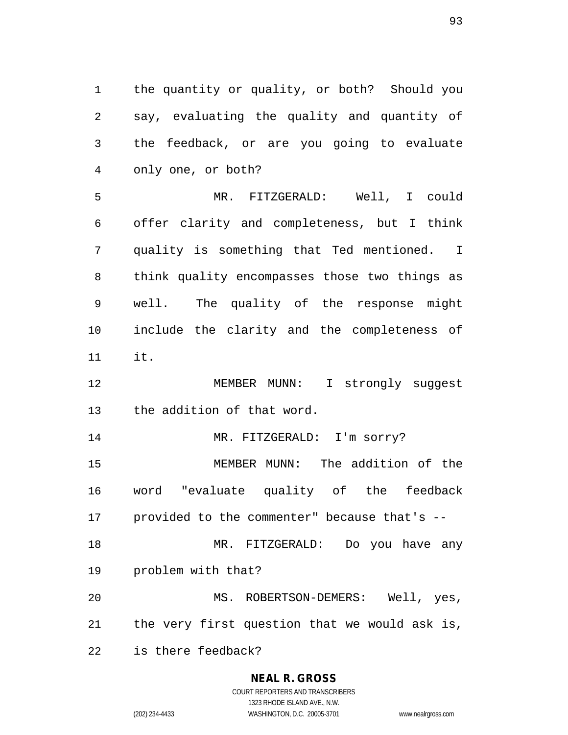1 the quantity or quality, or both? Should you 2 say, evaluating the quality and quantity of 3 the feedback, or are you going to evaluate 4 only one, or both?

5 MR. FITZGERALD: Well, I could 6 offer clarity and completeness, but I think 7 quality is something that Ted mentioned. I 8 think quality encompasses those two things as 9 well. The quality of the response might 10 include the clarity and the completeness of 11 it.

12 MEMBER MUNN: I strongly suggest 13 the addition of that word.

14 MR. FITZGERALD: I'm sorry?

15 MEMBER MUNN: The addition of the 16 word "evaluate quality of the feedback 17 provided to the commenter" because that's --

18 MR. FITZGERALD: Do you have any 19 problem with that?

20 MS. ROBERTSON-DEMERS: Well, yes, 21 the very first question that we would ask is,

22 is there feedback?

## **NEAL R. GROSS**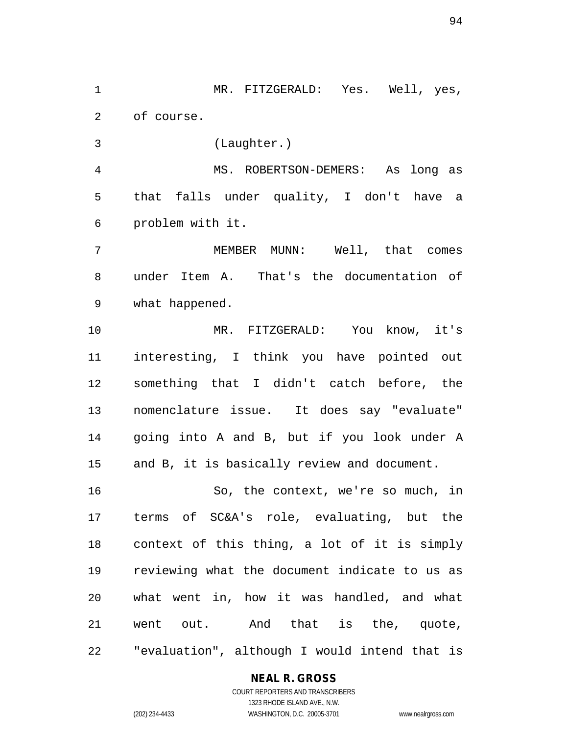1 MR. FITZGERALD: Yes. Well, yes, 2 of course.

3 (Laughter.)

4 MS. ROBERTSON-DEMERS: As long as 5 that falls under quality, I don't have a 6 problem with it.

7 MEMBER MUNN: Well, that comes 8 under Item A. That's the documentation of 9 what happened.

10 MR. FITZGERALD: You know, it's 11 interesting, I think you have pointed out 12 something that I didn't catch before, the 13 nomenclature issue. It does say "evaluate" 14 going into A and B, but if you look under A 15 and B, it is basically review and document.

16 So, the context, we're so much, in 17 terms of SC&A's role, evaluating, but the 18 context of this thing, a lot of it is simply 19 reviewing what the document indicate to us as 20 what went in, how it was handled, and what 21 went out. And that is the, quote, 22 "evaluation", although I would intend that is

### **NEAL R. GROSS**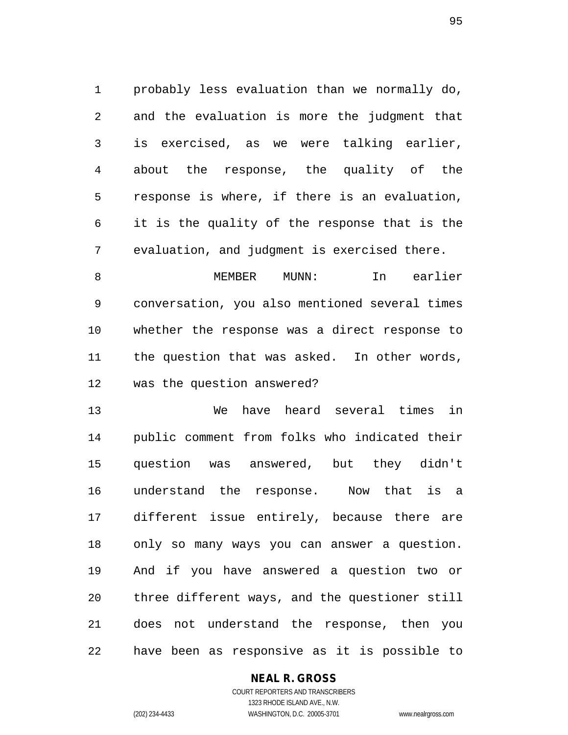1 probably less evaluation than we normally do, 2 and the evaluation is more the judgment that 3 is exercised, as we were talking earlier, 4 about the response, the quality of the 5 response is where, if there is an evaluation, 6 it is the quality of the response that is the 7 evaluation, and judgment is exercised there.

8 MEMBER MUNN: In earlier 9 conversation, you also mentioned several times 10 whether the response was a direct response to 11 the question that was asked. In other words, 12 was the question answered?

13 We have heard several times in 14 public comment from folks who indicated their 15 question was answered, but they didn't 16 understand the response. Now that is a 17 different issue entirely, because there are 18 only so many ways you can answer a question. 19 And if you have answered a question two or 20 three different ways, and the questioner still 21 does not understand the response, then you 22 have been as responsive as it is possible to

### **NEAL R. GROSS**

COURT REPORTERS AND TRANSCRIBERS 1323 RHODE ISLAND AVE., N.W. (202) 234-4433 WASHINGTON, D.C. 20005-3701 www.nealrgross.com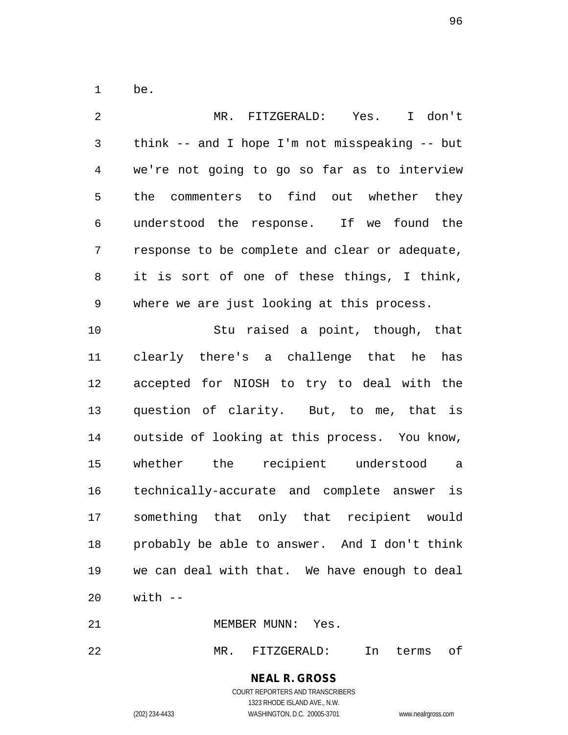1 be.

2 MR. FITZGERALD: Yes. I don't 3 think -- and I hope I'm not misspeaking -- but 4 we're not going to go so far as to interview 5 the commenters to find out whether they 6 understood the response. If we found the 7 response to be complete and clear or adequate, 8 it is sort of one of these things, I think, 9 where we are just looking at this process. 10 Stu raised a point, though, that 11 clearly there's a challenge that he has 12 accepted for NIOSH to try to deal with the 13 question of clarity. But, to me, that is 14 outside of looking at this process. You know, 15 whether the recipient understood a 16 technically-accurate and complete answer is 17 something that only that recipient would 18 probably be able to answer. And I don't think 19 we can deal with that. We have enough to deal 20 with --

21 MEMBER MUNN: Yes.

22 MR. FITZGERALD: In terms of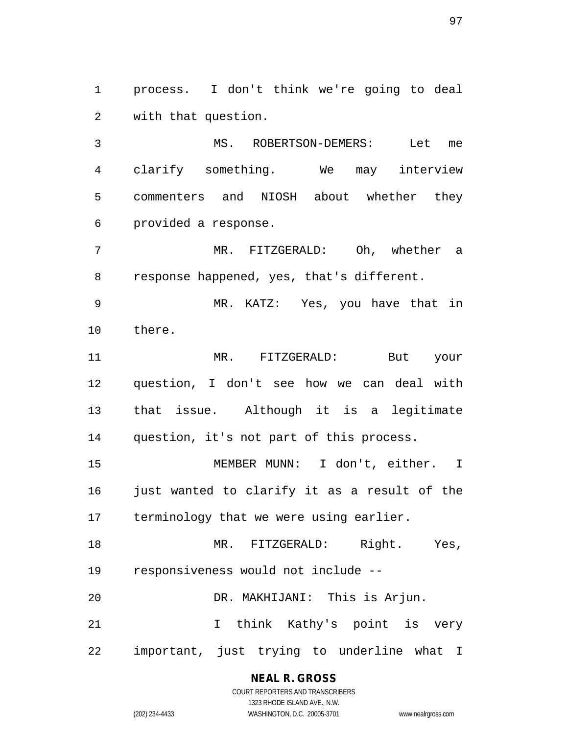1 process. I don't think we're going to deal 2 with that question.

3 MS. ROBERTSON-DEMERS: Let me 4 clarify something. We may interview 5 commenters and NIOSH about whether they 6 provided a response.

7 MR. FITZGERALD: Oh, whether a 8 response happened, yes, that's different.

9 MR. KATZ: Yes, you have that in 10 there.

11 MR. FITZGERALD: But your 12 question, I don't see how we can deal with 13 that issue. Although it is a legitimate 14 question, it's not part of this process.

15 MEMBER MUNN: I don't, either. I 16 just wanted to clarify it as a result of the 17 terminology that we were using earlier.

18 MR. FITZGERALD: Right. Yes, 19 responsiveness would not include -- 20 DR. MAKHIJANI: This is Arjun.

21 I think Kathy's point is very 22 important, just trying to underline what I

## **NEAL R. GROSS**

COURT REPORTERS AND TRANSCRIBERS 1323 RHODE ISLAND AVE., N.W. (202) 234-4433 WASHINGTON, D.C. 20005-3701 www.nealrgross.com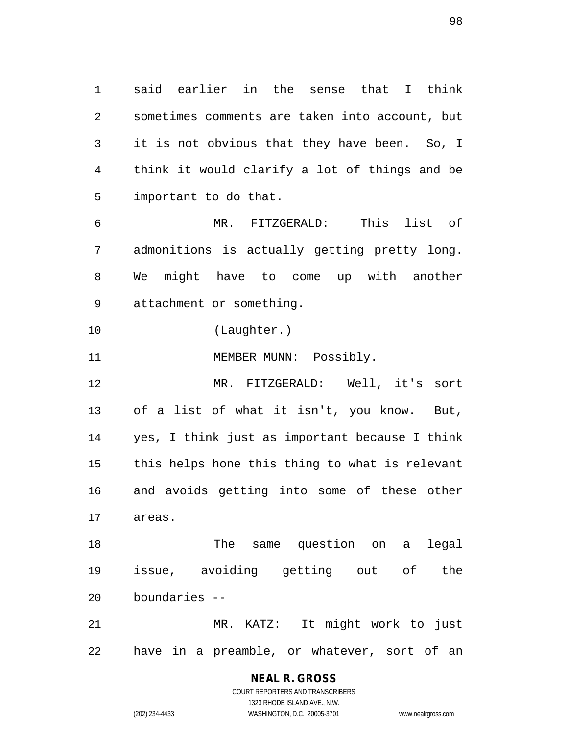1 said earlier in the sense that I think 2 sometimes comments are taken into account, but 3 it is not obvious that they have been. So, I 4 think it would clarify a lot of things and be 5 important to do that.

6 MR. FITZGERALD: This list of 7 admonitions is actually getting pretty long. 8 We might have to come up with another 9 attachment or something.

10 (Laughter.)

11 MEMBER MUNN: Possibly.

12 MR. FITZGERALD: Well, it's sort 13 of a list of what it isn't, you know. But, 14 yes, I think just as important because I think 15 this helps hone this thing to what is relevant 16 and avoids getting into some of these other 17 areas.

18 The same question on a legal 19 issue, avoiding getting out of the 20 boundaries --

21 MR. KATZ: It might work to just 22 have in a preamble, or whatever, sort of an

## **NEAL R. GROSS**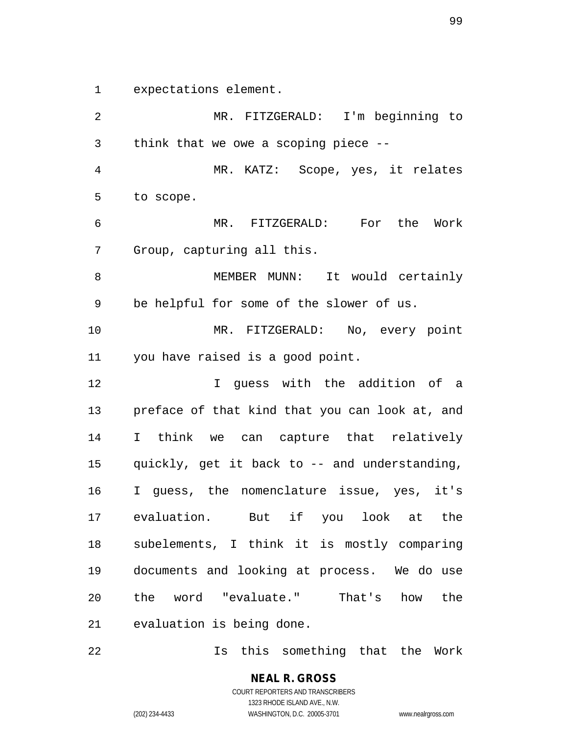1 expectations element.

2 MR. FITZGERALD: I'm beginning to 3 think that we owe a scoping piece -- 4 MR. KATZ: Scope, yes, it relates 5 to scope. 6 MR. FITZGERALD: For the Work 7 Group, capturing all this. 8 MEMBER MUNN: It would certainly 9 be helpful for some of the slower of us. 10 MR. FITZGERALD: No, every point 11 you have raised is a good point. 12 12 I guess with the addition of a 13 preface of that kind that you can look at, and 14 I think we can capture that relatively 15 quickly, get it back to -- and understanding, 16 I guess, the nomenclature issue, yes, it's 17 evaluation. But if you look at the 18 subelements, I think it is mostly comparing 19 documents and looking at process. We do use 20 the word "evaluate." That's how the 21 evaluation is being done.

22 Is this something that the Work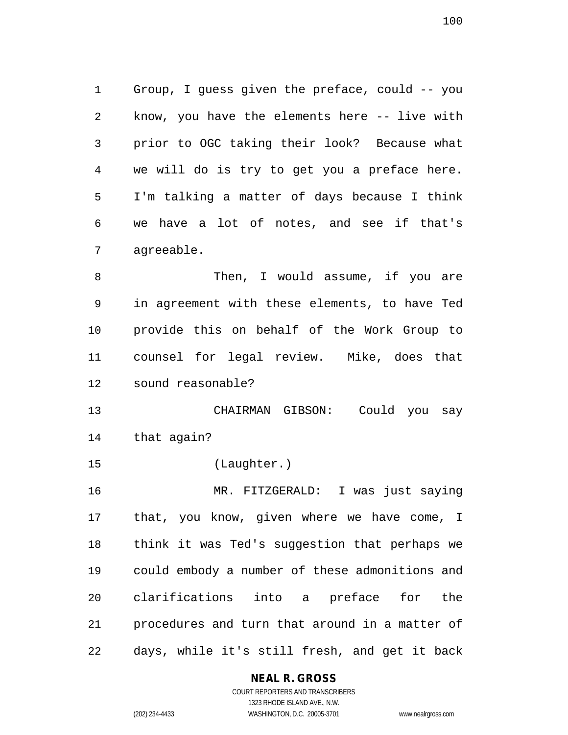1 Group, I guess given the preface, could -- you 2 know, you have the elements here -- live with 3 prior to OGC taking their look? Because what 4 we will do is try to get you a preface here. 5 I'm talking a matter of days because I think 6 we have a lot of notes, and see if that's 7 agreeable.

8 Then, I would assume, if you are 9 in agreement with these elements, to have Ted 10 provide this on behalf of the Work Group to 11 counsel for legal review. Mike, does that 12 sound reasonable?

13 CHAIRMAN GIBSON: Could you say 14 that again?

15 (Laughter.)

16 MR. FITZGERALD: I was just saying 17 that, you know, given where we have come, I 18 think it was Ted's suggestion that perhaps we 19 could embody a number of these admonitions and 20 clarifications into a preface for the 21 procedures and turn that around in a matter of 22 days, while it's still fresh, and get it back

### **NEAL R. GROSS**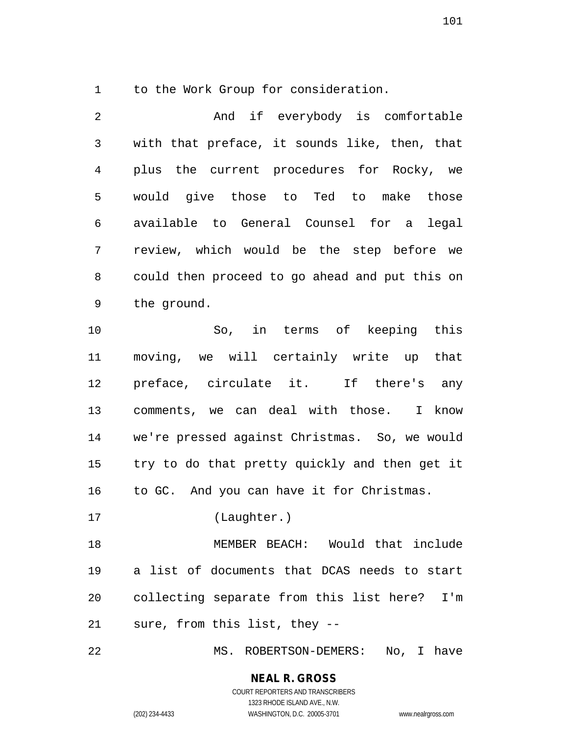1 to the Work Group for consideration.

2 And if everybody is comfortable 3 with that preface, it sounds like, then, that 4 plus the current procedures for Rocky, we 5 would give those to Ted to make those 6 available to General Counsel for a legal 7 review, which would be the step before we 8 could then proceed to go ahead and put this on 9 the ground. 10 So, in terms of keeping this 11 moving, we will certainly write up that 12 preface, circulate it. If there's any 13 comments, we can deal with those. I know 14 we're pressed against Christmas. So, we would 15 try to do that pretty quickly and then get it 16 to GC. And you can have it for Christmas. 17 (Laughter.) 18 MEMBER BEACH: Would that include 19 a list of documents that DCAS needs to start 20 collecting separate from this list here? I'm 21 sure, from this list, they --

22 MS. ROBERTSON-DEMERS: No, I have

**NEAL R. GROSS** COURT REPORTERS AND TRANSCRIBERS

1323 RHODE ISLAND AVE., N.W. (202) 234-4433 WASHINGTON, D.C. 20005-3701 www.nealrgross.com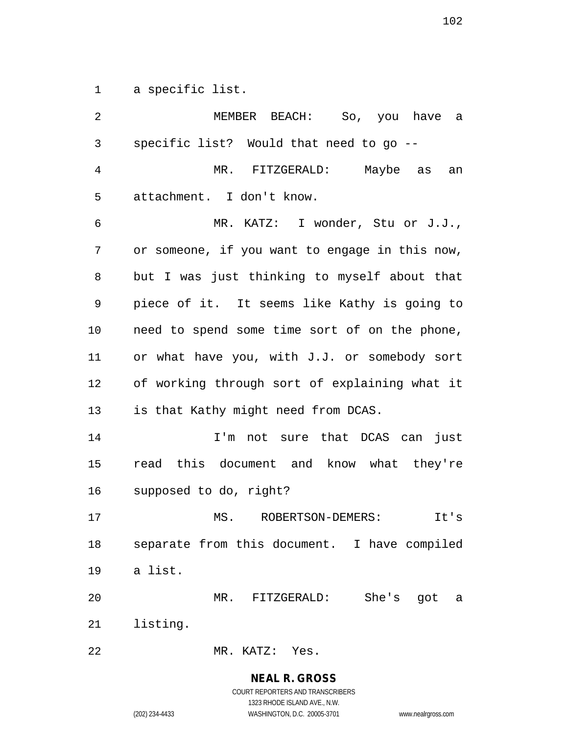1 a specific list.

2 MEMBER BEACH: So, you have a 3 specific list? Would that need to go -- 4 MR. FITZGERALD: Maybe as an 5 attachment. I don't know. 6 MR. KATZ: I wonder, Stu or J.J., 7 or someone, if you want to engage in this now, 8 but I was just thinking to myself about that 9 piece of it. It seems like Kathy is going to 10 need to spend some time sort of on the phone, 11 or what have you, with J.J. or somebody sort 12 of working through sort of explaining what it 13 is that Kathy might need from DCAS. 14 I'm not sure that DCAS can just 15 read this document and know what they're 16 supposed to do, right? 17 MS. ROBERTSON-DEMERS: It's 18 separate from this document. I have compiled 19 a list. 20 MR. FITZGERALD: She's got a 21 listing. 22 MR. KATZ: Yes.

> **NEAL R. GROSS** COURT REPORTERS AND TRANSCRIBERS 1323 RHODE ISLAND AVE., N.W.

(202) 234-4433 WASHINGTON, D.C. 20005-3701 www.nealrgross.com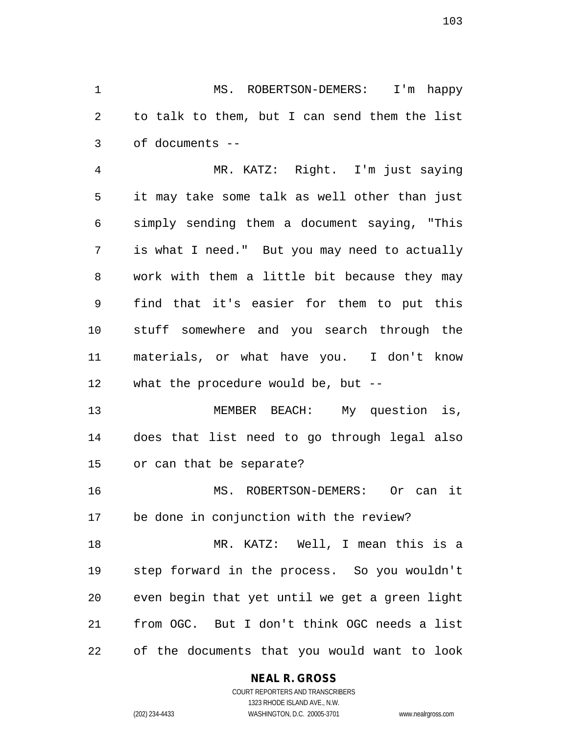1 MS. ROBERTSON-DEMERS: I'm happy 2 to talk to them, but I can send them the list 3 of documents --

4 MR. KATZ: Right. I'm just saying 5 it may take some talk as well other than just 6 simply sending them a document saying, "This 7 is what I need." But you may need to actually 8 work with them a little bit because they may 9 find that it's easier for them to put this 10 stuff somewhere and you search through the 11 materials, or what have you. I don't know 12 what the procedure would be, but --

13 MEMBER BEACH: My question is, 14 does that list need to go through legal also 15 or can that be separate?

16 MS. ROBERTSON-DEMERS: Or can it 17 be done in conjunction with the review?

18 MR. KATZ: Well, I mean this is a 19 step forward in the process. So you wouldn't 20 even begin that yet until we get a green light 21 from OGC. But I don't think OGC needs a list 22 of the documents that you would want to look

### **NEAL R. GROSS**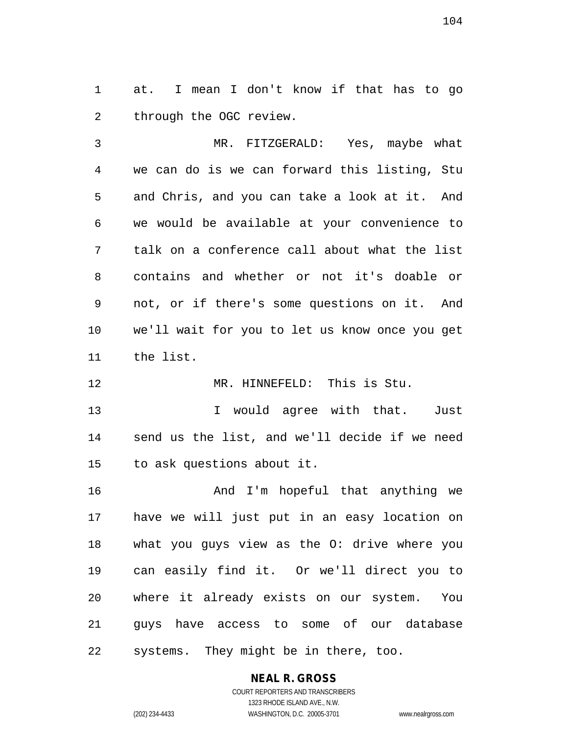1 at. I mean I don't know if that has to go 2 through the OGC review.

3 MR. FITZGERALD: Yes, maybe what 4 we can do is we can forward this listing, Stu 5 and Chris, and you can take a look at it. And 6 we would be available at your convenience to 7 talk on a conference call about what the list 8 contains and whether or not it's doable or 9 not, or if there's some questions on it. And 10 we'll wait for you to let us know once you get 11 the list.

12 MR. HINNEFELD: This is Stu.

13 I would agree with that. Just 14 send us the list, and we'll decide if we need 15 to ask questions about it.

16 And I'm hopeful that anything we 17 have we will just put in an easy location on 18 what you guys view as the O: drive where you 19 can easily find it. Or we'll direct you to 20 where it already exists on our system. You 21 guys have access to some of our database 22 systems. They might be in there, too.

## **NEAL R. GROSS**

COURT REPORTERS AND TRANSCRIBERS 1323 RHODE ISLAND AVE., N.W. (202) 234-4433 WASHINGTON, D.C. 20005-3701 www.nealrgross.com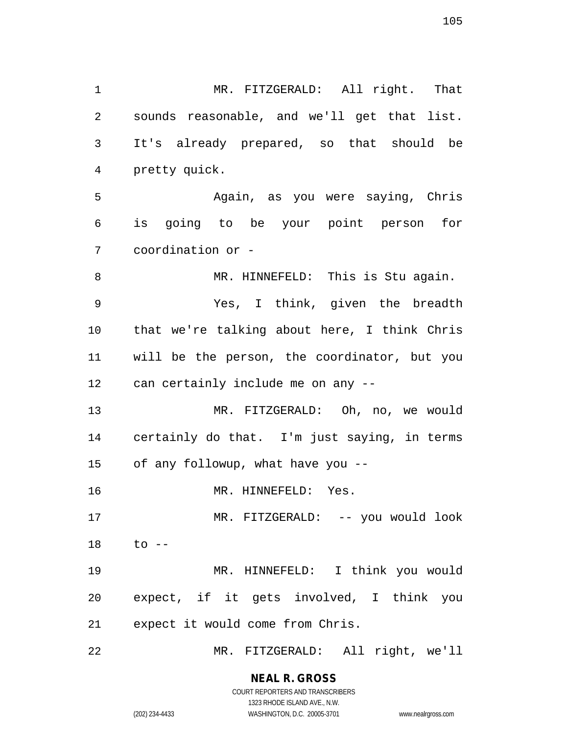1 MR. FITZGERALD: All right. That 2 sounds reasonable, and we'll get that list. 3 It's already prepared, so that should be 4 pretty quick. 5 Again, as you were saying, Chris 6 is going to be your point person for 7 coordination or - 8 MR. HINNEFELD: This is Stu again. 9 Yes, I think, given the breadth 10 that we're talking about here, I think Chris 11 will be the person, the coordinator, but you 12 can certainly include me on any -- 13 MR. FITZGERALD: Oh, no, we would 14 certainly do that. I'm just saying, in terms 15 of any followup, what have you -- 16 MR. HINNEFELD: Yes. 17 MR. FITZGERALD: -- you would look 18 to -- 19 MR. HINNEFELD: I think you would 20 expect, if it gets involved, I think you 21 expect it would come from Chris. 22 MR. FITZGERALD: All right, we'll

> **NEAL R. GROSS** COURT REPORTERS AND TRANSCRIBERS

> > 1323 RHODE ISLAND AVE., N.W.

(202) 234-4433 WASHINGTON, D.C. 20005-3701 www.nealrgross.com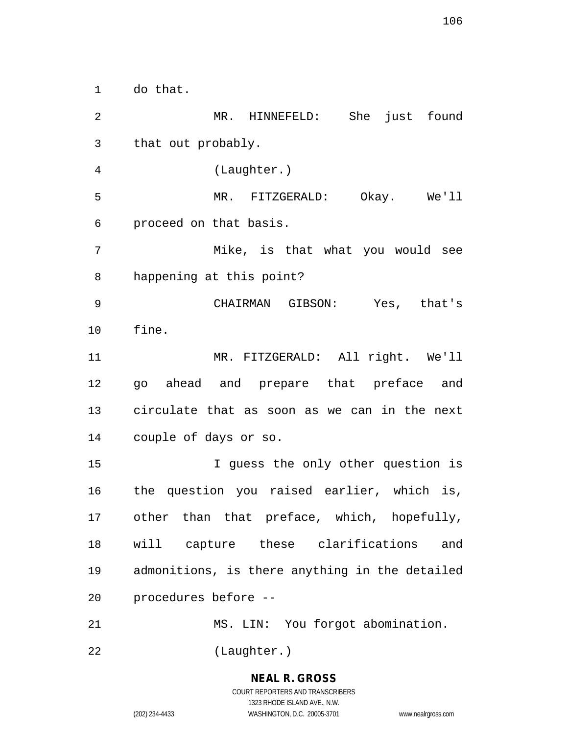1 do that.

2 MR. HINNEFELD: She just found 3 that out probably. 4 (Laughter.) 5 MR. FITZGERALD: Okay. We'll 6 proceed on that basis. 7 Mike, is that what you would see 8 happening at this point? 9 CHAIRMAN GIBSON: Yes, that's 10 fine. 11 MR. FITZGERALD: All right. We'll 12 go ahead and prepare that preface and 13 circulate that as soon as we can in the next 14 couple of days or so. 15 15 15 I guess the only other question is 16 the question you raised earlier, which is, 17 other than that preface, which, hopefully, 18 will capture these clarifications and 19 admonitions, is there anything in the detailed 20 procedures before -- 21 MS. LIN: You forgot abomination.

22 (Laughter.)

**NEAL R. GROSS** COURT REPORTERS AND TRANSCRIBERS 1323 RHODE ISLAND AVE., N.W.

(202) 234-4433 WASHINGTON, D.C. 20005-3701 www.nealrgross.com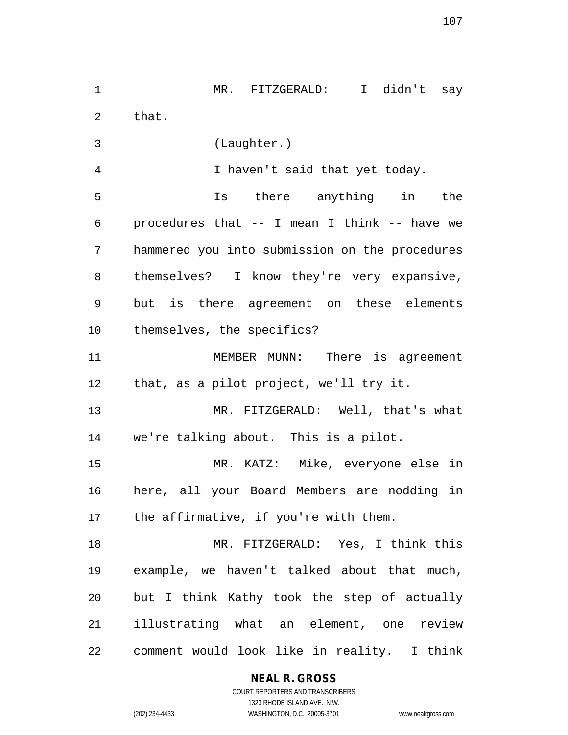1 MR. FITZGERALD: I didn't say 2 that. 3 (Laughter.) 4 I haven't said that yet today. 5 Is there anything in the 6 procedures that -- I mean I think -- have we 7 hammered you into submission on the procedures 8 themselves? I know they're very expansive, 9 but is there agreement on these elements 10 themselves, the specifics? 11 MEMBER MUNN: There is agreement 12 that, as a pilot project, we'll try it. 13 MR. FITZGERALD: Well, that's what 14 we're talking about. This is a pilot. 15 MR. KATZ: Mike, everyone else in 16 here, all your Board Members are nodding in 17 the affirmative, if you're with them. 18 MR. FITZGERALD: Yes, I think this 19 example, we haven't talked about that much, 20 but I think Kathy took the step of actually 21 illustrating what an element, one review 22 comment would look like in reality. I think

#### **NEAL R. GROSS** COURT REPORTERS AND TRANSCRIBERS

1323 RHODE ISLAND AVE., N.W. (202) 234-4433 WASHINGTON, D.C. 20005-3701 www.nealrgross.com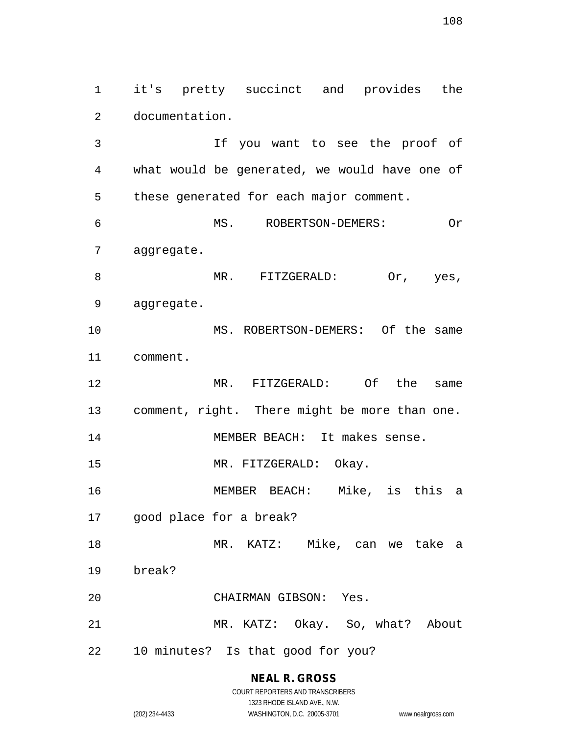1 it's pretty succinct and provides the 2 documentation.

3 If you want to see the proof of 4 what would be generated, we would have one of 5 these generated for each major comment. 6 MS. ROBERTSON-DEMERS: Or 7 aggregate. 8 MR. FITZGERALD: Or, yes, 9 aggregate. 10 MS. ROBERTSON-DEMERS: Of the same 11 comment. 12 MR. FITZGERALD: Of the same 13 comment, right. There might be more than one. 14 MEMBER BEACH: It makes sense. 15 MR. FITZGERALD: Okay. 16 MEMBER BEACH: Mike, is this a 17 good place for a break? 18 MR. KATZ: Mike, can we take a 19 break? 20 CHAIRMAN GIBSON: Yes. 21 MR. KATZ: Okay. So, what? About 22 10 minutes? Is that good for you?

#### **NEAL R. GROSS**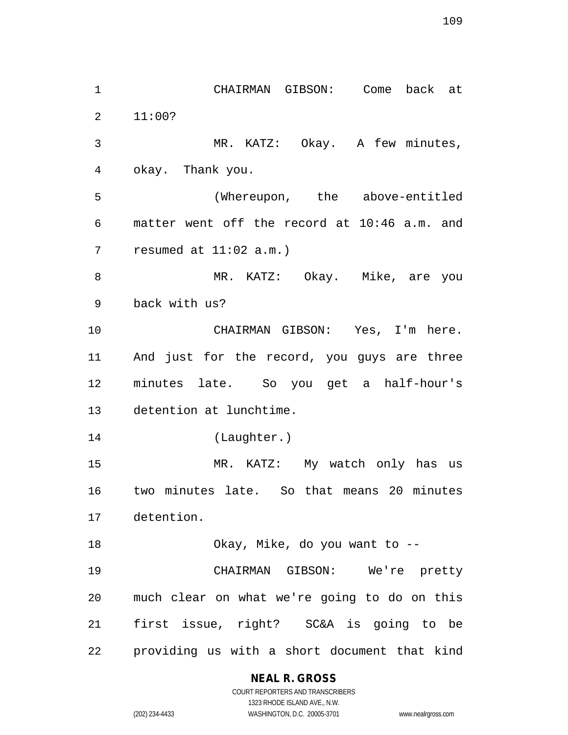1 CHAIRMAN GIBSON: Come back at 2 11:00? 3 MR. KATZ: Okay. A few minutes, 4 okay. Thank you. 5 (Whereupon, the above-entitled 6 matter went off the record at 10:46 a.m. and 7 resumed at 11:02 a.m.) 8 MR. KATZ: Okay. Mike, are you 9 back with us? 10 CHAIRMAN GIBSON: Yes, I'm here. 11 And just for the record, you guys are three 12 minutes late. So you get a half-hour's 13 detention at lunchtime. 14 (Laughter.) 15 MR. KATZ: My watch only has us 16 two minutes late. So that means 20 minutes 17 detention. 18 Okay, Mike, do you want to -- 19 CHAIRMAN GIBSON: We're pretty 20 much clear on what we're going to do on this 21 first issue, right? SC&A is going to be 22 providing us with a short document that kind

### **NEAL R. GROSS**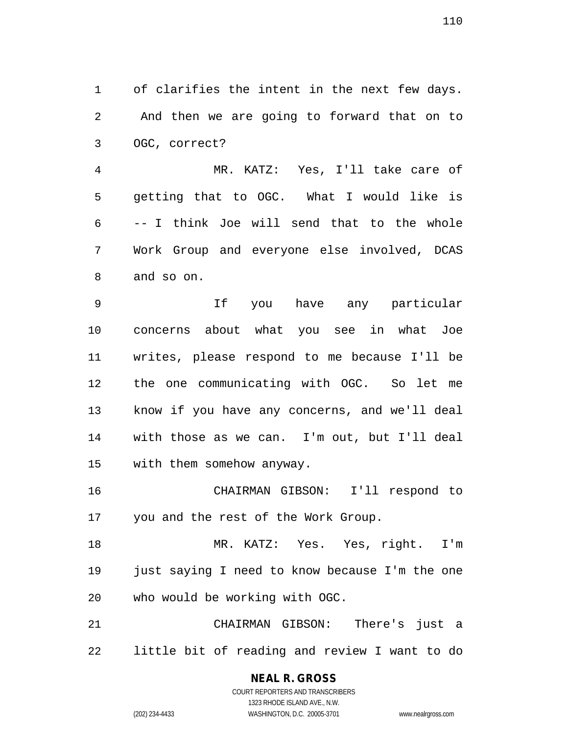1 of clarifies the intent in the next few days. 2 And then we are going to forward that on to 3 OGC, correct?

4 MR. KATZ: Yes, I'll take care of 5 getting that to OGC. What I would like is 6 -- I think Joe will send that to the whole 7 Work Group and everyone else involved, DCAS 8 and so on.

9 If you have any particular 10 concerns about what you see in what Joe 11 writes, please respond to me because I'll be 12 the one communicating with OGC. So let me 13 know if you have any concerns, and we'll deal 14 with those as we can. I'm out, but I'll deal 15 with them somehow anyway.

16 CHAIRMAN GIBSON: I'll respond to 17 you and the rest of the Work Group.

18 MR. KATZ: Yes. Yes, right. I'm 19 just saying I need to know because I'm the one 20 who would be working with OGC.

21 CHAIRMAN GIBSON: There's just a 22 little bit of reading and review I want to do

> **NEAL R. GROSS** COURT REPORTERS AND TRANSCRIBERS

> > 1323 RHODE ISLAND AVE., N.W.

(202) 234-4433 WASHINGTON, D.C. 20005-3701 www.nealrgross.com

110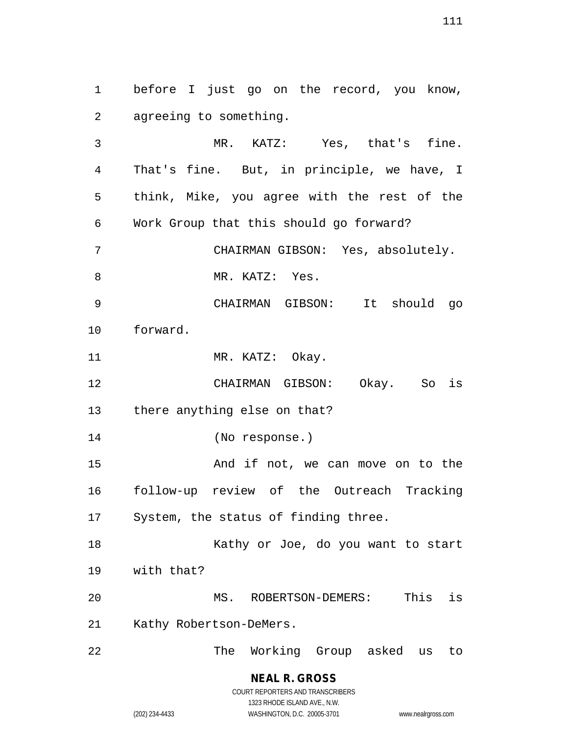2 agreeing to something. 3 MR. KATZ: Yes, that's fine. 4 That's fine. But, in principle, we have, I 5 think, Mike, you agree with the rest of the 6 Work Group that this should go forward? 7 CHAIRMAN GIBSON: Yes, absolutely. 8 MR. KATZ: Yes. 9 CHAIRMAN GIBSON: It should go 10 forward. 11 MR. KATZ: Okay. 12 CHAIRMAN GIBSON: Okay. So is 13 there anything else on that? 14 (No response.) 15 And if not, we can move on to the 16 follow-up review of the Outreach Tracking 17 System, the status of finding three. 18 Kathy or Joe, do you want to start 19 with that? 20 MS. ROBERTSON-DEMERS: This is 21 Kathy Robertson-DeMers. 22 The Working Group asked us to

1 before I just go on the record, you know,

(202) 234-4433 WASHINGTON, D.C. 20005-3701 www.nealrgross.com

111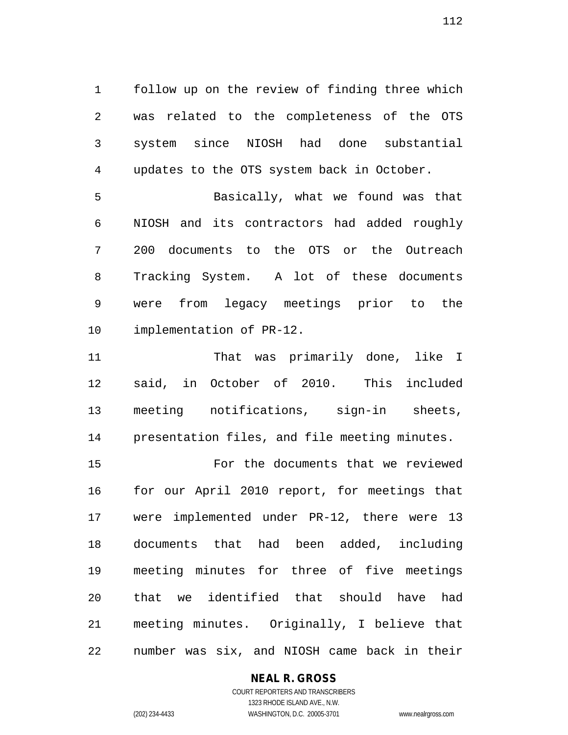1 follow up on the review of finding three which 2 was related to the completeness of the OTS 3 system since NIOSH had done substantial 4 updates to the OTS system back in October.

5 Basically, what we found was that 6 NIOSH and its contractors had added roughly 7 200 documents to the OTS or the Outreach 8 Tracking System. A lot of these documents 9 were from legacy meetings prior to the 10 implementation of PR-12.

11 That was primarily done, like I 12 said, in October of 2010. This included 13 meeting notifications, sign-in sheets, 14 presentation files, and file meeting minutes.

15 For the documents that we reviewed 16 for our April 2010 report, for meetings that 17 were implemented under PR-12, there were 13 18 documents that had been added, including 19 meeting minutes for three of five meetings 20 that we identified that should have had 21 meeting minutes. Originally, I believe that 22 number was six, and NIOSH came back in their

### **NEAL R. GROSS**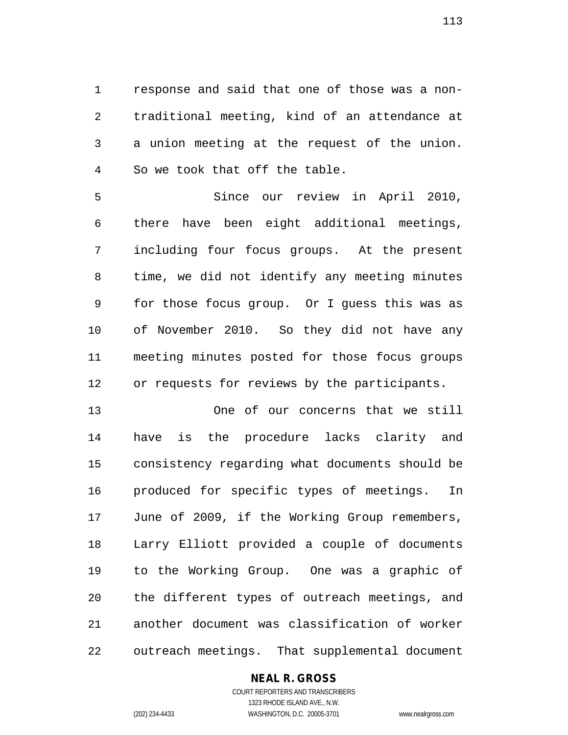1 response and said that one of those was a non-2 traditional meeting, kind of an attendance at 3 a union meeting at the request of the union. 4 So we took that off the table.

5 Since our review in April 2010, 6 there have been eight additional meetings, 7 including four focus groups. At the present 8 time, we did not identify any meeting minutes 9 for those focus group. Or I guess this was as 10 of November 2010. So they did not have any 11 meeting minutes posted for those focus groups 12 or requests for reviews by the participants.

13 One of our concerns that we still 14 have is the procedure lacks clarity and 15 consistency regarding what documents should be 16 produced for specific types of meetings. In 17 June of 2009, if the Working Group remembers, 18 Larry Elliott provided a couple of documents 19 to the Working Group. One was a graphic of 20 the different types of outreach meetings, and 21 another document was classification of worker 22 outreach meetings. That supplemental document

## **NEAL R. GROSS**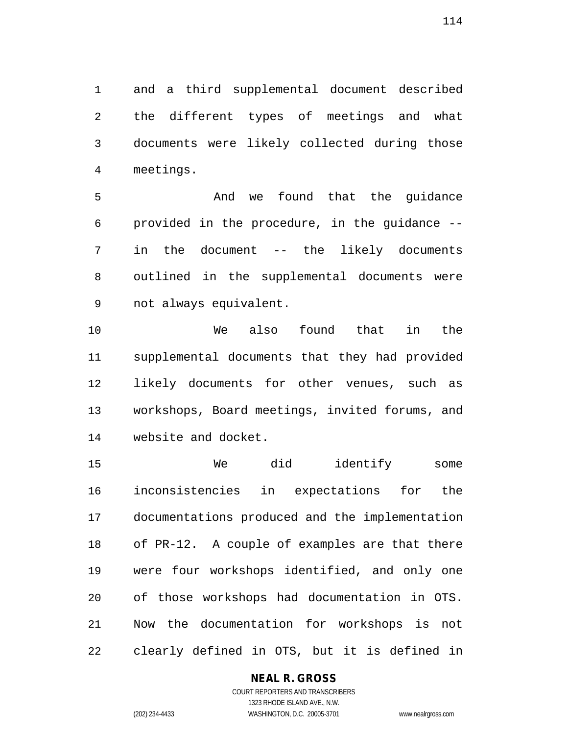1 and a third supplemental document described 2 the different types of meetings and what 3 documents were likely collected during those 4 meetings.

5 And we found that the guidance 6 provided in the procedure, in the guidance -- 7 in the document -- the likely documents 8 outlined in the supplemental documents were 9 not always equivalent.

10 We also found that in the 11 supplemental documents that they had provided 12 likely documents for other venues, such as 13 workshops, Board meetings, invited forums, and 14 website and docket.

15 We did identify some 16 inconsistencies in expectations for the 17 documentations produced and the implementation 18 of PR-12. A couple of examples are that there 19 were four workshops identified, and only one 20 of those workshops had documentation in OTS. 21 Now the documentation for workshops is not 22 clearly defined in OTS, but it is defined in

#### **NEAL R. GROSS** COURT REPORTERS AND TRANSCRIBERS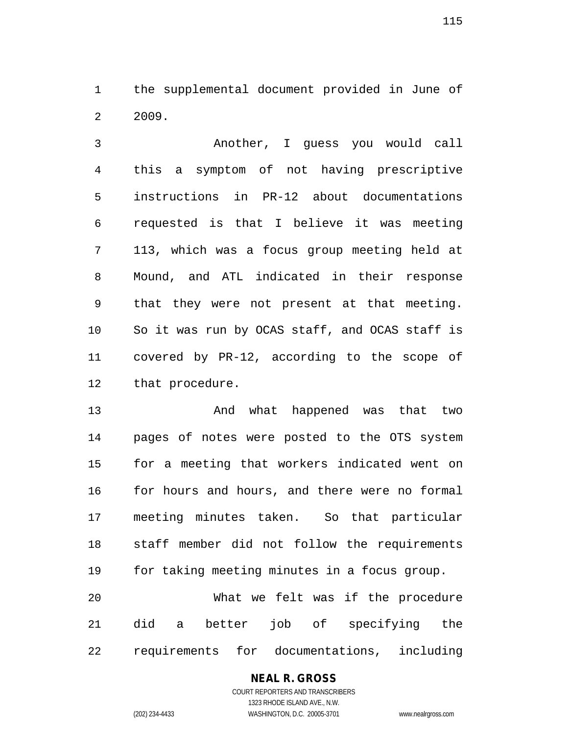1 the supplemental document provided in June of 2 2009.

3 Another, I guess you would call 4 this a symptom of not having prescriptive 5 instructions in PR-12 about documentations 6 requested is that I believe it was meeting 7 113, which was a focus group meeting held at 8 Mound, and ATL indicated in their response 9 that they were not present at that meeting. 10 So it was run by OCAS staff, and OCAS staff is 11 covered by PR-12, according to the scope of 12 that procedure.

13 And what happened was that two 14 pages of notes were posted to the OTS system 15 for a meeting that workers indicated went on 16 for hours and hours, and there were no formal 17 meeting minutes taken. So that particular 18 staff member did not follow the requirements 19 for taking meeting minutes in a focus group. 20 What we felt was if the procedure 21 did a better job of specifying the

22 requirements for documentations, including

### **NEAL R. GROSS**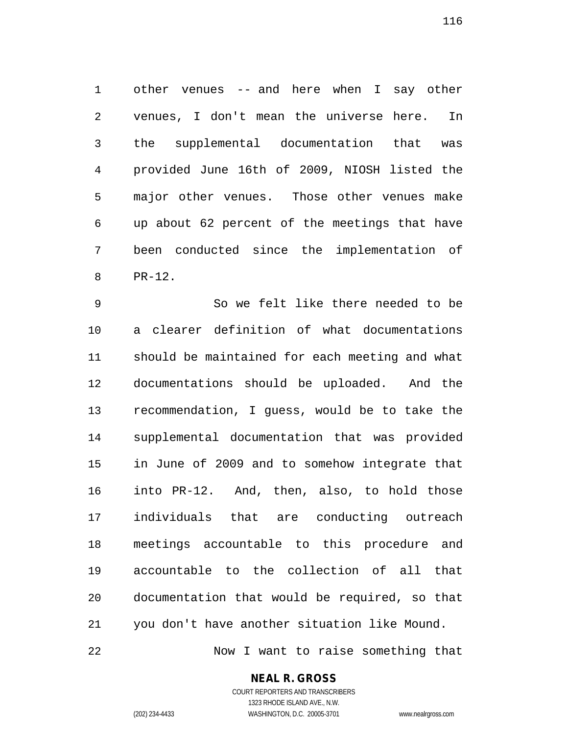1 other venues -- and here when I say other 2 venues, I don't mean the universe here. In 3 the supplemental documentation that was 4 provided June 16th of 2009, NIOSH listed the 5 major other venues. Those other venues make 6 up about 62 percent of the meetings that have 7 been conducted since the implementation of 8 PR-12.

9 So we felt like there needed to be 10 a clearer definition of what documentations 11 should be maintained for each meeting and what 12 documentations should be uploaded. And the 13 recommendation, I guess, would be to take the 14 supplemental documentation that was provided 15 in June of 2009 and to somehow integrate that 16 into PR-12. And, then, also, to hold those 17 individuals that are conducting outreach 18 meetings accountable to this procedure and 19 accountable to the collection of all that 20 documentation that would be required, so that 21 you don't have another situation like Mound.

22 Now I want to raise something that

**NEAL R. GROSS**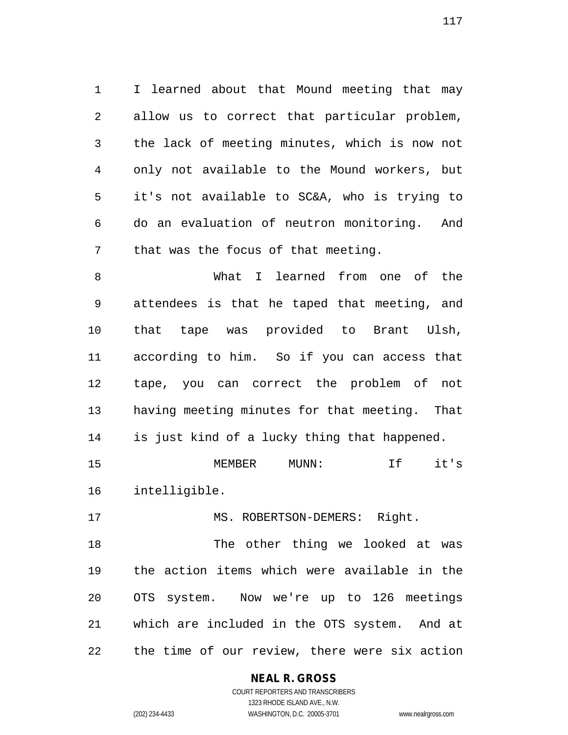1 I learned about that Mound meeting that may 2 allow us to correct that particular problem, 3 the lack of meeting minutes, which is now not 4 only not available to the Mound workers, but 5 it's not available to SC&A, who is trying to 6 do an evaluation of neutron monitoring. And 7 that was the focus of that meeting.

8 What I learned from one of the 9 attendees is that he taped that meeting, and 10 that tape was provided to Brant Ulsh, 11 according to him. So if you can access that 12 tape, you can correct the problem of not 13 having meeting minutes for that meeting. That 14 is just kind of a lucky thing that happened.

15 MEMBER MUNN: If it's 16 intelligible.

17 MS. ROBERTSON-DEMERS: Right.

18 The other thing we looked at was 19 the action items which were available in the 20 OTS system. Now we're up to 126 meetings 21 which are included in the OTS system. And at 22 the time of our review, there were six action

#### **NEAL R. GROSS** COURT REPORTERS AND TRANSCRIBERS

1323 RHODE ISLAND AVE., N.W. (202) 234-4433 WASHINGTON, D.C. 20005-3701 www.nealrgross.com

117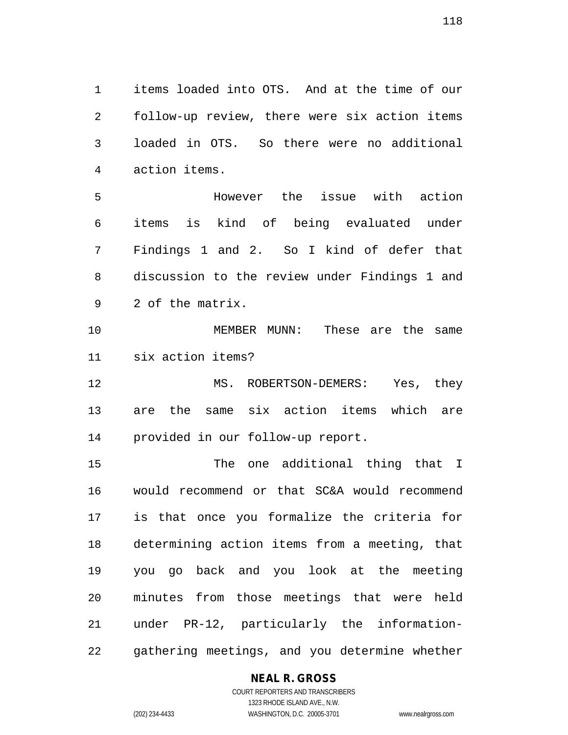1 items loaded into OTS. And at the time of our 2 follow-up review, there were six action items 3 loaded in OTS. So there were no additional 4 action items.

5 However the issue with action 6 items is kind of being evaluated under 7 Findings 1 and 2. So I kind of defer that 8 discussion to the review under Findings 1 and 9 2 of the matrix.

10 MEMBER MUNN: These are the same 11 six action items?

12 MS. ROBERTSON-DEMERS: Yes, they 13 are the same six action items which are 14 provided in our follow-up report.

15 The one additional thing that I 16 would recommend or that SC&A would recommend 17 is that once you formalize the criteria for 18 determining action items from a meeting, that 19 you go back and you look at the meeting 20 minutes from those meetings that were held 21 under PR-12, particularly the information-22 gathering meetings, and you determine whether

### **NEAL R. GROSS**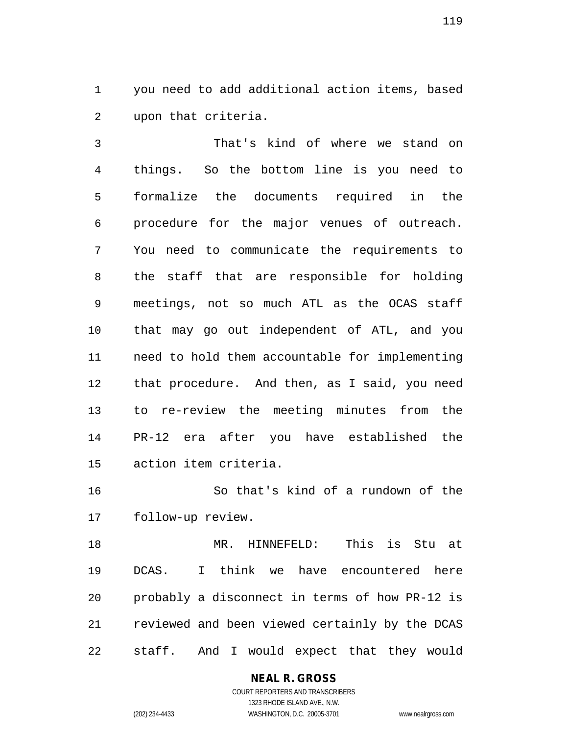1 you need to add additional action items, based 2 upon that criteria.

3 That's kind of where we stand on 4 things. So the bottom line is you need to 5 formalize the documents required in the 6 procedure for the major venues of outreach. 7 You need to communicate the requirements to 8 the staff that are responsible for holding 9 meetings, not so much ATL as the OCAS staff 10 that may go out independent of ATL, and you 11 need to hold them accountable for implementing 12 that procedure. And then, as I said, you need 13 to re-review the meeting minutes from the 14 PR-12 era after you have established the 15 action item criteria.

16 So that's kind of a rundown of the 17 follow-up review.

18 MR. HINNEFELD: This is Stu at 19 DCAS. I think we have encountered here 20 probably a disconnect in terms of how PR-12 is 21 reviewed and been viewed certainly by the DCAS 22 staff. And I would expect that they would

**NEAL R. GROSS**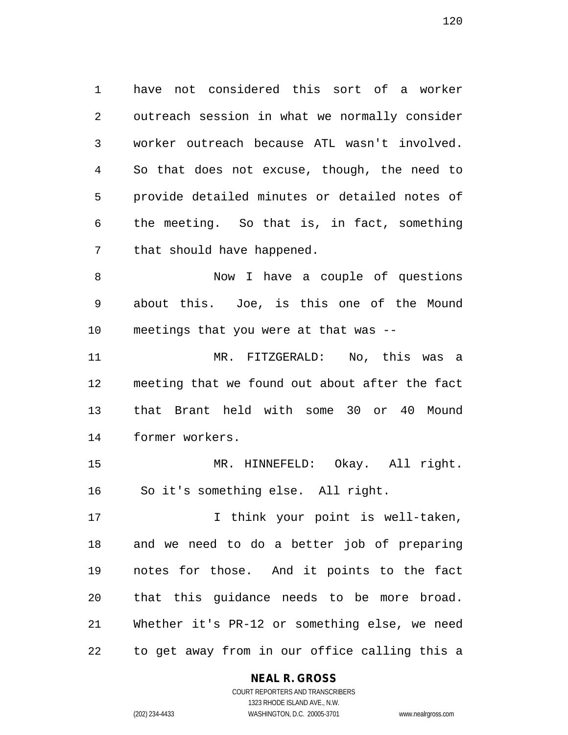1 have not considered this sort of a worker 2 outreach session in what we normally consider 3 worker outreach because ATL wasn't involved. 4 So that does not excuse, though, the need to 5 provide detailed minutes or detailed notes of 6 the meeting. So that is, in fact, something 7 that should have happened.

8 Now I have a couple of questions 9 about this. Joe, is this one of the Mound 10 meetings that you were at that was --

11 MR. FITZGERALD: No, this was a 12 meeting that we found out about after the fact 13 that Brant held with some 30 or 40 Mound 14 former workers.

15 MR. HINNEFELD: Okay. All right. 16 So it's something else. All right.

17 17 I think your point is well-taken, 18 and we need to do a better job of preparing 19 notes for those. And it points to the fact 20 that this guidance needs to be more broad. 21 Whether it's PR-12 or something else, we need 22 to get away from in our office calling this a

#### **NEAL R. GROSS**

COURT REPORTERS AND TRANSCRIBERS 1323 RHODE ISLAND AVE., N.W. (202) 234-4433 WASHINGTON, D.C. 20005-3701 www.nealrgross.com

120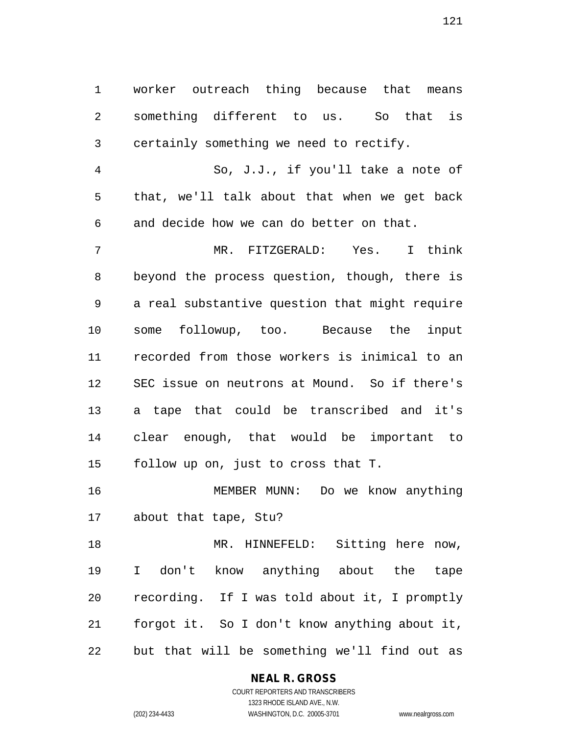1 worker outreach thing because that means 2 something different to us. So that is 3 certainly something we need to rectify.

4 So, J.J., if you'll take a note of 5 that, we'll talk about that when we get back 6 and decide how we can do better on that.

7 MR. FITZGERALD: Yes. I think 8 beyond the process question, though, there is 9 a real substantive question that might require 10 some followup, too. Because the input 11 recorded from those workers is inimical to an 12 SEC issue on neutrons at Mound. So if there's 13 a tape that could be transcribed and it's 14 clear enough, that would be important to 15 follow up on, just to cross that T.

16 MEMBER MUNN: Do we know anything 17 about that tape, Stu?

18 MR. HINNEFELD: Sitting here now, 19 I don't know anything about the tape 20 recording. If I was told about it, I promptly 21 forgot it. So I don't know anything about it, 22 but that will be something we'll find out as

### **NEAL R. GROSS**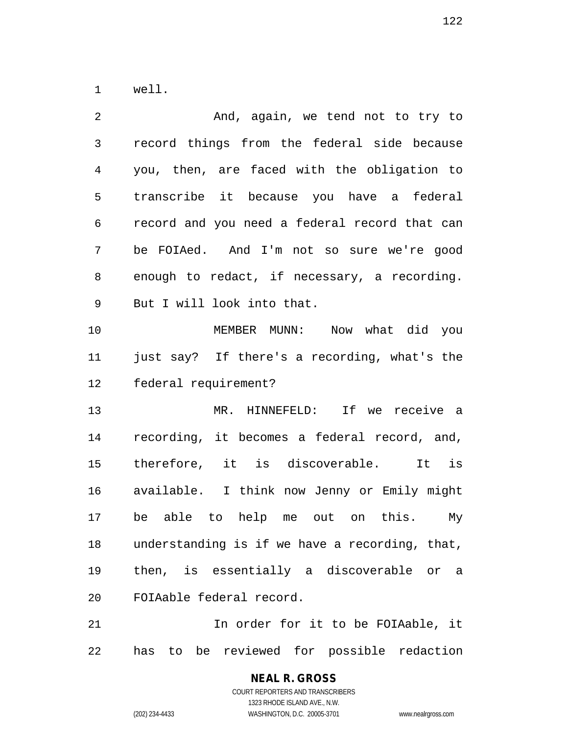1 well.

| 2            | And, again, we tend not to try to              |
|--------------|------------------------------------------------|
| $\mathbf{3}$ | record things from the federal side because    |
| 4            | you, then, are faced with the obligation to    |
| 5            | transcribe it because you have a federal       |
| 6            | record and you need a federal record that can  |
| 7            | be FOIAed. And I'm not so sure we're good      |
| 8            | enough to redact, if necessary, a recording.   |
| 9            | But I will look into that.                     |
| 10           | MEMBER MUNN:<br>Now what did you               |
| 11           | just say? If there's a recording, what's the   |
| 12           | federal requirement?                           |
| 13           | If we receive a<br>MR. HINNEFELD:              |
| 14           | recording, it becomes a federal record, and,   |
| 15           | therefore, it is discoverable.<br>It is        |
| 16           | available. I think now Jenny or Emily might    |
| 17           | be able to help me out on<br>this.<br>Мy       |
| 18           | understanding is if we have a recording, that, |
| 19           | then, is essentially a discoverable or a       |
| 20           | FOIAable federal record.                       |
| 21           | In order for it to be FOIAable, it             |
| 22           | has to be reviewed for possible redaction      |

1323 RHODE ISLAND AVE., N.W.

(202) 234-4433 WASHINGTON, D.C. 20005-3701 www.nealrgross.com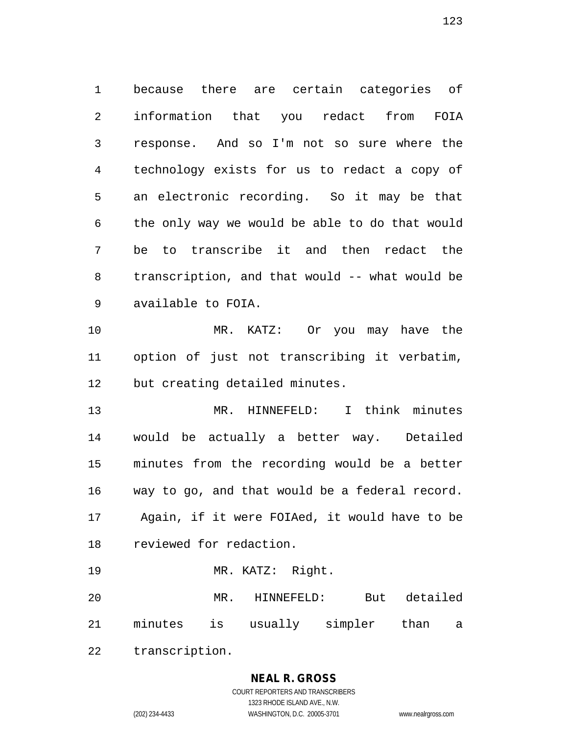1 because there are certain categories of 2 information that you redact from FOIA 3 response. And so I'm not so sure where the 4 technology exists for us to redact a copy of 5 an electronic recording. So it may be that 6 the only way we would be able to do that would 7 be to transcribe it and then redact the 8 transcription, and that would -- what would be 9 available to FOIA.

10 MR. KATZ: Or you may have the 11 option of just not transcribing it verbatim, 12 but creating detailed minutes.

13 MR. HINNEFELD: I think minutes 14 would be actually a better way. Detailed 15 minutes from the recording would be a better 16 way to go, and that would be a federal record. 17 Again, if it were FOIAed, it would have to be 18 reviewed for redaction.

19 MR. KATZ: Right.

20 MR. HINNEFELD: But detailed 21 minutes is usually simpler than a

22 transcription.

#### **NEAL R. GROSS** COURT REPORTERS AND TRANSCRIBERS

1323 RHODE ISLAND AVE., N.W. (202) 234-4433 WASHINGTON, D.C. 20005-3701 www.nealrgross.com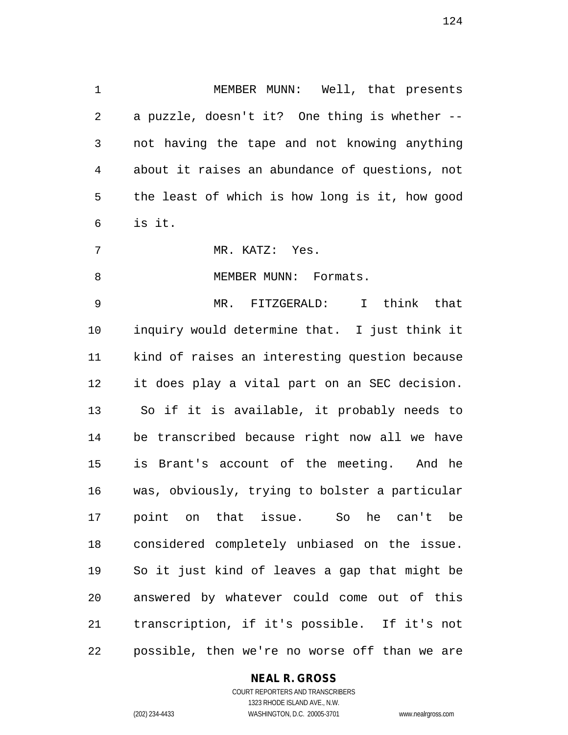1 MEMBER MUNN: Well, that presents 2 a puzzle, doesn't it? One thing is whether -- 3 not having the tape and not knowing anything 4 about it raises an abundance of questions, not 5 the least of which is how long is it, how good 6 is it.

7 MR. KATZ: Yes.

8 MEMBER MUNN: Formats.

9 MR. FITZGERALD: I think that 10 inquiry would determine that. I just think it 11 kind of raises an interesting question because 12 it does play a vital part on an SEC decision. 13 So if it is available, it probably needs to 14 be transcribed because right now all we have 15 is Brant's account of the meeting. And he 16 was, obviously, trying to bolster a particular 17 point on that issue. So he can't be 18 considered completely unbiased on the issue. 19 So it just kind of leaves a gap that might be 20 answered by whatever could come out of this 21 transcription, if it's possible. If it's not 22 possible, then we're no worse off than we are

#### **NEAL R. GROSS**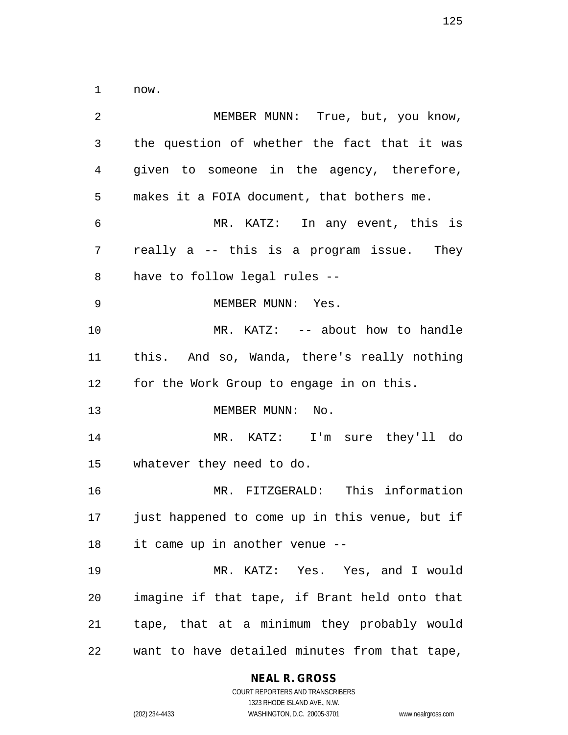1 now.

2 MEMBER MUNN: True, but, you know, 3 the question of whether the fact that it was 4 given to someone in the agency, therefore, 5 makes it a FOIA document, that bothers me. 6 MR. KATZ: In any event, this is 7 really a -- this is a program issue. They 8 have to follow legal rules -- 9 MEMBER MUNN: Yes. 10 MR. KATZ: -- about how to handle 11 this. And so, Wanda, there's really nothing 12 for the Work Group to engage in on this. 13 MEMBER MUNN: No. 14 MR. KATZ: I'm sure they'll do 15 whatever they need to do. 16 MR. FITZGERALD: This information 17 just happened to come up in this venue, but if 18 it came up in another venue -- 19 MR. KATZ: Yes. Yes, and I would 20 imagine if that tape, if Brant held onto that 21 tape, that at a minimum they probably would 22 want to have detailed minutes from that tape,

#### **NEAL R. GROSS**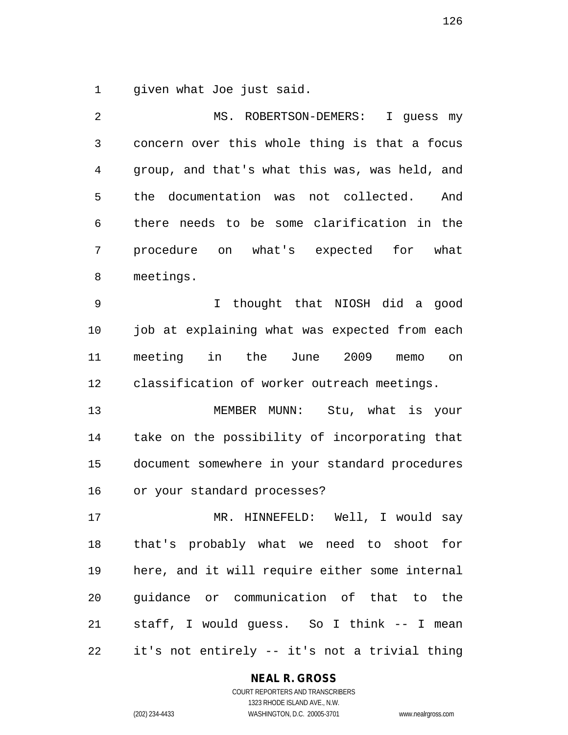1 given what Joe just said.

2 MS. ROBERTSON-DEMERS: I guess my 3 concern over this whole thing is that a focus 4 group, and that's what this was, was held, and 5 the documentation was not collected. And 6 there needs to be some clarification in the 7 procedure on what's expected for what 8 meetings. 9 I thought that NIOSH did a good 10 job at explaining what was expected from each 11 meeting in the June 2009 memo on 12 classification of worker outreach meetings. 13 MEMBER MUNN: Stu, what is your 14 take on the possibility of incorporating that 15 document somewhere in your standard procedures 16 or your standard processes? 17 MR. HINNEFELD: Well, I would say 18 that's probably what we need to shoot for 19 here, and it will require either some internal 20 guidance or communication of that to the 21 staff, I would guess. So I think -- I mean 22 it's not entirely -- it's not a trivial thing

#### **NEAL R. GROSS**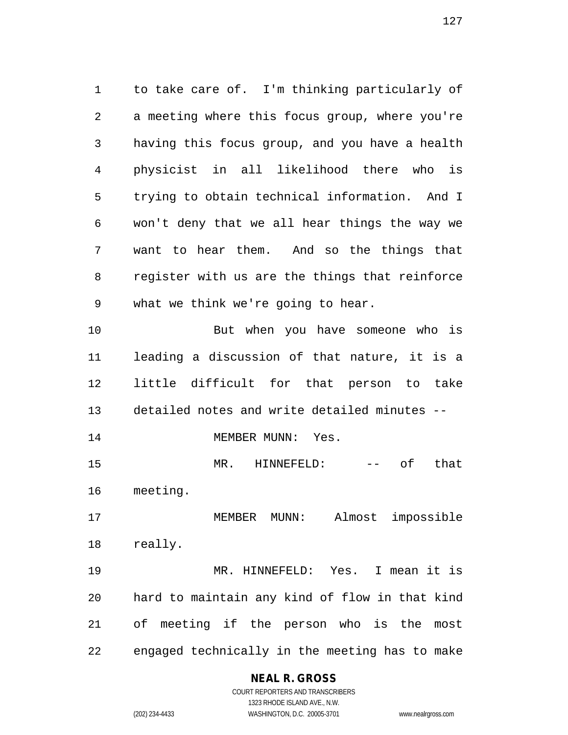1 to take care of. I'm thinking particularly of 2 a meeting where this focus group, where you're 3 having this focus group, and you have a health 4 physicist in all likelihood there who is 5 trying to obtain technical information. And I 6 won't deny that we all hear things the way we 7 want to hear them. And so the things that 8 register with us are the things that reinforce 9 what we think we're going to hear. 10 But when you have someone who is 11 leading a discussion of that nature, it is a 12 little difficult for that person to take 13 detailed notes and write detailed minutes -- 14 MEMBER MUNN: Yes. 15 MR. HINNEFELD: -- of that 16 meeting. 17 MEMBER MUNN: Almost impossible

18 really.

19 MR. HINNEFELD: Yes. I mean it is 20 hard to maintain any kind of flow in that kind 21 of meeting if the person who is the most 22 engaged technically in the meeting has to make

### **NEAL R. GROSS**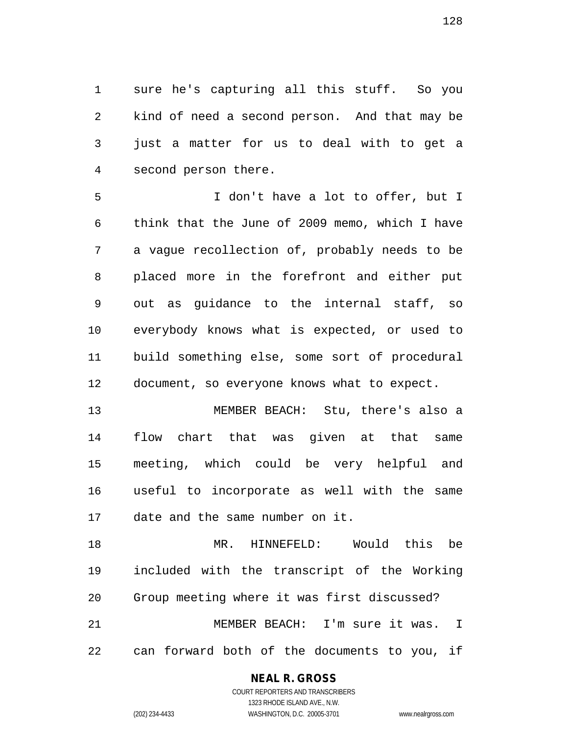1 sure he's capturing all this stuff. So you 2 kind of need a second person. And that may be 3 just a matter for us to deal with to get a 4 second person there.

5 I don't have a lot to offer, but I 6 think that the June of 2009 memo, which I have 7 a vague recollection of, probably needs to be 8 placed more in the forefront and either put 9 out as guidance to the internal staff, so 10 everybody knows what is expected, or used to 11 build something else, some sort of procedural 12 document, so everyone knows what to expect.

13 MEMBER BEACH: Stu, there's also a 14 flow chart that was given at that same 15 meeting, which could be very helpful and 16 useful to incorporate as well with the same 17 date and the same number on it.

18 MR. HINNEFELD: Would this be 19 included with the transcript of the Working 20 Group meeting where it was first discussed? 21 MEMBER BEACH: I'm sure it was. I 22 can forward both of the documents to you, if

## **NEAL R. GROSS**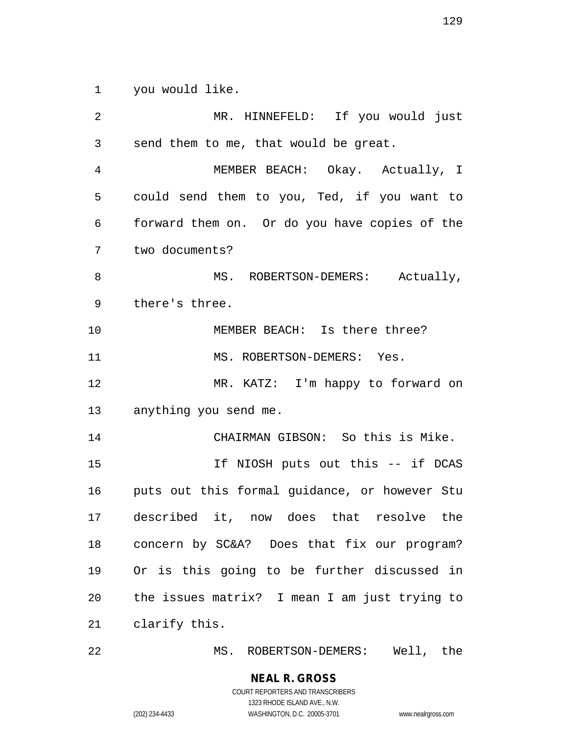1 you would like.

2 MR. HINNEFELD: If you would just 3 send them to me, that would be great. 4 MEMBER BEACH: Okay. Actually, I 5 could send them to you, Ted, if you want to 6 forward them on. Or do you have copies of the 7 two documents? 8 MS. ROBERTSON-DEMERS: Actually, 9 there's three. 10 MEMBER BEACH: Is there three? 11 MS. ROBERTSON-DEMERS: Yes. 12 MR. KATZ: I'm happy to forward on 13 anything you send me. 14 CHAIRMAN GIBSON: So this is Mike. 15 If NIOSH puts out this -- if DCAS 16 puts out this formal guidance, or however Stu 17 described it, now does that resolve the 18 concern by SC&A? Does that fix our program? 19 Or is this going to be further discussed in 20 the issues matrix? I mean I am just trying to 21 clarify this.

22 MS. ROBERTSON-DEMERS: Well, the

**NEAL R. GROSS** COURT REPORTERS AND TRANSCRIBERS 1323 RHODE ISLAND AVE., N.W.

(202) 234-4433 WASHINGTON, D.C. 20005-3701 www.nealrgross.com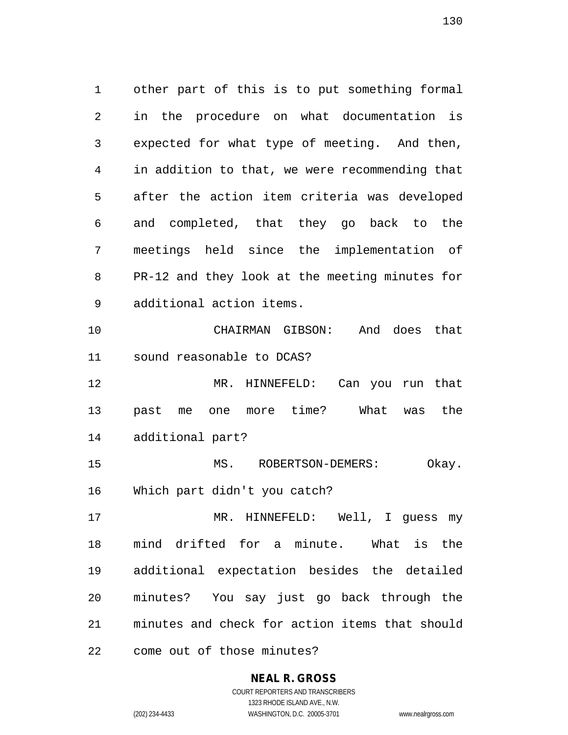1 other part of this is to put something formal 2 in the procedure on what documentation is 3 expected for what type of meeting. And then, 4 in addition to that, we were recommending that 5 after the action item criteria was developed 6 and completed, that they go back to the 7 meetings held since the implementation of 8 PR-12 and they look at the meeting minutes for 9 additional action items.

10 CHAIRMAN GIBSON: And does that 11 sound reasonable to DCAS?

12 MR. HINNEFELD: Can you run that 13 past me one more time? What was the 14 additional part?

15 MS. ROBERTSON-DEMERS: Okay. 16 Which part didn't you catch?

17 MR. HINNEFELD: Well, I guess my 18 mind drifted for a minute. What is the 19 additional expectation besides the detailed 20 minutes? You say just go back through the 21 minutes and check for action items that should 22 come out of those minutes?

## **NEAL R. GROSS**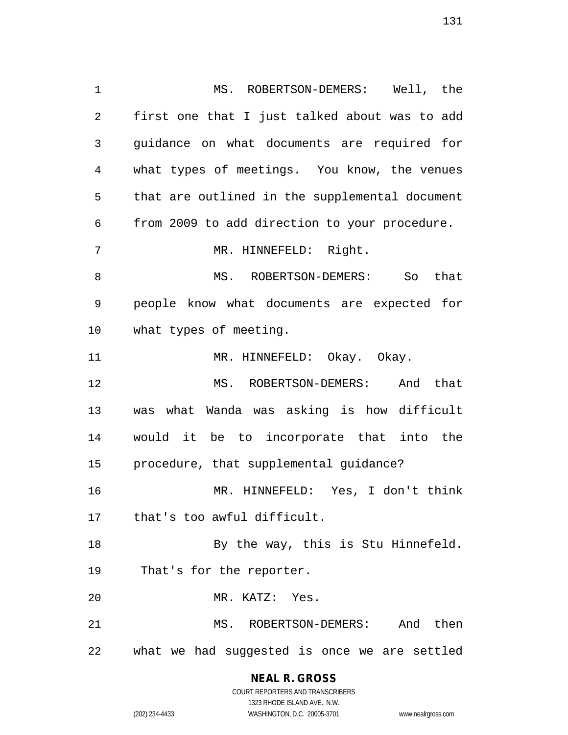1 MS. ROBERTSON-DEMERS: Well, the 2 first one that I just talked about was to add 3 guidance on what documents are required for 4 what types of meetings. You know, the venues 5 that are outlined in the supplemental document 6 from 2009 to add direction to your procedure. 7 MR. HINNEFELD: Right. 8 MS. ROBERTSON-DEMERS: So that 9 people know what documents are expected for 10 what types of meeting. 11 MR. HINNEFELD: Okay. Okay. 12 MS. ROBERTSON-DEMERS: And that 13 was what Wanda was asking is how difficult 14 would it be to incorporate that into the 15 procedure, that supplemental guidance? 16 MR. HINNEFELD: Yes, I don't think 17 that's too awful difficult. 18 By the way, this is Stu Hinnefeld. 19 That's for the reporter. 20 MR. KATZ: Yes. 21 MS. ROBERTSON-DEMERS: And then 22 what we had suggested is once we are settled

> **NEAL R. GROSS** COURT REPORTERS AND TRANSCRIBERS 1323 RHODE ISLAND AVE., N.W.

(202) 234-4433 WASHINGTON, D.C. 20005-3701 www.nealrgross.com

131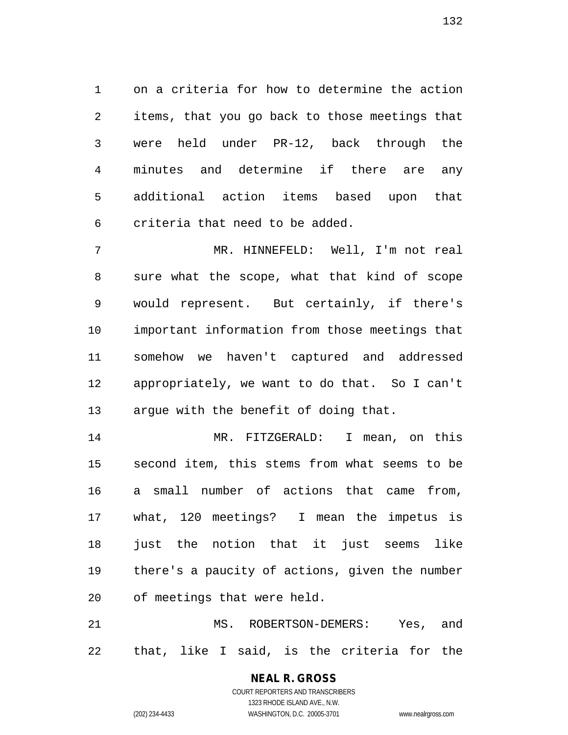1 on a criteria for how to determine the action 2 items, that you go back to those meetings that 3 were held under PR-12, back through the 4 minutes and determine if there are any 5 additional action items based upon that 6 criteria that need to be added.

7 MR. HINNEFELD: Well, I'm not real 8 sure what the scope, what that kind of scope 9 would represent. But certainly, if there's 10 important information from those meetings that 11 somehow we haven't captured and addressed 12 appropriately, we want to do that. So I can't 13 argue with the benefit of doing that.

14 MR. FITZGERALD: I mean, on this 15 second item, this stems from what seems to be 16 a small number of actions that came from, 17 what, 120 meetings? I mean the impetus is 18 just the notion that it just seems like 19 there's a paucity of actions, given the number 20 of meetings that were held.

21 MS. ROBERTSON-DEMERS: Yes, and 22 that, like I said, is the criteria for the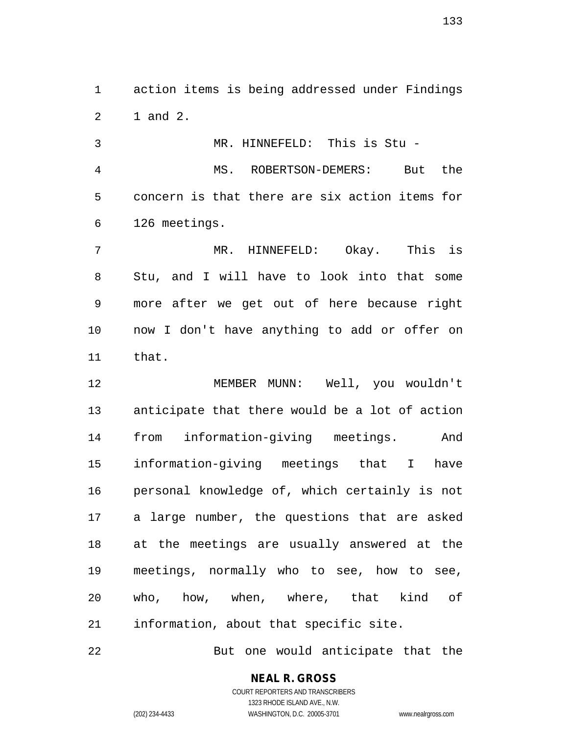1 action items is being addressed under Findings 2 1 and 2.

3 MR. HINNEFELD: This is Stu - 4 MS. ROBERTSON-DEMERS: But the 5 concern is that there are six action items for 6 126 meetings.

7 MR. HINNEFELD: Okay. This is 8 Stu, and I will have to look into that some 9 more after we get out of here because right 10 now I don't have anything to add or offer on 11 that.

12 MEMBER MUNN: Well, you wouldn't 13 anticipate that there would be a lot of action 14 from information-giving meetings. And 15 information-giving meetings that I have 16 personal knowledge of, which certainly is not 17 a large number, the questions that are asked 18 at the meetings are usually answered at the 19 meetings, normally who to see, how to see, 20 who, how, when, where, that kind of 21 information, about that specific site.

22 But one would anticipate that the

# **NEAL R. GROSS**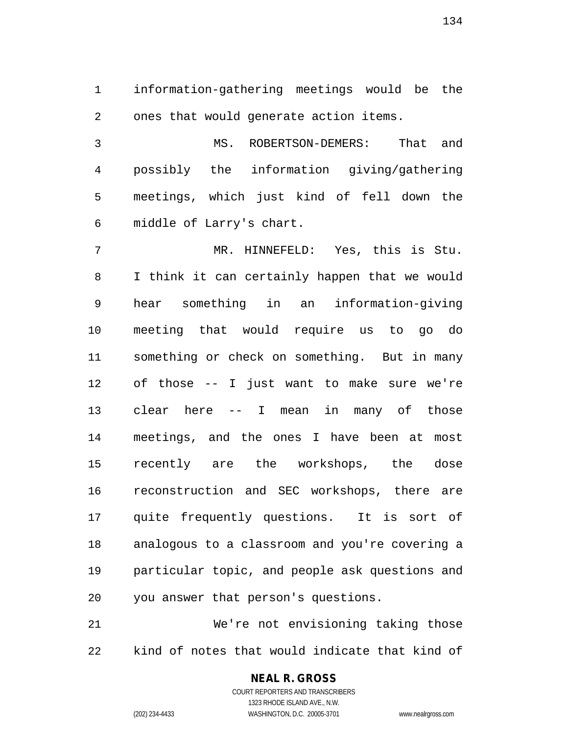1 information-gathering meetings would be the 2 ones that would generate action items.

3 MS. ROBERTSON-DEMERS: That and 4 possibly the information giving/gathering 5 meetings, which just kind of fell down the 6 middle of Larry's chart.

7 MR. HINNEFELD: Yes, this is Stu. 8 I think it can certainly happen that we would 9 hear something in an information-giving 10 meeting that would require us to go do 11 something or check on something. But in many 12 of those -- I just want to make sure we're 13 clear here -- I mean in many of those 14 meetings, and the ones I have been at most 15 recently are the workshops, the dose 16 reconstruction and SEC workshops, there are 17 quite frequently questions. It is sort of 18 analogous to a classroom and you're covering a 19 particular topic, and people ask questions and 20 you answer that person's questions.

21 We're not envisioning taking those 22 kind of notes that would indicate that kind of

## **NEAL R. GROSS**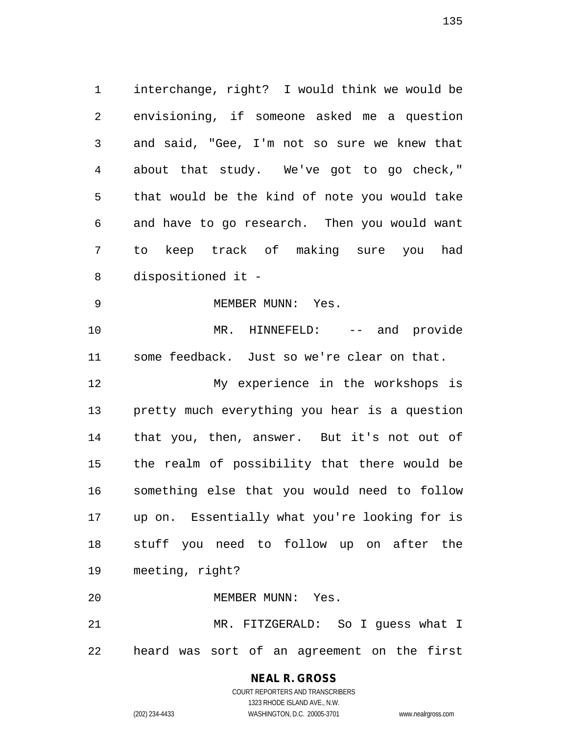1 interchange, right? I would think we would be 2 envisioning, if someone asked me a question 3 and said, "Gee, I'm not so sure we knew that 4 about that study. We've got to go check," 5 that would be the kind of note you would take 6 and have to go research. Then you would want 7 to keep track of making sure you had 8 dispositioned it -

9 MEMBER MUNN: Yes. 10 MR. HINNEFELD: -- and provide

11 some feedback. Just so we're clear on that.

12 My experience in the workshops is 13 pretty much everything you hear is a question 14 that you, then, answer. But it's not out of 15 the realm of possibility that there would be 16 something else that you would need to follow 17 up on. Essentially what you're looking for is 18 stuff you need to follow up on after the 19 meeting, right?

20 MEMBER MUNN: Yes.

21 MR. FITZGERALD: So I guess what I 22 heard was sort of an agreement on the first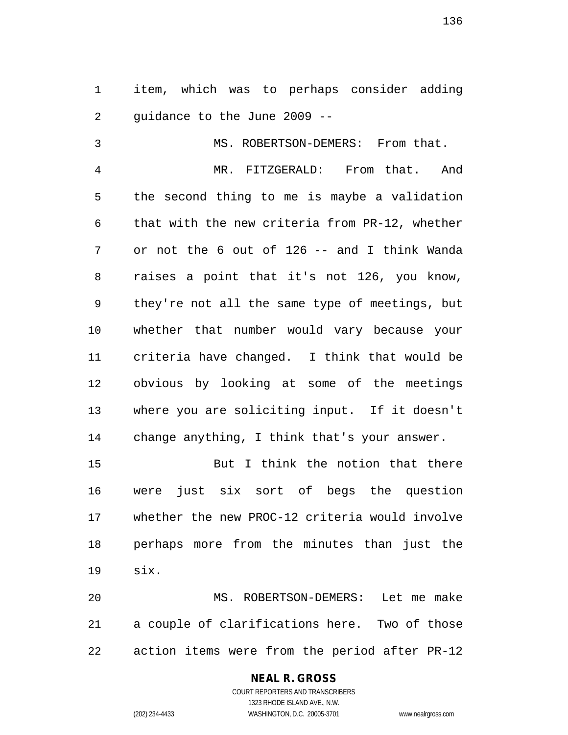1 item, which was to perhaps consider adding 2 guidance to the June 2009 --

3 MS. ROBERTSON-DEMERS: From that. 4 MR. FITZGERALD: From that. And 5 the second thing to me is maybe a validation 6 that with the new criteria from PR-12, whether 7 or not the 6 out of 126 -- and I think Wanda 8 raises a point that it's not 126, you know, 9 they're not all the same type of meetings, but 10 whether that number would vary because your 11 criteria have changed. I think that would be 12 obvious by looking at some of the meetings 13 where you are soliciting input. If it doesn't 14 change anything, I think that's your answer.

15 But I think the notion that there 16 were just six sort of begs the question 17 whether the new PROC-12 criteria would involve 18 perhaps more from the minutes than just the 19 six.

20 MS. ROBERTSON-DEMERS: Let me make 21 a couple of clarifications here. Two of those 22 action items were from the period after PR-12

## **NEAL R. GROSS**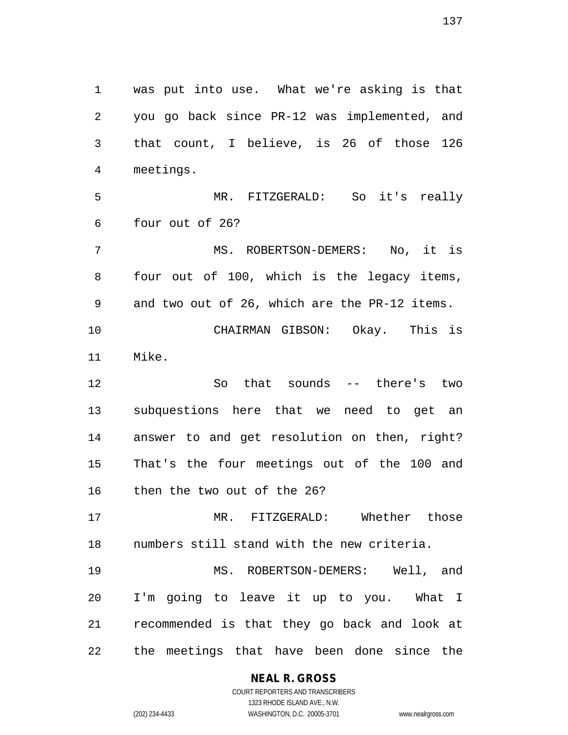1 was put into use. What we're asking is that 2 you go back since PR-12 was implemented, and 3 that count, I believe, is 26 of those 126 4 meetings. 5 MR. FITZGERALD: So it's really 6 four out of 26? 7 MS. ROBERTSON-DEMERS: No, it is 8 four out of 100, which is the legacy items, 9 and two out of 26, which are the PR-12 items. 10 CHAIRMAN GIBSON: Okay. This is 11 Mike. 12 So that sounds -- there's two 13 subquestions here that we need to get an 14 answer to and get resolution on then, right? 15 That's the four meetings out of the 100 and 16 then the two out of the 26? 17 MR. FITZGERALD: Whether those 18 numbers still stand with the new criteria. 19 MS. ROBERTSON-DEMERS: Well, and 20 I'm going to leave it up to you. What I 21 recommended is that they go back and look at 22 the meetings that have been done since the

## **NEAL R. GROSS**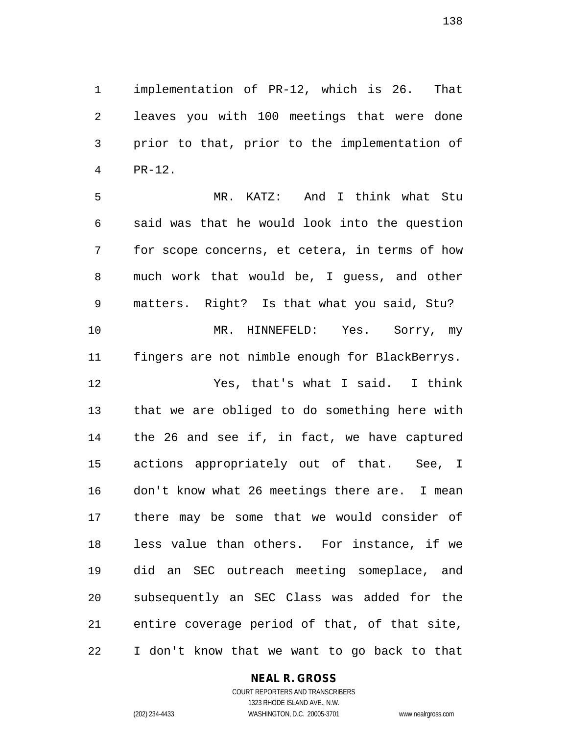1 implementation of PR-12, which is 26. That 2 leaves you with 100 meetings that were done 3 prior to that, prior to the implementation of 4 PR-12.

5 MR. KATZ: And I think what Stu 6 said was that he would look into the question 7 for scope concerns, et cetera, in terms of how 8 much work that would be, I guess, and other 9 matters. Right? Is that what you said, Stu? 10 MR. HINNEFELD: Yes. Sorry, my 11 fingers are not nimble enough for BlackBerrys. 12 Yes, that's what I said. I think 13 that we are obliged to do something here with 14 the 26 and see if, in fact, we have captured 15 actions appropriately out of that. See, I 16 don't know what 26 meetings there are. I mean 17 there may be some that we would consider of 18 less value than others. For instance, if we 19 did an SEC outreach meeting someplace, and 20 subsequently an SEC Class was added for the 21 entire coverage period of that, of that site, 22 I don't know that we want to go back to that

#### **NEAL R. GROSS**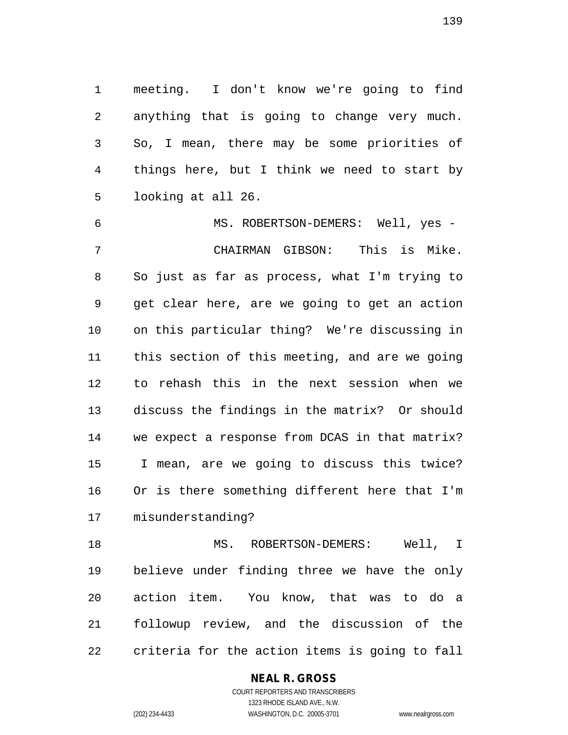1 meeting. I don't know we're going to find 2 anything that is going to change very much. 3 So, I mean, there may be some priorities of 4 things here, but I think we need to start by 5 looking at all 26.

6 MS. ROBERTSON-DEMERS: Well, yes - 7 CHAIRMAN GIBSON: This is Mike. 8 So just as far as process, what I'm trying to 9 get clear here, are we going to get an action 10 on this particular thing? We're discussing in 11 this section of this meeting, and are we going 12 to rehash this in the next session when we 13 discuss the findings in the matrix? Or should 14 we expect a response from DCAS in that matrix? 15 I mean, are we going to discuss this twice? 16 Or is there something different here that I'm 17 misunderstanding?

18 MS. ROBERTSON-DEMERS: Well, I 19 believe under finding three we have the only 20 action item. You know, that was to do a 21 followup review, and the discussion of the 22 criteria for the action items is going to fall

> COURT REPORTERS AND TRANSCRIBERS 1323 RHODE ISLAND AVE., N.W. (202) 234-4433 WASHINGTON, D.C. 20005-3701 www.nealrgross.com

**NEAL R. GROSS**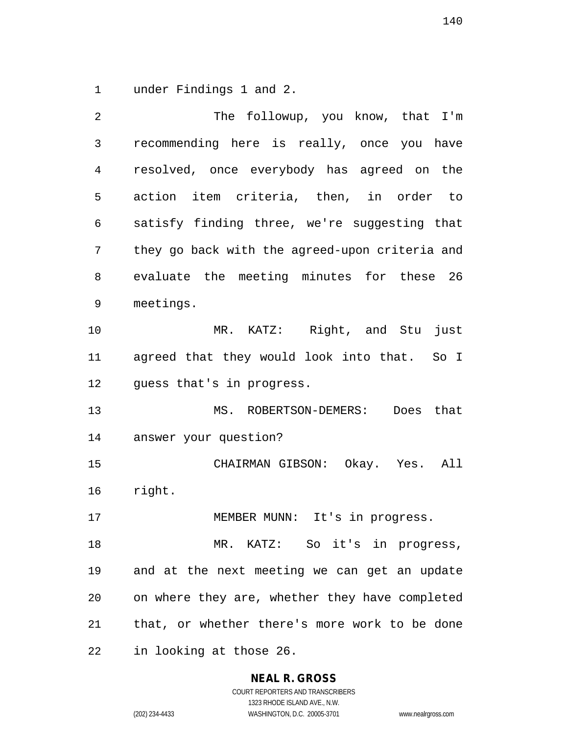1 under Findings 1 and 2.

| 2  | The followup, you know, that I'm               |
|----|------------------------------------------------|
| 3  | recommending here is really, once you have     |
| 4  | resolved, once everybody has agreed on the     |
| 5  | action item criteria, then, in order to        |
| 6  | satisfy finding three, we're suggesting that   |
| 7  | they go back with the agreed-upon criteria and |
| 8  | evaluate the meeting minutes for these 26      |
| 9  | meetings.                                      |
| 10 | MR. KATZ: Right, and Stu just                  |
| 11 | agreed that they would look into that. So I    |
| 12 | guess that's in progress.                      |
| 13 | MS. ROBERTSON-DEMERS:<br>Does that             |
| 14 | answer your question?                          |
| 15 | CHAIRMAN GIBSON: Okay. Yes. All                |
| 16 | right.                                         |
| 17 | MEMBER MUNN: It's in progress.                 |
| 18 | MR. KATZ: So it's in progress,                 |
| 19 | and at the next meeting we can get an update   |
| 20 | on where they are, whether they have completed |
| 21 | that, or whether there's more work to be done  |
| 22 | in looking at those 26.                        |

**NEAL R. GROSS**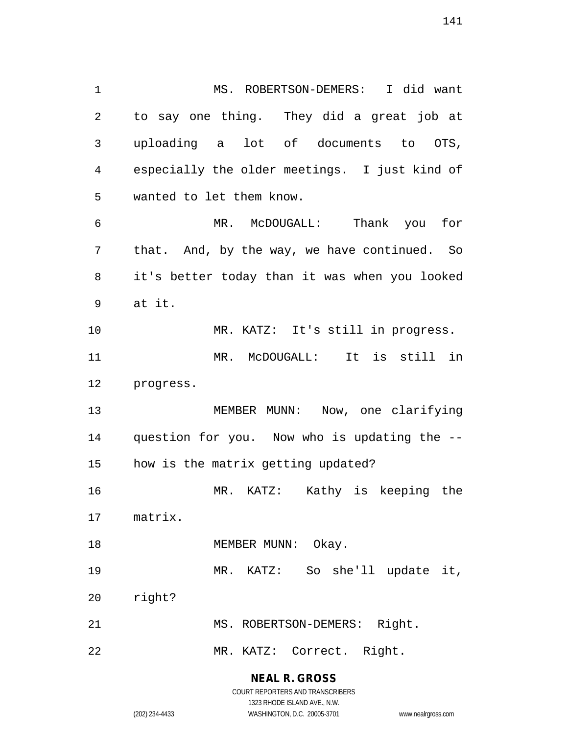1 MS. ROBERTSON-DEMERS: I did want 2 to say one thing. They did a great job at 3 uploading a lot of documents to OTS, 4 especially the older meetings. I just kind of 5 wanted to let them know. 6 MR. McDOUGALL: Thank you for 7 that. And, by the way, we have continued. So 8 it's better today than it was when you looked 9 at it. 10 MR. KATZ: It's still in progress. 11 MR. McDOUGALL: It is still in 12 progress. 13 MEMBER MUNN: Now, one clarifying 14 question for you. Now who is updating the -- 15 how is the matrix getting updated? 16 MR. KATZ: Kathy is keeping the 17 matrix. 18 MEMBER MUNN: Okay. 19 MR. KATZ: So she'll update it, 20 right? 21 MS. ROBERTSON-DEMERS: Right. 22 MR. KATZ: Correct. Right.

> **NEAL R. GROSS** COURT REPORTERS AND TRANSCRIBERS

> > 1323 RHODE ISLAND AVE., N.W.

(202) 234-4433 WASHINGTON, D.C. 20005-3701 www.nealrgross.com

141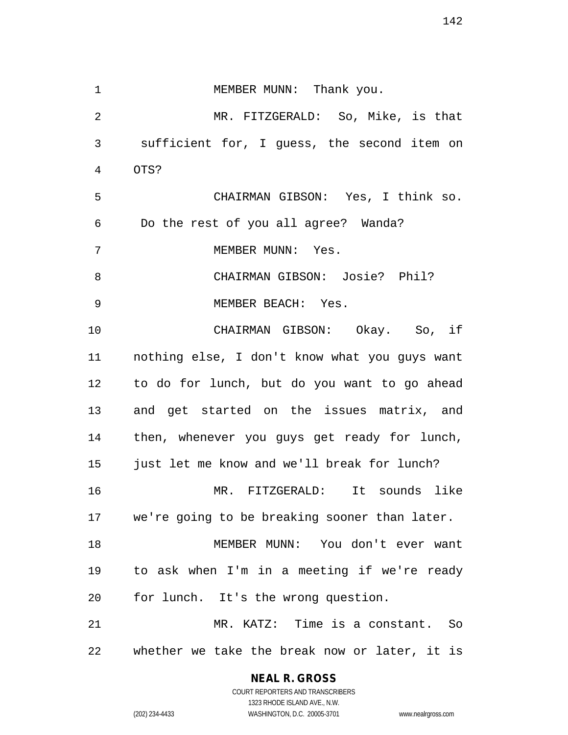1 MEMBER MUNN: Thank you. 2 MR. FITZGERALD: So, Mike, is that 3 sufficient for, I guess, the second item on 4 OTS? 5 CHAIRMAN GIBSON: Yes, I think so. 6 Do the rest of you all agree? Wanda? 7 MEMBER MUNN: Yes. 8 CHAIRMAN GIBSON: Josie? Phil? 9 MEMBER BEACH: Yes. 10 CHAIRMAN GIBSON: Okay. So, if 11 nothing else, I don't know what you guys want 12 to do for lunch, but do you want to go ahead 13 and get started on the issues matrix, and 14 then, whenever you guys get ready for lunch, 15 just let me know and we'll break for lunch? 16 MR. FITZGERALD: It sounds like 17 we're going to be breaking sooner than later. 18 MEMBER MUNN: You don't ever want 19 to ask when I'm in a meeting if we're ready 20 for lunch. It's the wrong question. 21 MR. KATZ: Time is a constant. So 22 whether we take the break now or later, it is

## **NEAL R. GROSS**

COURT REPORTERS AND TRANSCRIBERS 1323 RHODE ISLAND AVE., N.W. (202) 234-4433 WASHINGTON, D.C. 20005-3701 www.nealrgross.com

142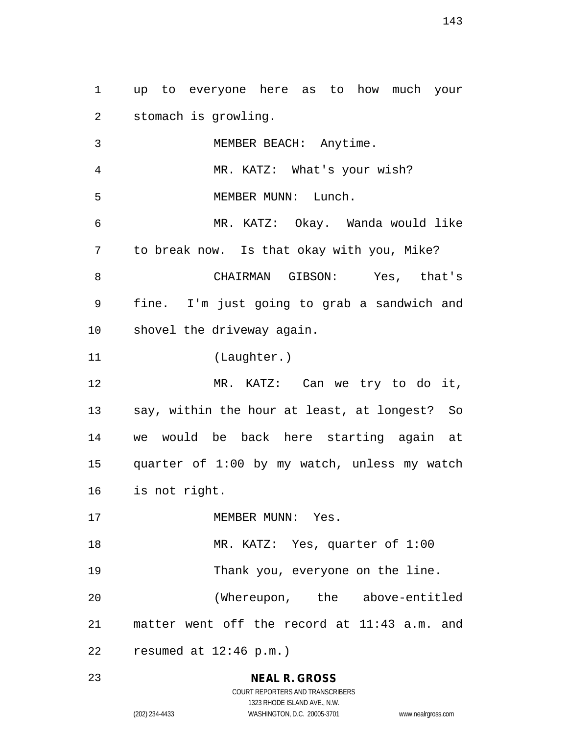**NEAL R. GROSS** 1 up to everyone here as to how much your 2 stomach is growling. 3 MEMBER BEACH: Anytime. 4 MR. KATZ: What's your wish? 5 MEMBER MUNN: Lunch. 6 MR. KATZ: Okay. Wanda would like 7 to break now. Is that okay with you, Mike? 8 CHAIRMAN GIBSON: Yes, that's 9 fine. I'm just going to grab a sandwich and 10 shovel the driveway again. 11 (Laughter.) 12 MR. KATZ: Can we try to do it, 13 say, within the hour at least, at longest? So 14 we would be back here starting again at 15 quarter of 1:00 by my watch, unless my watch 16 is not right. 17 MEMBER MUNN: Yes. 18 MR. KATZ: Yes, quarter of 1:00 19 Thank you, everyone on the line. 20 (Whereupon, the above-entitled 21 matter went off the record at 11:43 a.m. and 22 resumed at 12:46 p.m.) 23

1323 RHODE ISLAND AVE., N.W. (202) 234-4433 WASHINGTON, D.C. 20005-3701 www.nealrgross.com

COURT REPORTERS AND TRANSCRIBERS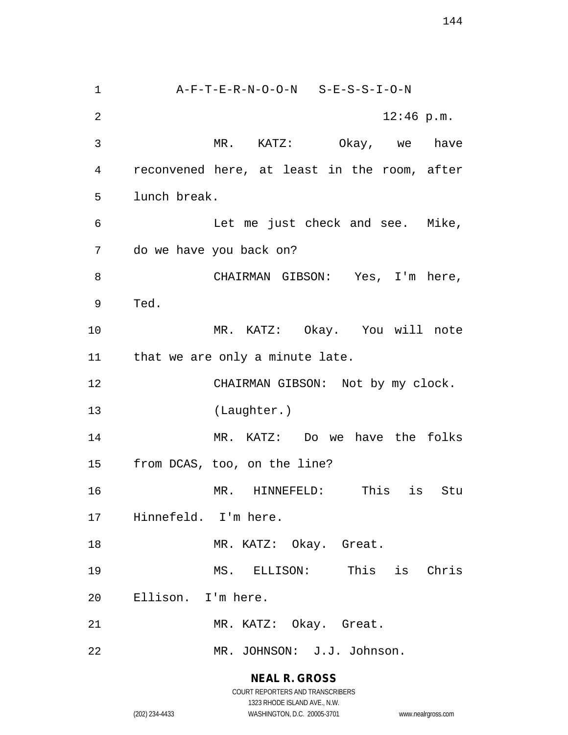1 A-F-T-E-R-N-O-O-N S-E-S-S-I-O-N 2 12:46 p.m. 3 MR. KATZ: Okay, we have 4 reconvened here, at least in the room, after 5 lunch break. 6 Let me just check and see. Mike, 7 do we have you back on? 8 CHAIRMAN GIBSON: Yes, I'm here, 9 Ted. 10 MR. KATZ: Okay. You will note 11 that we are only a minute late. 12 CHAIRMAN GIBSON: Not by my clock. 13 (Laughter.) 14 MR. KATZ: Do we have the folks 15 from DCAS, too, on the line? 16 MR. HINNEFELD: This is Stu 17 Hinnefeld. I'm here. 18 MR. KATZ: Okay. Great. 19 MS. ELLISON: This is Chris 20 Ellison. I'm here. 21 MR. KATZ: Okay. Great. 22 MR. JOHNSON: J.J. Johnson.

### **NEAL R. GROSS**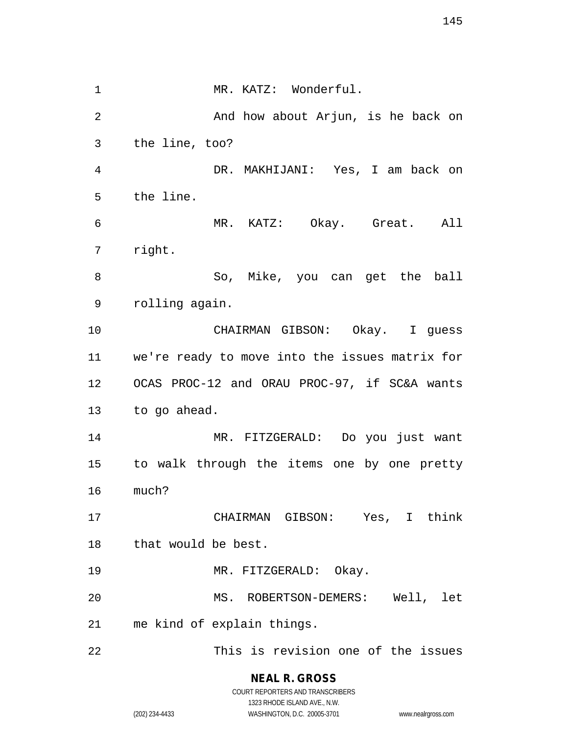1 MR. KATZ: Wonderful. 2 And how about Arjun, is he back on 3 the line, too? 4 DR. MAKHIJANI: Yes, I am back on 5 the line. 6 MR. KATZ: Okay. Great. All 7 right. 8 So, Mike, you can get the ball 9 rolling again. 10 CHAIRMAN GIBSON: Okay. I guess 11 we're ready to move into the issues matrix for 12 OCAS PROC-12 and ORAU PROC-97, if SC&A wants 13 to go ahead. 14 MR. FITZGERALD: Do you just want 15 to walk through the items one by one pretty 16 much? 17 CHAIRMAN GIBSON: Yes, I think 18 that would be best. 19 MR. FITZGERALD: Okay. 20 MS. ROBERTSON-DEMERS: Well, let 21 me kind of explain things. 22 This is revision one of the issues

> **NEAL R. GROSS** COURT REPORTERS AND TRANSCRIBERS

1323 RHODE ISLAND AVE., N.W. (202) 234-4433 WASHINGTON, D.C. 20005-3701 www.nealrgross.com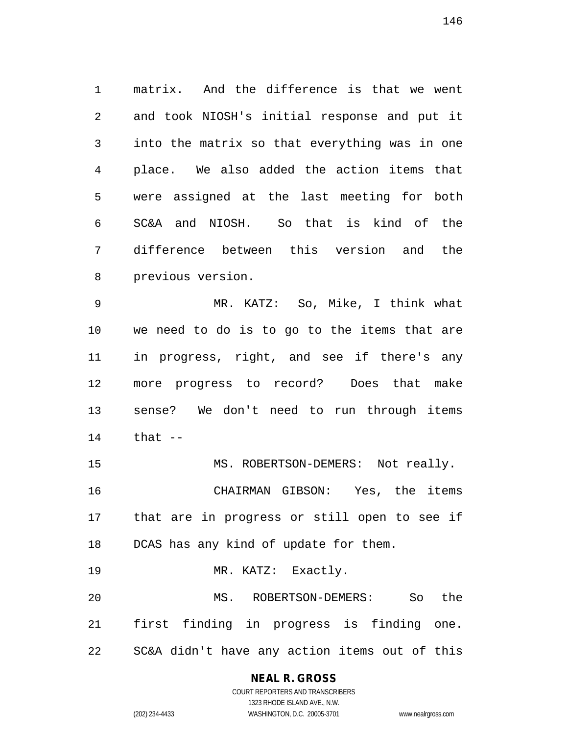1 matrix. And the difference is that we went 2 and took NIOSH's initial response and put it 3 into the matrix so that everything was in one 4 place. We also added the action items that 5 were assigned at the last meeting for both 6 SC&A and NIOSH. So that is kind of the 7 difference between this version and the 8 previous version.

9 MR. KATZ: So, Mike, I think what 10 we need to do is to go to the items that are 11 in progress, right, and see if there's any 12 more progress to record? Does that make 13 sense? We don't need to run through items 14 that --

15 MS. ROBERTSON-DEMERS: Not really. 16 CHAIRMAN GIBSON: Yes, the items 17 that are in progress or still open to see if 18 DCAS has any kind of update for them.

19 MR. KATZ: Exactly.

20 MS. ROBERTSON-DEMERS: So the 21 first finding in progress is finding one. 22 SC&A didn't have any action items out of this

## **NEAL R. GROSS**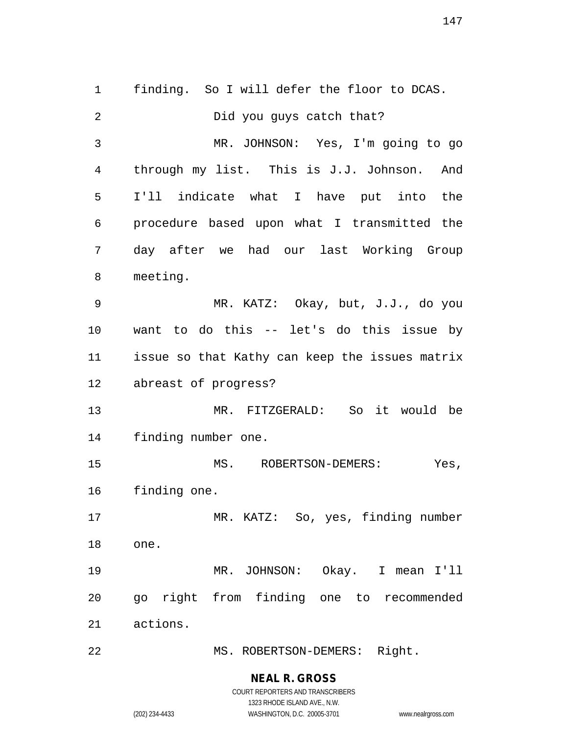1 finding. So I will defer the floor to DCAS. 2 Did you guys catch that? 3 MR. JOHNSON: Yes, I'm going to go 4 through my list. This is J.J. Johnson. And 5 I'll indicate what I have put into the 6 procedure based upon what I transmitted the 7 day after we had our last Working Group 8 meeting. 9 MR. KATZ: Okay, but, J.J., do you 10 want to do this -- let's do this issue by 11 issue so that Kathy can keep the issues matrix 12 abreast of progress? 13 MR. FITZGERALD: So it would be 14 finding number one. 15 MS. ROBERTSON-DEMERS: Yes, 16 finding one. 17 MR. KATZ: So, yes, finding number 18 one. 19 MR. JOHNSON: Okay. I mean I'll 20 go right from finding one to recommended 21 actions. 22 MS. ROBERTSON-DEMERS: Right.

## **NEAL R. GROSS**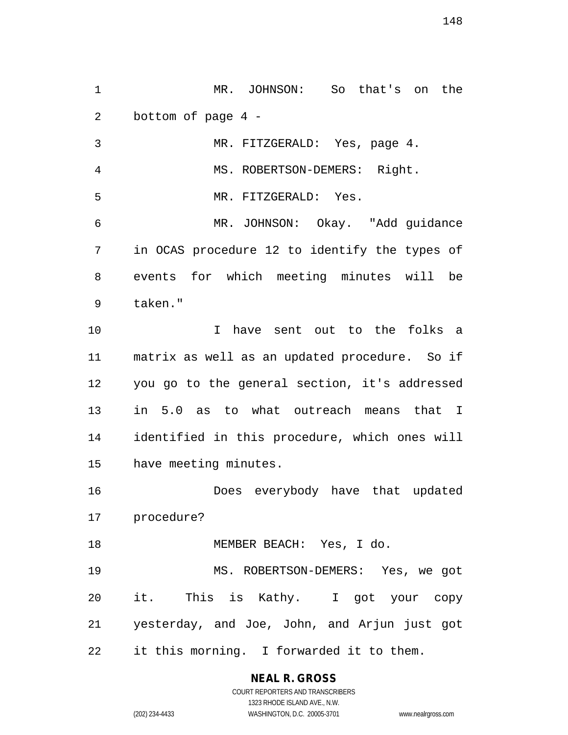**NEAL R. GROSS** COURT REPORTERS AND TRANSCRIBERS 1323 RHODE ISLAND AVE., N.W. (202) 234-4433 WASHINGTON, D.C. 20005-3701 www.nealrgross.com 3 MR. FITZGERALD: Yes, page 4. 4 MS. ROBERTSON-DEMERS: Right. 5 MR. FITZGERALD: Yes. 6 MR. JOHNSON: Okay. "Add guidance 7 in OCAS procedure 12 to identify the types of 8 events for which meeting minutes will be 9 taken." 10 I have sent out to the folks a 11 matrix as well as an updated procedure. So if 12 you go to the general section, it's addressed 13 in 5.0 as to what outreach means that I 14 identified in this procedure, which ones will 15 have meeting minutes. 16 Does everybody have that updated 17 procedure? 18 MEMBER BEACH: Yes, I do. 19 MS. ROBERTSON-DEMERS: Yes, we got 20 it. This is Kathy. I got your copy 21 yesterday, and Joe, John, and Arjun just got 22 it this morning. I forwarded it to them.

1 MR. JOHNSON: So that's on the

2 bottom of page 4 -

148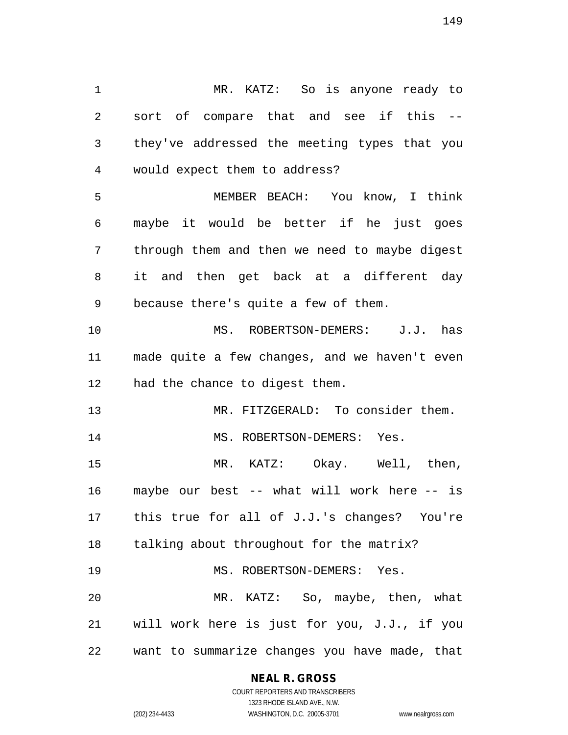1 MR. KATZ: So is anyone ready to 2 sort of compare that and see if this -- 3 they've addressed the meeting types that you 4 would expect them to address? 5 MEMBER BEACH: You know, I think 6 maybe it would be better if he just goes 7 through them and then we need to maybe digest 8 it and then get back at a different day 9 because there's quite a few of them. 10 MS. ROBERTSON-DEMERS: J.J. has 11 made quite a few changes, and we haven't even 12 had the chance to digest them. 13 MR. FITZGERALD: To consider them. 14 MS. ROBERTSON-DEMERS: Yes. 15 MR. KATZ: Okay. Well, then, 16 maybe our best -- what will work here -- is 17 this true for all of J.J.'s changes? You're 18 talking about throughout for the matrix? 19 MS. ROBERTSON-DEMERS: Yes. 20 MR. KATZ: So, maybe, then, what 21 will work here is just for you, J.J., if you 22 want to summarize changes you have made, that

## **NEAL R. GROSS**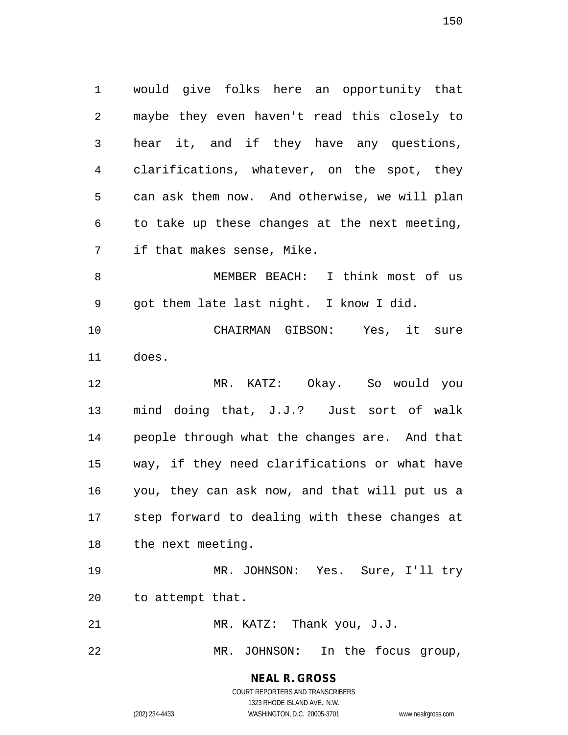1 would give folks here an opportunity that 2 maybe they even haven't read this closely to 3 hear it, and if they have any questions, 4 clarifications, whatever, on the spot, they 5 can ask them now. And otherwise, we will plan 6 to take up these changes at the next meeting, 7 if that makes sense, Mike.

8 MEMBER BEACH: I think most of us 9 got them late last night. I know I did.

10 CHAIRMAN GIBSON: Yes, it sure 11 does.

12 MR. KATZ: Okay. So would you 13 mind doing that, J.J.? Just sort of walk 14 people through what the changes are. And that 15 way, if they need clarifications or what have 16 you, they can ask now, and that will put us a 17 step forward to dealing with these changes at 18 the next meeting.

19 MR. JOHNSON: Yes. Sure, I'll try 20 to attempt that.

21 MR. KATZ: Thank you, J.J.

22 MR. JOHNSON: In the focus group,

## **NEAL R. GROSS**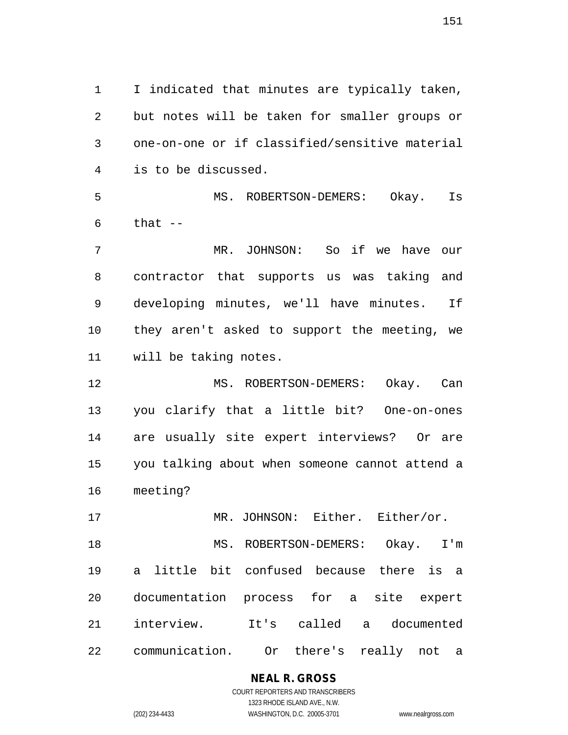1 I indicated that minutes are typically taken, 2 but notes will be taken for smaller groups or 3 one-on-one or if classified/sensitive material 4 is to be discussed. 5 MS. ROBERTSON-DEMERS: Okay. Is  $6$  that  $-$ 7 MR. JOHNSON: So if we have our 8 contractor that supports us was taking and 9 developing minutes, we'll have minutes. If 10 they aren't asked to support the meeting, we 11 will be taking notes. 12 MS. ROBERTSON-DEMERS: Okay. Can 13 you clarify that a little bit? One-on-ones 14 are usually site expert interviews? Or are 15 you talking about when someone cannot attend a 16 meeting? 17 MR. JOHNSON: Either. Either/or. 18 MS. ROBERTSON-DEMERS: Okay. I'm 19 a little bit confused because there is a 20 documentation process for a site expert

22 communication. Or there's really not a

21 interview. It's called a documented

## **NEAL R. GROSS**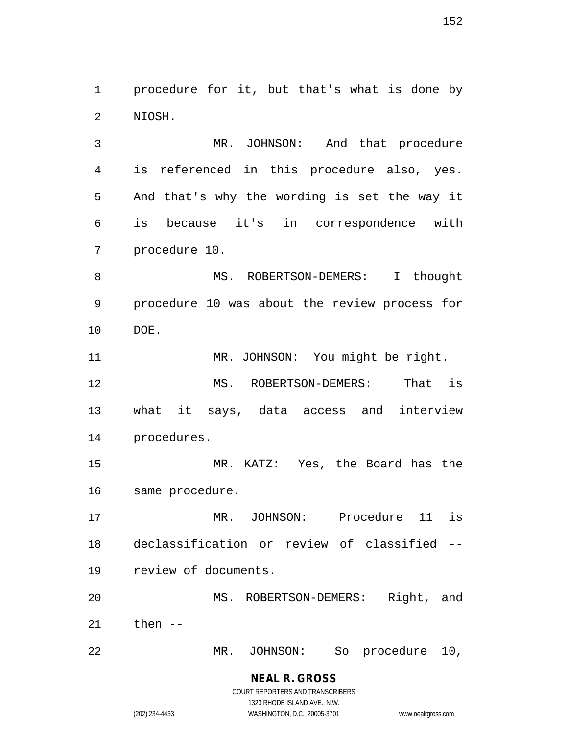1 procedure for it, but that's what is done by 2 NIOSH.

3 MR. JOHNSON: And that procedure 4 is referenced in this procedure also, yes. 5 And that's why the wording is set the way it 6 is because it's in correspondence with 7 procedure 10.

8 MS. ROBERTSON-DEMERS: I thought 9 procedure 10 was about the review process for 10 DOE.

11 MR. JOHNSON: You might be right. 12 MS. ROBERTSON-DEMERS: That is 13 what it says, data access and interview 14 procedures.

15 MR. KATZ: Yes, the Board has the 16 same procedure.

17 MR. JOHNSON: Procedure 11 is 18 declassification or review of classified -- 19 review of documents.

20 MS. ROBERTSON-DEMERS: Right, and 21 then --

22 MR. JOHNSON: So procedure 10,

# **NEAL R. GROSS**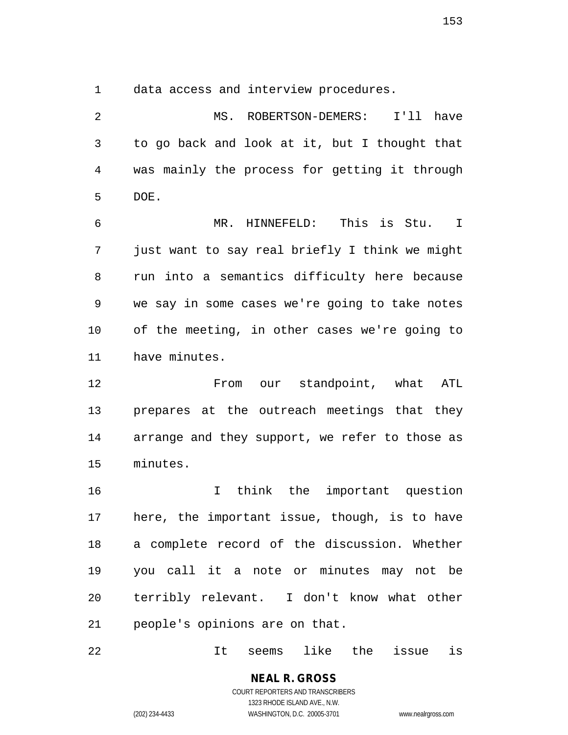1 data access and interview procedures.

2 MS. ROBERTSON-DEMERS: I'll have 3 to go back and look at it, but I thought that 4 was mainly the process for getting it through 5 DOE.

6 MR. HINNEFELD: This is Stu. I 7 just want to say real briefly I think we might 8 run into a semantics difficulty here because 9 we say in some cases we're going to take notes 10 of the meeting, in other cases we're going to 11 have minutes.

12 From our standpoint, what ATL 13 prepares at the outreach meetings that they 14 arrange and they support, we refer to those as 15 minutes.

16 I think the important question 17 here, the important issue, though, is to have 18 a complete record of the discussion. Whether 19 you call it a note or minutes may not be 20 terribly relevant. I don't know what other 21 people's opinions are on that.

22 It seems like the issue is

**NEAL R. GROSS** COURT REPORTERS AND TRANSCRIBERS

1323 RHODE ISLAND AVE., N.W.

(202) 234-4433 WASHINGTON, D.C. 20005-3701 www.nealrgross.com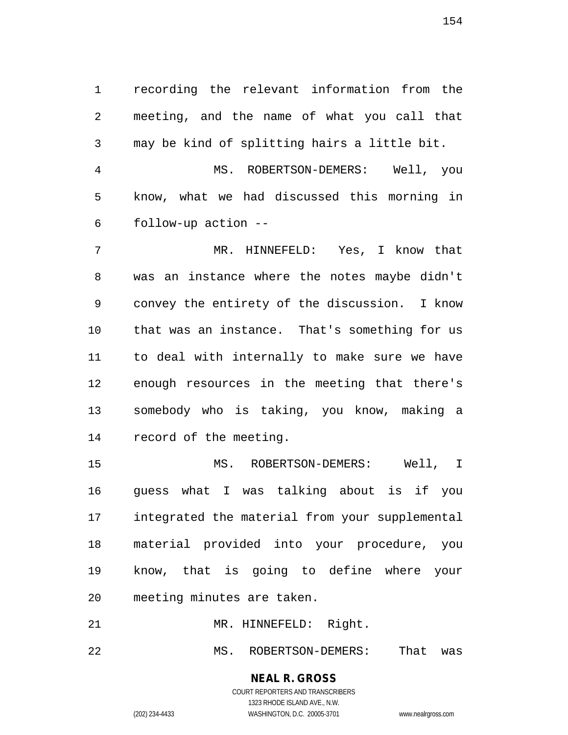1 recording the relevant information from the 2 meeting, and the name of what you call that 3 may be kind of splitting hairs a little bit.

4 MS. ROBERTSON-DEMERS: Well, you 5 know, what we had discussed this morning in 6 follow-up action --

7 MR. HINNEFELD: Yes, I know that 8 was an instance where the notes maybe didn't 9 convey the entirety of the discussion. I know 10 that was an instance. That's something for us 11 to deal with internally to make sure we have 12 enough resources in the meeting that there's 13 somebody who is taking, you know, making a 14 record of the meeting.

15 MS. ROBERTSON-DEMERS: Well, I 16 guess what I was talking about is if you 17 integrated the material from your supplemental 18 material provided into your procedure, you 19 know, that is going to define where your 20 meeting minutes are taken.

21 MR. HINNEFELD: Right.

22 MS. ROBERTSON-DEMERS: That was

## **NEAL R. GROSS**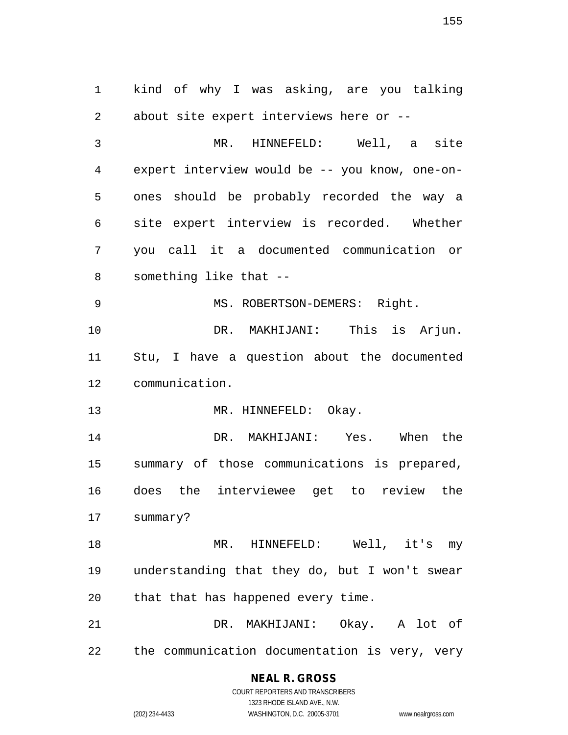1 kind of why I was asking, are you talking 2 about site expert interviews here or -- 3 MR. HINNEFELD: Well, a site 4 expert interview would be -- you know, one-on-5 ones should be probably recorded the way a 6 site expert interview is recorded. Whether 7 you call it a documented communication or 8 something like that -- 9 MS. ROBERTSON-DEMERS: Right. 10 DR. MAKHIJANI: This is Arjun. 11 Stu, I have a question about the documented 12 communication. 13 MR. HINNEFELD: Okay. 14 DR. MAKHIJANI: Yes. When the 15 summary of those communications is prepared, 16 does the interviewee get to review the 17 summary? 18 MR. HINNEFELD: Well, it's my 19 understanding that they do, but I won't swear 20 that that has happened every time. 21 DR. MAKHIJANI: Okay. A lot of 22 the communication documentation is very, very

## **NEAL R. GROSS**

COURT REPORTERS AND TRANSCRIBERS 1323 RHODE ISLAND AVE., N.W. (202) 234-4433 WASHINGTON, D.C. 20005-3701 www.nealrgross.com

155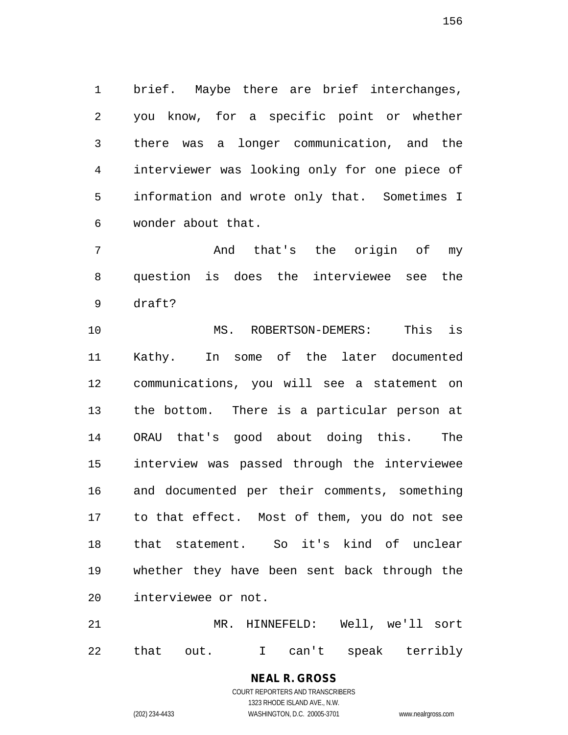1 brief. Maybe there are brief interchanges, 2 you know, for a specific point or whether 3 there was a longer communication, and the 4 interviewer was looking only for one piece of 5 information and wrote only that. Sometimes I 6 wonder about that.

7 And that's the origin of my 8 question is does the interviewee see the 9 draft?

10 MS. ROBERTSON-DEMERS: This is 11 Kathy. In some of the later documented 12 communications, you will see a statement on 13 the bottom. There is a particular person at 14 ORAU that's good about doing this. The 15 interview was passed through the interviewee 16 and documented per their comments, something 17 to that effect. Most of them, you do not see 18 that statement. So it's kind of unclear 19 whether they have been sent back through the 20 interviewee or not.

21 MR. HINNEFELD: Well, we'll sort 22 that out. I can't speak terribly

> **NEAL R. GROSS** COURT REPORTERS AND TRANSCRIBERS 1323 RHODE ISLAND AVE., N.W.

(202) 234-4433 WASHINGTON, D.C. 20005-3701 www.nealrgross.com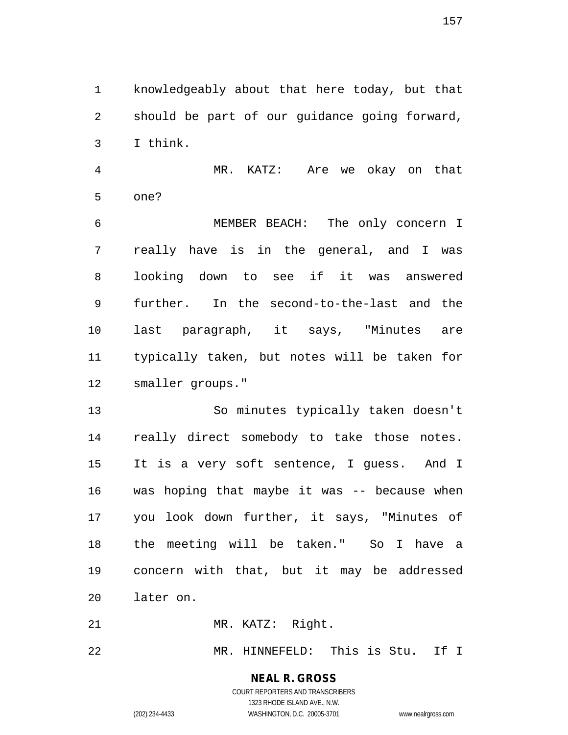1 knowledgeably about that here today, but that 2 should be part of our guidance going forward, 3 I think.

4 MR. KATZ: Are we okay on that 5 one?

6 MEMBER BEACH: The only concern I 7 really have is in the general, and I was 8 looking down to see if it was answered 9 further. In the second-to-the-last and the 10 last paragraph, it says, "Minutes are 11 typically taken, but notes will be taken for 12 smaller groups."

13 So minutes typically taken doesn't 14 really direct somebody to take those notes. 15 It is a very soft sentence, I guess. And I 16 was hoping that maybe it was -- because when 17 you look down further, it says, "Minutes of 18 the meeting will be taken." So I have a 19 concern with that, but it may be addressed 20 later on.

21 MR. KATZ: Right.

22 MR. HINNEFELD: This is Stu. If I

## **NEAL R. GROSS**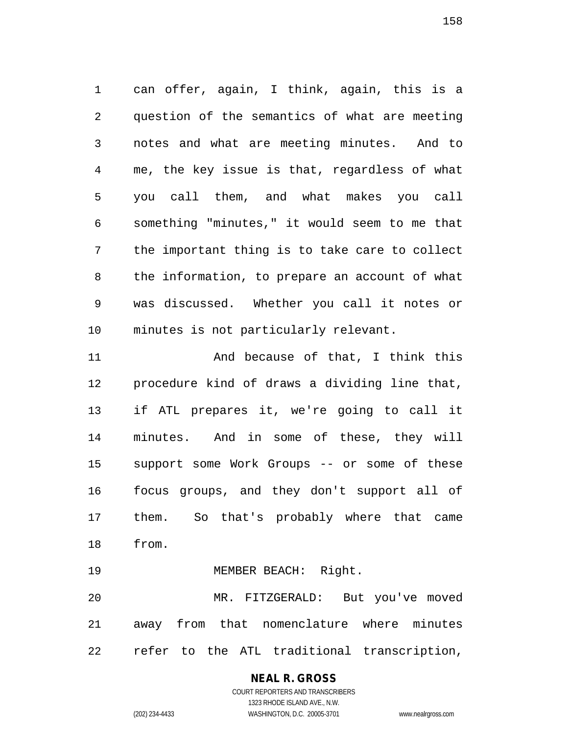1 can offer, again, I think, again, this is a 2 question of the semantics of what are meeting 3 notes and what are meeting minutes. And to 4 me, the key issue is that, regardless of what 5 you call them, and what makes you call 6 something "minutes," it would seem to me that 7 the important thing is to take care to collect 8 the information, to prepare an account of what 9 was discussed. Whether you call it notes or 10 minutes is not particularly relevant.

11 And because of that, I think this 12 procedure kind of draws a dividing line that, 13 if ATL prepares it, we're going to call it 14 minutes. And in some of these, they will 15 support some Work Groups -- or some of these 16 focus groups, and they don't support all of 17 them. So that's probably where that came 18 from.

19 MEMBER BEACH: Right.

20 MR. FITZGERALD: But you've moved 21 away from that nomenclature where minutes 22 refer to the ATL traditional transcription,

## **NEAL R. GROSS**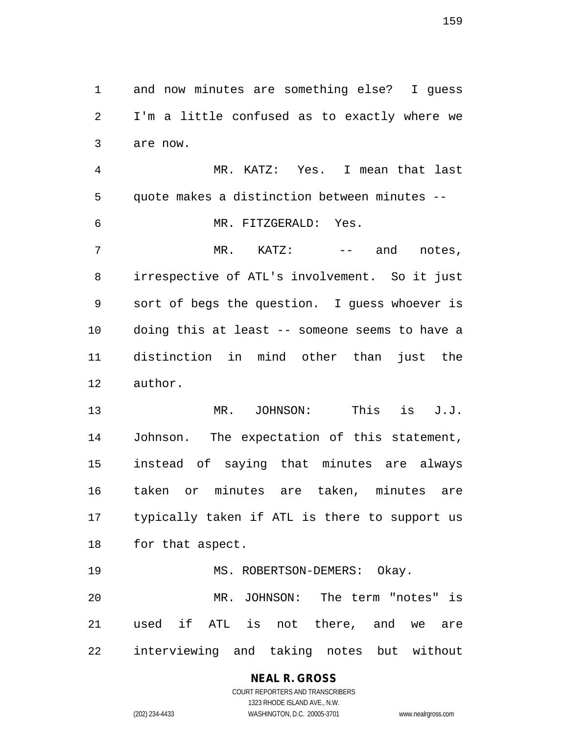1 and now minutes are something else? I guess 2 I'm a little confused as to exactly where we 3 are now.

4 MR. KATZ: Yes. I mean that last 5 quote makes a distinction between minutes -- 6 MR. FITZGERALD: Yes. 7 MR. KATZ: -- and notes, 8 irrespective of ATL's involvement. So it just

9 sort of begs the question. I guess whoever is 10 doing this at least -- someone seems to have a 11 distinction in mind other than just the 12 author.

13 MR. JOHNSON: This is J.J. 14 Johnson. The expectation of this statement, 15 instead of saying that minutes are always 16 taken or minutes are taken, minutes are 17 typically taken if ATL is there to support us 18 for that aspect.

19 MS. ROBERTSON-DEMERS: Okay. 20 MR. JOHNSON: The term "notes" is 21 used if ATL is not there, and we are 22 interviewing and taking notes but without

## **NEAL R. GROSS**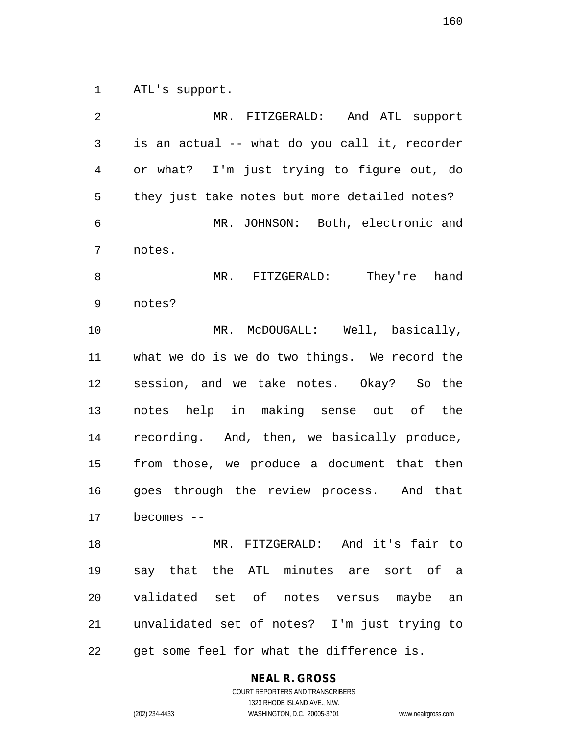1 ATL's support.

2 MR. FITZGERALD: And ATL support 3 is an actual -- what do you call it, recorder 4 or what? I'm just trying to figure out, do 5 they just take notes but more detailed notes? 6 MR. JOHNSON: Both, electronic and 7 notes. 8 MR. FITZGERALD: They're hand 9 notes? 10 MR. McDOUGALL: Well, basically, 11 what we do is we do two things. We record the 12 session, and we take notes. Okay? So the 13 notes help in making sense out of the 14 recording. And, then, we basically produce, 15 from those, we produce a document that then 16 goes through the review process. And that 17 becomes -- 18 MR. FITZGERALD: And it's fair to 19 say that the ATL minutes are sort of a 20 validated set of notes versus maybe an 21 unvalidated set of notes? I'm just trying to 22 get some feel for what the difference is.

**NEAL R. GROSS**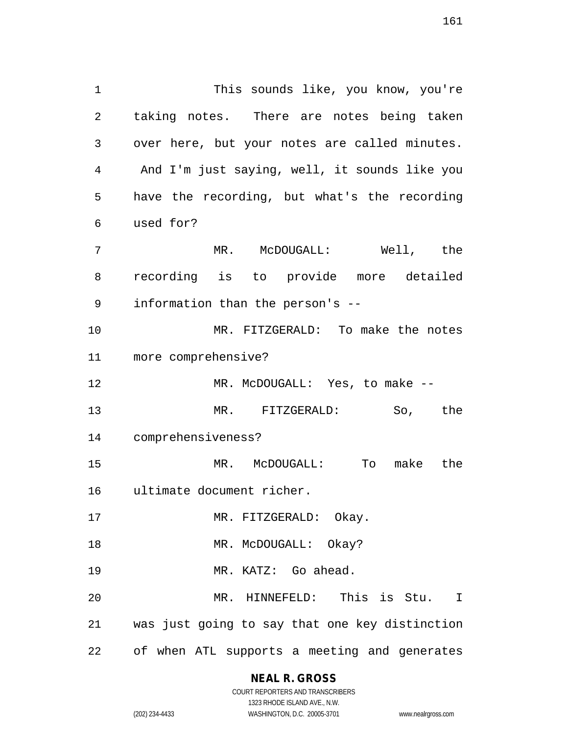1 This sounds like, you know, you're 2 taking notes. There are notes being taken 3 over here, but your notes are called minutes. 4 And I'm just saying, well, it sounds like you 5 have the recording, but what's the recording 6 used for? 7 MR. McDOUGALL: Well, the 8 recording is to provide more detailed 9 information than the person's -- 10 MR. FITZGERALD: To make the notes 11 more comprehensive? 12 MR. McDOUGALL: Yes, to make --13 MR. FITZGERALD: So, the 14 comprehensiveness? 15 MR. McDOUGALL: To make the 16 ultimate document richer. 17 MR. FITZGERALD: Okay. 18 MR. McDOUGALL: Okay? 19 MR. KATZ: Go ahead. 20 MR. HINNEFELD: This is Stu. I 21 was just going to say that one key distinction 22 of when ATL supports a meeting and generates

## **NEAL R. GROSS**

COURT REPORTERS AND TRANSCRIBERS 1323 RHODE ISLAND AVE., N.W. (202) 234-4433 WASHINGTON, D.C. 20005-3701 www.nealrgross.com

161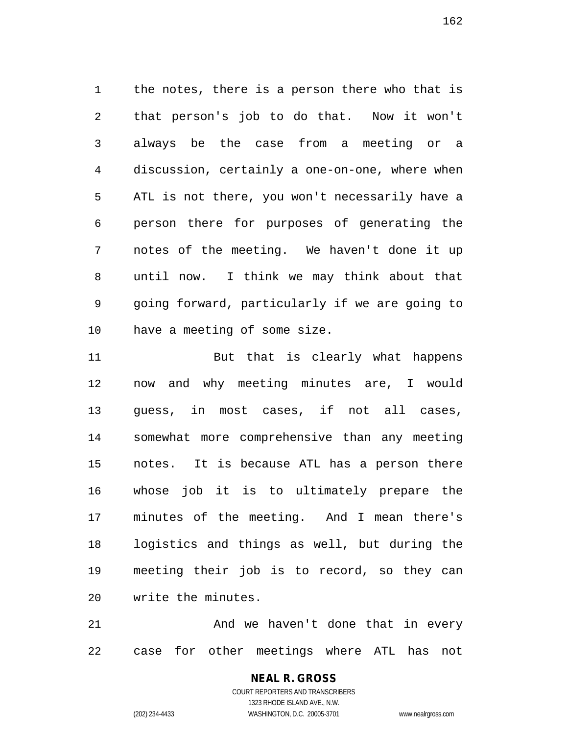1 the notes, there is a person there who that is 2 that person's job to do that. Now it won't 3 always be the case from a meeting or a 4 discussion, certainly a one-on-one, where when 5 ATL is not there, you won't necessarily have a 6 person there for purposes of generating the 7 notes of the meeting. We haven't done it up 8 until now. I think we may think about that 9 going forward, particularly if we are going to 10 have a meeting of some size.

11 But that is clearly what happens 12 now and why meeting minutes are, I would 13 guess, in most cases, if not all cases, 14 somewhat more comprehensive than any meeting 15 notes. It is because ATL has a person there 16 whose job it is to ultimately prepare the 17 minutes of the meeting. And I mean there's 18 logistics and things as well, but during the 19 meeting their job is to record, so they can 20 write the minutes.

21 And we haven't done that in every 22 case for other meetings where ATL has not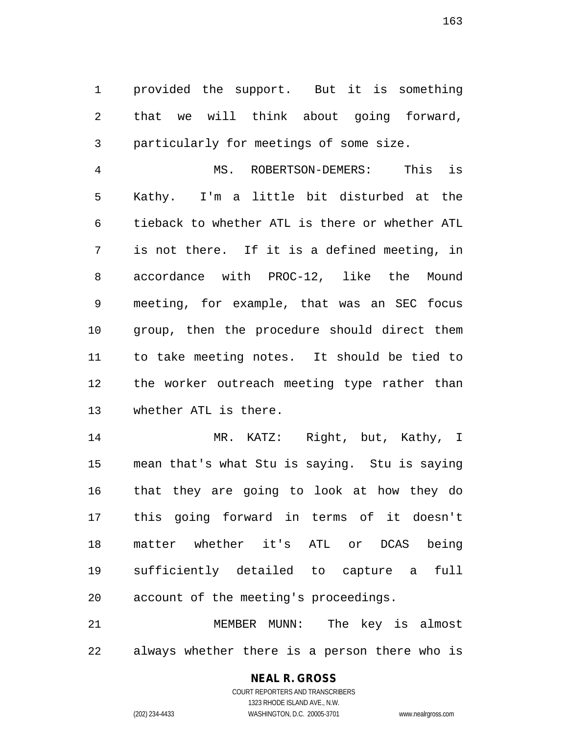1 provided the support. But it is something 2 that we will think about going forward, 3 particularly for meetings of some size.

4 MS. ROBERTSON-DEMERS: This is 5 Kathy. I'm a little bit disturbed at the 6 tieback to whether ATL is there or whether ATL 7 is not there. If it is a defined meeting, in 8 accordance with PROC-12, like the Mound 9 meeting, for example, that was an SEC focus 10 group, then the procedure should direct them 11 to take meeting notes. It should be tied to 12 the worker outreach meeting type rather than 13 whether ATL is there.

14 MR. KATZ: Right, but, Kathy, I 15 mean that's what Stu is saying. Stu is saying 16 that they are going to look at how they do 17 this going forward in terms of it doesn't 18 matter whether it's ATL or DCAS being 19 sufficiently detailed to capture a full 20 account of the meeting's proceedings.

21 MEMBER MUNN: The key is almost 22 always whether there is a person there who is

## **NEAL R. GROSS**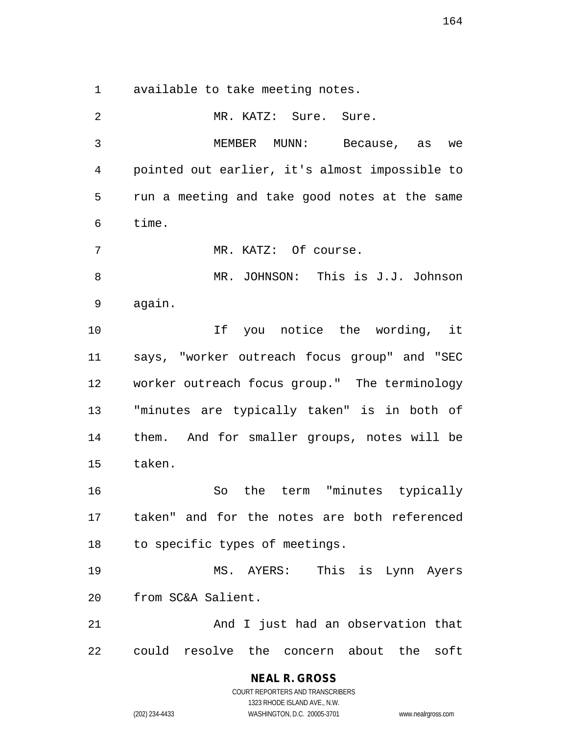1 available to take meeting notes.

| 2  | MR. KATZ: Sure. Sure.                          |
|----|------------------------------------------------|
| 3  | MEMBER MUNN: Because, as we                    |
| 4  | pointed out earlier, it's almost impossible to |
| 5  | run a meeting and take good notes at the same  |
| 6  | time.                                          |
| 7  | MR. KATZ: Of course.                           |
| 8  | MR. JOHNSON: This is J.J. Johnson              |
| 9  | again.                                         |
| 10 | If you notice the wording, it                  |
| 11 | says, "worker outreach focus group" and "SEC   |
| 12 | worker outreach focus group." The terminology  |
| 13 | "minutes are typically taken" is in both of    |
| 14 | them. And for smaller groups, notes will be    |
| 15 | taken.                                         |
| 16 | the term "minutes typically<br>So              |
| 17 | taken" and for the notes are both referenced   |
| 18 | to specific types of meetings.                 |
| 19 | MS. AYERS: This is Lynn Ayers                  |
| 20 | from SC&A Salient.                             |
| 21 | And I just had an observation that             |
| 22 | could resolve the concern about the<br>soft    |
|    |                                                |

COURT REPORTERS AND TRANSCRIBERS 1323 RHODE ISLAND AVE., N.W. (202) 234-4433 WASHINGTON, D.C. 20005-3701 www.nealrgross.com

**NEAL R. GROSS**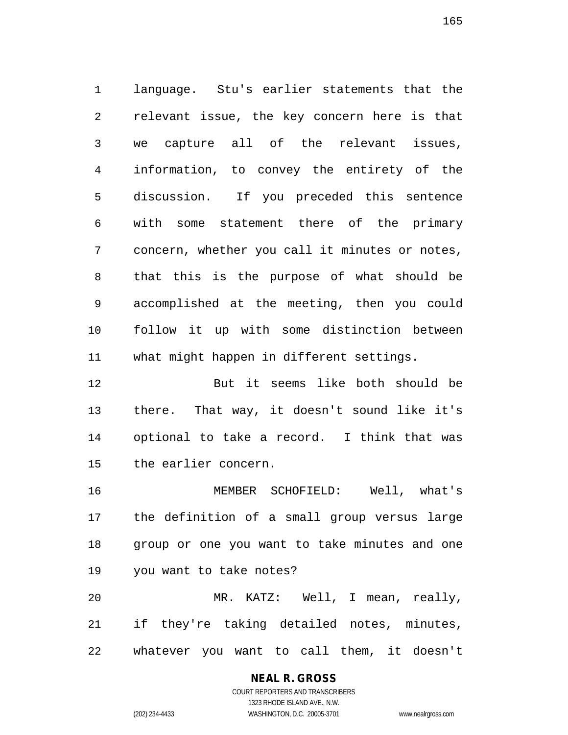1 language. Stu's earlier statements that the 2 relevant issue, the key concern here is that 3 we capture all of the relevant issues, 4 information, to convey the entirety of the 5 discussion. If you preceded this sentence 6 with some statement there of the primary 7 concern, whether you call it minutes or notes, 8 that this is the purpose of what should be 9 accomplished at the meeting, then you could 10 follow it up with some distinction between 11 what might happen in different settings.

12 But it seems like both should be 13 there. That way, it doesn't sound like it's 14 optional to take a record. I think that was 15 the earlier concern.

16 MEMBER SCHOFIELD: Well, what's 17 the definition of a small group versus large 18 group or one you want to take minutes and one 19 you want to take notes?

20 MR. KATZ: Well, I mean, really, 21 if they're taking detailed notes, minutes, 22 whatever you want to call them, it doesn't

> **NEAL R. GROSS** COURT REPORTERS AND TRANSCRIBERS

> > 1323 RHODE ISLAND AVE., N.W.

(202) 234-4433 WASHINGTON, D.C. 20005-3701 www.nealrgross.com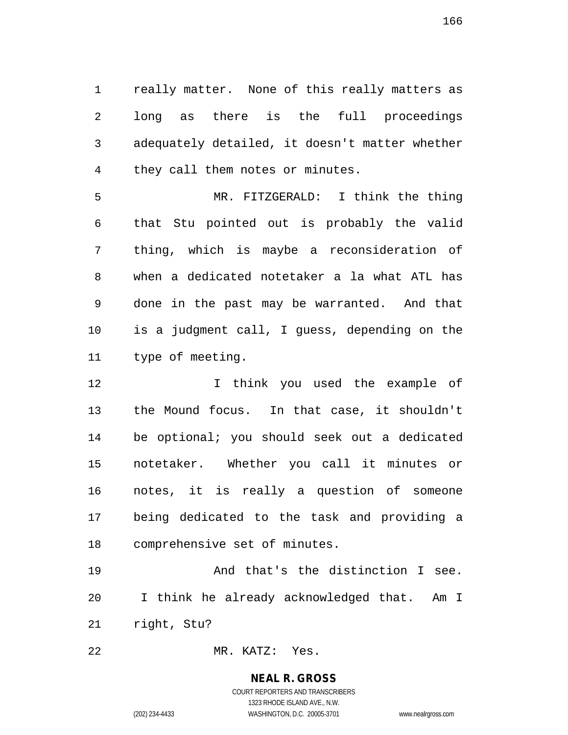1 really matter. None of this really matters as 2 long as there is the full proceedings 3 adequately detailed, it doesn't matter whether 4 they call them notes or minutes.

5 MR. FITZGERALD: I think the thing 6 that Stu pointed out is probably the valid 7 thing, which is maybe a reconsideration of 8 when a dedicated notetaker a la what ATL has 9 done in the past may be warranted. And that 10 is a judgment call, I guess, depending on the 11 type of meeting.

12 12 I think you used the example of 13 the Mound focus. In that case, it shouldn't 14 be optional; you should seek out a dedicated 15 notetaker. Whether you call it minutes or 16 notes, it is really a question of someone 17 being dedicated to the task and providing a 18 comprehensive set of minutes.

19 And that's the distinction I see. 20 I think he already acknowledged that. Am I 21 right, Stu?

22 MR. KATZ: Yes.

## **NEAL R. GROSS**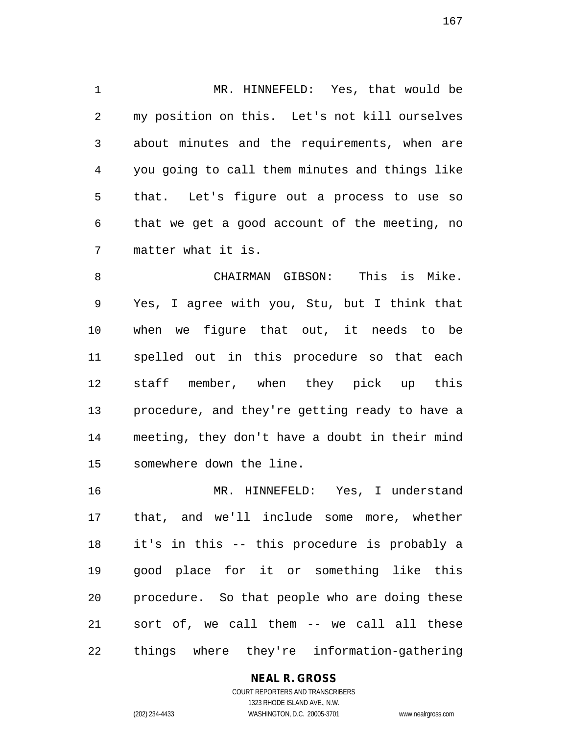1 MR. HINNEFELD: Yes, that would be 2 my position on this. Let's not kill ourselves 3 about minutes and the requirements, when are 4 you going to call them minutes and things like 5 that. Let's figure out a process to use so 6 that we get a good account of the meeting, no 7 matter what it is.

8 CHAIRMAN GIBSON: This is Mike. 9 Yes, I agree with you, Stu, but I think that 10 when we figure that out, it needs to be 11 spelled out in this procedure so that each 12 staff member, when they pick up this 13 procedure, and they're getting ready to have a 14 meeting, they don't have a doubt in their mind 15 somewhere down the line.

16 MR. HINNEFELD: Yes, I understand 17 that, and we'll include some more, whether 18 it's in this -- this procedure is probably a 19 good place for it or something like this 20 procedure. So that people who are doing these 21 sort of, we call them -- we call all these 22 things where they're information-gathering

## **NEAL R. GROSS**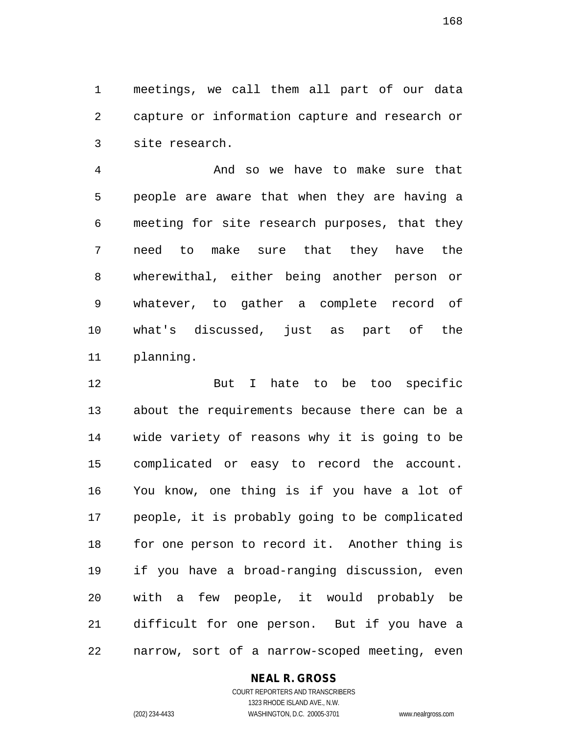1 meetings, we call them all part of our data 2 capture or information capture and research or 3 site research.

4 And so we have to make sure that 5 people are aware that when they are having a 6 meeting for site research purposes, that they 7 need to make sure that they have the 8 wherewithal, either being another person or 9 whatever, to gather a complete record of 10 what's discussed, just as part of the 11 planning.

12 But I hate to be too specific 13 about the requirements because there can be a 14 wide variety of reasons why it is going to be 15 complicated or easy to record the account. 16 You know, one thing is if you have a lot of 17 people, it is probably going to be complicated 18 for one person to record it. Another thing is 19 if you have a broad-ranging discussion, even 20 with a few people, it would probably be 21 difficult for one person. But if you have a 22 narrow, sort of a narrow-scoped meeting, even

## **NEAL R. GROSS**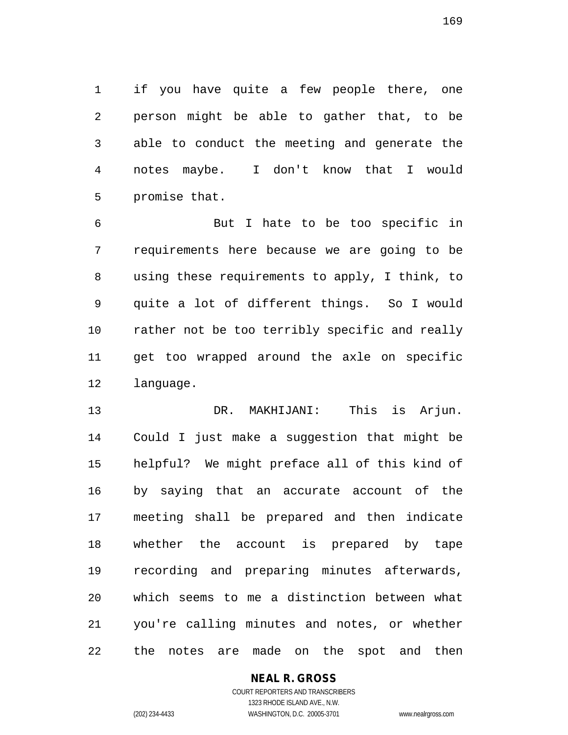1 if you have quite a few people there, one 2 person might be able to gather that, to be 3 able to conduct the meeting and generate the 4 notes maybe. I don't know that I would 5 promise that.

6 But I hate to be too specific in 7 requirements here because we are going to be 8 using these requirements to apply, I think, to 9 quite a lot of different things. So I would 10 rather not be too terribly specific and really 11 get too wrapped around the axle on specific 12 language.

13 DR. MAKHIJANI: This is Arjun. 14 Could I just make a suggestion that might be 15 helpful? We might preface all of this kind of 16 by saying that an accurate account of the 17 meeting shall be prepared and then indicate 18 whether the account is prepared by tape 19 recording and preparing minutes afterwards, 20 which seems to me a distinction between what 21 you're calling minutes and notes, or whether 22 the notes are made on the spot and then

## **NEAL R. GROSS**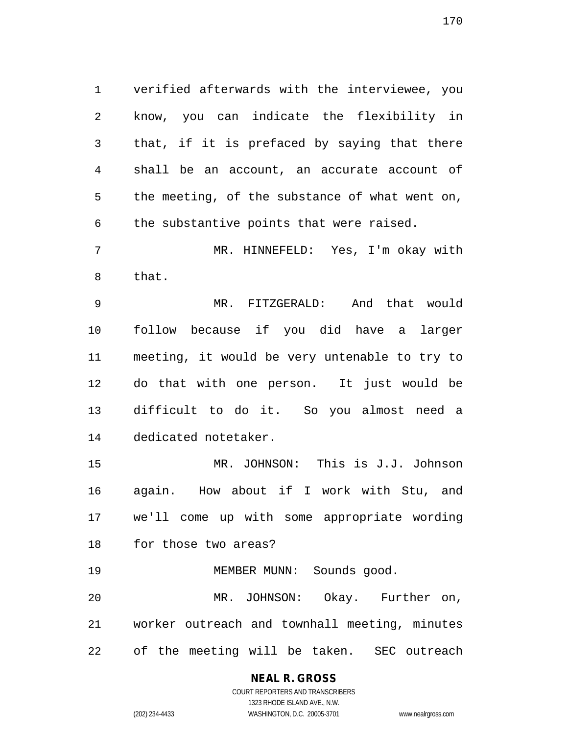1 verified afterwards with the interviewee, you 2 know, you can indicate the flexibility in 3 that, if it is prefaced by saying that there 4 shall be an account, an accurate account of 5 the meeting, of the substance of what went on, 6 the substantive points that were raised.

7 MR. HINNEFELD: Yes, I'm okay with 8 that.

9 MR. FITZGERALD: And that would 10 follow because if you did have a larger 11 meeting, it would be very untenable to try to 12 do that with one person. It just would be 13 difficult to do it. So you almost need a 14 dedicated notetaker.

15 MR. JOHNSON: This is J.J. Johnson 16 again. How about if I work with Stu, and 17 we'll come up with some appropriate wording 18 for those two areas?

19 MEMBER MUNN: Sounds good. 20 MR. JOHNSON: Okay. Further on, 21 worker outreach and townhall meeting, minutes 22 of the meeting will be taken. SEC outreach

#### **NEAL R. GROSS** COURT REPORTERS AND TRANSCRIBERS 1323 RHODE ISLAND AVE., N.W.

(202) 234-4433 WASHINGTON, D.C. 20005-3701 www.nealrgross.com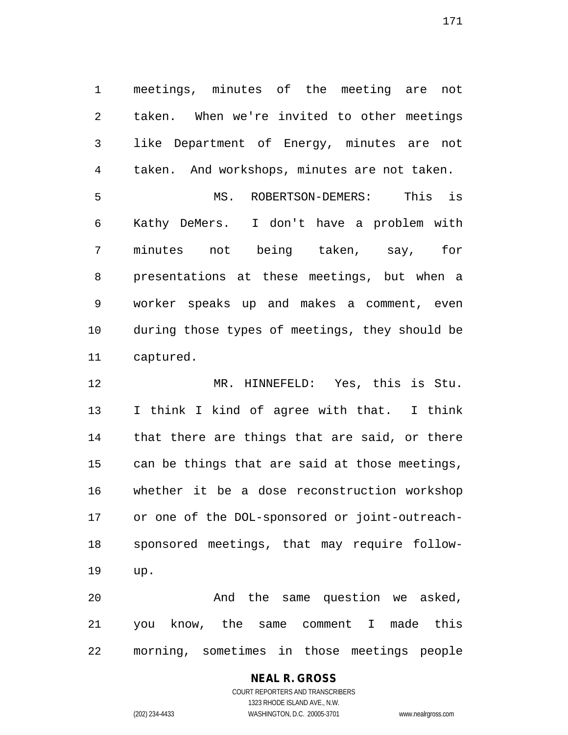1 meetings, minutes of the meeting are not 2 taken. When we're invited to other meetings 3 like Department of Energy, minutes are not 4 taken. And workshops, minutes are not taken. 5 MS. ROBERTSON-DEMERS: This is 6 Kathy DeMers. I don't have a problem with 7 minutes not being taken, say, for 8 presentations at these meetings, but when a 9 worker speaks up and makes a comment, even 10 during those types of meetings, they should be 11 captured.

12 MR. HINNEFELD: Yes, this is Stu. 13 I think I kind of agree with that. I think 14 that there are things that are said, or there 15 can be things that are said at those meetings, 16 whether it be a dose reconstruction workshop 17 or one of the DOL-sponsored or joint-outreach-18 sponsored meetings, that may require follow-19 up.

20 And the same question we asked, 21 you know, the same comment I made this 22 morning, sometimes in those meetings people

## **NEAL R. GROSS**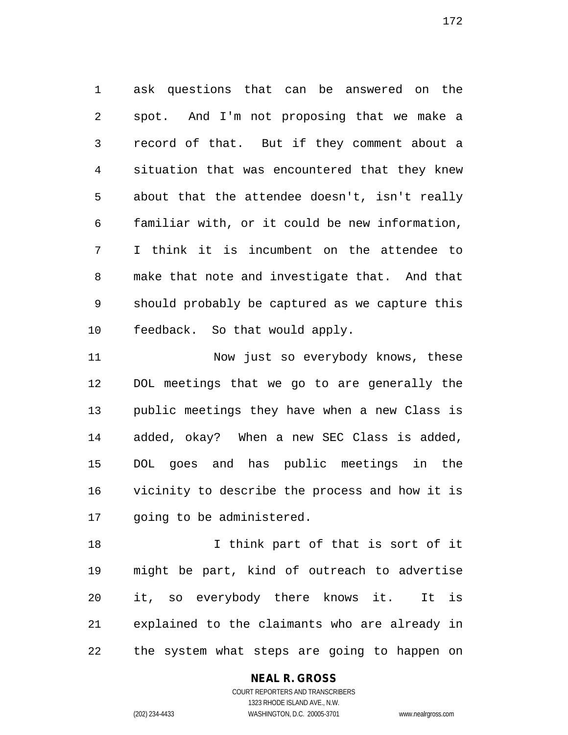1 ask questions that can be answered on the 2 spot. And I'm not proposing that we make a 3 record of that. But if they comment about a 4 situation that was encountered that they knew 5 about that the attendee doesn't, isn't really 6 familiar with, or it could be new information, 7 I think it is incumbent on the attendee to 8 make that note and investigate that. And that 9 should probably be captured as we capture this 10 feedback. So that would apply.

11 Now just so everybody knows, these 12 DOL meetings that we go to are generally the 13 public meetings they have when a new Class is 14 added, okay? When a new SEC Class is added, 15 DOL goes and has public meetings in the 16 vicinity to describe the process and how it is 17 going to be administered.

18 I think part of that is sort of it 19 might be part, kind of outreach to advertise 20 it, so everybody there knows it. It is 21 explained to the claimants who are already in 22 the system what steps are going to happen on

## **NEAL R. GROSS**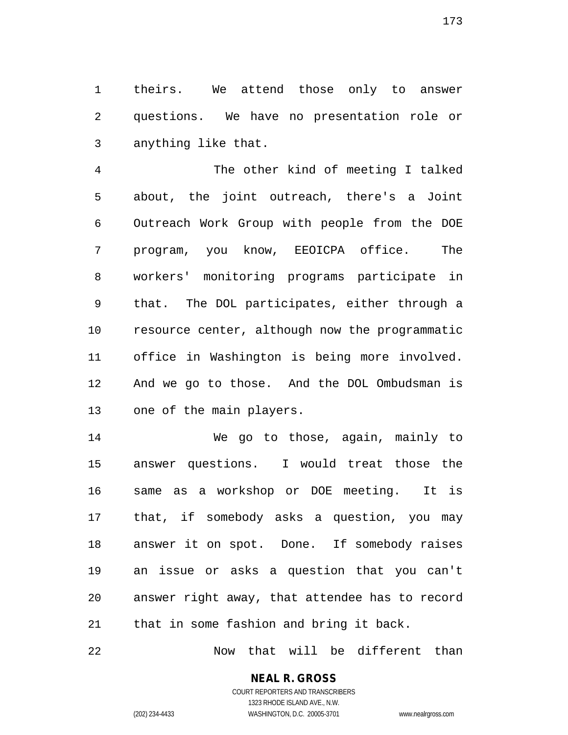1 theirs. We attend those only to answer 2 questions. We have no presentation role or 3 anything like that.

4 The other kind of meeting I talked 5 about, the joint outreach, there's a Joint 6 Outreach Work Group with people from the DOE 7 program, you know, EEOICPA office. The 8 workers' monitoring programs participate in 9 that. The DOL participates, either through a 10 resource center, although now the programmatic 11 office in Washington is being more involved. 12 And we go to those. And the DOL Ombudsman is 13 one of the main players.

14 We go to those, again, mainly to 15 answer questions. I would treat those the 16 same as a workshop or DOE meeting. It is 17 that, if somebody asks a question, you may 18 answer it on spot. Done. If somebody raises 19 an issue or asks a question that you can't 20 answer right away, that attendee has to record 21 that in some fashion and bring it back.

22 Now that will be different than

## **NEAL R. GROSS**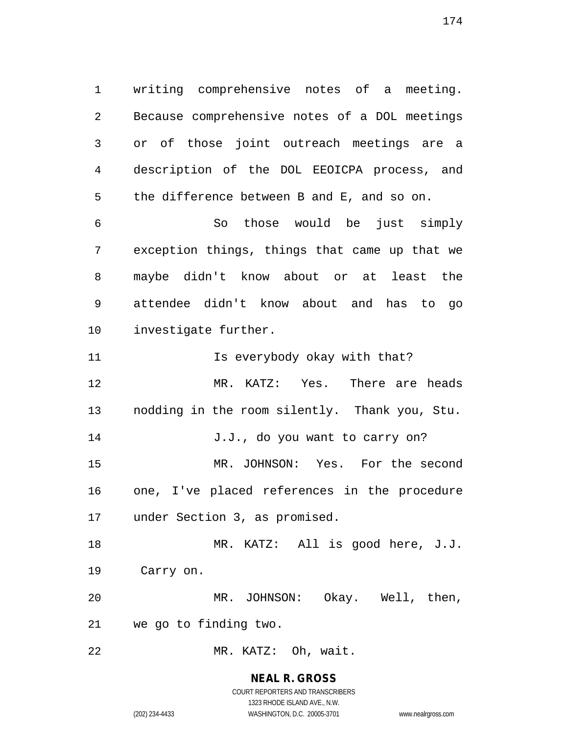1 writing comprehensive notes of a meeting. 2 Because comprehensive notes of a DOL meetings 3 or of those joint outreach meetings are a 4 description of the DOL EEOICPA process, and 5 the difference between B and E, and so on.

6 So those would be just simply 7 exception things, things that came up that we 8 maybe didn't know about or at least the 9 attendee didn't know about and has to go 10 investigate further.

11 Is everybody okay with that? 12 MR. KATZ: Yes. There are heads 13 nodding in the room silently. Thank you, Stu. 14 J.J., do you want to carry on? 15 MR. JOHNSON: Yes. For the second 16 one, I've placed references in the procedure 17 under Section 3, as promised. 18 MR. KATZ: All is good here, J.J.

19 Carry on.

20 MR. JOHNSON: Okay. Well, then, 21 we go to finding two.

22 MR. KATZ: Oh, wait.

## **NEAL R. GROSS**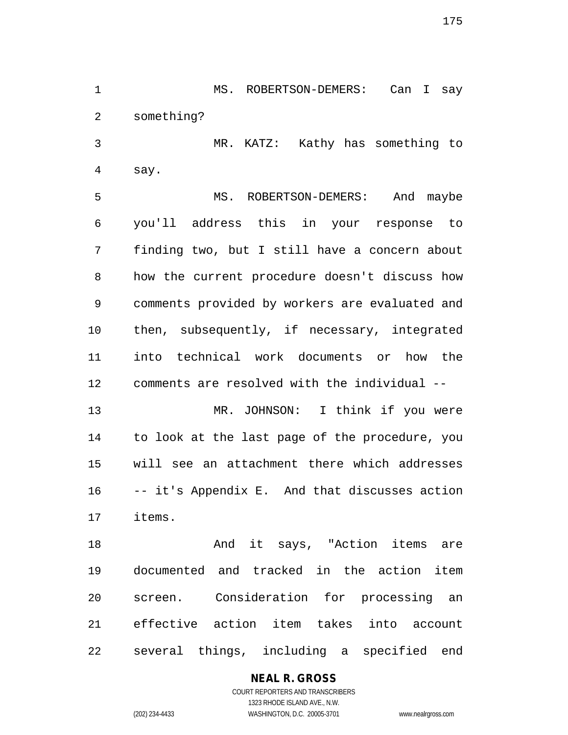1 MS. ROBERTSON-DEMERS: Can I say 2 something?

3 MR. KATZ: Kathy has something to 4 say.

5 MS. ROBERTSON-DEMERS: And maybe 6 you'll address this in your response to 7 finding two, but I still have a concern about 8 how the current procedure doesn't discuss how 9 comments provided by workers are evaluated and 10 then, subsequently, if necessary, integrated 11 into technical work documents or how the 12 comments are resolved with the individual --

13 MR. JOHNSON: I think if you were 14 to look at the last page of the procedure, you 15 will see an attachment there which addresses 16 -- it's Appendix E. And that discusses action 17 items.

18 And it says, "Action items are 19 documented and tracked in the action item 20 screen. Consideration for processing an 21 effective action item takes into account 22 several things, including a specified end

## **NEAL R. GROSS**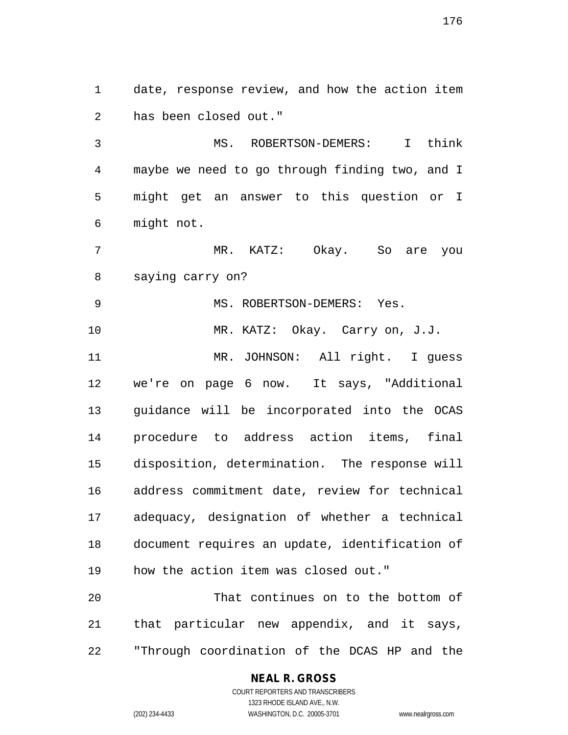1 date, response review, and how the action item 2 has been closed out."

3 MS. ROBERTSON-DEMERS: I think 4 maybe we need to go through finding two, and I 5 might get an answer to this question or I 6 might not.

7 MR. KATZ: Okay. So are you 8 saying carry on?

9 MS. ROBERTSON-DEMERS: Yes. 10 MR. KATZ: Okay. Carry on, J.J. 11 MR. JOHNSON: All right. I guess 12 we're on page 6 now. It says, "Additional

13 guidance will be incorporated into the OCAS 14 procedure to address action items, final 15 disposition, determination. The response will 16 address commitment date, review for technical 17 adequacy, designation of whether a technical 18 document requires an update, identification of 19 how the action item was closed out."

20 That continues on to the bottom of 21 that particular new appendix, and it says, 22 "Through coordination of the DCAS HP and the

## **NEAL R. GROSS**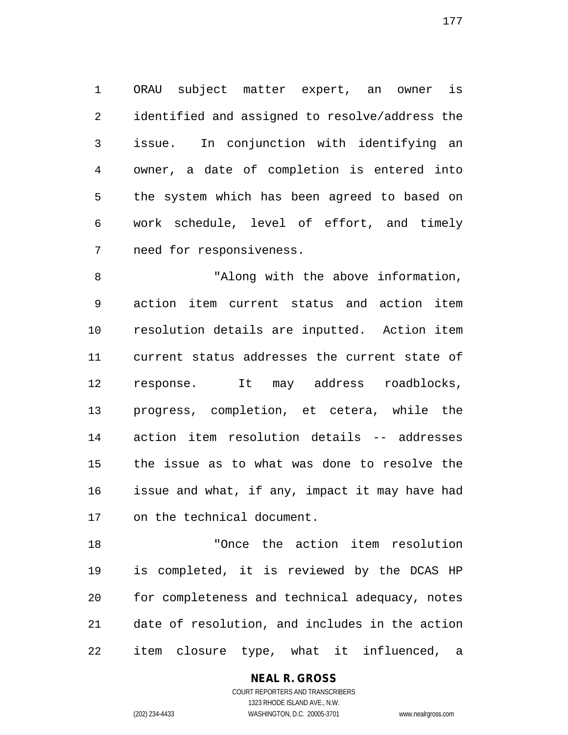1 ORAU subject matter expert, an owner is 2 identified and assigned to resolve/address the 3 issue. In conjunction with identifying an 4 owner, a date of completion is entered into 5 the system which has been agreed to based on 6 work schedule, level of effort, and timely 7 need for responsiveness.

8 "Along with the above information, 9 action item current status and action item 10 resolution details are inputted. Action item 11 current status addresses the current state of 12 response. It may address roadblocks, 13 progress, completion, et cetera, while the 14 action item resolution details -- addresses 15 the issue as to what was done to resolve the 16 issue and what, if any, impact it may have had 17 on the technical document.

18 "Once the action item resolution 19 is completed, it is reviewed by the DCAS HP 20 for completeness and technical adequacy, notes 21 date of resolution, and includes in the action 22 item closure type, what it influenced, a

## **NEAL R. GROSS**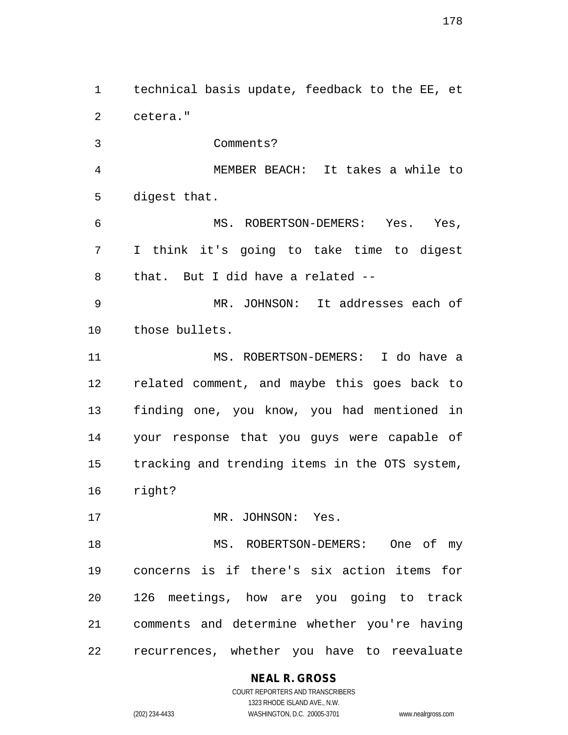1 technical basis update, feedback to the EE, et 2 cetera."

3 Comments?

4 MEMBER BEACH: It takes a while to 5 digest that.

6 MS. ROBERTSON-DEMERS: Yes. Yes, 7 I think it's going to take time to digest 8 that. But I did have a related --

9 MR. JOHNSON: It addresses each of 10 those bullets.

11 MS. ROBERTSON-DEMERS: I do have a 12 related comment, and maybe this goes back to 13 finding one, you know, you had mentioned in 14 your response that you guys were capable of 15 tracking and trending items in the OTS system, 16 right?

17 MR. JOHNSON: Yes.

18 MS. ROBERTSON-DEMERS: One of my 19 concerns is if there's six action items for 20 126 meetings, how are you going to track 21 comments and determine whether you're having 22 recurrences, whether you have to reevaluate

**NEAL R. GROSS**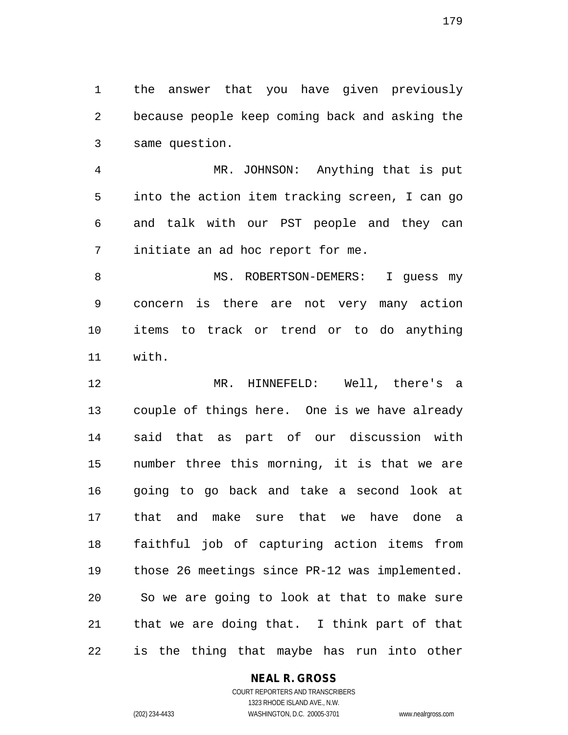1 the answer that you have given previously 2 because people keep coming back and asking the 3 same question.

4 MR. JOHNSON: Anything that is put 5 into the action item tracking screen, I can go 6 and talk with our PST people and they can 7 initiate an ad hoc report for me.

8 MS. ROBERTSON-DEMERS: I quess my 9 concern is there are not very many action 10 items to track or trend or to do anything 11 with.

12 MR. HINNEFELD: Well, there's a 13 couple of things here. One is we have already 14 said that as part of our discussion with 15 number three this morning, it is that we are 16 going to go back and take a second look at 17 that and make sure that we have done a 18 faithful job of capturing action items from 19 those 26 meetings since PR-12 was implemented. 20 So we are going to look at that to make sure 21 that we are doing that. I think part of that 22 is the thing that maybe has run into other

## **NEAL R. GROSS**

COURT REPORTERS AND TRANSCRIBERS 1323 RHODE ISLAND AVE., N.W. (202) 234-4433 WASHINGTON, D.C. 20005-3701 www.nealrgross.com

179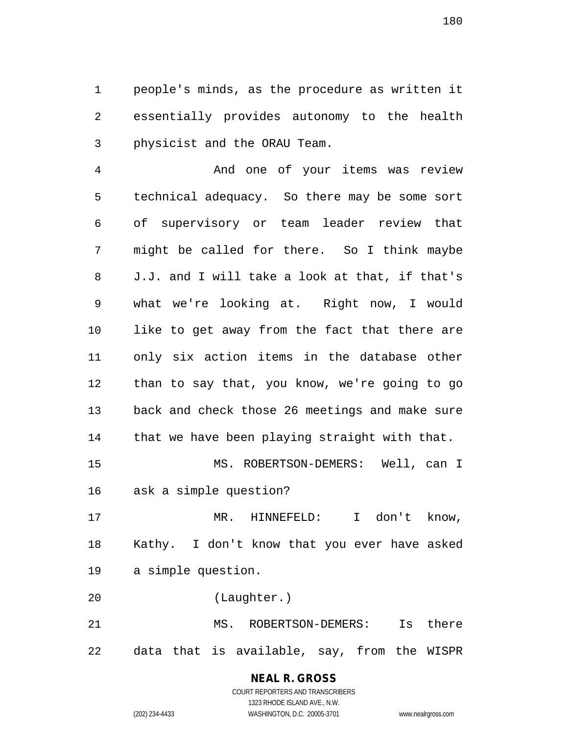1 people's minds, as the procedure as written it 2 essentially provides autonomy to the health 3 physicist and the ORAU Team.

4 And one of your items was review 5 technical adequacy. So there may be some sort 6 of supervisory or team leader review that 7 might be called for there. So I think maybe 8 J.J. and I will take a look at that, if that's 9 what we're looking at. Right now, I would 10 like to get away from the fact that there are 11 only six action items in the database other 12 than to say that, you know, we're going to go 13 back and check those 26 meetings and make sure 14 that we have been playing straight with that. 15 MS. ROBERTSON-DEMERS: Well, can I 16 ask a simple question? 17 MR. HINNEFELD: I don't know, 18 Kathy. I don't know that you ever have asked 19 a simple question.

20 (Laughter.)

21 MS. ROBERTSON-DEMERS: Is there 22 data that is available, say, from the WISPR

## **NEAL R. GROSS**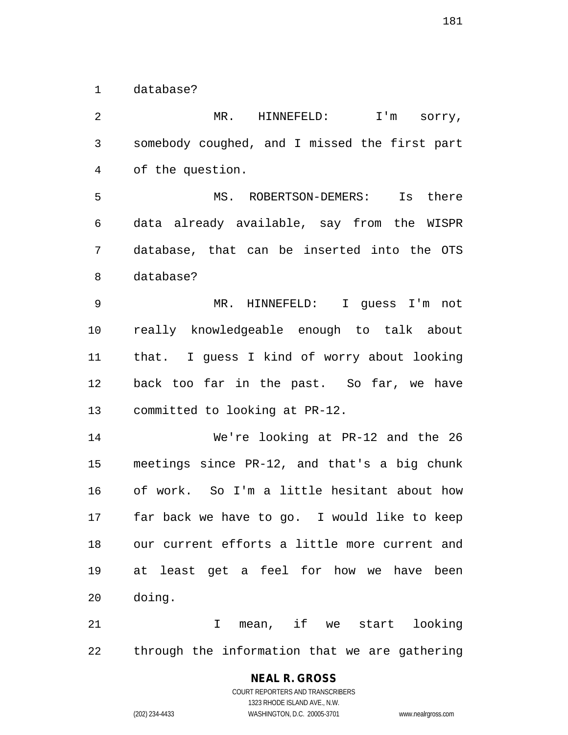1 database?

2 MR. HINNEFELD: I'm sorry, 3 somebody coughed, and I missed the first part 4 of the question. 5 MS. ROBERTSON-DEMERS: Is there 6 data already available, say from the WISPR 7 database, that can be inserted into the OTS 8 database? 9 MR. HINNEFELD: I guess I'm not 10 really knowledgeable enough to talk about 11 that. I guess I kind of worry about looking 12 back too far in the past. So far, we have 13 committed to looking at PR-12. 14 We're looking at PR-12 and the 26 15 meetings since PR-12, and that's a big chunk 16 of work. So I'm a little hesitant about how 17 far back we have to go. I would like to keep 18 our current efforts a little more current and 19 at least get a feel for how we have been 20 doing. 21 I mean, if we start looking 22 through the information that we are gathering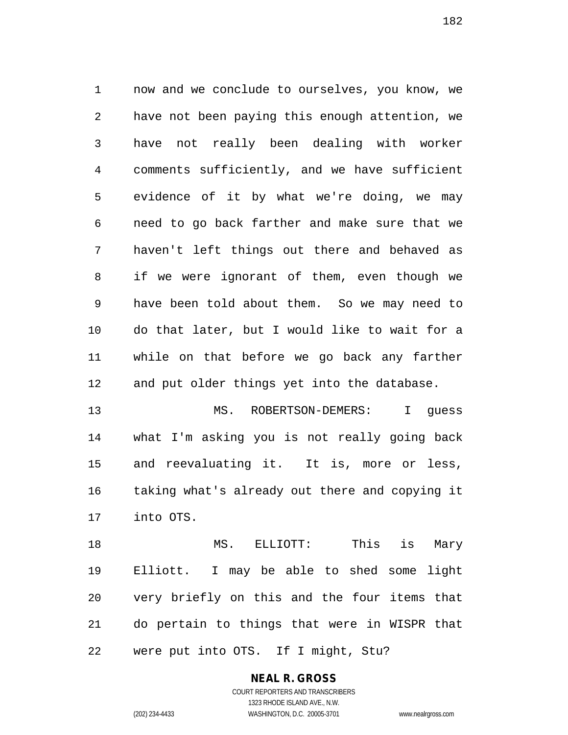1 now and we conclude to ourselves, you know, we 2 have not been paying this enough attention, we 3 have not really been dealing with worker 4 comments sufficiently, and we have sufficient 5 evidence of it by what we're doing, we may 6 need to go back farther and make sure that we 7 haven't left things out there and behaved as 8 if we were ignorant of them, even though we 9 have been told about them. So we may need to 10 do that later, but I would like to wait for a 11 while on that before we go back any farther 12 and put older things yet into the database.

13 MS. ROBERTSON-DEMERS: I guess 14 what I'm asking you is not really going back 15 and reevaluating it. It is, more or less, 16 taking what's already out there and copying it 17 into OTS.

18 MS. ELLIOTT: This is Mary 19 Elliott. I may be able to shed some light 20 very briefly on this and the four items that 21 do pertain to things that were in WISPR that 22 were put into OTS. If I might, Stu?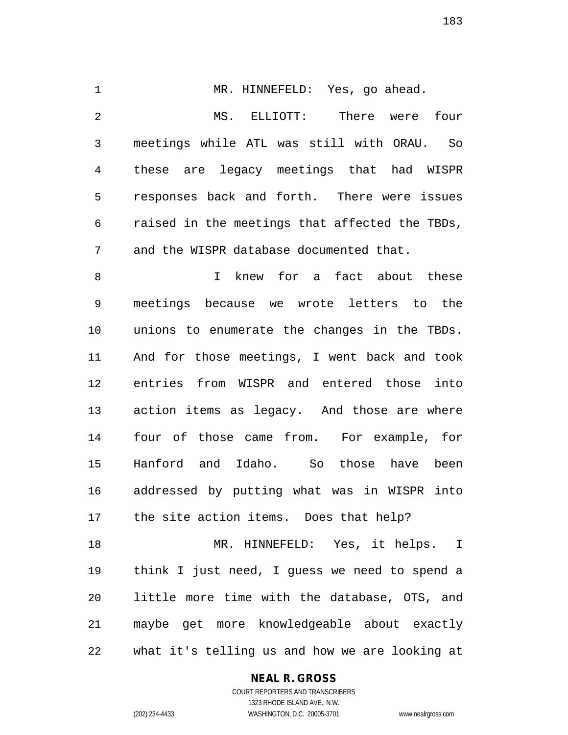1 MR. HINNEFELD: Yes, go ahead. 2 MS. ELLIOTT: There were four 3 meetings while ATL was still with ORAU. So 4 these are legacy meetings that had WISPR 5 responses back and forth. There were issues 6 raised in the meetings that affected the TBDs, 7 and the WISPR database documented that. 8 I knew for a fact about these

9 meetings because we wrote letters to the 10 unions to enumerate the changes in the TBDs. 11 And for those meetings, I went back and took 12 entries from WISPR and entered those into 13 action items as legacy. And those are where 14 four of those came from. For example, for 15 Hanford and Idaho. So those have been 16 addressed by putting what was in WISPR into 17 the site action items. Does that help?

18 MR. HINNEFELD: Yes, it helps. I 19 think I just need, I guess we need to spend a 20 little more time with the database, OTS, and 21 maybe get more knowledgeable about exactly 22 what it's telling us and how we are looking at

#### **NEAL R. GROSS**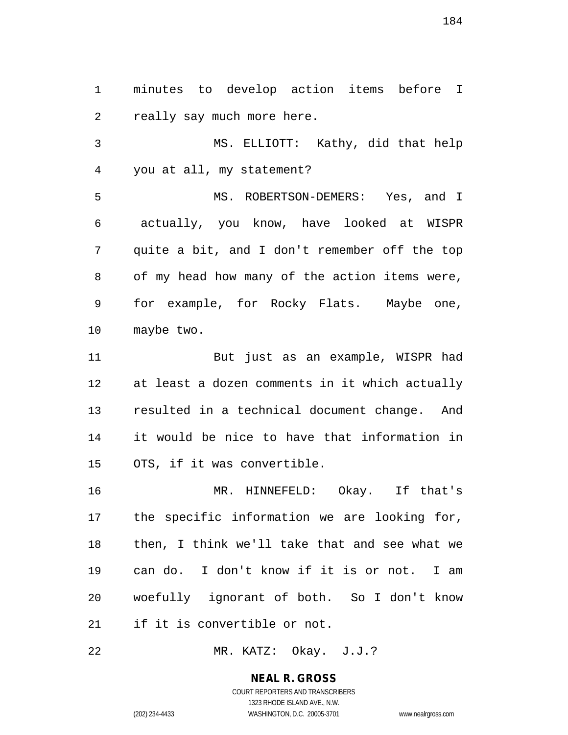1 minutes to develop action items before I 2 really say much more here.

3 MS. ELLIOTT: Kathy, did that help 4 you at all, my statement?

5 MS. ROBERTSON-DEMERS: Yes, and I 6 actually, you know, have looked at WISPR 7 quite a bit, and I don't remember off the top 8 of my head how many of the action items were, 9 for example, for Rocky Flats. Maybe one, 10 maybe two.

11 But just as an example, WISPR had 12 at least a dozen comments in it which actually 13 resulted in a technical document change. And 14 it would be nice to have that information in 15 OTS, if it was convertible.

16 MR. HINNEFELD: Okay. If that's 17 the specific information we are looking for, 18 then, I think we'll take that and see what we 19 can do. I don't know if it is or not. I am 20 woefully ignorant of both. So I don't know 21 if it is convertible or not.

22 MR. KATZ: Okay. J.J.?

#### **NEAL R. GROSS**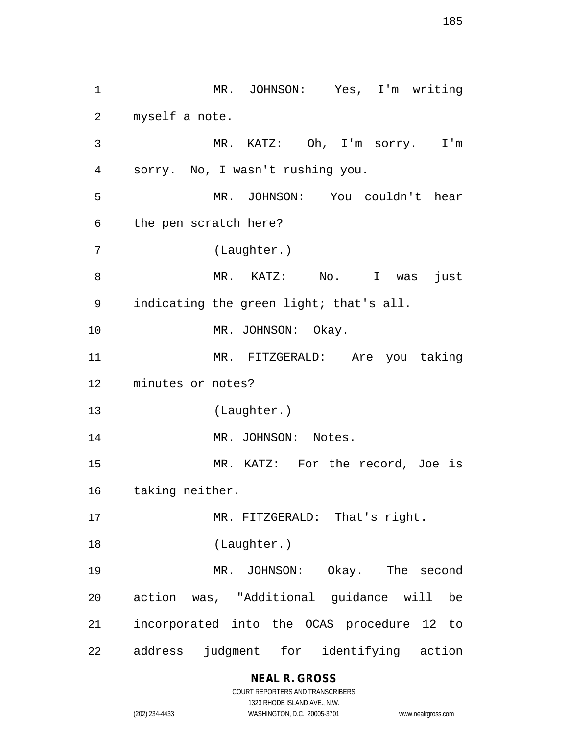1 MR. JOHNSON: Yes, I'm writing 2 myself a note. 3 MR. KATZ: Oh, I'm sorry. I'm 4 sorry. No, I wasn't rushing you. 5 MR. JOHNSON: You couldn't hear 6 the pen scratch here? 7 (Laughter.) 8 MR. KATZ: No. I was just 9 indicating the green light; that's all. 10 MR. JOHNSON: Okay. 11 MR. FITZGERALD: Are you taking 12 minutes or notes? 13 (Laughter.) 14 MR. JOHNSON: Notes. 15 MR. KATZ: For the record, Joe is 16 taking neither. 17 MR. FITZGERALD: That's right. 18 (Laughter.) 19 MR. JOHNSON: Okay. The second 20 action was, "Additional guidance will be 21 incorporated into the OCAS procedure 12 to 22 address judgment for identifying action

## **NEAL R. GROSS**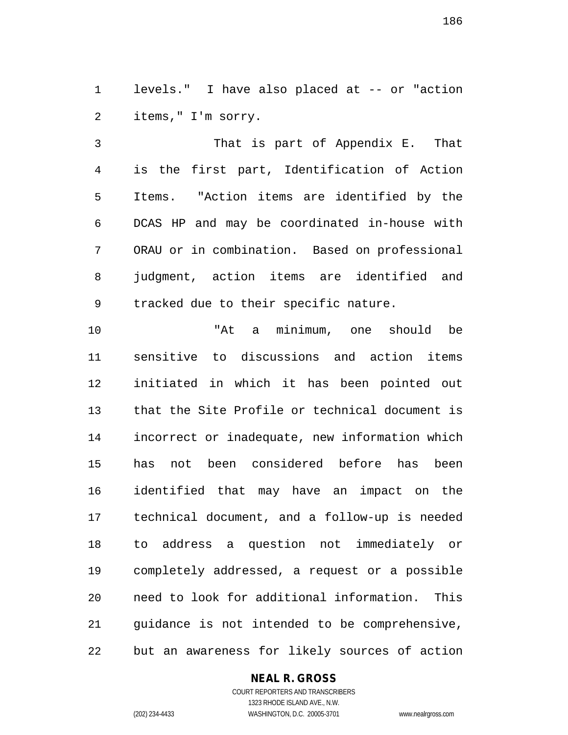1 levels." I have also placed at -- or "action 2 items," I'm sorry.

3 That is part of Appendix E. That 4 is the first part, Identification of Action 5 Items. "Action items are identified by the 6 DCAS HP and may be coordinated in-house with 7 ORAU or in combination. Based on professional 8 judgment, action items are identified and 9 tracked due to their specific nature.

10 "At a minimum, one should be 11 sensitive to discussions and action items 12 initiated in which it has been pointed out 13 that the Site Profile or technical document is 14 incorrect or inadequate, new information which 15 has not been considered before has been 16 identified that may have an impact on the 17 technical document, and a follow-up is needed 18 to address a question not immediately or 19 completely addressed, a request or a possible 20 need to look for additional information. This 21 guidance is not intended to be comprehensive, 22 but an awareness for likely sources of action

#### **NEAL R. GROSS**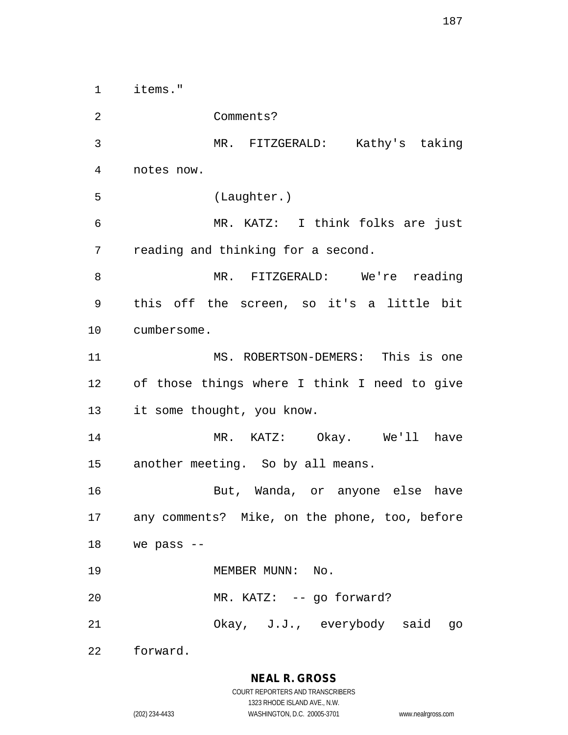1 items." 2 Comments? 3 MR. FITZGERALD: Kathy's taking 4 notes now. 5 (Laughter.) 6 MR. KATZ: I think folks are just 7 reading and thinking for a second. 8 MR. FITZGERALD: We're reading 9 this off the screen, so it's a little bit 10 cumbersome. 11 MS. ROBERTSON-DEMERS: This is one 12 of those things where I think I need to give 13 it some thought, you know. 14 MR. KATZ: Okay. We'll have 15 another meeting. So by all means. 16 But, Wanda, or anyone else have 17 any comments? Mike, on the phone, too, before 18 we pass -- 19 MEMBER MUNN: No. 20 MR. KATZ: -- go forward? 21 Okay, J.J., everybody said go

22 forward.

**NEAL R. GROSS**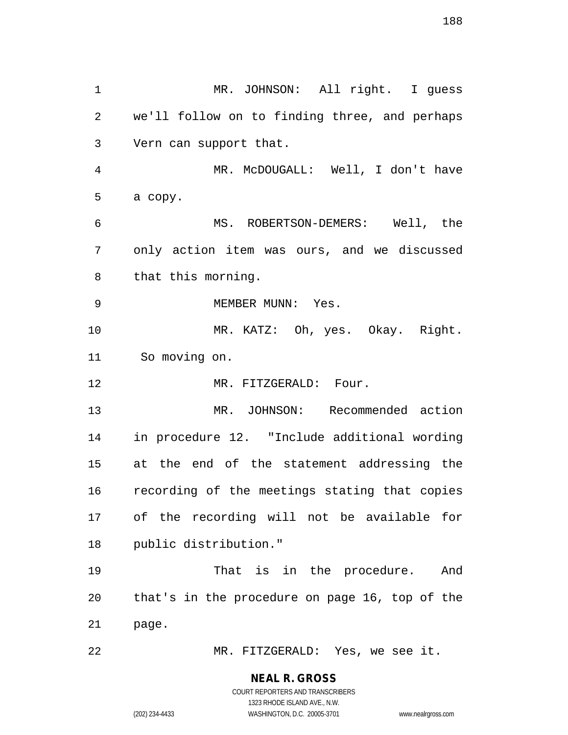188

1 MR. JOHNSON: All right. I guess 2 we'll follow on to finding three, and perhaps 3 Vern can support that. 4 MR. McDOUGALL: Well, I don't have 5 a copy. 6 MS. ROBERTSON-DEMERS: Well, the 7 only action item was ours, and we discussed 8 that this morning. 9 MEMBER MUNN: Yes. 10 MR. KATZ: Oh, yes. Okay. Right. 11 So moving on. 12 MR. FITZGERALD: Four. 13 MR. JOHNSON: Recommended action 14 in procedure 12. "Include additional wording 15 at the end of the statement addressing the 16 recording of the meetings stating that copies 17 of the recording will not be available for 18 public distribution." 19 That is in the procedure. And 20 that's in the procedure on page 16, top of the 21 page. 22 MR. FITZGERALD: Yes, we see it.

### **NEAL R. GROSS**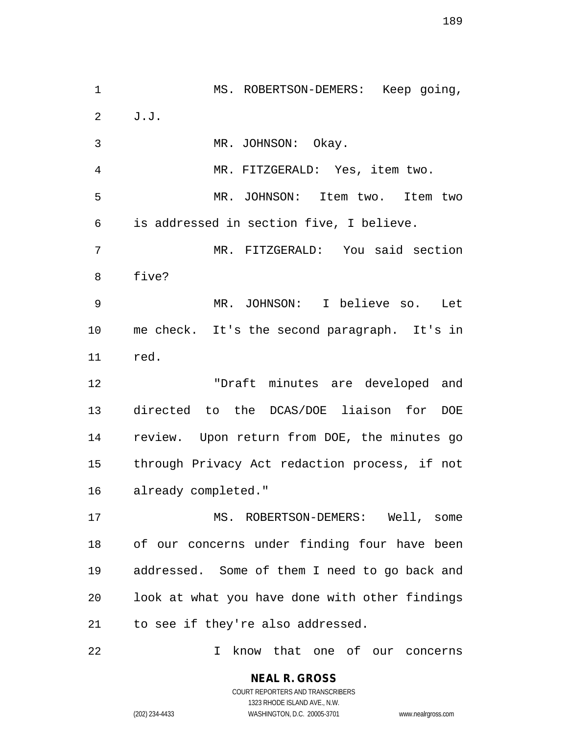1 MS. ROBERTSON-DEMERS: Keep going, 2 J.J. 3 MR. JOHNSON: Okay. 4 MR. FITZGERALD: Yes, item two. 5 MR. JOHNSON: Item two. Item two 6 is addressed in section five, I believe. 7 MR. FITZGERALD: You said section 8 five? 9 MR. JOHNSON: I believe so. Let 10 me check. It's the second paragraph. It's in 11 red. 12 "Draft minutes are developed and 13 directed to the DCAS/DOE liaison for DOE 14 review. Upon return from DOE, the minutes go 15 through Privacy Act redaction process, if not 16 already completed." 17 MS. ROBERTSON-DEMERS: Well, some 18 of our concerns under finding four have been 19 addressed. Some of them I need to go back and 20 look at what you have done with other findings 21 to see if they're also addressed. 22 I know that one of our concerns

> COURT REPORTERS AND TRANSCRIBERS 1323 RHODE ISLAND AVE., N.W. (202) 234-4433 WASHINGTON, D.C. 20005-3701 www.nealrgross.com

**NEAL R. GROSS**

189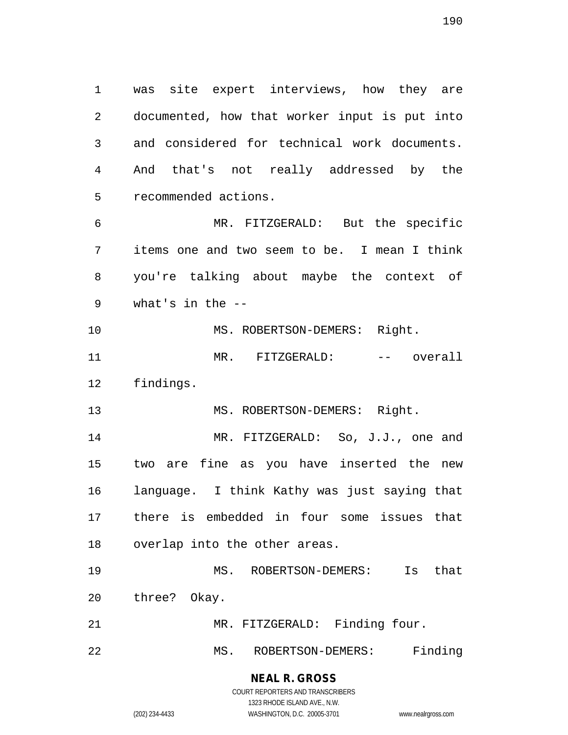1 was site expert interviews, how they are 2 documented, how that worker input is put into 3 and considered for technical work documents. 4 And that's not really addressed by the 5 recommended actions. 6 MR. FITZGERALD: But the specific 7 items one and two seem to be. I mean I think 8 you're talking about maybe the context of 9 what's in the -- 10 MS. ROBERTSON-DEMERS: Right. 11 MR. FITZGERALD: -- overall 12 findings. 13 MS. ROBERTSON-DEMERS: Right. 14 MR. FITZGERALD: So, J.J., one and

15 two are fine as you have inserted the new 16 language. I think Kathy was just saying that 17 there is embedded in four some issues that 18 overlap into the other areas.

19 MS. ROBERTSON-DEMERS: Is that 20 three? Okay.

- 21 MR. FITZGERALD: Finding four.
- 22 MS. ROBERTSON-DEMERS: Finding

**NEAL R. GROSS** COURT REPORTERS AND TRANSCRIBERS

1323 RHODE ISLAND AVE., N.W.

190

(202) 234-4433 WASHINGTON, D.C. 20005-3701 www.nealrgross.com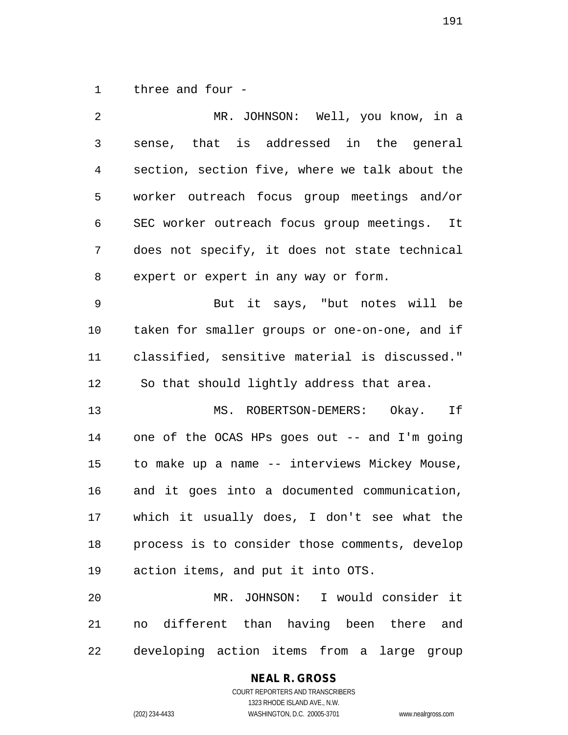1 three and four -

2 MR. JOHNSON: Well, you know, in a 3 sense, that is addressed in the general 4 section, section five, where we talk about the 5 worker outreach focus group meetings and/or 6 SEC worker outreach focus group meetings. It 7 does not specify, it does not state technical 8 expert or expert in any way or form. 9 But it says, "but notes will be 10 taken for smaller groups or one-on-one, and if 11 classified, sensitive material is discussed." 12 So that should lightly address that area. 13 MS. ROBERTSON-DEMERS: Okay. If 14 one of the OCAS HPs goes out -- and I'm going 15 to make up a name -- interviews Mickey Mouse, 16 and it goes into a documented communication, 17 which it usually does, I don't see what the 18 process is to consider those comments, develop 19 action items, and put it into OTS. 20 MR. JOHNSON: I would consider it 21 no different than having been there and 22 developing action items from a large group

## **NEAL R. GROSS**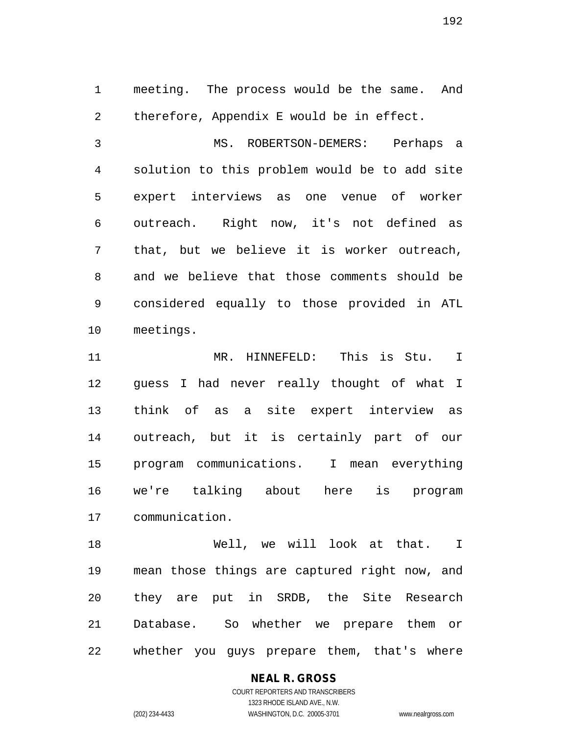1 meeting. The process would be the same. And 2 therefore, Appendix E would be in effect.

3 MS. ROBERTSON-DEMERS: Perhaps a 4 solution to this problem would be to add site 5 expert interviews as one venue of worker 6 outreach. Right now, it's not defined as 7 that, but we believe it is worker outreach, 8 and we believe that those comments should be 9 considered equally to those provided in ATL 10 meetings.

11 MR. HINNEFELD: This is Stu. I 12 guess I had never really thought of what I 13 think of as a site expert interview as 14 outreach, but it is certainly part of our 15 program communications. I mean everything 16 we're talking about here is program 17 communication.

18 Well, we will look at that. I 19 mean those things are captured right now, and 20 they are put in SRDB, the Site Research 21 Database. So whether we prepare them or 22 whether you guys prepare them, that's where

### **NEAL R. GROSS**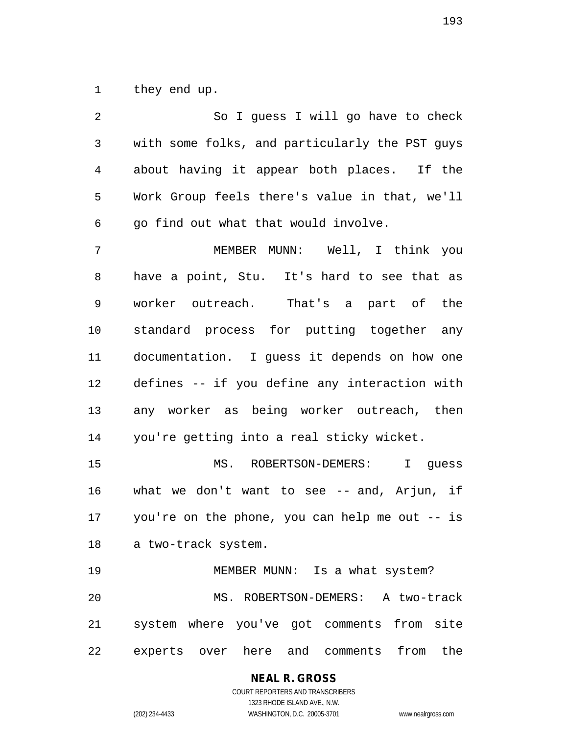1 they end up.

| $\overline{2}$ | So I guess I will go have to check                |
|----------------|---------------------------------------------------|
| 3              | with some folks, and particularly the PST guys    |
| 4              | about having it appear both places. If the        |
| 5              | Work Group feels there's value in that, we'll     |
| 6              | go find out what that would involve.              |
| 7              | MEMBER MUNN: Well, I think you                    |
| 8              | have a point, Stu. It's hard to see that as       |
| 9              | worker outreach. That's a part of the             |
| 10             | standard process for putting together any         |
| 11             | documentation. I guess it depends on how one      |
| 12             | defines -- if you define any interaction with     |
| 13             | any worker as being worker outreach, then         |
| 14             | you're getting into a real sticky wicket.         |
| 15             | MS. ROBERTSON-DEMERS: I guess                     |
| 16             | what we don't want to see -- and, Arjun, if       |
|                | 17 you're on the phone, you can help me out -- is |
| 18             | a two-track system.                               |
| 19             | MEMBER MUNN: Is a what system?                    |
| 20             | MS. ROBERTSON-DEMERS: A two-track                 |
| 21             | system where you've got comments from site        |
| 22             | experts over here and comments from the           |

**NEAL R. GROSS** COURT REPORTERS AND TRANSCRIBERS 1323 RHODE ISLAND AVE., N.W.

(202) 234-4433 WASHINGTON, D.C. 20005-3701 www.nealrgross.com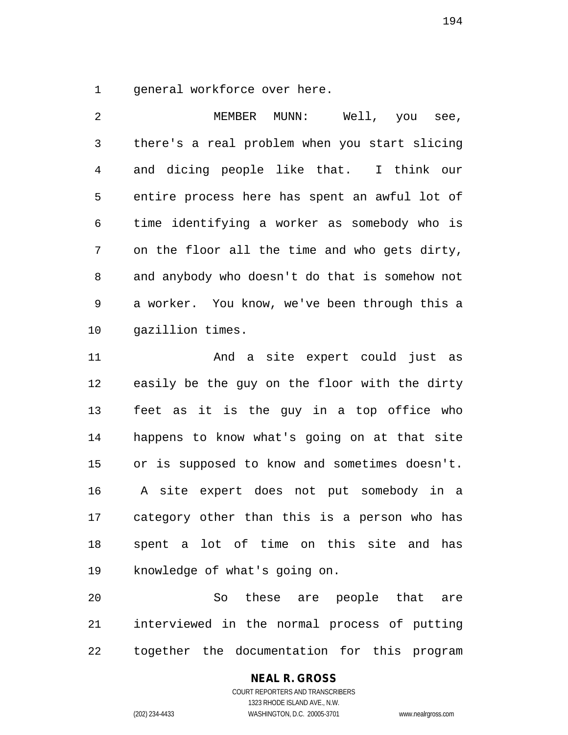1 general workforce over here.

2 MEMBER MUNN: Well, you see, 3 there's a real problem when you start slicing 4 and dicing people like that. I think our 5 entire process here has spent an awful lot of 6 time identifying a worker as somebody who is 7 on the floor all the time and who gets dirty, 8 and anybody who doesn't do that is somehow not 9 a worker. You know, we've been through this a 10 gazillion times. 11 And a site expert could just as

12 easily be the guy on the floor with the dirty 13 feet as it is the guy in a top office who 14 happens to know what's going on at that site 15 or is supposed to know and sometimes doesn't. 16 A site expert does not put somebody in a 17 category other than this is a person who has 18 spent a lot of time on this site and has 19 knowledge of what's going on.

20 So these are people that are 21 interviewed in the normal process of putting 22 together the documentation for this program

## **NEAL R. GROSS**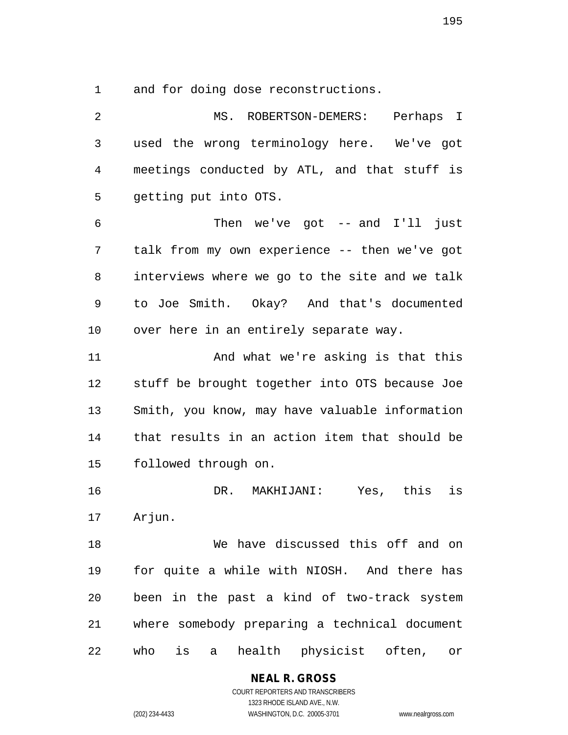1 and for doing dose reconstructions.

| 2              | MS. ROBERTSON-DEMERS: Perhaps I                            |
|----------------|------------------------------------------------------------|
| $\mathfrak{Z}$ | used the wrong terminology here. We've got                 |
| 4              | meetings conducted by ATL, and that stuff is               |
| 5              | getting put into OTS.                                      |
| 6              | Then we've got $-$ and I'll just                           |
| 7              | talk from my own experience -- then we've got              |
| 8              | interviews where we go to the site and we talk             |
| 9              | to Joe Smith. Okay? And that's documented                  |
| 10             | over here in an entirely separate way.                     |
| 11             | And what we're asking is that this                         |
| 12             | stuff be brought together into OTS because Joe             |
| 13             | Smith, you know, may have valuable information             |
| 14             | that results in an action item that should be              |
| 15             | followed through on.                                       |
| 16             | DR. MAKHIJANI: Yes, this is                                |
| 17             | Arjun.                                                     |
| 18             | We have discussed this off and on                          |
| 19             | for quite a while with NIOSH. And there has                |
| 20             | been in the past a kind of two-track system                |
| 21             | where somebody preparing a technical document              |
| 22             | who<br>is<br>health physicist often,<br>$\mathsf{a}$<br>or |

**NEAL R. GROSS**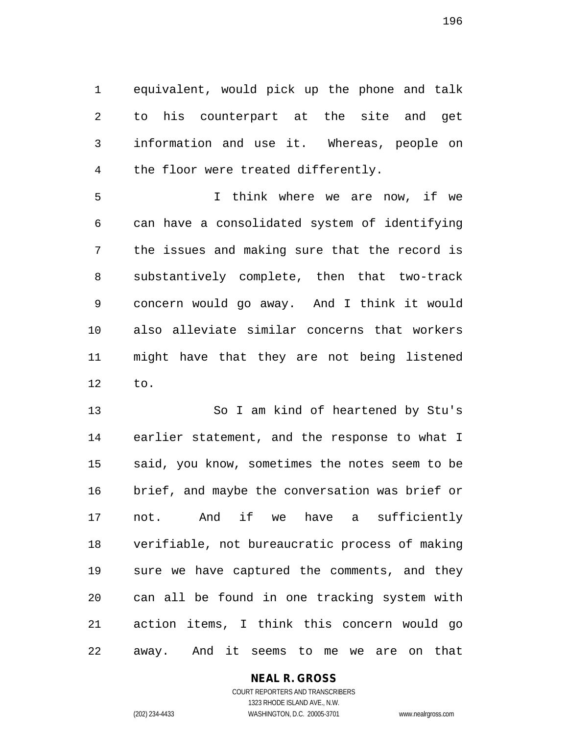1 equivalent, would pick up the phone and talk 2 to his counterpart at the site and get 3 information and use it. Whereas, people on 4 the floor were treated differently.

5 I think where we are now, if we 6 can have a consolidated system of identifying 7 the issues and making sure that the record is 8 substantively complete, then that two-track 9 concern would go away. And I think it would 10 also alleviate similar concerns that workers 11 might have that they are not being listened 12 to.

13 So I am kind of heartened by Stu's 14 earlier statement, and the response to what I 15 said, you know, sometimes the notes seem to be 16 brief, and maybe the conversation was brief or 17 not. And if we have a sufficiently 18 verifiable, not bureaucratic process of making 19 sure we have captured the comments, and they 20 can all be found in one tracking system with 21 action items, I think this concern would go 22 away. And it seems to me we are on that

#### **NEAL R. GROSS** COURT REPORTERS AND TRANSCRIBERS

1323 RHODE ISLAND AVE., N.W.

(202) 234-4433 WASHINGTON, D.C. 20005-3701 www.nealrgross.com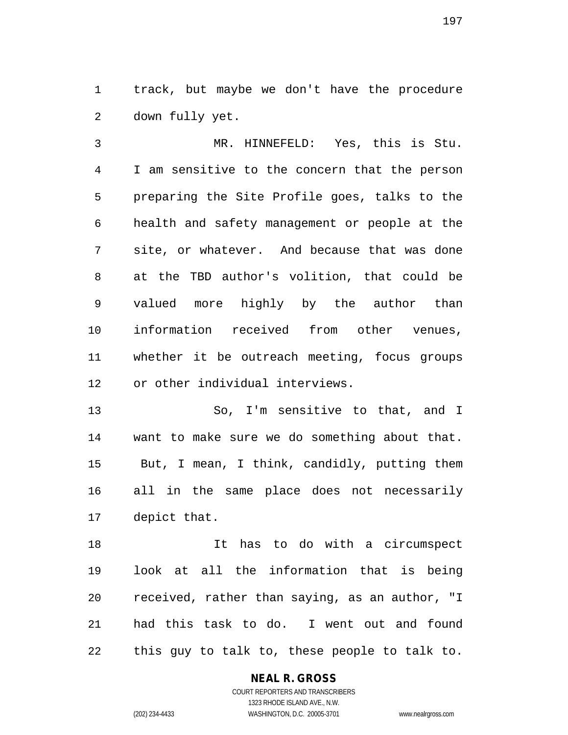1 track, but maybe we don't have the procedure 2 down fully yet.

3 MR. HINNEFELD: Yes, this is Stu. 4 I am sensitive to the concern that the person 5 preparing the Site Profile goes, talks to the 6 health and safety management or people at the 7 site, or whatever. And because that was done 8 at the TBD author's volition, that could be 9 valued more highly by the author than 10 information received from other venues, 11 whether it be outreach meeting, focus groups 12 or other individual interviews.

13 So, I'm sensitive to that, and I 14 want to make sure we do something about that. 15 But, I mean, I think, candidly, putting them 16 all in the same place does not necessarily 17 depict that.

18 It has to do with a circumspect 19 look at all the information that is being 20 received, rather than saying, as an author, "I 21 had this task to do. I went out and found 22 this guy to talk to, these people to talk to.

**NEAL R. GROSS**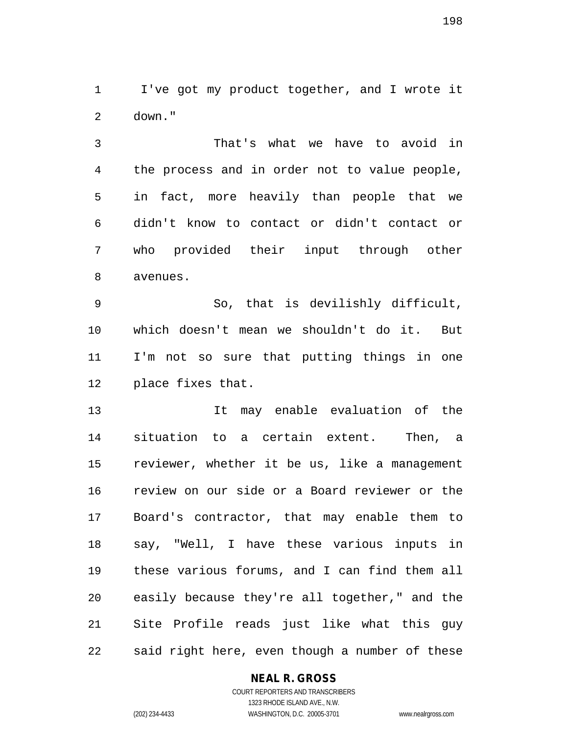1 I've got my product together, and I wrote it 2 down."

3 That's what we have to avoid in 4 the process and in order not to value people, 5 in fact, more heavily than people that we 6 didn't know to contact or didn't contact or 7 who provided their input through other 8 avenues.

9 So, that is devilishly difficult, 10 which doesn't mean we shouldn't do it. But 11 I'm not so sure that putting things in one 12 place fixes that.

13 It may enable evaluation of the 14 situation to a certain extent. Then, a 15 reviewer, whether it be us, like a management 16 review on our side or a Board reviewer or the 17 Board's contractor, that may enable them to 18 say, "Well, I have these various inputs in 19 these various forums, and I can find them all 20 easily because they're all together," and the 21 Site Profile reads just like what this guy 22 said right here, even though a number of these

#### **NEAL R. GROSS**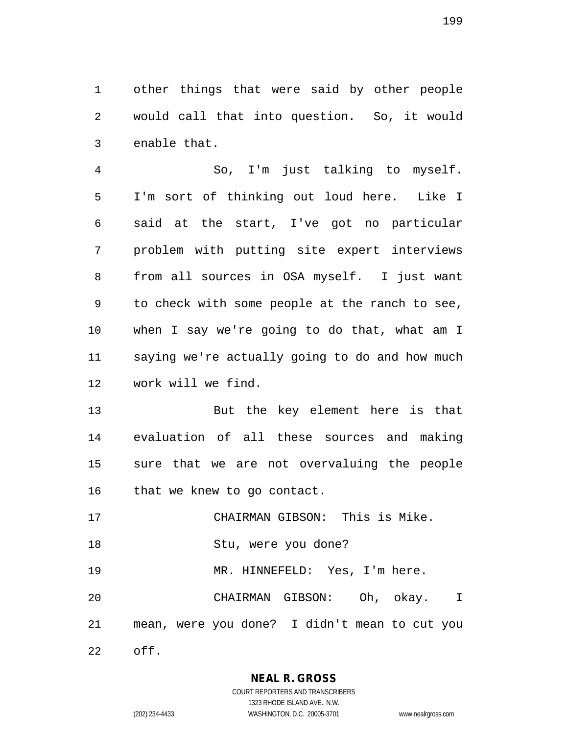1 other things that were said by other people 2 would call that into question. So, it would 3 enable that.

4 So, I'm just talking to myself. 5 I'm sort of thinking out loud here. Like I 6 said at the start, I've got no particular 7 problem with putting site expert interviews 8 from all sources in OSA myself. I just want 9 to check with some people at the ranch to see, 10 when I say we're going to do that, what am I 11 saying we're actually going to do and how much 12 work will we find.

13 But the key element here is that 14 evaluation of all these sources and making 15 sure that we are not overvaluing the people 16 that we knew to go contact.

17 CHAIRMAN GIBSON: This is Mike.

18 Stu, were you done?

19 MR. HINNEFELD: Yes, I'm here.

20 CHAIRMAN GIBSON: Oh, okay. I 21 mean, were you done? I didn't mean to cut you 22 off.

> **NEAL R. GROSS** COURT REPORTERS AND TRANSCRIBERS

1323 RHODE ISLAND AVE., N.W. (202) 234-4433 WASHINGTON, D.C. 20005-3701 www.nealrgross.com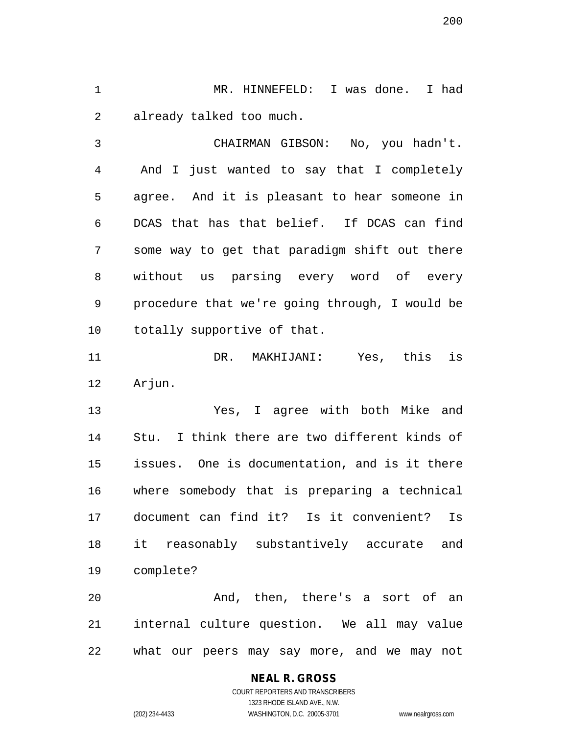1 MR. HINNEFELD: I was done. I had 2 already talked too much.

3 CHAIRMAN GIBSON: No, you hadn't. 4 And I just wanted to say that I completely 5 agree. And it is pleasant to hear someone in 6 DCAS that has that belief. If DCAS can find 7 some way to get that paradigm shift out there 8 without us parsing every word of every 9 procedure that we're going through, I would be 10 totally supportive of that.

11 DR. MAKHIJANI: Yes, this is 12 Arjun.

13 Yes, I agree with both Mike and 14 Stu. I think there are two different kinds of 15 issues. One is documentation, and is it there 16 where somebody that is preparing a technical 17 document can find it? Is it convenient? Is 18 it reasonably substantively accurate and 19 complete?

20 And, then, there's a sort of an 21 internal culture question. We all may value 22 what our peers may say more, and we may not

(202) 234-4433 WASHINGTON, D.C. 20005-3701 www.nealrgross.com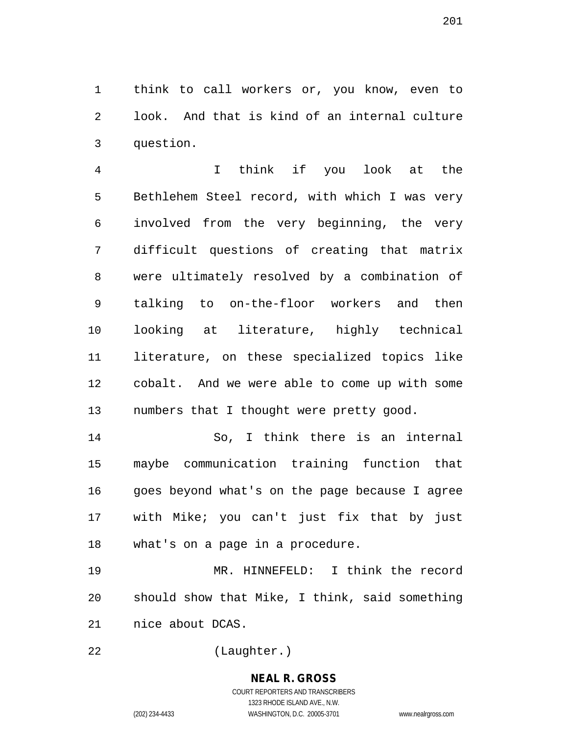1 think to call workers or, you know, even to 2 look. And that is kind of an internal culture 3 question.

4 I think if you look at the 5 Bethlehem Steel record, with which I was very 6 involved from the very beginning, the very 7 difficult questions of creating that matrix 8 were ultimately resolved by a combination of 9 talking to on-the-floor workers and then 10 looking at literature, highly technical 11 literature, on these specialized topics like 12 cobalt. And we were able to come up with some 13 numbers that I thought were pretty good.

14 So, I think there is an internal 15 maybe communication training function that 16 goes beyond what's on the page because I agree 17 with Mike; you can't just fix that by just 18 what's on a page in a procedure.

19 MR. HINNEFELD: I think the record 20 should show that Mike, I think, said something 21 nice about DCAS.

22 (Laughter.)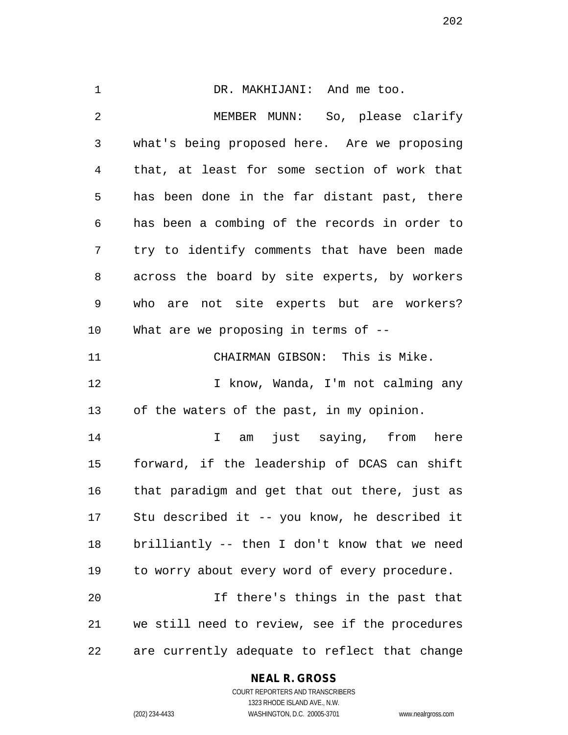1 DR. MAKHIJANI: And me too. 2 MEMBER MUNN: So, please clarify 3 what's being proposed here. Are we proposing 4 that, at least for some section of work that 5 has been done in the far distant past, there 6 has been a combing of the records in order to 7 try to identify comments that have been made 8 across the board by site experts, by workers 9 who are not site experts but are workers? 10 What are we proposing in terms of -- 11 CHAIRMAN GIBSON: This is Mike. 12 I know, Wanda, I'm not calming any 13 of the waters of the past, in my opinion. 14 I am just saying, from here 15 forward, if the leadership of DCAS can shift 16 that paradigm and get that out there, just as 17 Stu described it -- you know, he described it 18 brilliantly -- then I don't know that we need 19 to worry about every word of every procedure. 20 If there's things in the past that 21 we still need to review, see if the procedures 22 are currently adequate to reflect that change

#### **NEAL R. GROSS** COURT REPORTERS AND TRANSCRIBERS

1323 RHODE ISLAND AVE., N.W.

202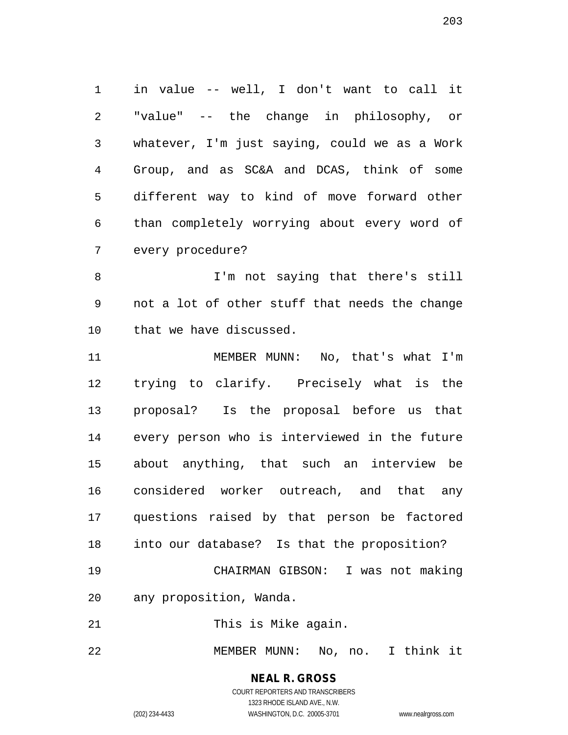1 in value -- well, I don't want to call it 2 "value" -- the change in philosophy, or 3 whatever, I'm just saying, could we as a Work 4 Group, and as SC&A and DCAS, think of some 5 different way to kind of move forward other 6 than completely worrying about every word of 7 every procedure?

8 I'm not saying that there's still 9 not a lot of other stuff that needs the change 10 that we have discussed.

11 MEMBER MUNN: No, that's what I'm 12 trying to clarify. Precisely what is the 13 proposal? Is the proposal before us that 14 every person who is interviewed in the future 15 about anything, that such an interview be 16 considered worker outreach, and that any 17 questions raised by that person be factored 18 into our database? Is that the proposition? 19 CHAIRMAN GIBSON: I was not making

20 any proposition, Wanda.

21 This is Mike again.

22 MEMBER MUNN: No, no. I think it

**NEAL R. GROSS** COURT REPORTERS AND TRANSCRIBERS

1323 RHODE ISLAND AVE., N.W.

(202) 234-4433 WASHINGTON, D.C. 20005-3701 www.nealrgross.com

203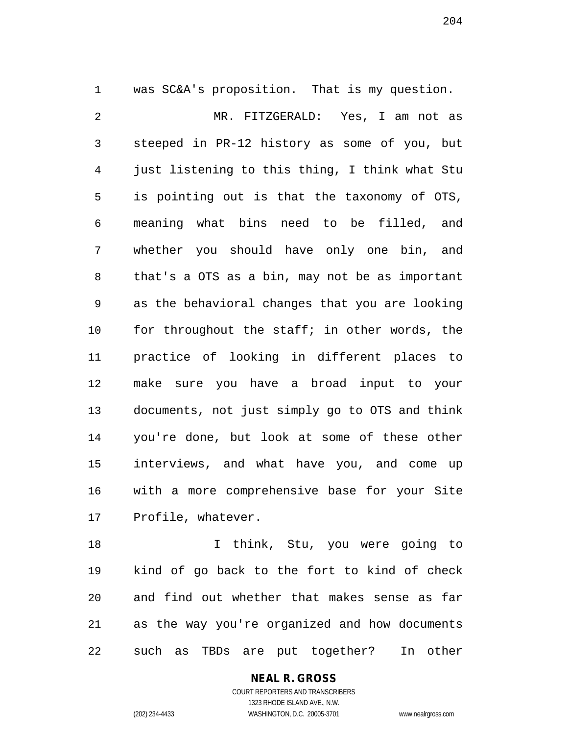1 was SC&A's proposition. That is my question. 2 MR. FITZGERALD: Yes, I am not as 3 steeped in PR-12 history as some of you, but 4 just listening to this thing, I think what Stu 5 is pointing out is that the taxonomy of OTS, 6 meaning what bins need to be filled, and 7 whether you should have only one bin, and 8 that's a OTS as a bin, may not be as important 9 as the behavioral changes that you are looking 10 for throughout the staff; in other words, the 11 practice of looking in different places to 12 make sure you have a broad input to your 13 documents, not just simply go to OTS and think 14 you're done, but look at some of these other 15 interviews, and what have you, and come up 16 with a more comprehensive base for your Site 17 Profile, whatever.

18 I think, Stu, you were going to 19 kind of go back to the fort to kind of check 20 and find out whether that makes sense as far 21 as the way you're organized and how documents 22 such as TBDs are put together? In other

**NEAL R. GROSS**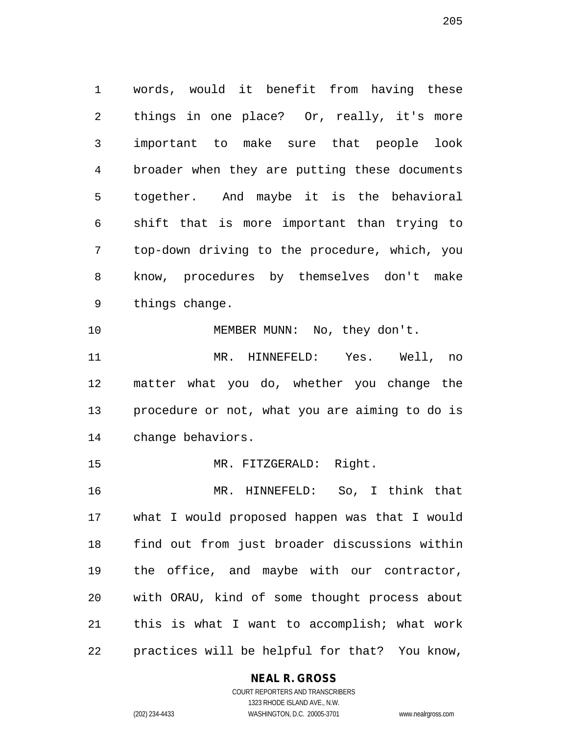1 words, would it benefit from having these 2 things in one place? Or, really, it's more 3 important to make sure that people look 4 broader when they are putting these documents 5 together. And maybe it is the behavioral 6 shift that is more important than trying to 7 top-down driving to the procedure, which, you 8 know, procedures by themselves don't make 9 things change.

10 MEMBER MUNN: No, they don't. 11 MR. HINNEFELD: Yes. Well, no 12 matter what you do, whether you change the 13 procedure or not, what you are aiming to do is 14 change behaviors.

15 MR. FITZGERALD: Right.

16 MR. HINNEFELD: So, I think that 17 what I would proposed happen was that I would 18 find out from just broader discussions within 19 the office, and maybe with our contractor, 20 with ORAU, kind of some thought process about 21 this is what I want to accomplish; what work 22 practices will be helpful for that? You know,

#### **NEAL R. GROSS**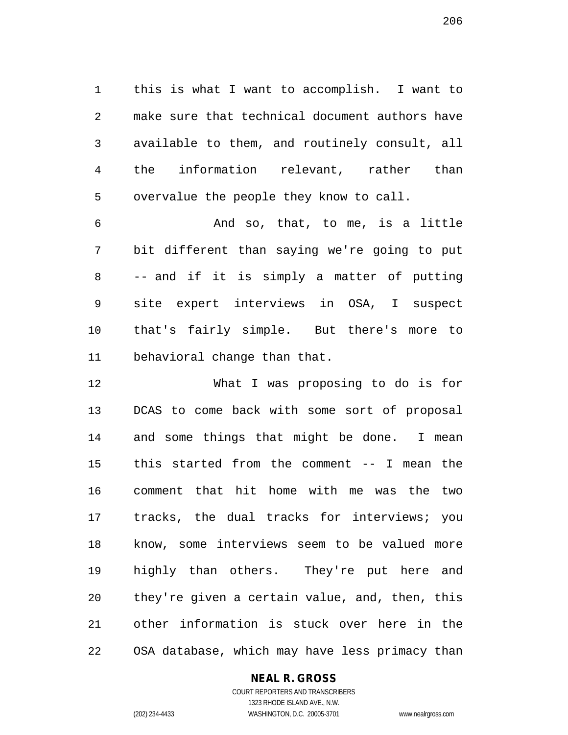1 this is what I want to accomplish. I want to 2 make sure that technical document authors have 3 available to them, and routinely consult, all 4 the information relevant, rather than 5 overvalue the people they know to call.

6 And so, that, to me, is a little 7 bit different than saying we're going to put 8 -- and if it is simply a matter of putting 9 site expert interviews in OSA, I suspect 10 that's fairly simple. But there's more to 11 behavioral change than that.

12 What I was proposing to do is for 13 DCAS to come back with some sort of proposal 14 and some things that might be done. I mean 15 this started from the comment -- I mean the 16 comment that hit home with me was the two 17 tracks, the dual tracks for interviews; you 18 know, some interviews seem to be valued more 19 highly than others. They're put here and 20 they're given a certain value, and, then, this 21 other information is stuck over here in the 22 OSA database, which may have less primacy than

#### **NEAL R. GROSS**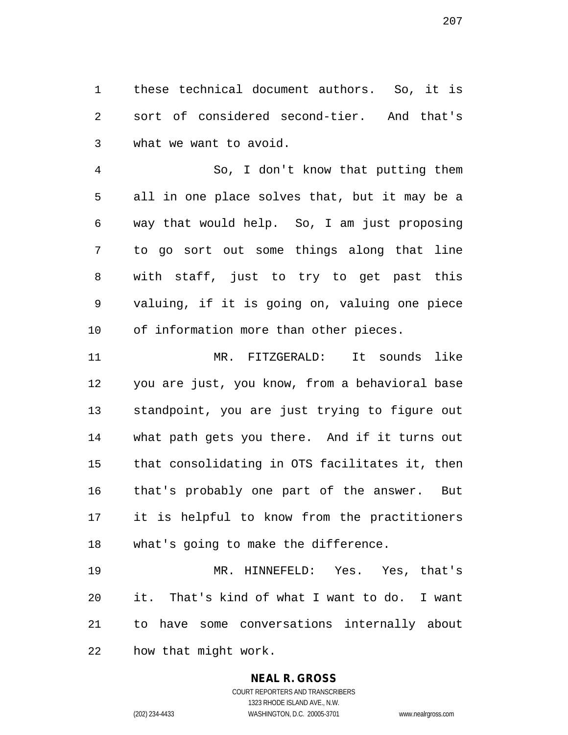1 these technical document authors. So, it is 2 sort of considered second-tier. And that's 3 what we want to avoid.

4 So, I don't know that putting them 5 all in one place solves that, but it may be a 6 way that would help. So, I am just proposing 7 to go sort out some things along that line 8 with staff, just to try to get past this 9 valuing, if it is going on, valuing one piece 10 of information more than other pieces.

11 MR. FITZGERALD: It sounds like 12 you are just, you know, from a behavioral base 13 standpoint, you are just trying to figure out 14 what path gets you there. And if it turns out 15 that consolidating in OTS facilitates it, then 16 that's probably one part of the answer. But 17 it is helpful to know from the practitioners 18 what's going to make the difference.

19 MR. HINNEFELD: Yes. Yes, that's 20 it. That's kind of what I want to do. I want 21 to have some conversations internally about 22 how that might work.

#### **NEAL R. GROSS**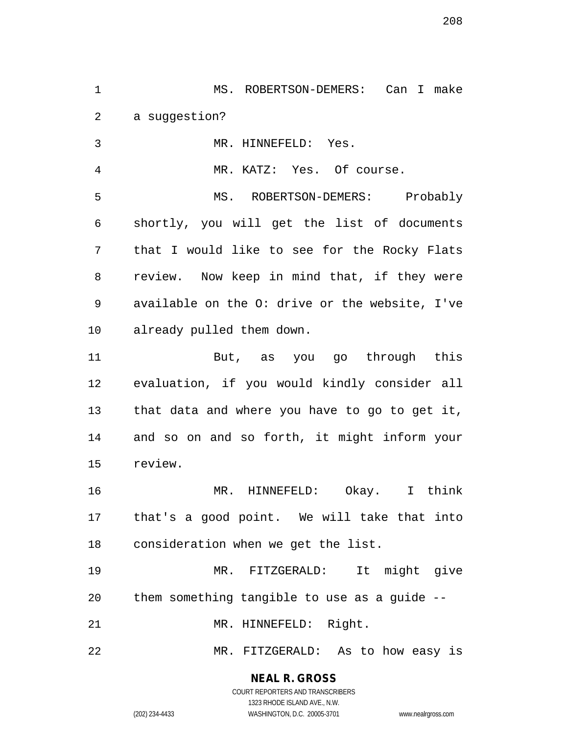1 MS. ROBERTSON-DEMERS: Can I make 2 a suggestion? 3 MR. HINNEFELD: Yes. 4 MR. KATZ: Yes. Of course. 5 MS. ROBERTSON-DEMERS: Probably 6 shortly, you will get the list of documents

7 that I would like to see for the Rocky Flats 8 review. Now keep in mind that, if they were 9 available on the O: drive or the website, I've 10 already pulled them down.

11 But, as you go through this 12 evaluation, if you would kindly consider all 13 that data and where you have to go to get it, 14 and so on and so forth, it might inform your 15 review.

16 MR. HINNEFELD: Okay. I think 17 that's a good point. We will take that into 18 consideration when we get the list.

19 MR. FITZGERALD: It might give 20 them something tangible to use as a guide --

21 MR. HINNEFELD: Right.

22 MR. FITZGERALD: As to how easy is

**NEAL R. GROSS** COURT REPORTERS AND TRANSCRIBERS

1323 RHODE ISLAND AVE., N.W.

(202) 234-4433 WASHINGTON, D.C. 20005-3701 www.nealrgross.com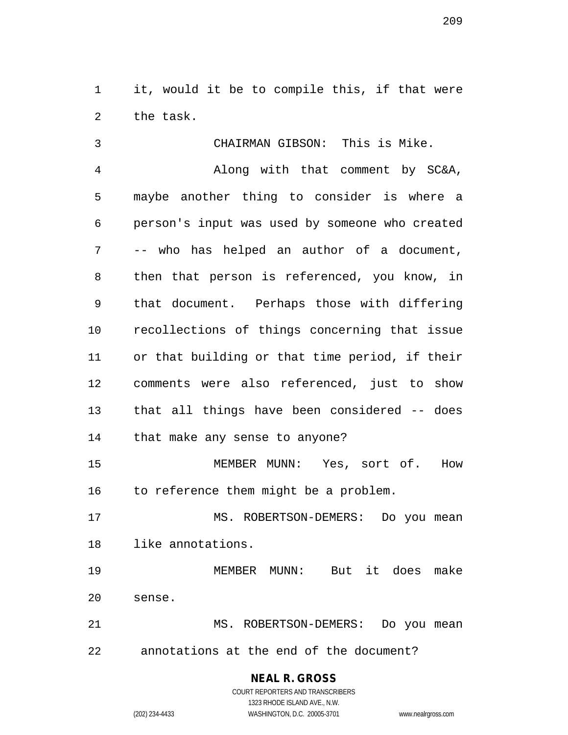1 it, would it be to compile this, if that were 2 the task.

3 CHAIRMAN GIBSON: This is Mike. 4 Along with that comment by SC&A, 5 maybe another thing to consider is where a 6 person's input was used by someone who created 7 -- who has helped an author of a document, 8 then that person is referenced, you know, in 9 that document. Perhaps those with differing 10 recollections of things concerning that issue 11 or that building or that time period, if their 12 comments were also referenced, just to show 13 that all things have been considered -- does 14 that make any sense to anyone? 15 MEMBER MUNN: Yes, sort of. How 16 to reference them might be a problem. 17 MS. ROBERTSON-DEMERS: Do you mean 18 like annotations. 19 MEMBER MUNN: But it does make 20 sense. 21 MS. ROBERTSON-DEMERS: Do you mean 22 annotations at the end of the document?

> **NEAL R. GROSS** COURT REPORTERS AND TRANSCRIBERS

> > 1323 RHODE ISLAND AVE., N.W.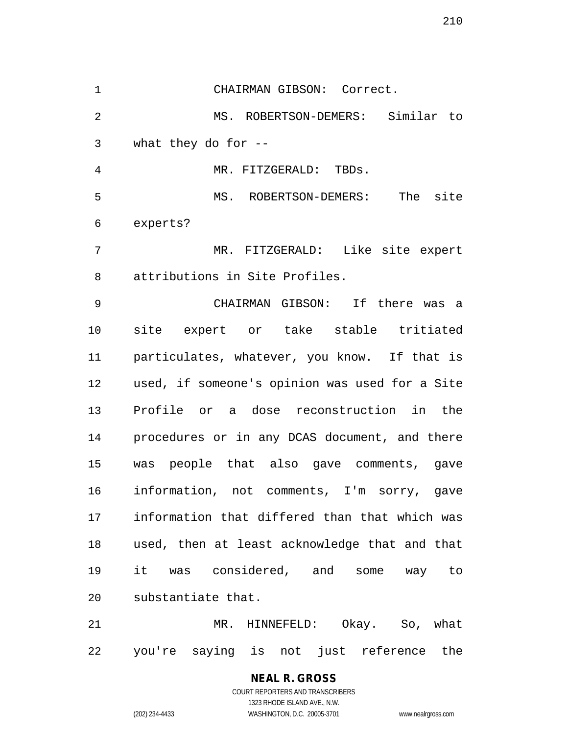1 CHAIRMAN GIBSON: Correct. 2 MS. ROBERTSON-DEMERS: Similar to 3 what they do for -- 4 MR. FITZGERALD: TBDs. 5 MS. ROBERTSON-DEMERS: The site 6 experts? 7 MR. FITZGERALD: Like site expert 8 attributions in Site Profiles. 9 CHAIRMAN GIBSON: If there was a 10 site expert or take stable tritiated 11 particulates, whatever, you know. If that is 12 used, if someone's opinion was used for a Site 13 Profile or a dose reconstruction in the 14 procedures or in any DCAS document, and there 15 was people that also gave comments, gave 16 information, not comments, I'm sorry, gave 17 information that differed than that which was 18 used, then at least acknowledge that and that 19 it was considered, and some way to 20 substantiate that. 21 MR. HINNEFELD: Okay. So, what

22 you're saying is not just reference the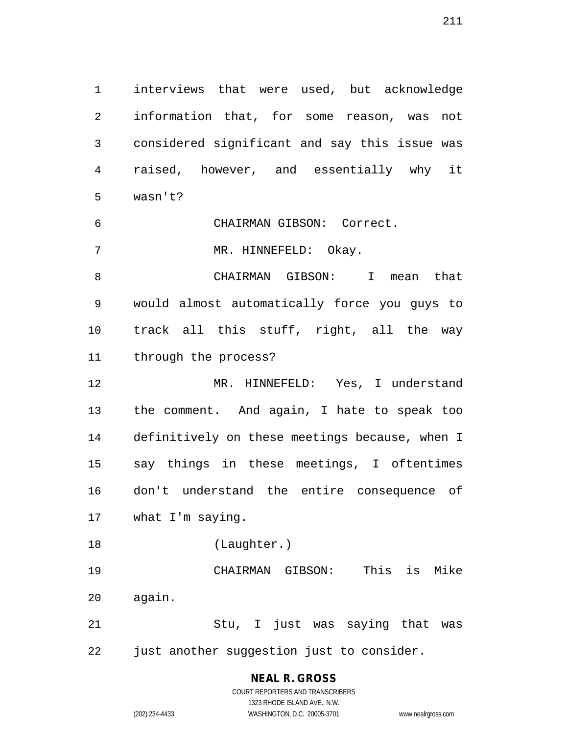1 interviews that were used, but acknowledge 2 information that, for some reason, was not 3 considered significant and say this issue was 4 raised, however, and essentially why it 5 wasn't?

6 CHAIRMAN GIBSON: Correct.

7 MR. HINNEFELD: Okay.

8 CHAIRMAN GIBSON: I mean that 9 would almost automatically force you guys to 10 track all this stuff, right, all the way 11 through the process?

12 MR. HINNEFELD: Yes, I understand 13 the comment. And again, I hate to speak too 14 definitively on these meetings because, when I 15 say things in these meetings, I oftentimes 16 don't understand the entire consequence of 17 what I'm saying.

18 (Laughter.)

19 CHAIRMAN GIBSON: This is Mike 20 again.

21 Stu, I just was saying that was 22 just another suggestion just to consider.

# **NEAL R. GROSS**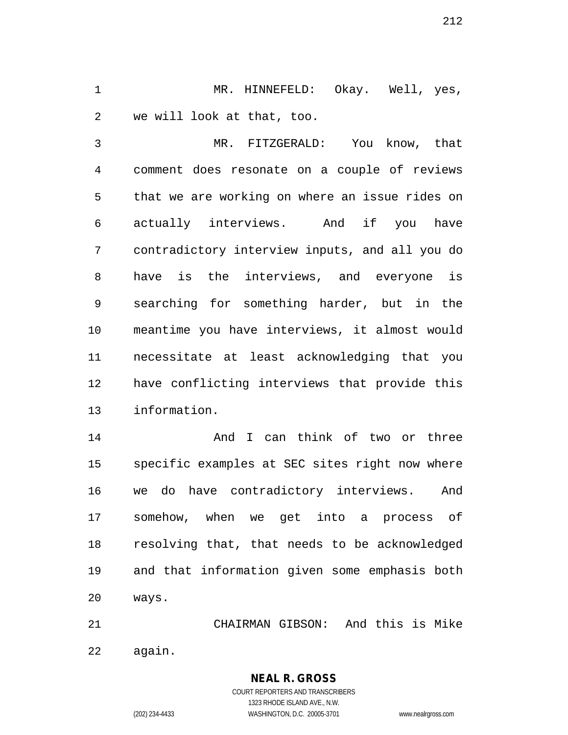1 MR. HINNEFELD: Okay. Well, yes, 2 we will look at that, too.

3 MR. FITZGERALD: You know, that 4 comment does resonate on a couple of reviews 5 that we are working on where an issue rides on 6 actually interviews. And if you have 7 contradictory interview inputs, and all you do 8 have is the interviews, and everyone is 9 searching for something harder, but in the 10 meantime you have interviews, it almost would 11 necessitate at least acknowledging that you 12 have conflicting interviews that provide this 13 information.

14 And I can think of two or three 15 specific examples at SEC sites right now where 16 we do have contradictory interviews. And 17 somehow, when we get into a process of 18 resolving that, that needs to be acknowledged 19 and that information given some emphasis both 20 ways.

21 CHAIRMAN GIBSON: And this is Mike 22 again.

> **NEAL R. GROSS** COURT REPORTERS AND TRANSCRIBERS 1323 RHODE ISLAND AVE., N.W. (202) 234-4433 WASHINGTON, D.C. 20005-3701 www.nealrgross.com

212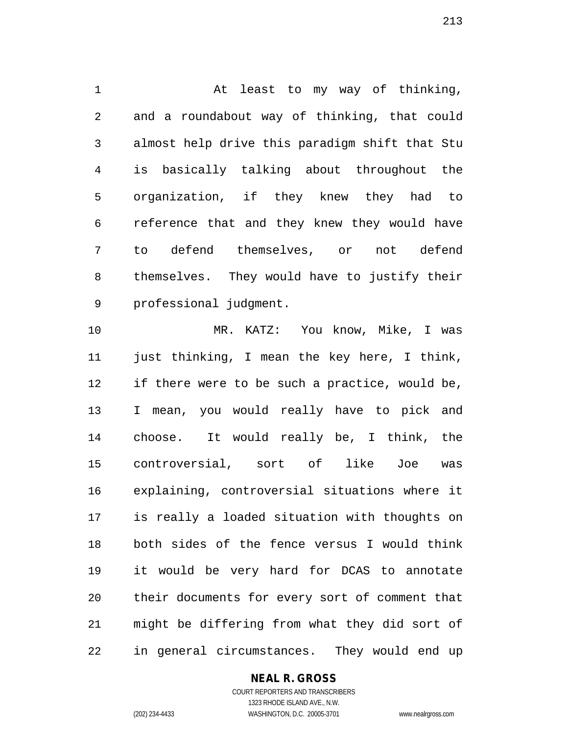1 At least to my way of thinking, 2 and a roundabout way of thinking, that could 3 almost help drive this paradigm shift that Stu 4 is basically talking about throughout the 5 organization, if they knew they had to 6 reference that and they knew they would have 7 to defend themselves, or not defend 8 themselves. They would have to justify their 9 professional judgment.

10 MR. KATZ: You know, Mike, I was 11 just thinking, I mean the key here, I think, 12 if there were to be such a practice, would be, 13 I mean, you would really have to pick and 14 choose. It would really be, I think, the 15 controversial, sort of like Joe was 16 explaining, controversial situations where it 17 is really a loaded situation with thoughts on 18 both sides of the fence versus I would think 19 it would be very hard for DCAS to annotate 20 their documents for every sort of comment that 21 might be differing from what they did sort of 22 in general circumstances. They would end up

#### **NEAL R. GROSS**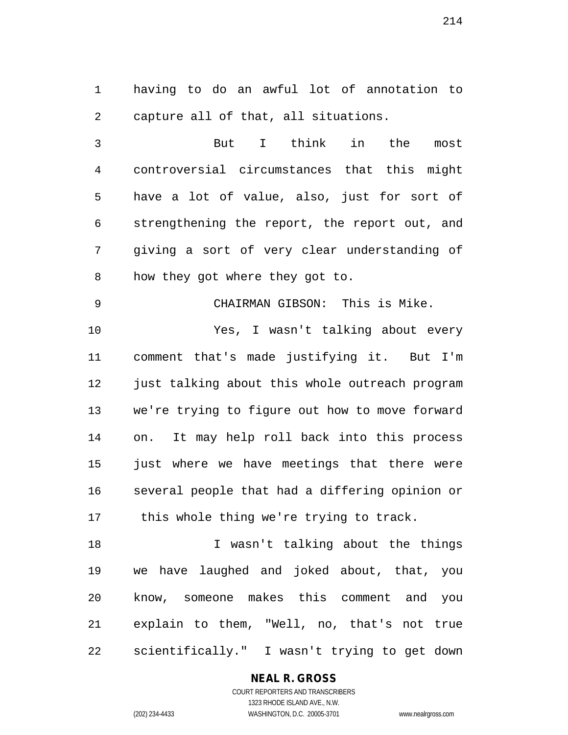1 having to do an awful lot of annotation to 2 capture all of that, all situations.

3 But I think in the most 4 controversial circumstances that this might 5 have a lot of value, also, just for sort of 6 strengthening the report, the report out, and 7 giving a sort of very clear understanding of 8 how they got where they got to.

9 CHAIRMAN GIBSON: This is Mike.

10 Yes, I wasn't talking about every 11 comment that's made justifying it. But I'm 12 just talking about this whole outreach program 13 we're trying to figure out how to move forward 14 on. It may help roll back into this process 15 just where we have meetings that there were 16 several people that had a differing opinion or 17 this whole thing we're trying to track.

18 I wasn't talking about the things 19 we have laughed and joked about, that, you 20 know, someone makes this comment and you 21 explain to them, "Well, no, that's not true 22 scientifically." I wasn't trying to get down

#### **NEAL R. GROSS**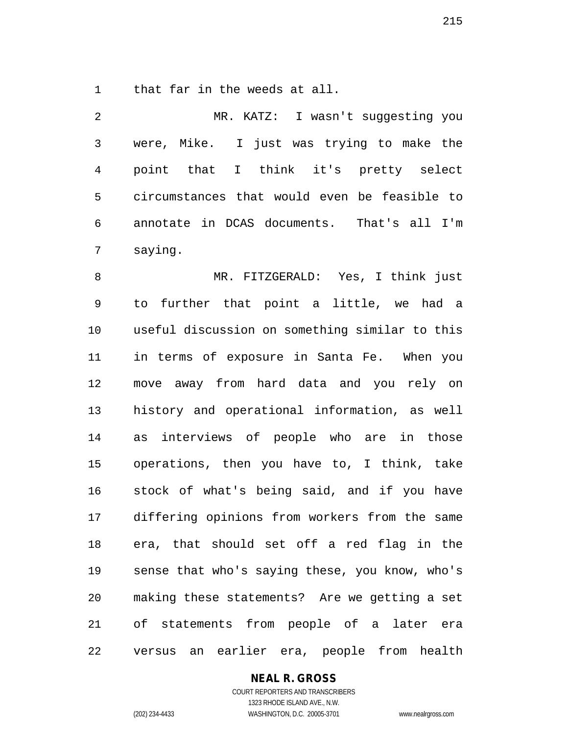1 that far in the weeds at all.

2 MR. KATZ: I wasn't suggesting you 3 were, Mike. I just was trying to make the 4 point that I think it's pretty select 5 circumstances that would even be feasible to 6 annotate in DCAS documents. That's all I'm 7 saying.

8 MR. FITZGERALD: Yes, I think just 9 to further that point a little, we had a 10 useful discussion on something similar to this 11 in terms of exposure in Santa Fe. When you 12 move away from hard data and you rely on 13 history and operational information, as well 14 as interviews of people who are in those 15 operations, then you have to, I think, take 16 stock of what's being said, and if you have 17 differing opinions from workers from the same 18 era, that should set off a red flag in the 19 sense that who's saying these, you know, who's 20 making these statements? Are we getting a set 21 of statements from people of a later era 22 versus an earlier era, people from health

#### **NEAL R. GROSS** COURT REPORTERS AND TRANSCRIBERS

1323 RHODE ISLAND AVE., N.W. (202) 234-4433 WASHINGTON, D.C. 20005-3701 www.nealrgross.com

215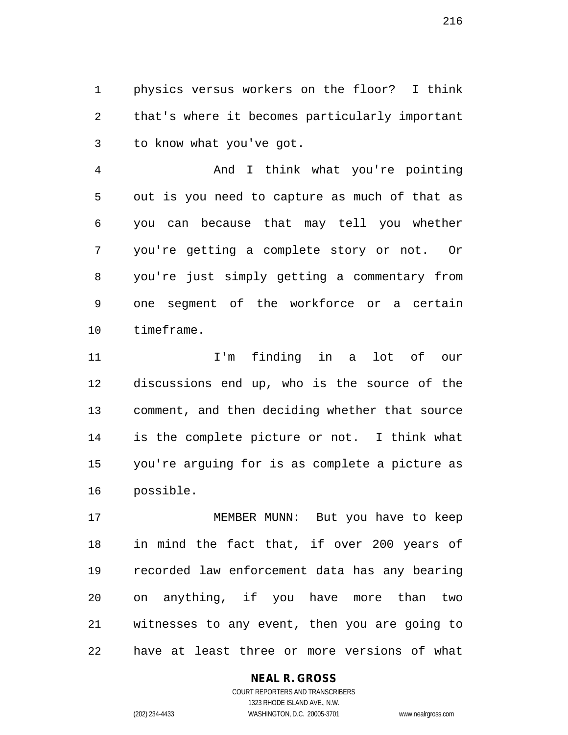1 physics versus workers on the floor? I think 2 that's where it becomes particularly important 3 to know what you've got.

4 And I think what you're pointing 5 out is you need to capture as much of that as 6 you can because that may tell you whether 7 you're getting a complete story or not. Or 8 you're just simply getting a commentary from 9 one segment of the workforce or a certain 10 timeframe.

11 I'm finding in a lot of our 12 discussions end up, who is the source of the 13 comment, and then deciding whether that source 14 is the complete picture or not. I think what 15 you're arguing for is as complete a picture as 16 possible.

17 MEMBER MUNN: But you have to keep 18 in mind the fact that, if over 200 years of 19 recorded law enforcement data has any bearing 20 on anything, if you have more than two 21 witnesses to any event, then you are going to 22 have at least three or more versions of what

#### **NEAL R. GROSS**

COURT REPORTERS AND TRANSCRIBERS 1323 RHODE ISLAND AVE., N.W. (202) 234-4433 WASHINGTON, D.C. 20005-3701 www.nealrgross.com

216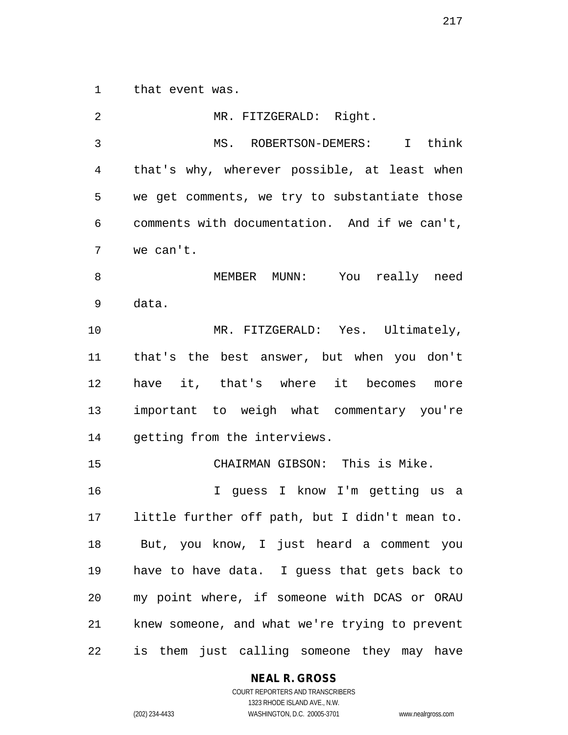1 that event was.

| 2  | MR. FITZGERALD: Right.                         |
|----|------------------------------------------------|
| 3  | MS. ROBERTSON-DEMERS: I think                  |
| 4  | that's why, wherever possible, at least when   |
| 5  | we get comments, we try to substantiate those  |
| 6  | comments with documentation. And if we can't,  |
| 7  | we can't.                                      |
| 8  | MEMBER MUNN: You really need                   |
| 9  | data.                                          |
| 10 | MR. FITZGERALD: Yes. Ultimately,               |
| 11 | that's the best answer, but when you don't     |
| 12 | have it, that's where it becomes more          |
| 13 | important to weigh what commentary you're      |
| 14 | getting from the interviews.                   |
| 15 | CHAIRMAN GIBSON: This is Mike.                 |
| 16 | I guess I know I'm getting us a                |
| 17 | little further off path, but I didn't mean to. |
| 18 | But, you know, I just heard a comment you      |
| 19 | have to have data. I guess that gets back to   |
| 20 | my point where, if someone with DCAS or ORAU   |
| 21 | knew someone, and what we're trying to prevent |
| 22 | is them just calling someone they may have     |

**NEAL R. GROSS**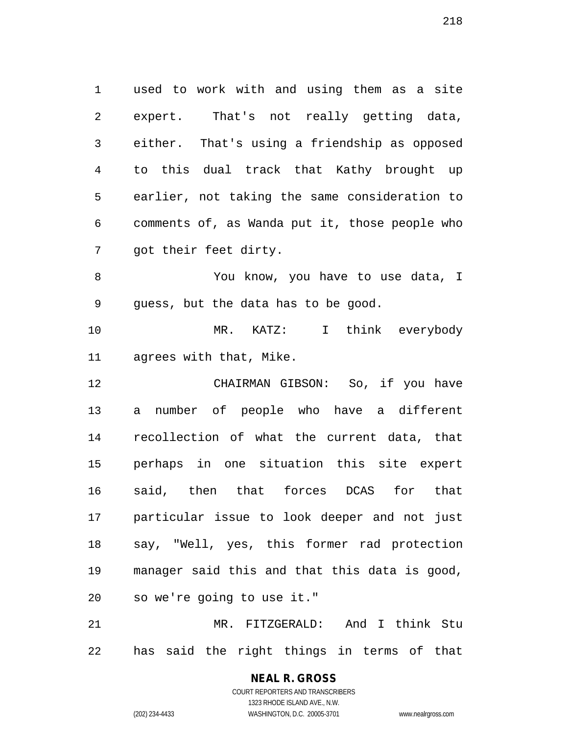1 used to work with and using them as a site 2 expert. That's not really getting data, 3 either. That's using a friendship as opposed 4 to this dual track that Kathy brought up 5 earlier, not taking the same consideration to 6 comments of, as Wanda put it, those people who 7 got their feet dirty.

8 You know, you have to use data, I 9 guess, but the data has to be good.

10 MR. KATZ: I think everybody 11 agrees with that, Mike.

12 CHAIRMAN GIBSON: So, if you have 13 a number of people who have a different 14 recollection of what the current data, that 15 perhaps in one situation this site expert 16 said, then that forces DCAS for that 17 particular issue to look deeper and not just 18 say, "Well, yes, this former rad protection 19 manager said this and that this data is good, 20 so we're going to use it."

21 MR. FITZGERALD: And I think Stu 22 has said the right things in terms of that

## **NEAL R. GROSS** COURT REPORTERS AND TRANSCRIBERS

1323 RHODE ISLAND AVE., N.W. (202) 234-4433 WASHINGTON, D.C. 20005-3701 www.nealrgross.com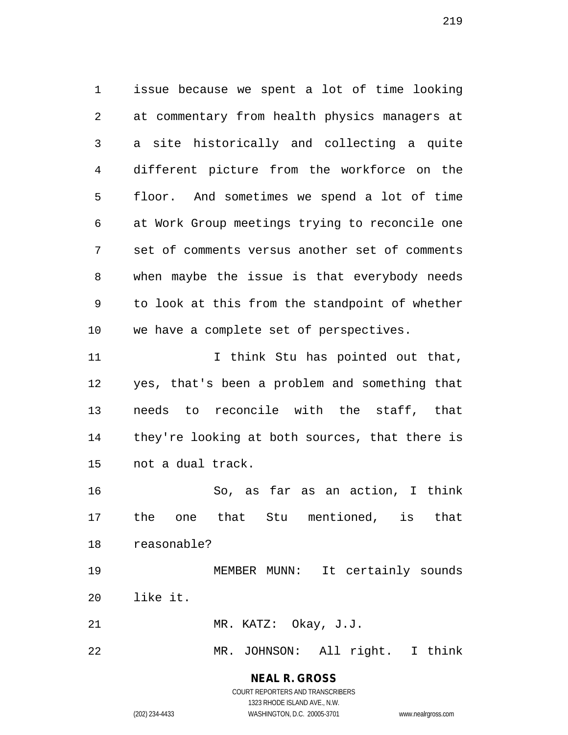1 issue because we spent a lot of time looking 2 at commentary from health physics managers at 3 a site historically and collecting a quite 4 different picture from the workforce on the 5 floor. And sometimes we spend a lot of time 6 at Work Group meetings trying to reconcile one 7 set of comments versus another set of comments 8 when maybe the issue is that everybody needs 9 to look at this from the standpoint of whether 10 we have a complete set of perspectives. 11 11 I think Stu has pointed out that, 12 yes, that's been a problem and something that 13 needs to reconcile with the staff, that

14 they're looking at both sources, that there is 15 not a dual track.

16 So, as far as an action, I think 17 the one that Stu mentioned, is that 18 reasonable?

19 MEMBER MUNN: It certainly sounds 20 like it.

21 MR. KATZ: Okay, J.J.

22 MR. JOHNSON: All right. I think

#### **NEAL R. GROSS** COURT REPORTERS AND TRANSCRIBERS

1323 RHODE ISLAND AVE., N.W. (202) 234-4433 WASHINGTON, D.C. 20005-3701 www.nealrgross.com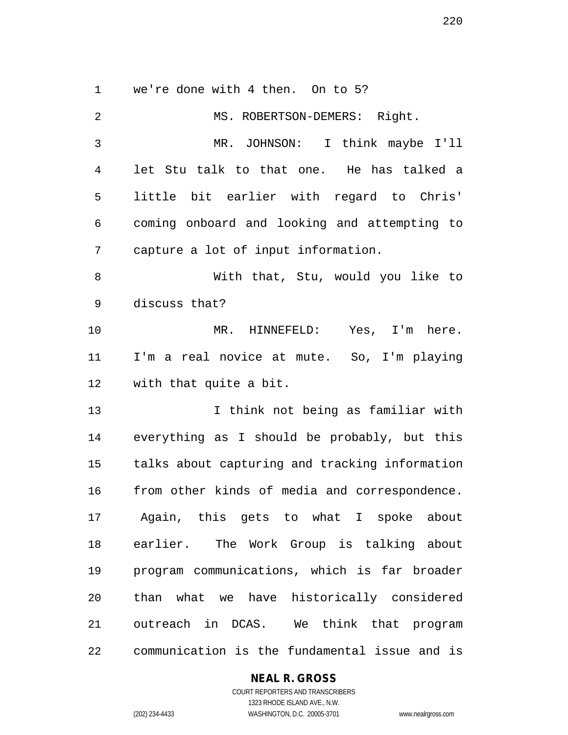1 we're done with 4 then. On to 5?

2 MS. ROBERTSON-DEMERS: Right. 3 MR. JOHNSON: I think maybe I'll 4 let Stu talk to that one. He has talked a 5 little bit earlier with regard to Chris' 6 coming onboard and looking and attempting to 7 capture a lot of input information. 8 With that, Stu, would you like to 9 discuss that? 10 MR. HINNEFELD: Yes, I'm here. 11 I'm a real novice at mute. So, I'm playing 12 with that quite a bit. 13 I think not being as familiar with 14 everything as I should be probably, but this 15 talks about capturing and tracking information 16 from other kinds of media and correspondence. 17 Again, this gets to what I spoke about 18 earlier. The Work Group is talking about 19 program communications, which is far broader 20 than what we have historically considered 21 outreach in DCAS. We think that program 22 communication is the fundamental issue and is

## **NEAL R. GROSS**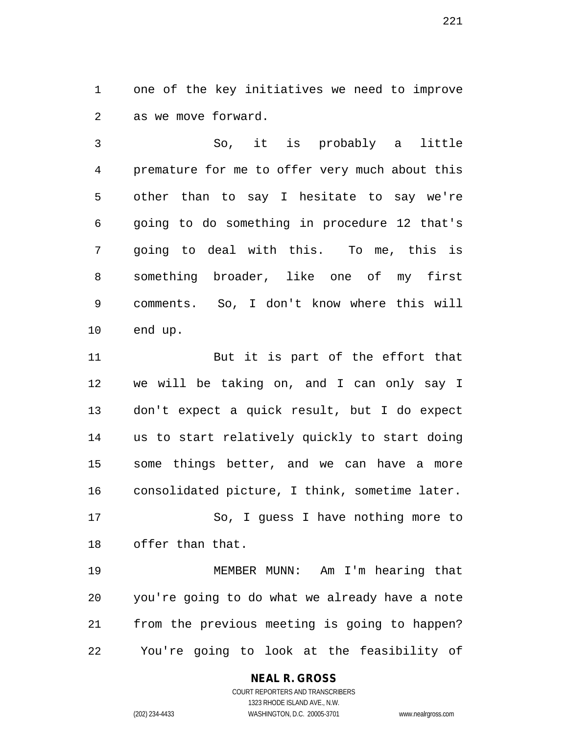1 one of the key initiatives we need to improve 2 as we move forward.

3 So, it is probably a little 4 premature for me to offer very much about this 5 other than to say I hesitate to say we're 6 going to do something in procedure 12 that's 7 going to deal with this. To me, this is 8 something broader, like one of my first 9 comments. So, I don't know where this will 10 end up.

11 But it is part of the effort that 12 we will be taking on, and I can only say I 13 don't expect a quick result, but I do expect 14 us to start relatively quickly to start doing 15 some things better, and we can have a more 16 consolidated picture, I think, sometime later.

17 So, I guess I have nothing more to 18 offer than that.

19 MEMBER MUNN: Am I'm hearing that 20 you're going to do what we already have a note 21 from the previous meeting is going to happen? 22 You're going to look at the feasibility of

**NEAL R. GROSS**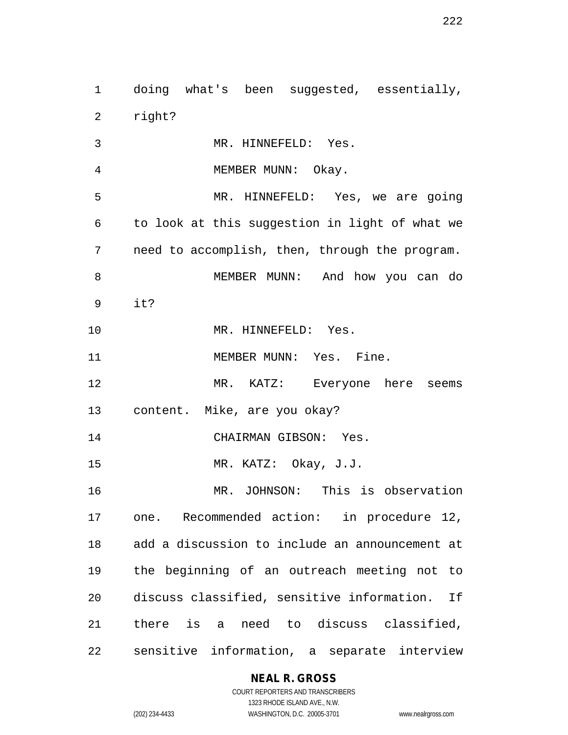1 doing what's been suggested, essentially, 2 right? 3 MR. HINNEFELD: Yes. 4 MEMBER MUNN: Okay. 5 MR. HINNEFELD: Yes, we are going 6 to look at this suggestion in light of what we 7 need to accomplish, then, through the program. 8 MEMBER MUNN: And how you can do 9 it? 10 MR. HINNEFELD: Yes. 11 MEMBER MUNN: Yes. Fine. 12 MR. KATZ: Everyone here seems 13 content. Mike, are you okay? 14 CHAIRMAN GIBSON: Yes. 15 MR. KATZ: Okay, J.J. 16 MR. JOHNSON: This is observation 17 one. Recommended action: in procedure 12, 18 add a discussion to include an announcement at 19 the beginning of an outreach meeting not to 20 discuss classified, sensitive information. If 21 there is a need to discuss classified, 22 sensitive information, a separate interview

## **NEAL R. GROSS**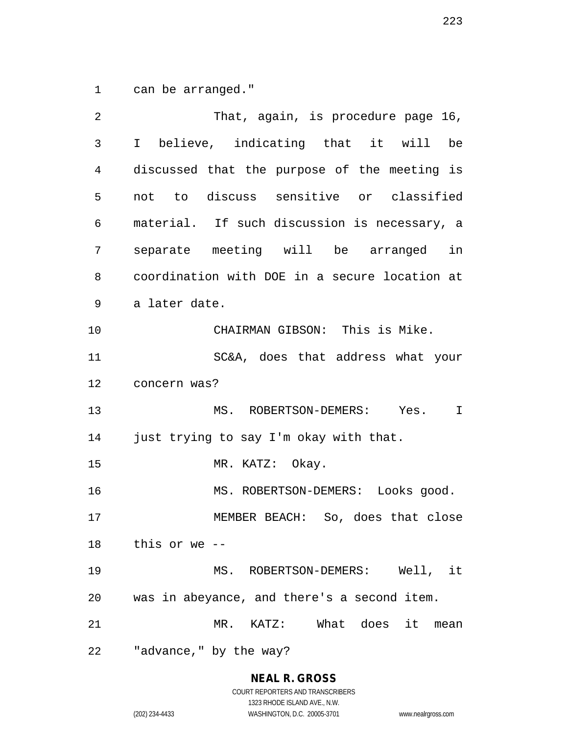1 can be arranged."

2 That, again, is procedure page 16, 3 I believe, indicating that it will be 4 discussed that the purpose of the meeting is 5 not to discuss sensitive or classified 6 material. If such discussion is necessary, a 7 separate meeting will be arranged in 8 coordination with DOE in a secure location at 9 a later date. 10 CHAIRMAN GIBSON: This is Mike. 11 SC&A, does that address what your 12 concern was? 13 MS. ROBERTSON-DEMERS: Yes. I 14 just trying to say I'm okay with that. 15 MR. KATZ: Okay. 16 MS. ROBERTSON-DEMERS: Looks good. 17 MEMBER BEACH: So, does that close 18 this or we -- 19 MS. ROBERTSON-DEMERS: Well, it 20 was in abeyance, and there's a second item. 21 MR. KATZ: What does it mean 22 "advance," by the way?

> **NEAL R. GROSS** COURT REPORTERS AND TRANSCRIBERS

> > 1323 RHODE ISLAND AVE., N.W.

(202) 234-4433 WASHINGTON, D.C. 20005-3701 www.nealrgross.com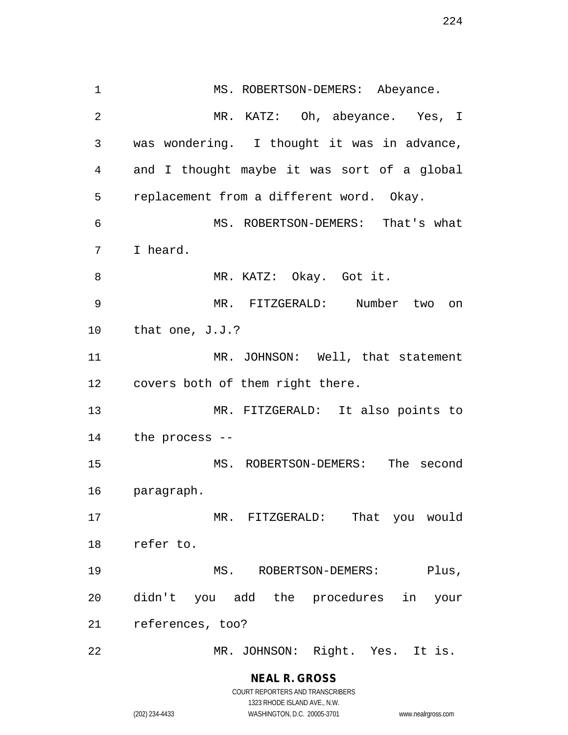1 MS. ROBERTSON-DEMERS: Abeyance. 2 MR. KATZ: Oh, abeyance. Yes, I 3 was wondering. I thought it was in advance, 4 and I thought maybe it was sort of a global 5 replacement from a different word. Okay. 6 MS. ROBERTSON-DEMERS: That's what 7 I heard. 8 MR. KATZ: Okay. Got it. 9 MR. FITZGERALD: Number two on 10 that one, J.J.? 11 MR. JOHNSON: Well, that statement 12 covers both of them right there. 13 MR. FITZGERALD: It also points to 14 the process -- 15 MS. ROBERTSON-DEMERS: The second 16 paragraph. 17 MR. FITZGERALD: That you would 18 refer to. 19 MS. ROBERTSON-DEMERS: Plus, 20 didn't you add the procedures in your 21 references, too? 22 MR. JOHNSON: Right. Yes. It is.

## **NEAL R. GROSS** COURT REPORTERS AND TRANSCRIBERS

1323 RHODE ISLAND AVE., N.W. (202) 234-4433 WASHINGTON, D.C. 20005-3701 www.nealrgross.com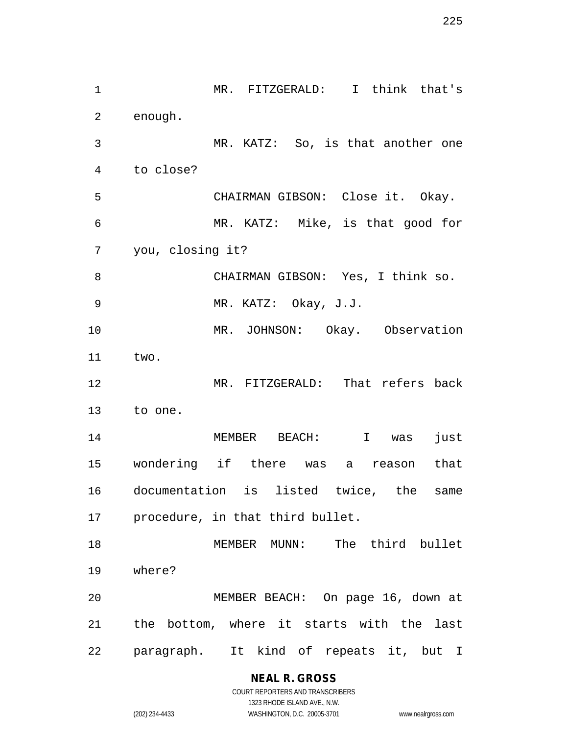1 MR. FITZGERALD: I think that's 2 enough. 3 MR. KATZ: So, is that another one 4 to close? 5 CHAIRMAN GIBSON: Close it. Okay. 6 MR. KATZ: Mike, is that good for 7 you, closing it? 8 CHAIRMAN GIBSON: Yes, I think so. 9 MR. KATZ: Okay, J.J. 10 MR. JOHNSON: Okay. Observation 11 two. 12 MR. FITZGERALD: That refers back 13 to one. 14 MEMBER BEACH: I was just 15 wondering if there was a reason that 16 documentation is listed twice, the same 17 procedure, in that third bullet. 18 MEMBER MUNN: The third bullet 19 where? 20 MEMBER BEACH: On page 16, down at 21 the bottom, where it starts with the last 22 paragraph. It kind of repeats it, but I

> **NEAL R. GROSS** COURT REPORTERS AND TRANSCRIBERS

1323 RHODE ISLAND AVE., N.W. (202) 234-4433 WASHINGTON, D.C. 20005-3701 www.nealrgross.com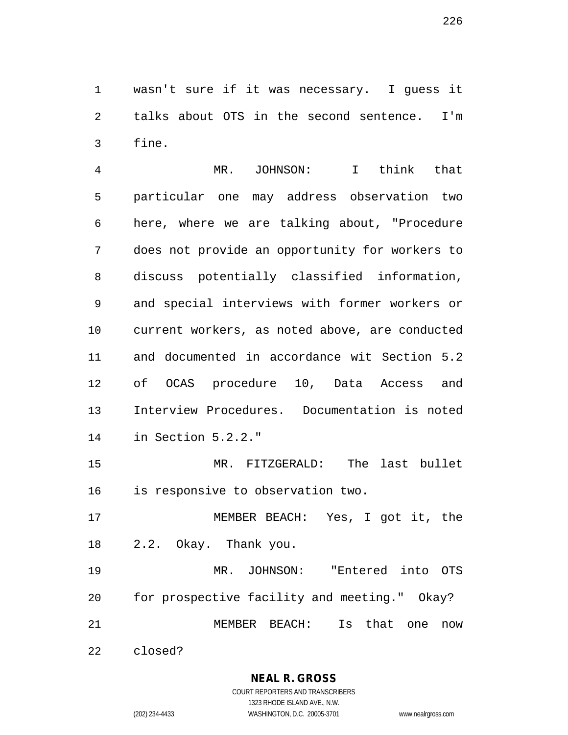1 wasn't sure if it was necessary. I guess it 2 talks about OTS in the second sentence. I'm 3 fine.

4 MR. JOHNSON: I think that 5 particular one may address observation two 6 here, where we are talking about, "Procedure 7 does not provide an opportunity for workers to 8 discuss potentially classified information, 9 and special interviews with former workers or 10 current workers, as noted above, are conducted 11 and documented in accordance wit Section 5.2 12 of OCAS procedure 10, Data Access and 13 Interview Procedures. Documentation is noted 14 in Section 5.2.2."

15 MR. FITZGERALD: The last bullet 16 is responsive to observation two.

17 MEMBER BEACH: Yes, I got it, the 18 2.2. Okay. Thank you.

19 MR. JOHNSON: "Entered into OTS 20 for prospective facility and meeting." Okay? 21 MEMBER BEACH: Is that one now

22 closed?

**NEAL R. GROSS**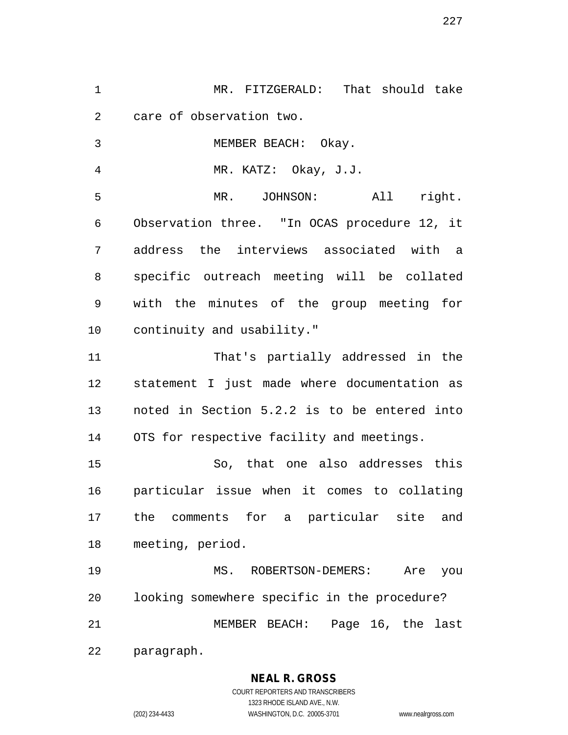1 MR. FITZGERALD: That should take 2 care of observation two.

3 MEMBER BEACH: Okay.

4 MR. KATZ: Okay, J.J.

5 MR. JOHNSON: All right. 6 Observation three. "In OCAS procedure 12, it 7 address the interviews associated with a 8 specific outreach meeting will be collated 9 with the minutes of the group meeting for 10 continuity and usability."

11 That's partially addressed in the 12 statement I just made where documentation as 13 noted in Section 5.2.2 is to be entered into 14 OTS for respective facility and meetings.

15 So, that one also addresses this 16 particular issue when it comes to collating 17 the comments for a particular site and 18 meeting, period.

19 MS. ROBERTSON-DEMERS: Are you 20 looking somewhere specific in the procedure? 21 MEMBER BEACH: Page 16, the last

22 paragraph.

**NEAL R. GROSS** COURT REPORTERS AND TRANSCRIBERS

1323 RHODE ISLAND AVE., N.W. (202) 234-4433 WASHINGTON, D.C. 20005-3701 www.nealrgross.com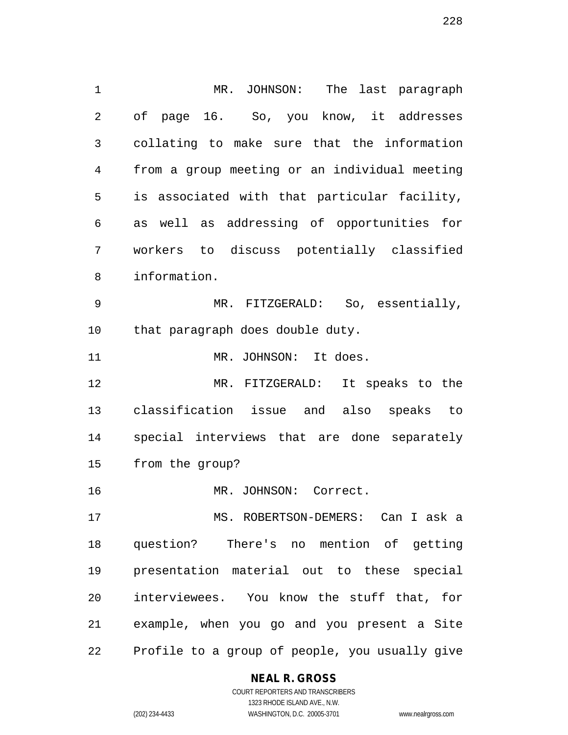1 MR. JOHNSON: The last paragraph 2 of page 16. So, you know, it addresses 3 collating to make sure that the information 4 from a group meeting or an individual meeting 5 is associated with that particular facility, 6 as well as addressing of opportunities for 7 workers to discuss potentially classified 8 information. 9 MR. FITZGERALD: So, essentially, 10 that paragraph does double duty. 11 MR. JOHNSON: It does. 12 MR. FITZGERALD: It speaks to the 13 classification issue and also speaks to 14 special interviews that are done separately 15 from the group? 16 MR. JOHNSON: Correct. 17 MS. ROBERTSON-DEMERS: Can I ask a 18 question? There's no mention of getting 19 presentation material out to these special 20 interviewees. You know the stuff that, for 21 example, when you go and you present a Site

#### **NEAL R. GROSS**

22 Profile to a group of people, you usually give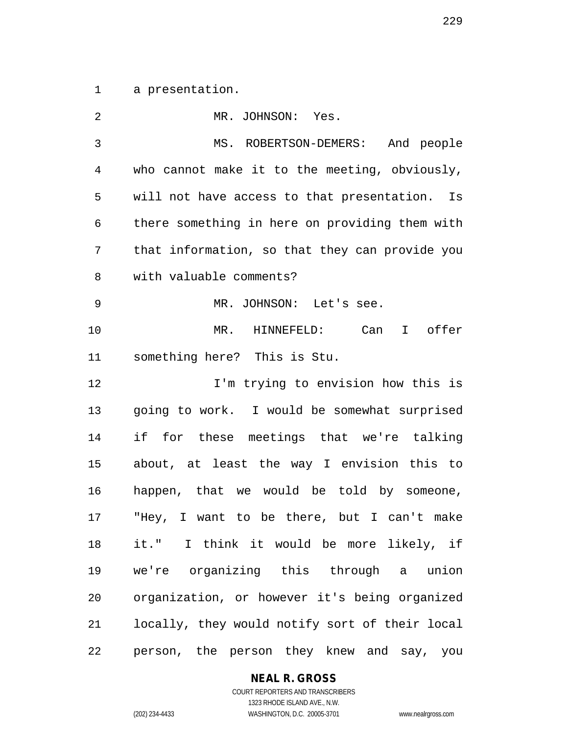1 a presentation.

2 MR. JOHNSON: Yes. 3 MS. ROBERTSON-DEMERS: And people 4 who cannot make it to the meeting, obviously, 5 will not have access to that presentation. Is 6 there something in here on providing them with 7 that information, so that they can provide you 8 with valuable comments? 9 MR. JOHNSON: Let's see. 10 MR. HINNEFELD: Can I offer 11 something here? This is Stu. 12 12 I'm trying to envision how this is 13 going to work. I would be somewhat surprised 14 if for these meetings that we're talking 15 about, at least the way I envision this to 16 happen, that we would be told by someone, 17 "Hey, I want to be there, but I can't make 18 it." I think it would be more likely, if 19 we're organizing this through a union 20 organization, or however it's being organized 21 locally, they would notify sort of their local 22 person, the person they knew and say, you

**NEAL R. GROSS**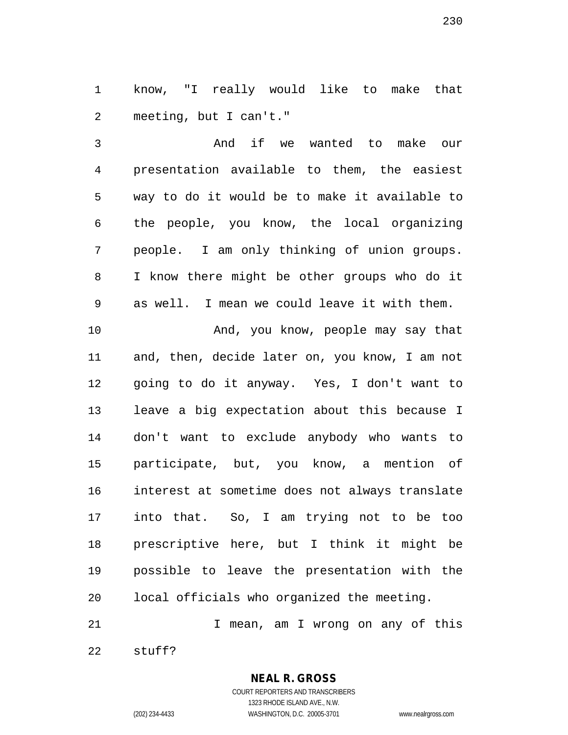1 know, "I really would like to make that 2 meeting, but I can't."

3 And if we wanted to make our 4 presentation available to them, the easiest 5 way to do it would be to make it available to 6 the people, you know, the local organizing 7 people. I am only thinking of union groups. 8 I know there might be other groups who do it 9 as well. I mean we could leave it with them.

10 And, you know, people may say that 11 and, then, decide later on, you know, I am not 12 going to do it anyway. Yes, I don't want to 13 leave a big expectation about this because I 14 don't want to exclude anybody who wants to 15 participate, but, you know, a mention of 16 interest at sometime does not always translate 17 into that. So, I am trying not to be too 18 prescriptive here, but I think it might be 19 possible to leave the presentation with the 20 local officials who organized the meeting.

21 I mean, am I wrong on any of this

22 stuff?

**NEAL R. GROSS** COURT REPORTERS AND TRANSCRIBERS

1323 RHODE ISLAND AVE., N.W. (202) 234-4433 WASHINGTON, D.C. 20005-3701 www.nealrgross.com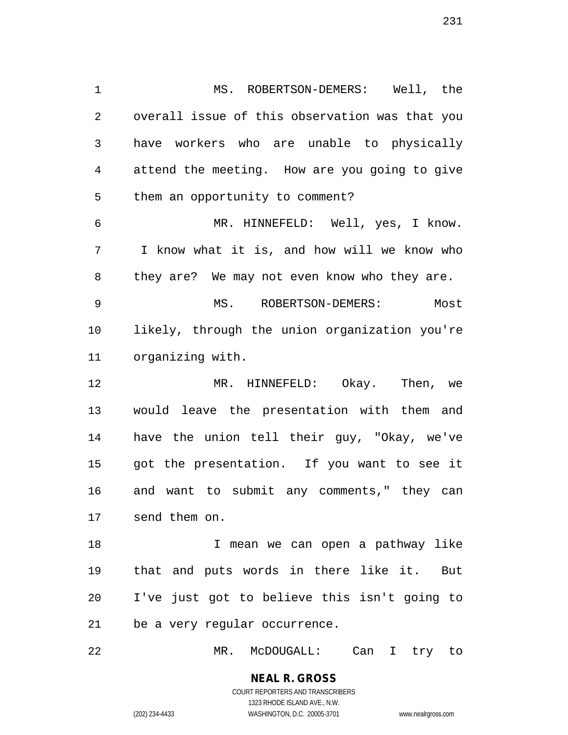1 MS. ROBERTSON-DEMERS: Well, the 2 overall issue of this observation was that you 3 have workers who are unable to physically 4 attend the meeting. How are you going to give 5 them an opportunity to comment? 6 MR. HINNEFELD: Well, yes, I know. 7 I know what it is, and how will we know who 8 they are? We may not even know who they are. 9 MS. ROBERTSON-DEMERS: Most 10 likely, through the union organization you're 11 organizing with. 12 MR. HINNEFELD: Okay. Then, we 13 would leave the presentation with them and 14 have the union tell their guy, "Okay, we've

15 got the presentation. If you want to see it 16 and want to submit any comments," they can 17 send them on.

18 I mean we can open a pathway like 19 that and puts words in there like it. But 20 I've just got to believe this isn't going to 21 be a very regular occurrence.

22 MR. McDOUGALL: Can I try to

**NEAL R. GROSS** COURT REPORTERS AND TRANSCRIBERS 1323 RHODE ISLAND AVE., N.W.

(202) 234-4433 WASHINGTON, D.C. 20005-3701 www.nealrgross.com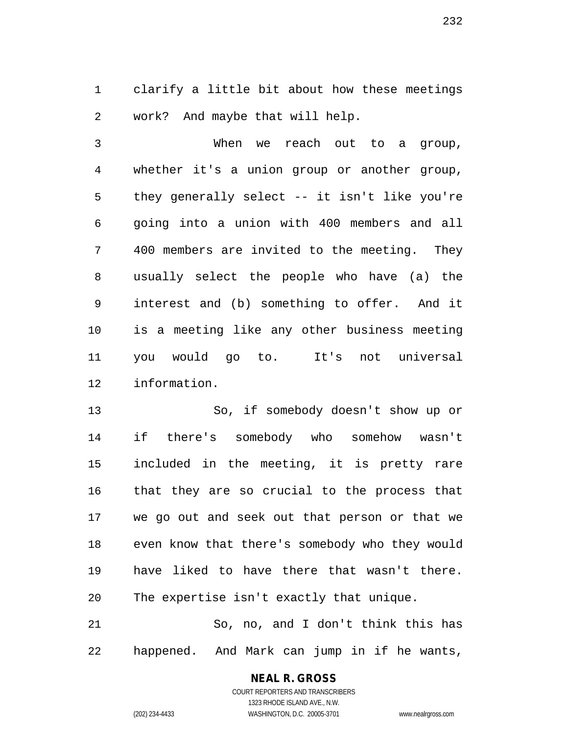1 clarify a little bit about how these meetings 2 work? And maybe that will help.

3 When we reach out to a group, 4 whether it's a union group or another group, 5 they generally select -- it isn't like you're 6 going into a union with 400 members and all 7 400 members are invited to the meeting. They 8 usually select the people who have (a) the 9 interest and (b) something to offer. And it 10 is a meeting like any other business meeting 11 you would go to. It's not universal 12 information.

13 So, if somebody doesn't show up or 14 if there's somebody who somehow wasn't 15 included in the meeting, it is pretty rare 16 that they are so crucial to the process that 17 we go out and seek out that person or that we 18 even know that there's somebody who they would 19 have liked to have there that wasn't there. 20 The expertise isn't exactly that unique. 21 So, no, and I don't think this has

22 happened. And Mark can jump in if he wants,

# **NEAL R. GROSS**

COURT REPORTERS AND TRANSCRIBERS 1323 RHODE ISLAND AVE., N.W. (202) 234-4433 WASHINGTON, D.C. 20005-3701 www.nealrgross.com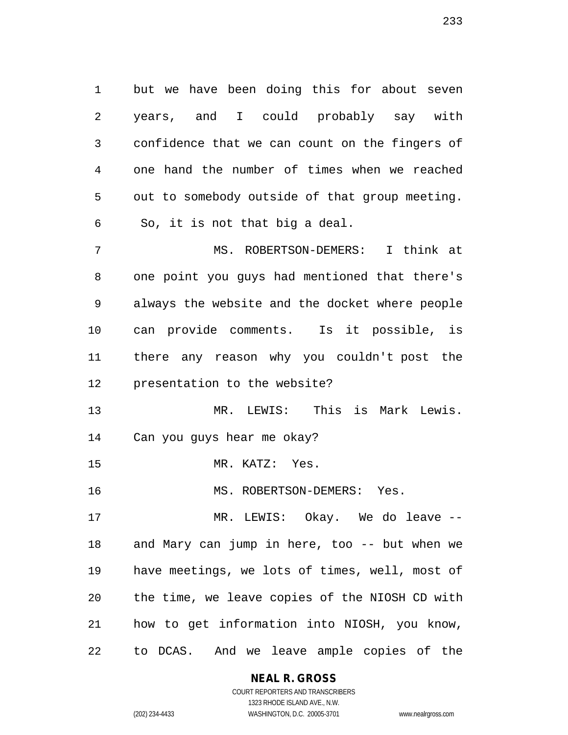1 but we have been doing this for about seven 2 years, and I could probably say with 3 confidence that we can count on the fingers of 4 one hand the number of times when we reached 5 out to somebody outside of that group meeting. 6 So, it is not that big a deal.

7 MS. ROBERTSON-DEMERS: I think at 8 one point you guys had mentioned that there's 9 always the website and the docket where people 10 can provide comments. Is it possible, is 11 there any reason why you couldn't post the 12 presentation to the website?

13 MR. LEWIS: This is Mark Lewis. 14 Can you guys hear me okay?

15 MR. KATZ: Yes.

16 MS. ROBERTSON-DEMERS: Yes.

17 MR. LEWIS: Okay. We do leave -- 18 and Mary can jump in here, too -- but when we 19 have meetings, we lots of times, well, most of 20 the time, we leave copies of the NIOSH CD with 21 how to get information into NIOSH, you know, 22 to DCAS. And we leave ample copies of the

**NEAL R. GROSS**

COURT REPORTERS AND TRANSCRIBERS 1323 RHODE ISLAND AVE., N.W. (202) 234-4433 WASHINGTON, D.C. 20005-3701 www.nealrgross.com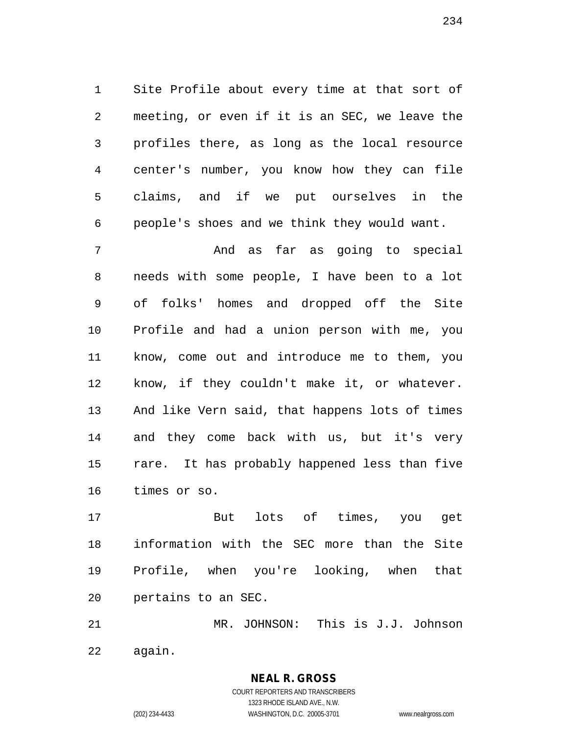1 Site Profile about every time at that sort of 2 meeting, or even if it is an SEC, we leave the 3 profiles there, as long as the local resource 4 center's number, you know how they can file 5 claims, and if we put ourselves in the 6 people's shoes and we think they would want.

7 And as far as going to special 8 needs with some people, I have been to a lot 9 of folks' homes and dropped off the Site 10 Profile and had a union person with me, you 11 know, come out and introduce me to them, you 12 know, if they couldn't make it, or whatever. 13 And like Vern said, that happens lots of times 14 and they come back with us, but it's very 15 rare. It has probably happened less than five 16 times or so.

17 But lots of times, you get 18 information with the SEC more than the Site 19 Profile, when you're looking, when that 20 pertains to an SEC.

21 MR. JOHNSON: This is J.J. Johnson 22 again.

> COURT REPORTERS AND TRANSCRIBERS 1323 RHODE ISLAND AVE., N.W. (202) 234-4433 WASHINGTON, D.C. 20005-3701 www.nealrgross.com

**NEAL R. GROSS**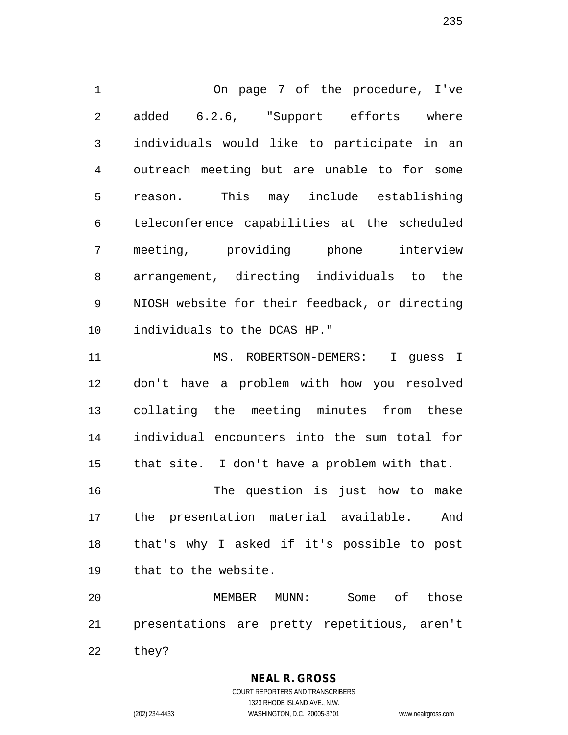1 On page 7 of the procedure, I've 2 added 6.2.6, "Support efforts where 3 individuals would like to participate in an 4 outreach meeting but are unable to for some 5 reason. This may include establishing 6 teleconference capabilities at the scheduled 7 meeting, providing phone interview 8 arrangement, directing individuals to the 9 NIOSH website for their feedback, or directing 10 individuals to the DCAS HP."

11 MS. ROBERTSON-DEMERS: I guess I 12 don't have a problem with how you resolved 13 collating the meeting minutes from these 14 individual encounters into the sum total for 15 that site. I don't have a problem with that.

16 The question is just how to make 17 the presentation material available. And 18 that's why I asked if it's possible to post 19 that to the website.

20 MEMBER MUNN: Some of those 21 presentations are pretty repetitious, aren't 22 they?

> **NEAL R. GROSS** COURT REPORTERS AND TRANSCRIBERS

1323 RHODE ISLAND AVE., N.W. (202) 234-4433 WASHINGTON, D.C. 20005-3701 www.nealrgross.com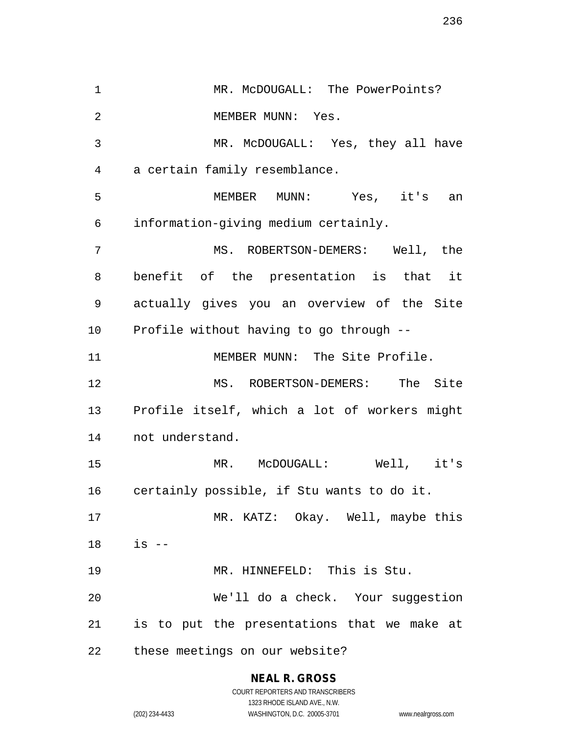1 MR. McDOUGALL: The PowerPoints? 2 MEMBER MUNN: Yes. 3 MR. McDOUGALL: Yes, they all have 4 a certain family resemblance. 5 MEMBER MUNN: Yes, it's an 6 information-giving medium certainly. 7 MS. ROBERTSON-DEMERS: Well, the 8 benefit of the presentation is that it 9 actually gives you an overview of the Site 10 Profile without having to go through -- 11 MEMBER MUNN: The Site Profile. 12 MS. ROBERTSON-DEMERS: The Site 13 Profile itself, which a lot of workers might 14 not understand. 15 MR. McDOUGALL: Well, it's 16 certainly possible, if Stu wants to do it. 17 MR. KATZ: Okay. Well, maybe this 18 is -- 19 MR. HINNEFELD: This is Stu. 20 We'll do a check. Your suggestion 21 is to put the presentations that we make at 22 these meetings on our website?

**NEAL R. GROSS**

COURT REPORTERS AND TRANSCRIBERS 1323 RHODE ISLAND AVE., N.W. (202) 234-4433 WASHINGTON, D.C. 20005-3701 www.nealrgross.com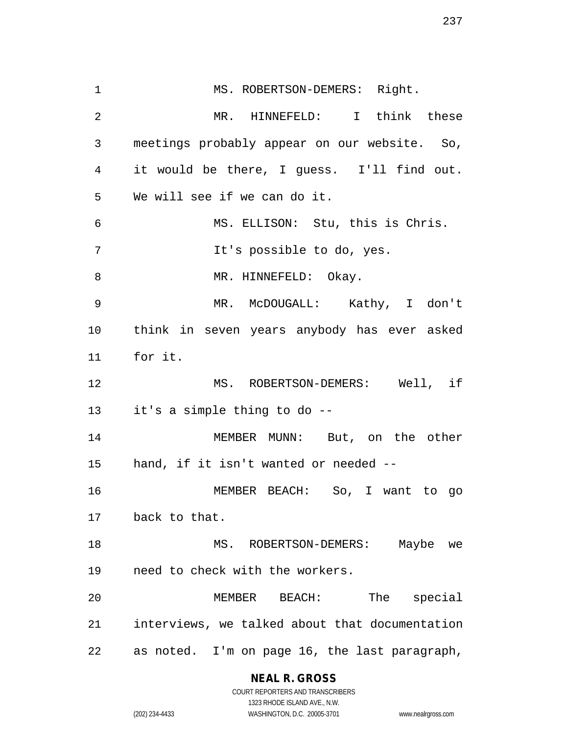1 MS. ROBERTSON-DEMERS: Right. 2 MR. HINNEFELD: I think these 3 meetings probably appear on our website. So, 4 it would be there, I guess. I'll find out. 5 We will see if we can do it. 6 MS. ELLISON: Stu, this is Chris. 7 It's possible to do, yes. 8 MR. HINNEFELD: Okay. 9 MR. McDOUGALL: Kathy, I don't 10 think in seven years anybody has ever asked 11 for it. 12 MS. ROBERTSON-DEMERS: Well, if 13 it's a simple thing to do -- 14 MEMBER MUNN: But, on the other 15 hand, if it isn't wanted or needed -- 16 MEMBER BEACH: So, I want to go 17 back to that. 18 MS. ROBERTSON-DEMERS: Maybe we 19 need to check with the workers. 20 MEMBER BEACH: The special 21 interviews, we talked about that documentation 22 as noted. I'm on page 16, the last paragraph,

> **NEAL R. GROSS** COURT REPORTERS AND TRANSCRIBERS

1323 RHODE ISLAND AVE., N.W. (202) 234-4433 WASHINGTON, D.C. 20005-3701 www.nealrgross.com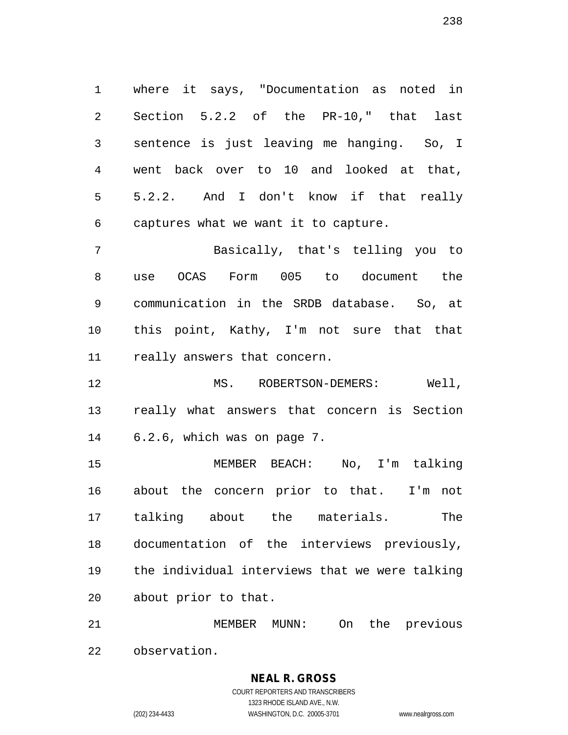1 where it says, "Documentation as noted in 2 Section 5.2.2 of the PR-10," that last 3 sentence is just leaving me hanging. So, I 4 went back over to 10 and looked at that, 5 5.2.2. And I don't know if that really 6 captures what we want it to capture.

7 Basically, that's telling you to 8 use OCAS Form 005 to document the 9 communication in the SRDB database. So, at 10 this point, Kathy, I'm not sure that that 11 really answers that concern.

12 MS. ROBERTSON-DEMERS: Well, 13 really what answers that concern is Section 14 6.2.6, which was on page 7.

15 MEMBER BEACH: No, I'm talking 16 about the concern prior to that. I'm not 17 talking about the materials. The 18 documentation of the interviews previously, 19 the individual interviews that we were talking 20 about prior to that.

21 MEMBER MUNN: On the previous 22 observation.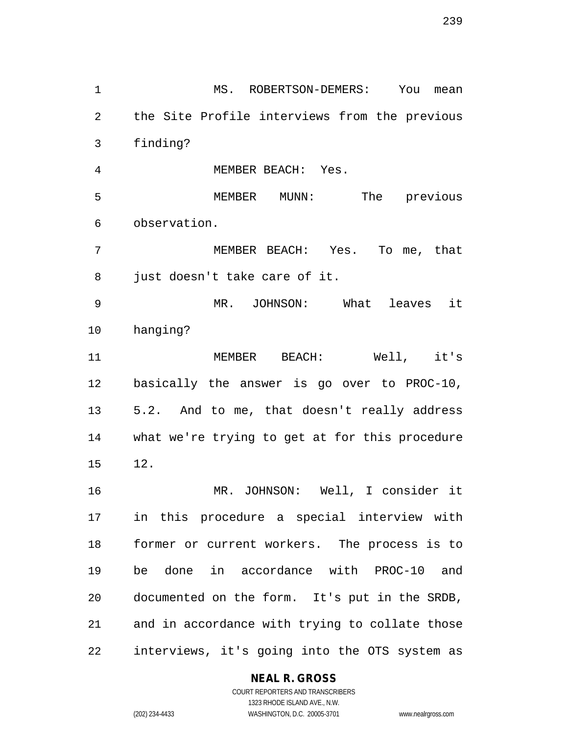3 finding? 4 MEMBER BEACH: Yes. 5 MEMBER MUNN: The previous 6 observation. 7 MEMBER BEACH: Yes. To me, that 8 just doesn't take care of it. 9 MR. JOHNSON: What leaves it 10 hanging? 11 MEMBER BEACH: Well, it's 12 basically the answer is go over to PROC-10, 13 5.2. And to me, that doesn't really address 14 what we're trying to get at for this procedure 15 12. 16 MR. JOHNSON: Well, I consider it 17 in this procedure a special interview with 18 former or current workers. The process is to 19 be done in accordance with PROC-10 and 20 documented on the form. It's put in the SRDB, 21 and in accordance with trying to collate those

1 MS. ROBERTSON-DEMERS: You mean

2 the Site Profile interviews from the previous

# 22 interviews, it's going into the OTS system as

#### **NEAL R. GROSS**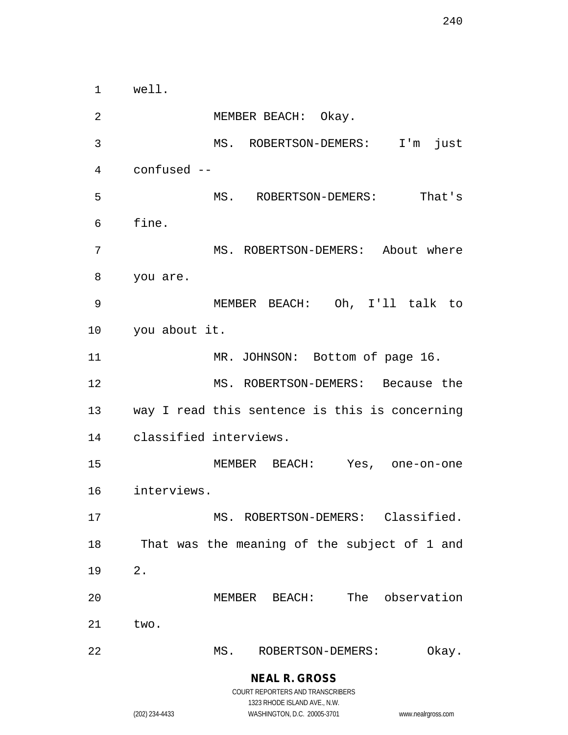1 well. 2 MEMBER BEACH: Okay. 3 MS. ROBERTSON-DEMERS: I'm just 4 confused -- 5 MS. ROBERTSON-DEMERS: That's 6 fine. 7 MS. ROBERTSON-DEMERS: About where 8 you are. 9 MEMBER BEACH: Oh, I'll talk to 10 you about it. 11 MR. JOHNSON: Bottom of page 16. 12 MS. ROBERTSON-DEMERS: Because the 13 way I read this sentence is this is concerning 14 classified interviews. 15 MEMBER BEACH: Yes, one-on-one 16 interviews. 17 MS. ROBERTSON-DEMERS: Classified. 18 That was the meaning of the subject of 1 and 19 2. 20 MEMBER BEACH: The observation 21 two. 22 MS. ROBERTSON-DEMERS: Okay.

> **NEAL R. GROSS** COURT REPORTERS AND TRANSCRIBERS

> > 1323 RHODE ISLAND AVE., N.W.

(202) 234-4433 WASHINGTON, D.C. 20005-3701 www.nealrgross.com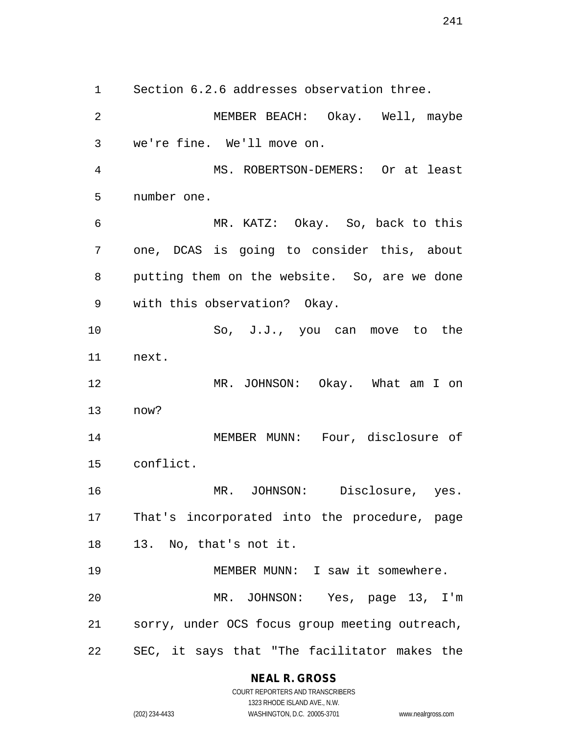1 Section 6.2.6 addresses observation three.

2 MEMBER BEACH: Okay. Well, maybe 3 we're fine. We'll move on. 4 MS. ROBERTSON-DEMERS: Or at least 5 number one. 6 MR. KATZ: Okay. So, back to this 7 one, DCAS is going to consider this, about 8 putting them on the website. So, are we done 9 with this observation? Okay. 10 So, J.J., you can move to the 11 next. 12 MR. JOHNSON: Okay. What am I on 13 now? 14 MEMBER MUNN: Four, disclosure of 15 conflict. 16 MR. JOHNSON: Disclosure, yes. 17 That's incorporated into the procedure, page 18 13. No, that's not it. 19 MEMBER MUNN: I saw it somewhere. 20 MR. JOHNSON: Yes, page 13, I'm 21 sorry, under OCS focus group meeting outreach, 22 SEC, it says that "The facilitator makes the

## **NEAL R. GROSS**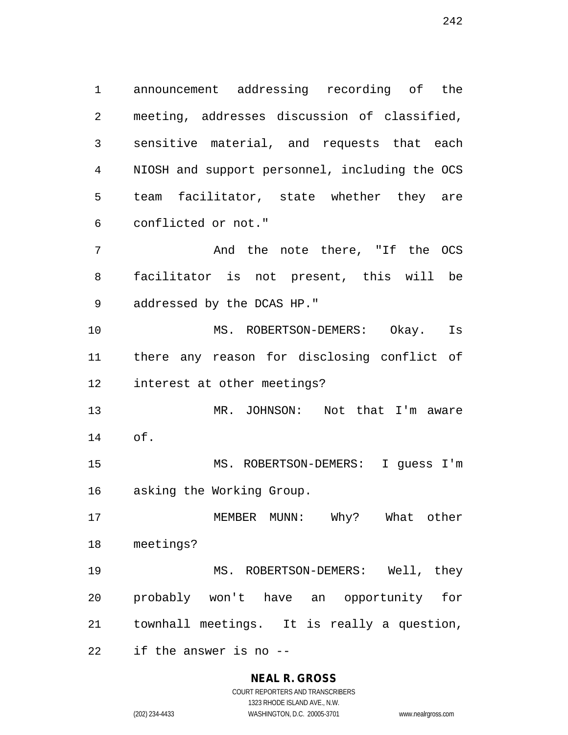1 announcement addressing recording of the 2 meeting, addresses discussion of classified, 3 sensitive material, and requests that each 4 NIOSH and support personnel, including the OCS 5 team facilitator, state whether they are 6 conflicted or not."

7 And the note there, "If the OCS 8 facilitator is not present, this will be 9 addressed by the DCAS HP."

10 MS. ROBERTSON-DEMERS: Okay. Is 11 there any reason for disclosing conflict of 12 interest at other meetings?

13 MR. JOHNSON: Not that I'm aware 14 of.

15 MS. ROBERTSON-DEMERS: I guess I'm 16 asking the Working Group.

17 MEMBER MUNN: Why? What other 18 meetings?

19 MS. ROBERTSON-DEMERS: Well, they 20 probably won't have an opportunity for 21 townhall meetings. It is really a question,

22 if the answer is no --

## **NEAL R. GROSS**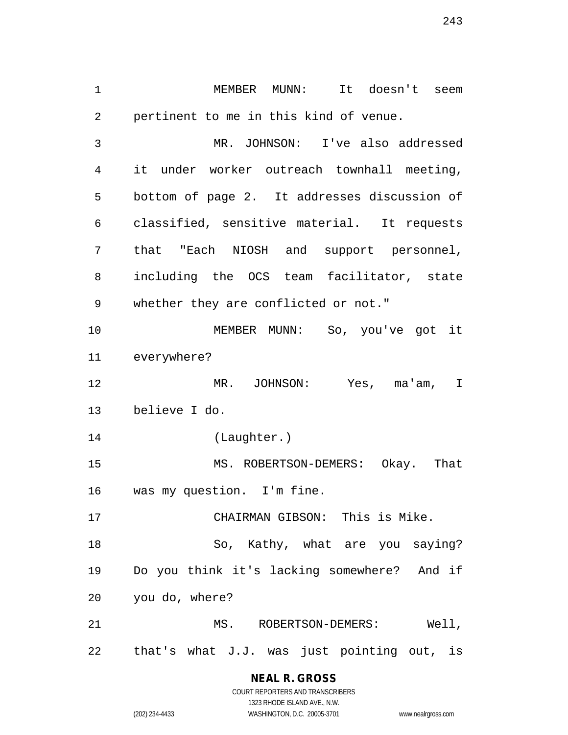1 MEMBER MUNN: It doesn't seem 2 pertinent to me in this kind of venue. 3 MR. JOHNSON: I've also addressed 4 it under worker outreach townhall meeting, 5 bottom of page 2. It addresses discussion of 6 classified, sensitive material. It requests 7 that "Each NIOSH and support personnel, 8 including the OCS team facilitator, state 9 whether they are conflicted or not." 10 MEMBER MUNN: So, you've got it 11 everywhere? 12 MR. JOHNSON: Yes, ma'am, I 13 believe I do. 14 (Laughter.) 15 MS. ROBERTSON-DEMERS: Okay. That 16 was my question. I'm fine. 17 CHAIRMAN GIBSON: This is Mike. 18 So, Kathy, what are you saying? 19 Do you think it's lacking somewhere? And if 20 you do, where? 21 MS. ROBERTSON-DEMERS: Well, 22 that's what J.J. was just pointing out, is

## **NEAL R. GROSS** COURT REPORTERS AND TRANSCRIBERS

1323 RHODE ISLAND AVE., N.W. (202) 234-4433 WASHINGTON, D.C. 20005-3701 www.nealrgross.com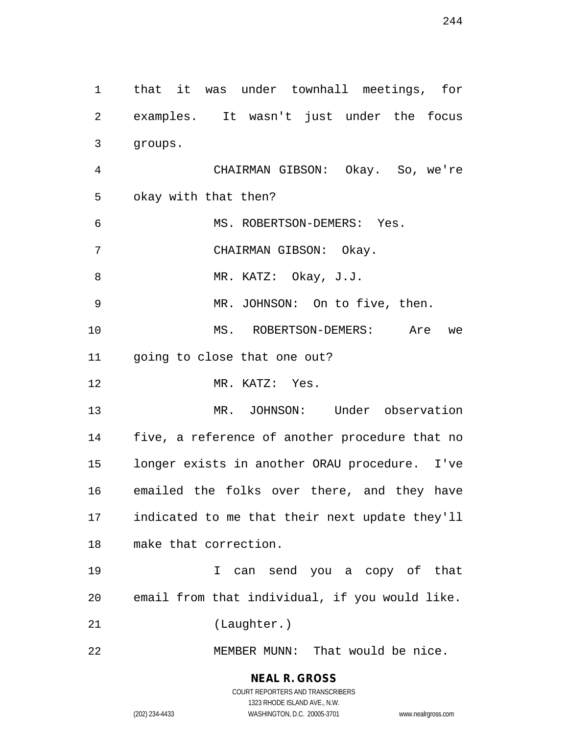1 that it was under townhall meetings, for 2 examples. It wasn't just under the focus

4 CHAIRMAN GIBSON: Okay. So, we're 5 okay with that then?

6 MS. ROBERTSON-DEMERS: Yes. 7 CHAIRMAN GIBSON: Okay.

8 MR. KATZ: Okay, J.J.

9 MR. JOHNSON: On to five, then.

10 MS. ROBERTSON-DEMERS: Are we 11 going to close that one out?

12 MR. KATZ: Yes.

3 groups.

13 MR. JOHNSON: Under observation 14 five, a reference of another procedure that no 15 longer exists in another ORAU procedure. I've 16 emailed the folks over there, and they have 17 indicated to me that their next update they'll 18 make that correction.

19 I can send you a copy of that 20 email from that individual, if you would like.

21 (Laughter.)

22 MEMBER MUNN: That would be nice.

**NEAL R. GROSS** COURT REPORTERS AND TRANSCRIBERS 1323 RHODE ISLAND AVE., N.W.

(202) 234-4433 WASHINGTON, D.C. 20005-3701 www.nealrgross.com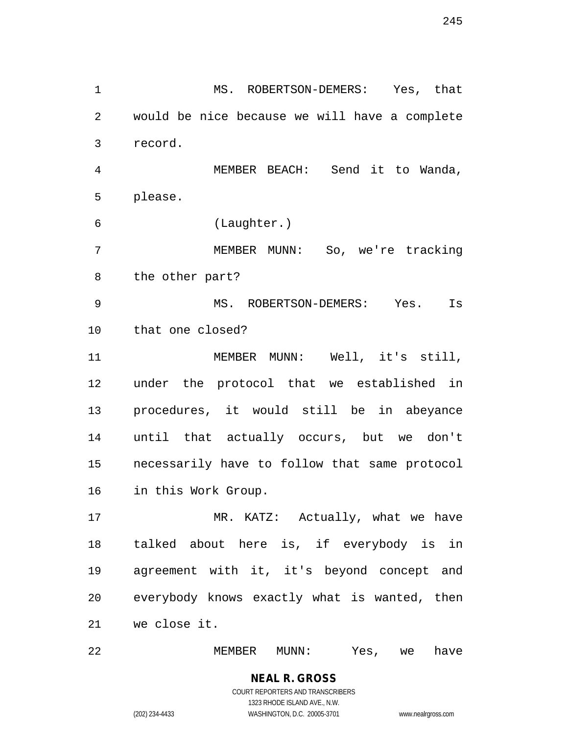1 MS. ROBERTSON-DEMERS: Yes, that 2 would be nice because we will have a complete 3 record. 4 MEMBER BEACH: Send it to Wanda, 5 please. 6 (Laughter.) 7 MEMBER MUNN: So, we're tracking 8 the other part? 9 MS. ROBERTSON-DEMERS: Yes. Is 10 that one closed? 11 MEMBER MUNN: Well, it's still, 12 under the protocol that we established in 13 procedures, it would still be in abeyance 14 until that actually occurs, but we don't 15 necessarily have to follow that same protocol 16 in this Work Group. 17 MR. KATZ: Actually, what we have 18 talked about here is, if everybody is in 19 agreement with it, it's beyond concept and 20 everybody knows exactly what is wanted, then

21 we close it.

22 MEMBER MUNN: Yes, we have

245

COURT REPORTERS AND TRANSCRIBERS 1323 RHODE ISLAND AVE., N.W. (202) 234-4433 WASHINGTON, D.C. 20005-3701 www.nealrgross.com

**NEAL R. GROSS**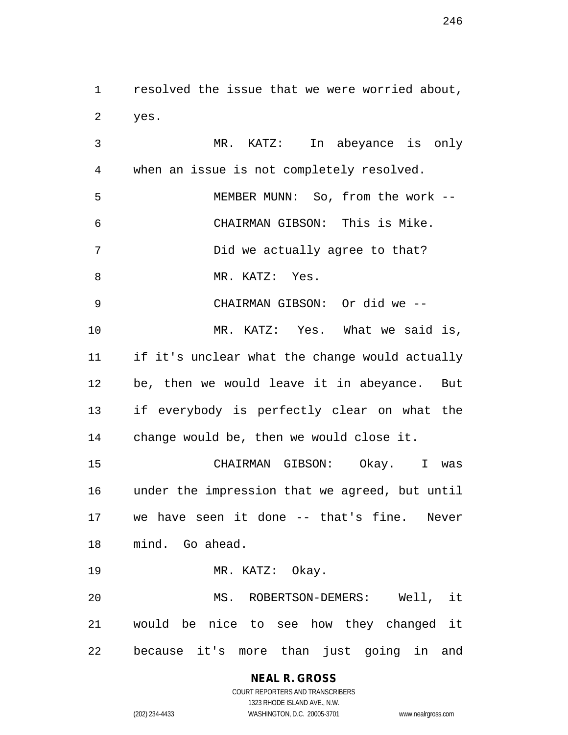1 resolved the issue that we were worried about, 2 yes.

3 MR. KATZ: In abeyance is only 4 when an issue is not completely resolved. 5 MEMBER MUNN: So, from the work -- 6 CHAIRMAN GIBSON: This is Mike. 7 Did we actually agree to that? 8 MR. KATZ: Yes. 9 CHAIRMAN GIBSON: Or did we -- 10 MR. KATZ: Yes. What we said is, 11 if it's unclear what the change would actually 12 be, then we would leave it in abeyance. But 13 if everybody is perfectly clear on what the 14 change would be, then we would close it. 15 CHAIRMAN GIBSON: Okay. I was 16 under the impression that we agreed, but until 17 we have seen it done -- that's fine. Never 18 mind. Go ahead. 19 MR. KATZ: Okay. 20 MS. ROBERTSON-DEMERS: Well, it 21 would be nice to see how they changed it 22 because it's more than just going in and

> **NEAL R. GROSS** COURT REPORTERS AND TRANSCRIBERS 1323 RHODE ISLAND AVE., N.W.

(202) 234-4433 WASHINGTON, D.C. 20005-3701 www.nealrgross.com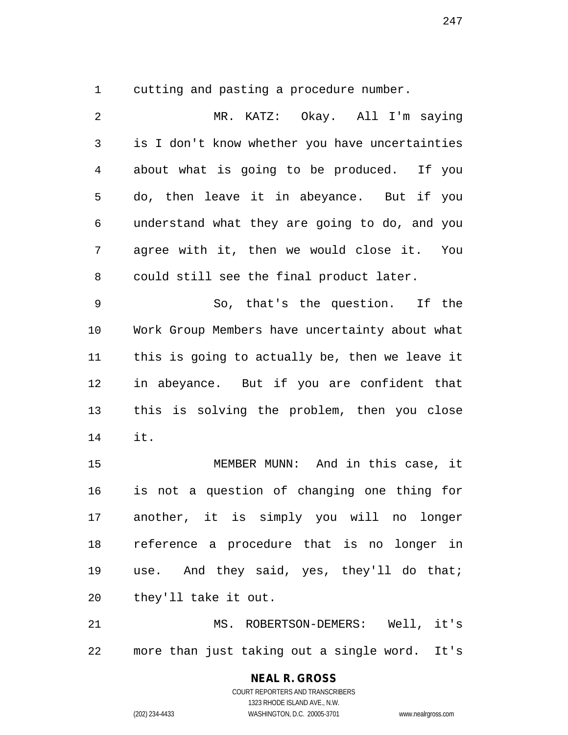1 cutting and pasting a procedure number.

| 2           | MR. KATZ: Okay. All I'm saying                 |
|-------------|------------------------------------------------|
| 3           | is I don't know whether you have uncertainties |
| 4           | about what is going to be produced. If you     |
| 5           | do, then leave it in abeyance. But if you      |
| 6           | understand what they are going to do, and you  |
| 7           | agree with it, then we would close it. You     |
| 8           | could still see the final product later.       |
| $\mathsf 9$ | So, that's the question. If the                |
| 10          | Work Group Members have uncertainty about what |
| 11          | this is going to actually be, then we leave it |
| 12          | in abeyance. But if you are confident that     |
| 13          | this is solving the problem, then you close    |
| 14          | it.                                            |
| 15          | MEMBER MUNN: And in this case, it              |
| 16          | is not a question of changing one thing for    |
| 17          | another, it is simply you will no longer       |
|             | 18 reference a procedure that is no longer in  |
| 19          | use. And they said, yes, they'll do that;      |
| 20          | they'll take it out.                           |
| 21          | MS. ROBERTSON-DEMERS: Well, it's               |

22 more than just taking out a single word. It's

## **NEAL R. GROSS**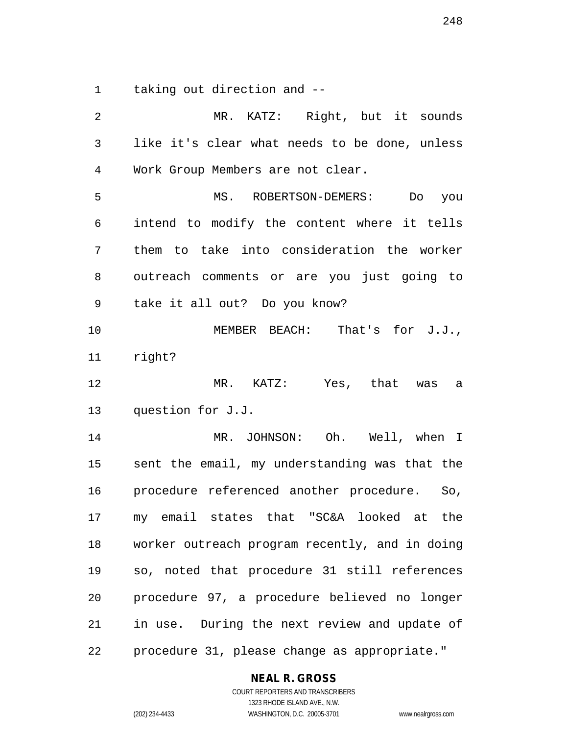1 taking out direction and --

2 MR. KATZ: Right, but it sounds 3 like it's clear what needs to be done, unless 4 Work Group Members are not clear. 5 MS. ROBERTSON-DEMERS: Do you 6 intend to modify the content where it tells 7 them to take into consideration the worker 8 outreach comments or are you just going to 9 take it all out? Do you know? 10 MEMBER BEACH: That's for J.J., 11 right? 12 MR. KATZ: Yes, that was a 13 question for J.J. 14 MR. JOHNSON: Oh. Well, when I 15 sent the email, my understanding was that the 16 procedure referenced another procedure. So, 17 my email states that "SC&A looked at the 18 worker outreach program recently, and in doing 19 so, noted that procedure 31 still references 20 procedure 97, a procedure believed no longer 21 in use. During the next review and update of 22 procedure 31, please change as appropriate."

## **NEAL R. GROSS**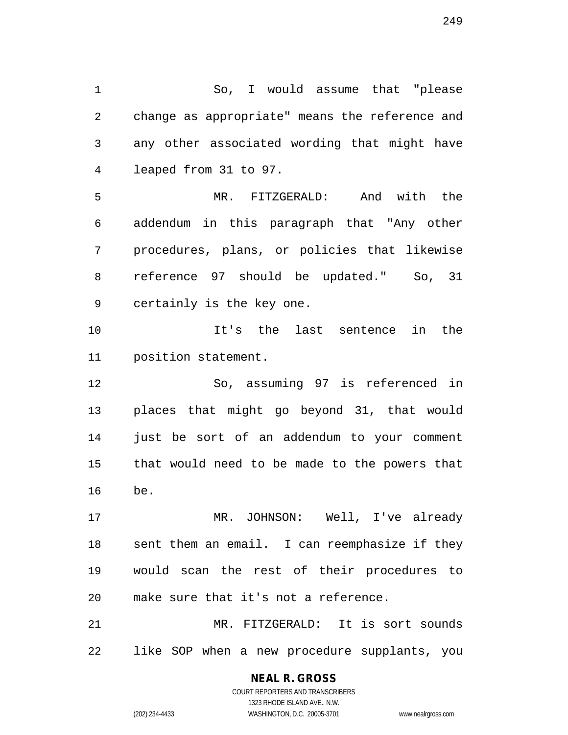1 So, I would assume that "please 2 change as appropriate" means the reference and 3 any other associated wording that might have 4 leaped from 31 to 97. 5 MR. FITZGERALD: And with the 6 addendum in this paragraph that "Any other 7 procedures, plans, or policies that likewise 8 reference 97 should be updated." So, 31 9 certainly is the key one. 10 It's the last sentence in the 11 position statement. 12 So, assuming 97 is referenced in 13 places that might go beyond 31, that would 14 just be sort of an addendum to your comment 15 that would need to be made to the powers that 16 be. 17 MR. JOHNSON: Well, I've already 18 sent them an email. I can reemphasize if they 19 would scan the rest of their procedures to 20 make sure that it's not a reference. 21 MR. FITZGERALD: It is sort sounds 22 like SOP when a new procedure supplants, you

> **NEAL R. GROSS** COURT REPORTERS AND TRANSCRIBERS

> > 1323 RHODE ISLAND AVE., N.W.

(202) 234-4433 WASHINGTON, D.C. 20005-3701 www.nealrgross.com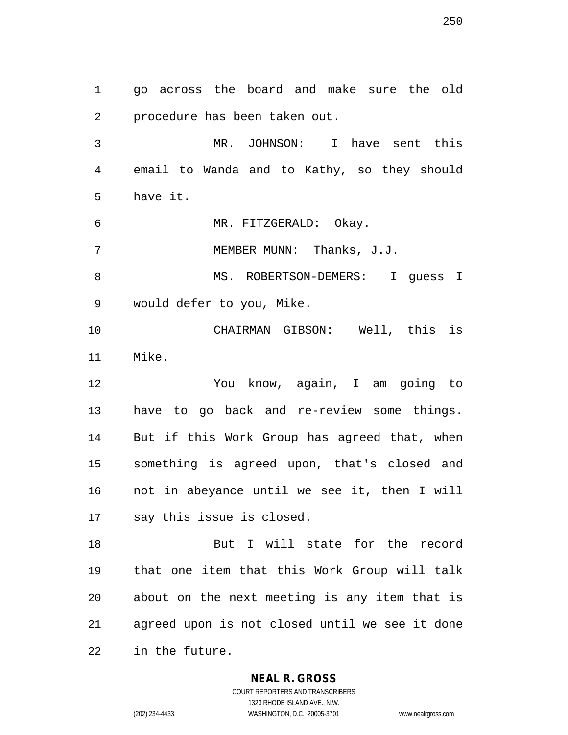1 go across the board and make sure the old 2 procedure has been taken out. 3 MR. JOHNSON: I have sent this 4 email to Wanda and to Kathy, so they should 5 have it. 6 MR. FITZGERALD: Okay. 7 MEMBER MUNN: Thanks, J.J. 8 MS. ROBERTSON-DEMERS: I quess I 9 would defer to you, Mike. 10 CHAIRMAN GIBSON: Well, this is 11 Mike. 12 You know, again, I am going to 13 have to go back and re-review some things. 14 But if this Work Group has agreed that, when 15 something is agreed upon, that's closed and 16 not in abeyance until we see it, then I will 17 say this issue is closed. 18 But I will state for the record 19 that one item that this Work Group will talk 20 about on the next meeting is any item that is 21 agreed upon is not closed until we see it done 22 in the future.

**NEAL R. GROSS**

COURT REPORTERS AND TRANSCRIBERS 1323 RHODE ISLAND AVE., N.W. (202) 234-4433 WASHINGTON, D.C. 20005-3701 www.nealrgross.com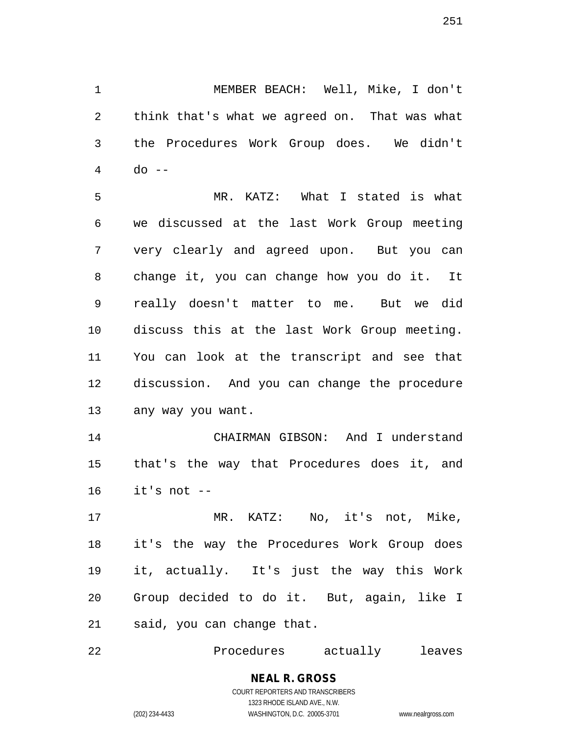1 MEMBER BEACH: Well, Mike, I don't 2 think that's what we agreed on. That was what 3 the Procedures Work Group does. We didn't  $4$  do  $-$ 

5 MR. KATZ: What I stated is what 6 we discussed at the last Work Group meeting 7 very clearly and agreed upon. But you can 8 change it, you can change how you do it. It 9 really doesn't matter to me. But we did 10 discuss this at the last Work Group meeting. 11 You can look at the transcript and see that 12 discussion. And you can change the procedure 13 any way you want.

14 CHAIRMAN GIBSON: And I understand 15 that's the way that Procedures does it, and 16 it's not --

17 MR. KATZ: No, it's not, Mike, 18 it's the way the Procedures Work Group does 19 it, actually. It's just the way this Work 20 Group decided to do it. But, again, like I 21 said, you can change that.

22 Procedures actually leaves

**NEAL R. GROSS** COURT REPORTERS AND TRANSCRIBERS 1323 RHODE ISLAND AVE., N.W. (202) 234-4433 WASHINGTON, D.C. 20005-3701 www.nealrgross.com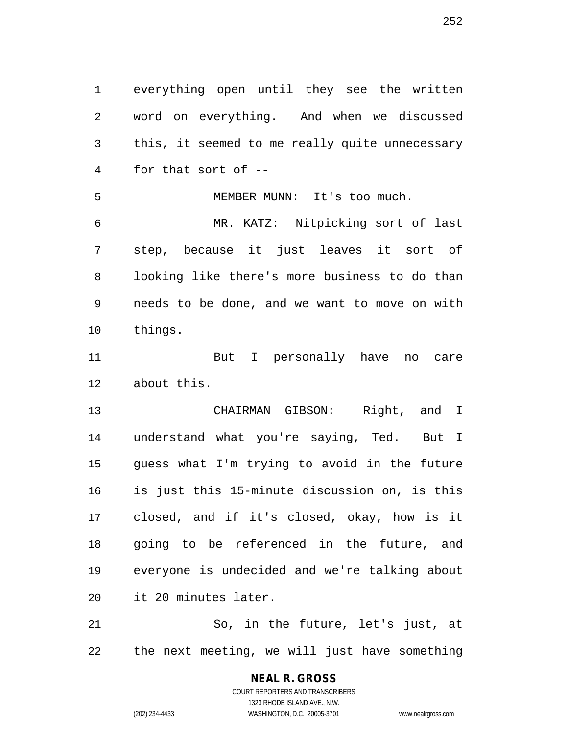1 everything open until they see the written 2 word on everything. And when we discussed 3 this, it seemed to me really quite unnecessary 4 for that sort of -- 5 MEMBER MUNN: It's too much.

6 MR. KATZ: Nitpicking sort of last 7 step, because it just leaves it sort of 8 looking like there's more business to do than 9 needs to be done, and we want to move on with 10 things.

11 But I personally have no care 12 about this.

13 CHAIRMAN GIBSON: Right, and I 14 understand what you're saying, Ted. But I 15 guess what I'm trying to avoid in the future 16 is just this 15-minute discussion on, is this 17 closed, and if it's closed, okay, how is it 18 going to be referenced in the future, and 19 everyone is undecided and we're talking about 20 it 20 minutes later.

21 So, in the future, let's just, at 22 the next meeting, we will just have something

# **NEAL R. GROSS**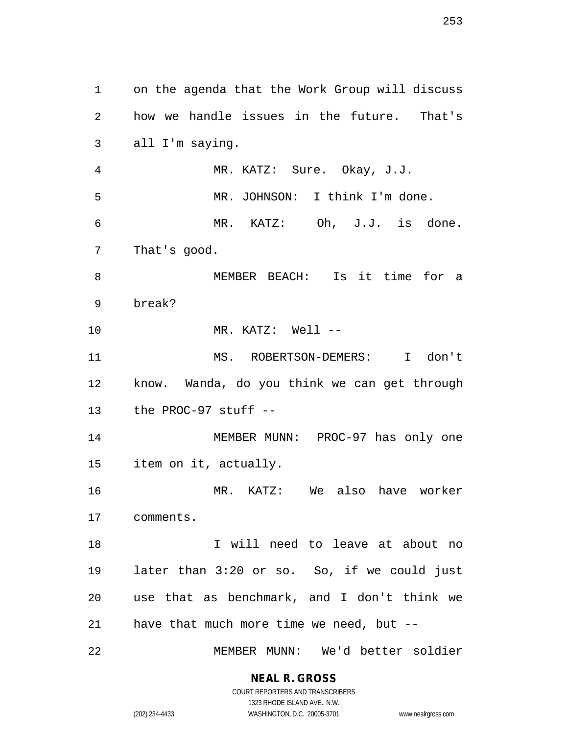1 on the agenda that the Work Group will discuss 2 how we handle issues in the future. That's 3 all I'm saying. 4 MR. KATZ: Sure. Okay, J.J. 5 MR. JOHNSON: I think I'm done. 6 MR. KATZ: Oh, J.J. is done. 7 That's good. 8 MEMBER BEACH: Is it time for a 9 break? 10 MR. KATZ: Well -- 11 MS. ROBERTSON-DEMERS: I don't 12 know. Wanda, do you think we can get through 13 the PROC-97 stuff -- 14 MEMBER MUNN: PROC-97 has only one 15 item on it, actually. 16 MR. KATZ: We also have worker 17 comments. 18 I will need to leave at about no 19 later than 3:20 or so. So, if we could just 20 use that as benchmark, and I don't think we 21 have that much more time we need, but --

22 MEMBER MUNN: We'd better soldier

253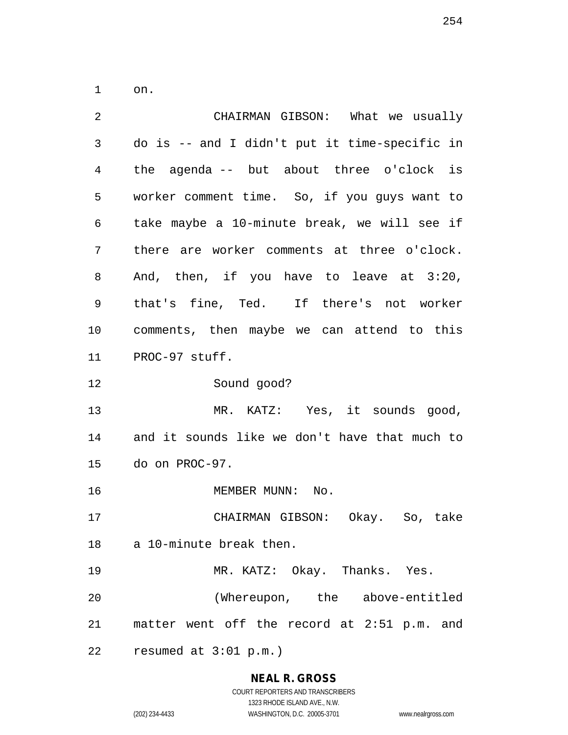1 on.

| 2            | CHAIRMAN GIBSON: What we usually              |
|--------------|-----------------------------------------------|
| $\mathsf{3}$ | do is -- and I didn't put it time-specific in |
| 4            | the agenda -- but about three o'clock is      |
| 5            | worker comment time. So, if you guys want to  |
| 6            | take maybe a 10-minute break, we will see if  |
| 7            | there are worker comments at three o'clock.   |
| 8            | And, then, if you have to leave at 3:20,      |
| 9            | that's fine, Ted. If there's not worker       |
| 10           | comments, then maybe we can attend to this    |
| 11           | PROC-97 stuff.                                |
| 12           | Sound good?                                   |
| 13           | MR. KATZ: Yes, it sounds good,                |
| 14           | and it sounds like we don't have that much to |
| 15           | do on PROC-97.                                |
| 16           | MEMBER MUNN: No.                              |
| 17           | CHAIRMAN GIBSON: Okay. So, take               |
| 18           | a 10-minute break then.                       |
| 19           | MR. KATZ: Okay. Thanks. Yes.                  |
| 20           | (Whereupon, the above-entitled                |
| 21           | matter went off the record at 2:51 p.m. and   |
| 22           | resumed at $3:01$ p.m.)                       |

## **NEAL R. GROSS**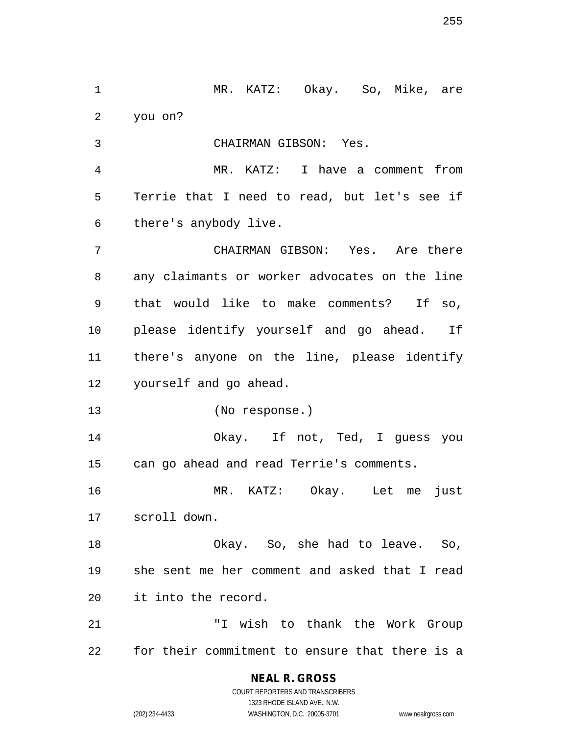1 MR. KATZ: Okay. So, Mike, are 2 you on? 3 CHAIRMAN GIBSON: Yes. 4 MR. KATZ: I have a comment from 5 Terrie that I need to read, but let's see if 6 there's anybody live. 7 CHAIRMAN GIBSON: Yes. Are there 8 any claimants or worker advocates on the line 9 that would like to make comments? If so, 10 please identify yourself and go ahead. If 11 there's anyone on the line, please identify 12 yourself and go ahead. 13 (No response.) 14 Okay. If not, Ted, I guess you 15 can go ahead and read Terrie's comments. 16 MR. KATZ: Okay. Let me just 17 scroll down. 18 Okay. So, she had to leave. So, 19 she sent me her comment and asked that I read 20 it into the record. 21 "I wish to thank the Work Group 22 for their commitment to ensure that there is a

> **NEAL R. GROSS** COURT REPORTERS AND TRANSCRIBERS 1323 RHODE ISLAND AVE., N.W.

(202) 234-4433 WASHINGTON, D.C. 20005-3701 www.nealrgross.com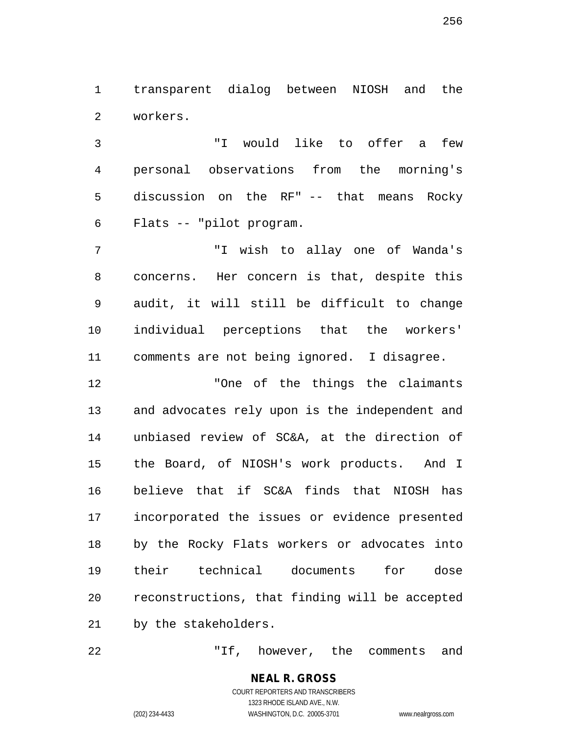1 transparent dialog between NIOSH and the 2 workers.

3 "I would like to offer a few 4 personal observations from the morning's 5 discussion on the RF" -- that means Rocky 6 Flats -- "pilot program.

7 "I wish to allay one of Wanda's 8 concerns. Her concern is that, despite this 9 audit, it will still be difficult to change 10 individual perceptions that the workers' 11 comments are not being ignored. I disagree.

12 "One of the things the claimants 13 and advocates rely upon is the independent and 14 unbiased review of SC&A, at the direction of 15 the Board, of NIOSH's work products. And I 16 believe that if SC&A finds that NIOSH has 17 incorporated the issues or evidence presented 18 by the Rocky Flats workers or advocates into 19 their technical documents for dose 20 reconstructions, that finding will be accepted 21 by the stakeholders.

22 "If, however, the comments and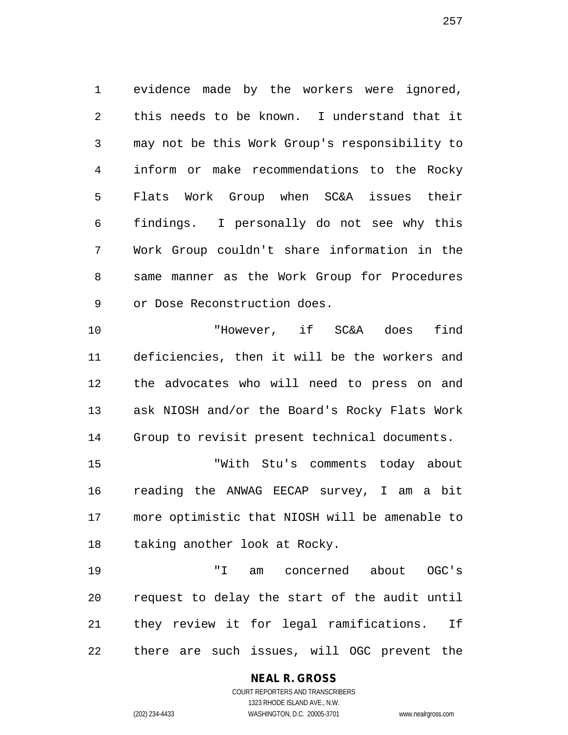1 evidence made by the workers were ignored, 2 this needs to be known. I understand that it 3 may not be this Work Group's responsibility to 4 inform or make recommendations to the Rocky 5 Flats Work Group when SC&A issues their 6 findings. I personally do not see why this 7 Work Group couldn't share information in the 8 same manner as the Work Group for Procedures 9 or Dose Reconstruction does.

10 "However, if SC&A does find 11 deficiencies, then it will be the workers and 12 the advocates who will need to press on and 13 ask NIOSH and/or the Board's Rocky Flats Work 14 Group to revisit present technical documents.

15 "With Stu's comments today about 16 reading the ANWAG EECAP survey, I am a bit 17 more optimistic that NIOSH will be amenable to 18 taking another look at Rocky.

19 "I am concerned about OGC's 20 request to delay the start of the audit until 21 they review it for legal ramifications. If 22 there are such issues, will OGC prevent the

# **NEAL R. GROSS**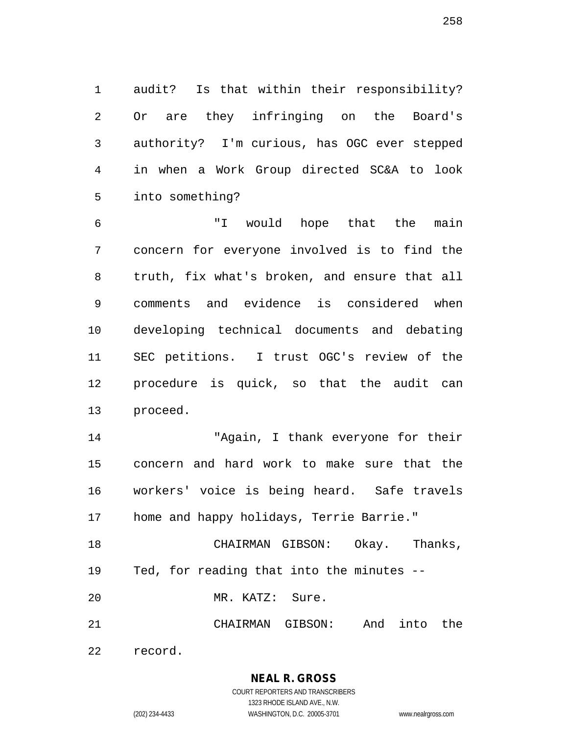1 audit? Is that within their responsibility? 2 Or are they infringing on the Board's 3 authority? I'm curious, has OGC ever stepped 4 in when a Work Group directed SC&A to look 5 into something?

6 "I would hope that the main 7 concern for everyone involved is to find the 8 truth, fix what's broken, and ensure that all 9 comments and evidence is considered when 10 developing technical documents and debating 11 SEC petitions. I trust OGC's review of the 12 procedure is quick, so that the audit can 13 proceed.

14 "Again, I thank everyone for their 15 concern and hard work to make sure that the 16 workers' voice is being heard. Safe travels 17 home and happy holidays, Terrie Barrie."

18 CHAIRMAN GIBSON: Okay. Thanks, 19 Ted, for reading that into the minutes -- 20 MR. KATZ: Sure.

21 CHAIRMAN GIBSON: And into the

22 record.

**NEAL R. GROSS**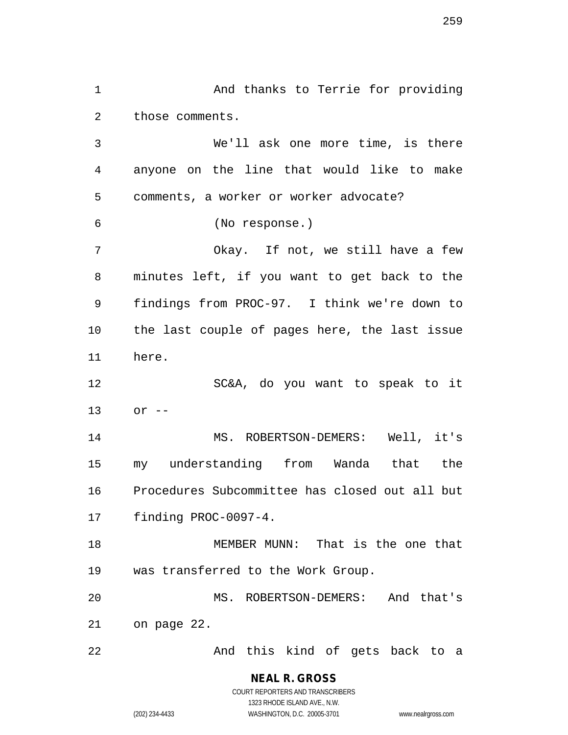1 And thanks to Terrie for providing 2 those comments. 3 We'll ask one more time, is there 4 anyone on the line that would like to make 5 comments, a worker or worker advocate? 6 (No response.) 7 Okay. If not, we still have a few 8 minutes left, if you want to get back to the 9 findings from PROC-97. I think we're down to 10 the last couple of pages here, the last issue 11 here. 12 SC&A, do you want to speak to it 13 or -- 14 MS. ROBERTSON-DEMERS: Well, it's 15 my understanding from Wanda that the 16 Procedures Subcommittee has closed out all but 17 finding PROC-0097-4. 18 MEMBER MUNN: That is the one that 19 was transferred to the Work Group. 20 MS. ROBERTSON-DEMERS: And that's 21 on page 22. 22 And this kind of gets back to a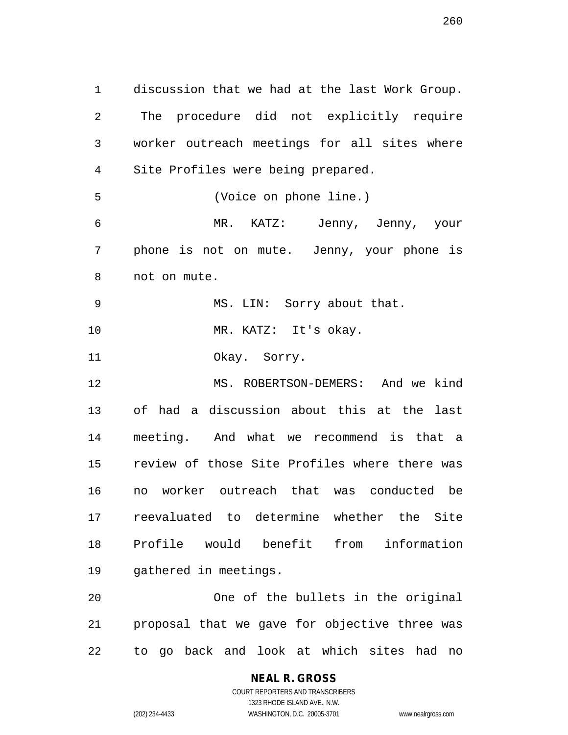1 discussion that we had at the last Work Group. 2 The procedure did not explicitly require 3 worker outreach meetings for all sites where 4 Site Profiles were being prepared. 5 (Voice on phone line.) 6 MR. KATZ: Jenny, Jenny, your 7 phone is not on mute. Jenny, your phone is 8 not on mute. 9 MS. LIN: Sorry about that. 10 MR. KATZ: It's okay. 11 Okay. Sorry. 12 MS. ROBERTSON-DEMERS: And we kind 13 of had a discussion about this at the last 14 meeting. And what we recommend is that a 15 review of those Site Profiles where there was 16 no worker outreach that was conducted be 17 reevaluated to determine whether the Site 18 Profile would benefit from information 19 gathered in meetings. 20 One of the bullets in the original 21 proposal that we gave for objective three was

22 to go back and look at which sites had no

COURT REPORTERS AND TRANSCRIBERS 1323 RHODE ISLAND AVE., N.W. (202) 234-4433 WASHINGTON, D.C. 20005-3701 www.nealrgross.com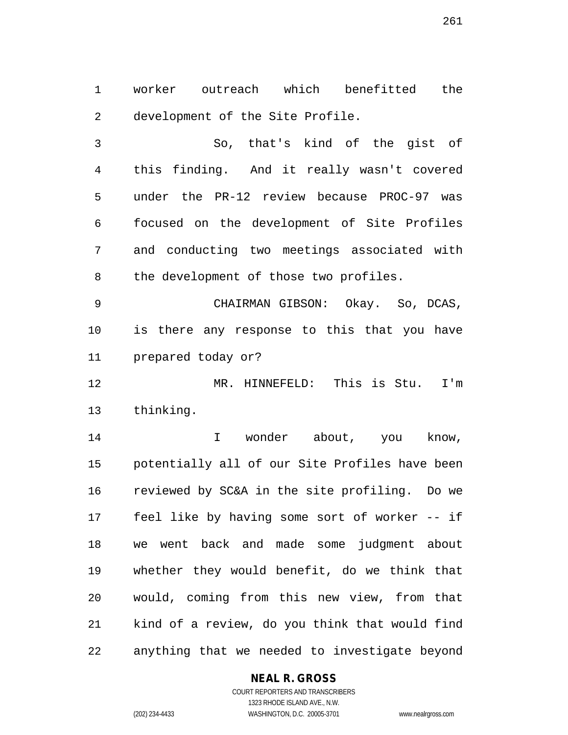1 worker outreach which benefitted the 2 development of the Site Profile.

3 So, that's kind of the gist of 4 this finding. And it really wasn't covered 5 under the PR-12 review because PROC-97 was 6 focused on the development of Site Profiles 7 and conducting two meetings associated with 8 the development of those two profiles.

9 CHAIRMAN GIBSON: Okay. So, DCAS, 10 is there any response to this that you have 11 prepared today or?

12 MR. HINNEFELD: This is Stu. I'm 13 thinking.

14 I wonder about, you know, 15 potentially all of our Site Profiles have been 16 reviewed by SC&A in the site profiling. Do we 17 feel like by having some sort of worker -- if 18 we went back and made some judgment about 19 whether they would benefit, do we think that 20 would, coming from this new view, from that 21 kind of a review, do you think that would find 22 anything that we needed to investigate beyond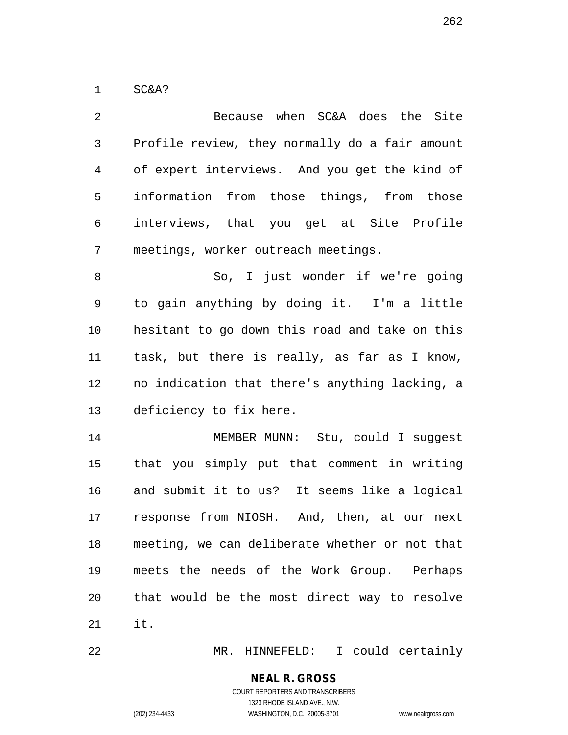1 SC&A?

| 2              | Because when SC&A does the Site                |
|----------------|------------------------------------------------|
| $\mathfrak{Z}$ | Profile review, they normally do a fair amount |
| 4              | of expert interviews. And you get the kind of  |
| 5              | information from those things, from those      |
| 6              | interviews, that you get at Site Profile       |
| 7              | meetings, worker outreach meetings.            |
| 8              | So, I just wonder if we're going               |
| 9              | to gain anything by doing it. I'm a little     |
| 10             | hesitant to go down this road and take on this |
| 11             | task, but there is really, as far as I know,   |
| 12             | no indication that there's anything lacking, a |
| 13             | deficiency to fix here.                        |
| 14             | MEMBER MUNN: Stu, could I suggest              |
| 15             | that you simply put that comment in writing    |
| 16             | and submit it to us? It seems like a logical   |
| 17             | response from NIOSH. And, then, at our next    |
| 18             | meeting, we can deliberate whether or not that |
| 19             | meets the needs of the Work Group. Perhaps     |
| 20             | that would be the most direct way to resolve   |
| 21             | it.                                            |

22 MR. HINNEFELD: I could certainly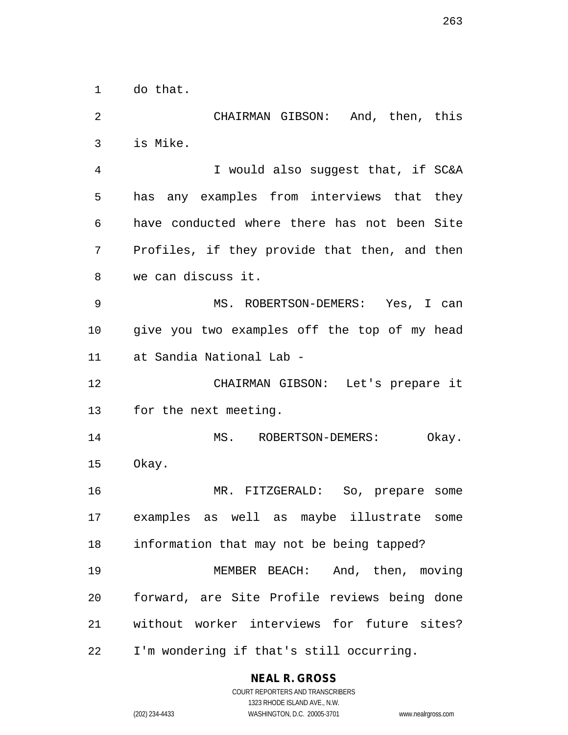1 do that.

2 CHAIRMAN GIBSON: And, then, this 3 is Mike. 4 I would also suggest that, if SC&A 5 has any examples from interviews that they 6 have conducted where there has not been Site 7 Profiles, if they provide that then, and then 8 we can discuss it. 9 MS. ROBERTSON-DEMERS: Yes, I can 10 give you two examples off the top of my head 11 at Sandia National Lab - 12 CHAIRMAN GIBSON: Let's prepare it 13 for the next meeting. 14 MS. ROBERTSON-DEMERS: Okay. 15 Okay. 16 MR. FITZGERALD: So, prepare some 17 examples as well as maybe illustrate some 18 information that may not be being tapped? 19 MEMBER BEACH: And, then, moving 20 forward, are Site Profile reviews being done 21 without worker interviews for future sites? 22 I'm wondering if that's still occurring.

**NEAL R. GROSS**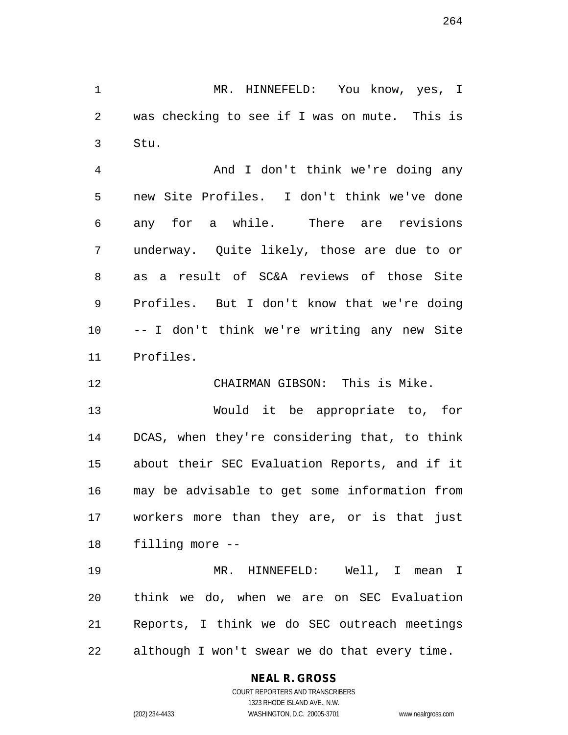1 MR. HINNEFELD: You know, yes, I 2 was checking to see if I was on mute. This is 3 Stu.

4 And I don't think we're doing any 5 new Site Profiles. I don't think we've done 6 any for a while. There are revisions 7 underway. Quite likely, those are due to or 8 as a result of SC&A reviews of those Site 9 Profiles. But I don't know that we're doing 10 -- I don't think we're writing any new Site 11 Profiles.

12 CHAIRMAN GIBSON: This is Mike.

13 Would it be appropriate to, for 14 DCAS, when they're considering that, to think 15 about their SEC Evaluation Reports, and if it 16 may be advisable to get some information from 17 workers more than they are, or is that just 18 filling more --

19 MR. HINNEFELD: Well, I mean I 20 think we do, when we are on SEC Evaluation 21 Reports, I think we do SEC outreach meetings 22 although I won't swear we do that every time.

> **NEAL R. GROSS** COURT REPORTERS AND TRANSCRIBERS

1323 RHODE ISLAND AVE., N.W. (202) 234-4433 WASHINGTON, D.C. 20005-3701 www.nealrgross.com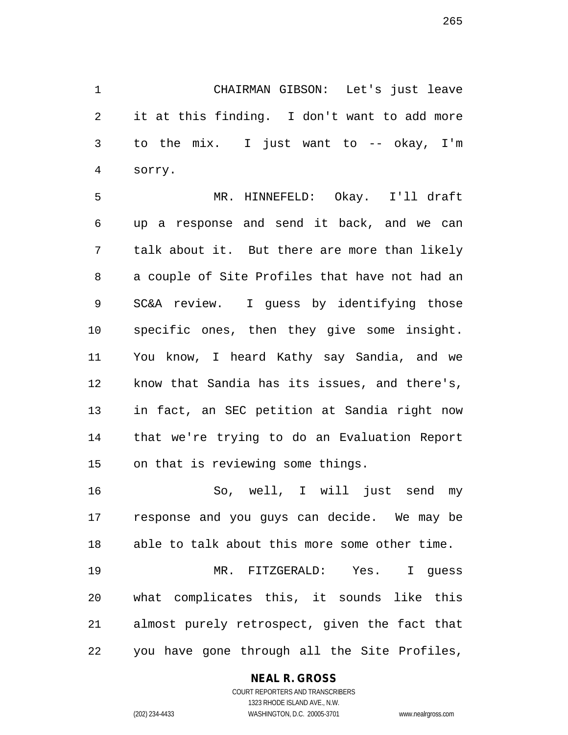1 CHAIRMAN GIBSON: Let's just leave 2 it at this finding. I don't want to add more 3 to the mix. I just want to -- okay, I'm 4 sorry.

5 MR. HINNEFELD: Okay. I'll draft 6 up a response and send it back, and we can 7 talk about it. But there are more than likely 8 a couple of Site Profiles that have not had an 9 SC&A review. I guess by identifying those 10 specific ones, then they give some insight. 11 You know, I heard Kathy say Sandia, and we 12 know that Sandia has its issues, and there's, 13 in fact, an SEC petition at Sandia right now 14 that we're trying to do an Evaluation Report 15 on that is reviewing some things.

16 So, well, I will just send my 17 response and you guys can decide. We may be 18 able to talk about this more some other time.

19 MR. FITZGERALD: Yes. I guess 20 what complicates this, it sounds like this 21 almost purely retrospect, given the fact that 22 you have gone through all the Site Profiles,

### **NEAL R. GROSS**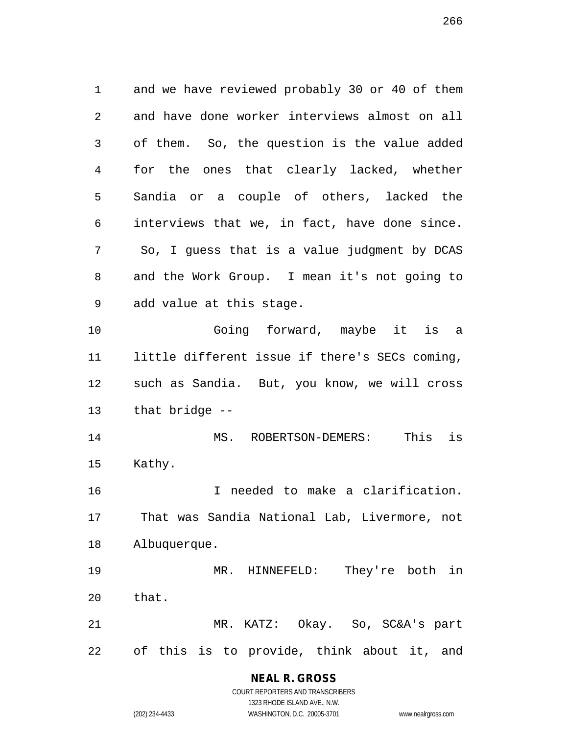1 and we have reviewed probably 30 or 40 of them 2 and have done worker interviews almost on all 3 of them. So, the question is the value added 4 for the ones that clearly lacked, whether 5 Sandia or a couple of others, lacked the 6 interviews that we, in fact, have done since. 7 So, I guess that is a value judgment by DCAS 8 and the Work Group. I mean it's not going to 9 add value at this stage. 10 Going forward, maybe it is a 11 little different issue if there's SECs coming, 12 such as Sandia. But, you know, we will cross 13 that bridge -- 14 MS. ROBERTSON-DEMERS: This is 15 Kathy. 16 I needed to make a clarification. 17 That was Sandia National Lab, Livermore, not 18 Albuquerque. 19 MR. HINNEFELD: They're both in 20 that. 21 MR. KATZ: Okay. So, SC&A's part 22 of this is to provide, think about it, and

> **NEAL R. GROSS** COURT REPORTERS AND TRANSCRIBERS

1323 RHODE ISLAND AVE., N.W. (202) 234-4433 WASHINGTON, D.C. 20005-3701 www.nealrgross.com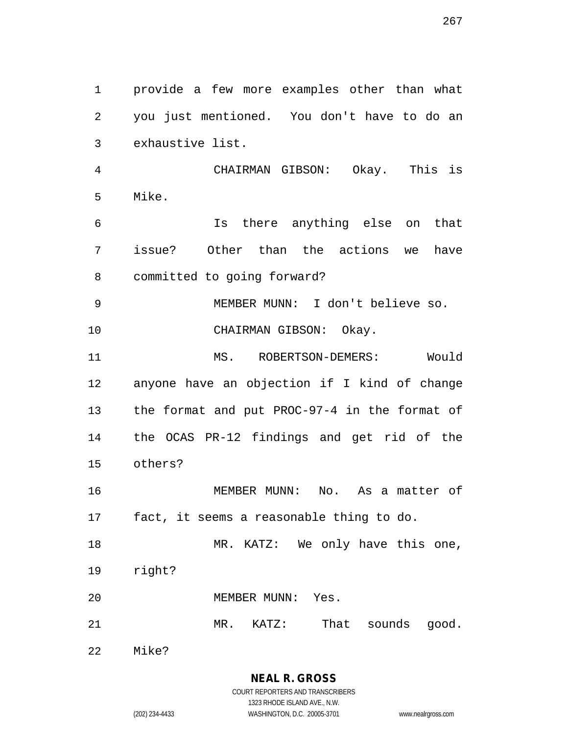1 provide a few more examples other than what 2 you just mentioned. You don't have to do an 3 exhaustive list. 4 CHAIRMAN GIBSON: Okay. This is 5 Mike. 6 Is there anything else on that 7 issue? Other than the actions we have 8 committed to going forward? 9 MEMBER MUNN: I don't believe so. 10 CHAIRMAN GIBSON: Okay. 11 MS. ROBERTSON-DEMERS: Would 12 anyone have an objection if I kind of change 13 the format and put PROC-97-4 in the format of 14 the OCAS PR-12 findings and get rid of the 15 others? 16 MEMBER MUNN: No. As a matter of 17 fact, it seems a reasonable thing to do. 18 MR. KATZ: We only have this one, 19 right? 20 MEMBER MUNN: Yes. 21 MR. KATZ: That sounds good. 22 Mike?

> **NEAL R. GROSS** COURT REPORTERS AND TRANSCRIBERS 1323 RHODE ISLAND AVE., N.W.

(202) 234-4433 WASHINGTON, D.C. 20005-3701 www.nealrgross.com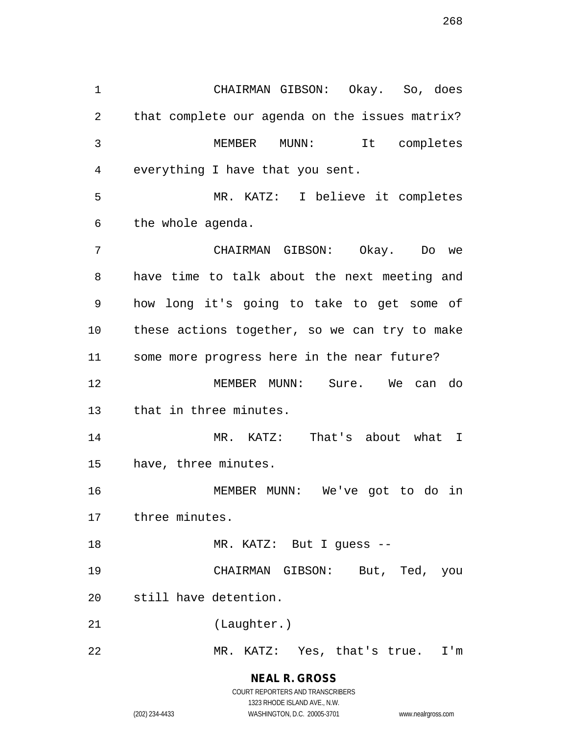1 CHAIRMAN GIBSON: Okay. So, does 2 that complete our agenda on the issues matrix? 3 MEMBER MUNN: It completes 4 everything I have that you sent. 5 MR. KATZ: I believe it completes 6 the whole agenda. 7 CHAIRMAN GIBSON: Okay. Do we 8 have time to talk about the next meeting and 9 how long it's going to take to get some of 10 these actions together, so we can try to make 11 some more progress here in the near future? 12 MEMBER MUNN: Sure. We can do 13 that in three minutes. 14 MR. KATZ: That's about what I 15 have, three minutes. 16 MEMBER MUNN: We've got to do in 17 three minutes. 18 MR. KATZ: But I guess -- 19 CHAIRMAN GIBSON: But, Ted, you 20 still have detention. 21 (Laughter.) 22 MR. KATZ: Yes, that's true. I'm

#### **NEAL R. GROSS** COURT REPORTERS AND TRANSCRIBERS

1323 RHODE ISLAND AVE., N.W.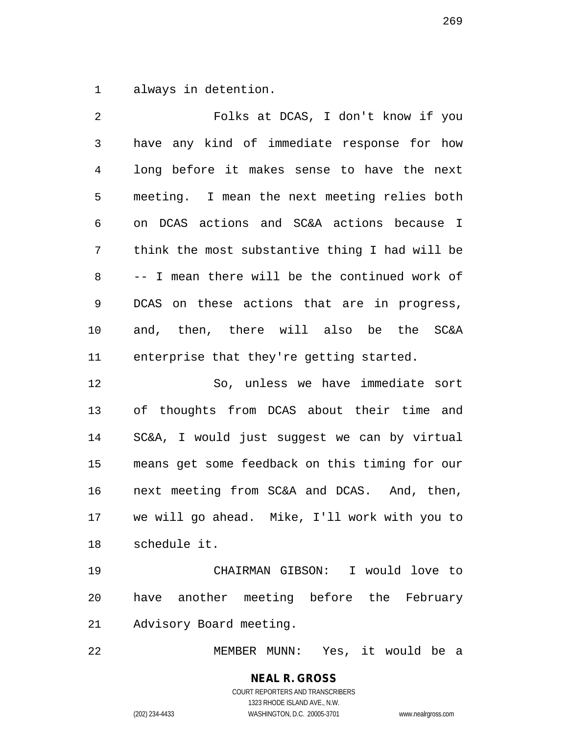1 always in detention.

2 Folks at DCAS, I don't know if you 3 have any kind of immediate response for how 4 long before it makes sense to have the next 5 meeting. I mean the next meeting relies both 6 on DCAS actions and SC&A actions because I 7 think the most substantive thing I had will be 8 -- I mean there will be the continued work of 9 DCAS on these actions that are in progress, 10 and, then, there will also be the SC&A 11 enterprise that they're getting started.

12 So, unless we have immediate sort 13 of thoughts from DCAS about their time and 14 SC&A, I would just suggest we can by virtual 15 means get some feedback on this timing for our 16 next meeting from SC&A and DCAS. And, then, 17 we will go ahead. Mike, I'll work with you to 18 schedule it.

19 CHAIRMAN GIBSON: I would love to 20 have another meeting before the February 21 Advisory Board meeting.

22 MEMBER MUNN: Yes, it would be a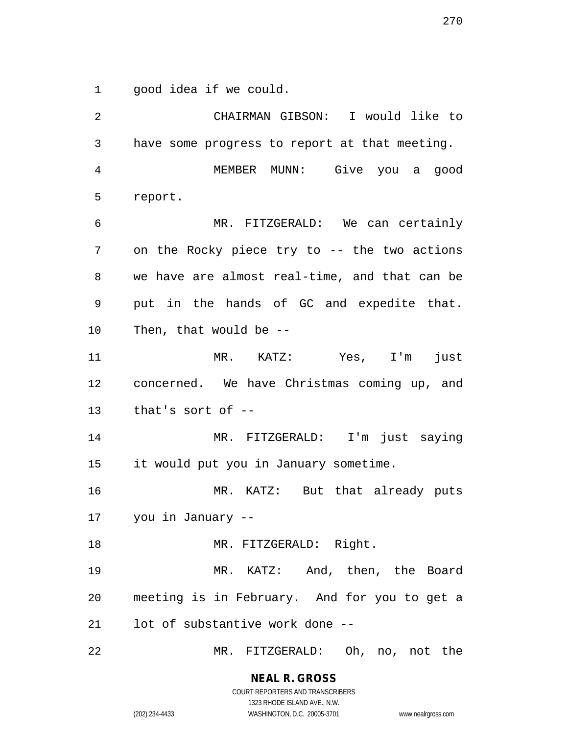1 good idea if we could.

2 CHAIRMAN GIBSON: I would like to 3 have some progress to report at that meeting. 4 MEMBER MUNN: Give you a good 5 report. 6 MR. FITZGERALD: We can certainly 7 on the Rocky piece try to -- the two actions 8 we have are almost real-time, and that can be 9 put in the hands of GC and expedite that. 10 Then, that would be -- 11 MR. KATZ: Yes, I'm just 12 concerned. We have Christmas coming up, and 13 that's sort of -- 14 MR. FITZGERALD: I'm just saying 15 it would put you in January sometime. 16 MR. KATZ: But that already puts 17 you in January -- 18 MR. FITZGERALD: Right. 19 MR. KATZ: And, then, the Board 20 meeting is in February. And for you to get a 21 lot of substantive work done -- 22 MR. FITZGERALD: Oh, no, not the

> **NEAL R. GROSS** COURT REPORTERS AND TRANSCRIBERS

1323 RHODE ISLAND AVE., N.W. (202) 234-4433 WASHINGTON, D.C. 20005-3701 www.nealrgross.com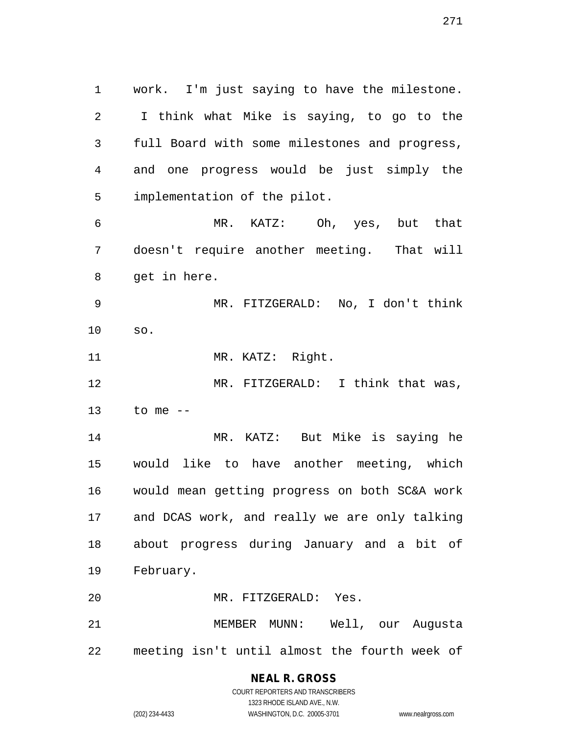1 work. I'm just saying to have the milestone. 2 I think what Mike is saying, to go to the 3 full Board with some milestones and progress, 4 and one progress would be just simply the 5 implementation of the pilot. 6 MR. KATZ: Oh, yes, but that 7 doesn't require another meeting. That will 8 get in here. 9 MR. FITZGERALD: No, I don't think 10 so. 11 MR. KATZ: Right. 12 MR. FITZGERALD: I think that was, 13 to me -- 14 MR. KATZ: But Mike is saying he 15 would like to have another meeting, which 16 would mean getting progress on both SC&A work 17 and DCAS work, and really we are only talking 18 about progress during January and a bit of 19 February. 20 MR. FITZGERALD: Yes. 21 MEMBER MUNN: Well, our Augusta

22 meeting isn't until almost the fourth week of

### **NEAL R. GROSS** COURT REPORTERS AND TRANSCRIBERS

1323 RHODE ISLAND AVE., N.W.

(202) 234-4433 WASHINGTON, D.C. 20005-3701 www.nealrgross.com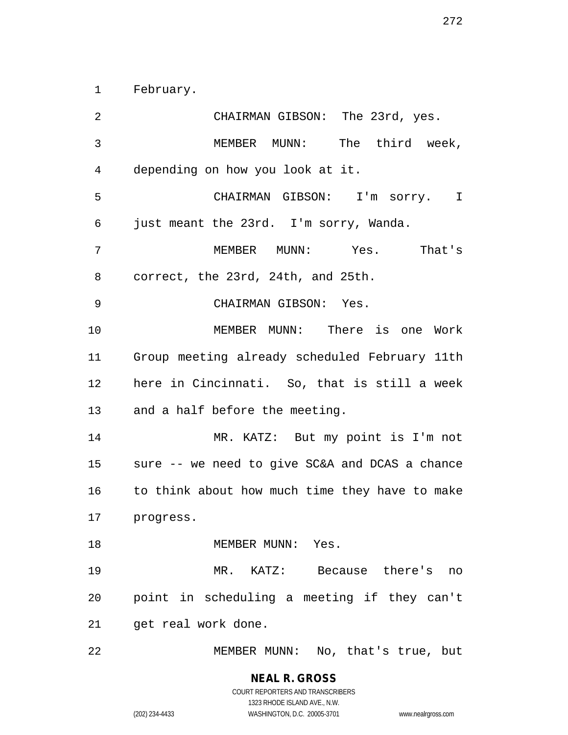1 February.

2 CHAIRMAN GIBSON: The 23rd, yes. 3 MEMBER MUNN: The third week, 4 depending on how you look at it. 5 CHAIRMAN GIBSON: I'm sorry. I 6 just meant the 23rd. I'm sorry, Wanda. 7 MEMBER MUNN: Yes. That's 8 correct, the 23rd, 24th, and 25th. 9 CHAIRMAN GIBSON: Yes. 10 MEMBER MUNN: There is one Work 11 Group meeting already scheduled February 11th 12 here in Cincinnati. So, that is still a week 13 and a half before the meeting. 14 MR. KATZ: But my point is I'm not 15 sure -- we need to give SC&A and DCAS a chance 16 to think about how much time they have to make 17 progress. 18 MEMBER MUNN: Yes. 19 MR. KATZ: Because there's no 20 point in scheduling a meeting if they can't 21 get real work done. 22 MEMBER MUNN: No, that's true, but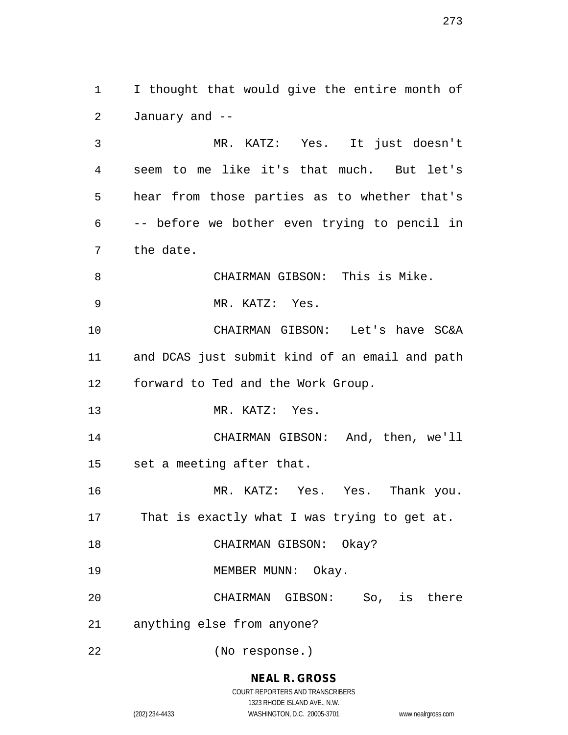1 I thought that would give the entire month of 2 January and --

3 MR. KATZ: Yes. It just doesn't 4 seem to me like it's that much. But let's 5 hear from those parties as to whether that's 6 -- before we bother even trying to pencil in 7 the date. 8 CHAIRMAN GIBSON: This is Mike. 9 MR. KATZ: Yes. 10 CHAIRMAN GIBSON: Let's have SC&A

11 and DCAS just submit kind of an email and path 12 forward to Ted and the Work Group.

13 MR. KATZ: Yes.

14 CHAIRMAN GIBSON: And, then, we'll 15 set a meeting after that.

16 MR. KATZ: Yes. Yes. Thank you.

- 17 That is exactly what I was trying to get at.
- 18 CHAIRMAN GIBSON: Okay?
- 19 MEMBER MUNN: Okay.
- 20 CHAIRMAN GIBSON: So, is there
- 21 anything else from anyone?
- 22 (No response.)